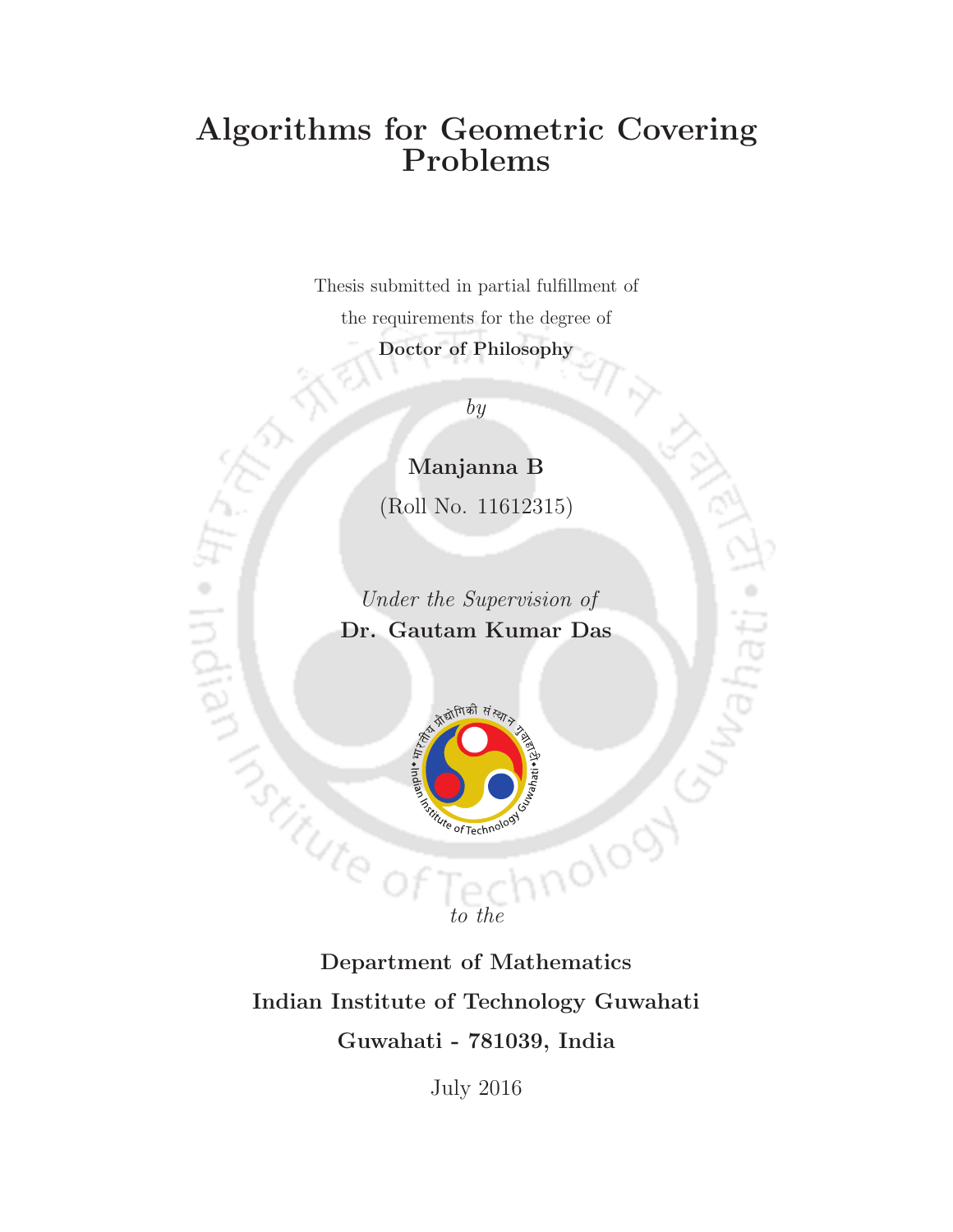### Algorithms for Geometric Covering Problems

Thesis submitted in partial fulfillment of the requirements for the degree of Doctor of Philosophy

by

Manjanna B (Roll No. 11612315)

Under the Supervision of Dr. Gautam Kumar Das

indian N



to the

0100

Department of Mathematics Indian Institute of Technology Guwahati Guwahati - 781039, India

July 2016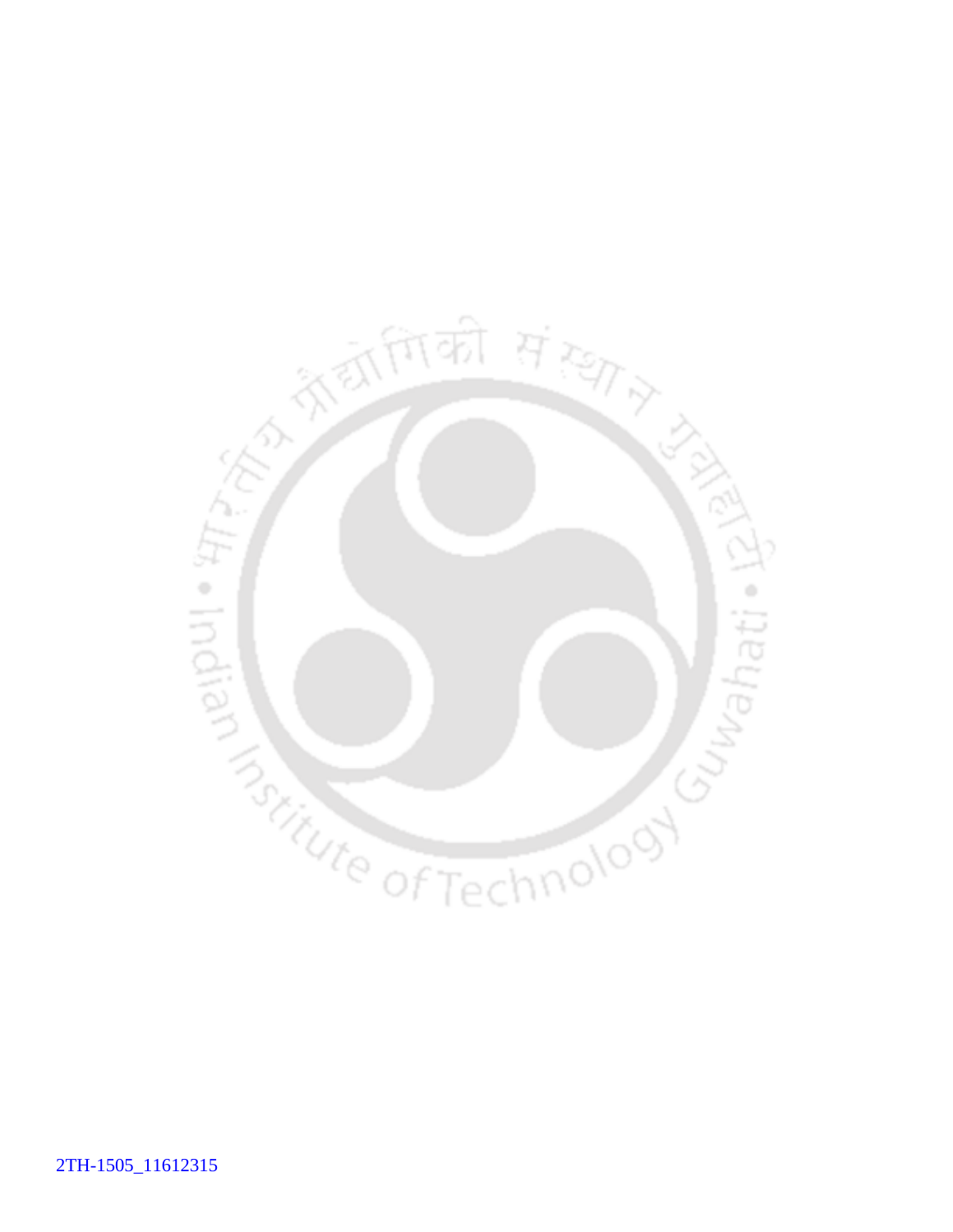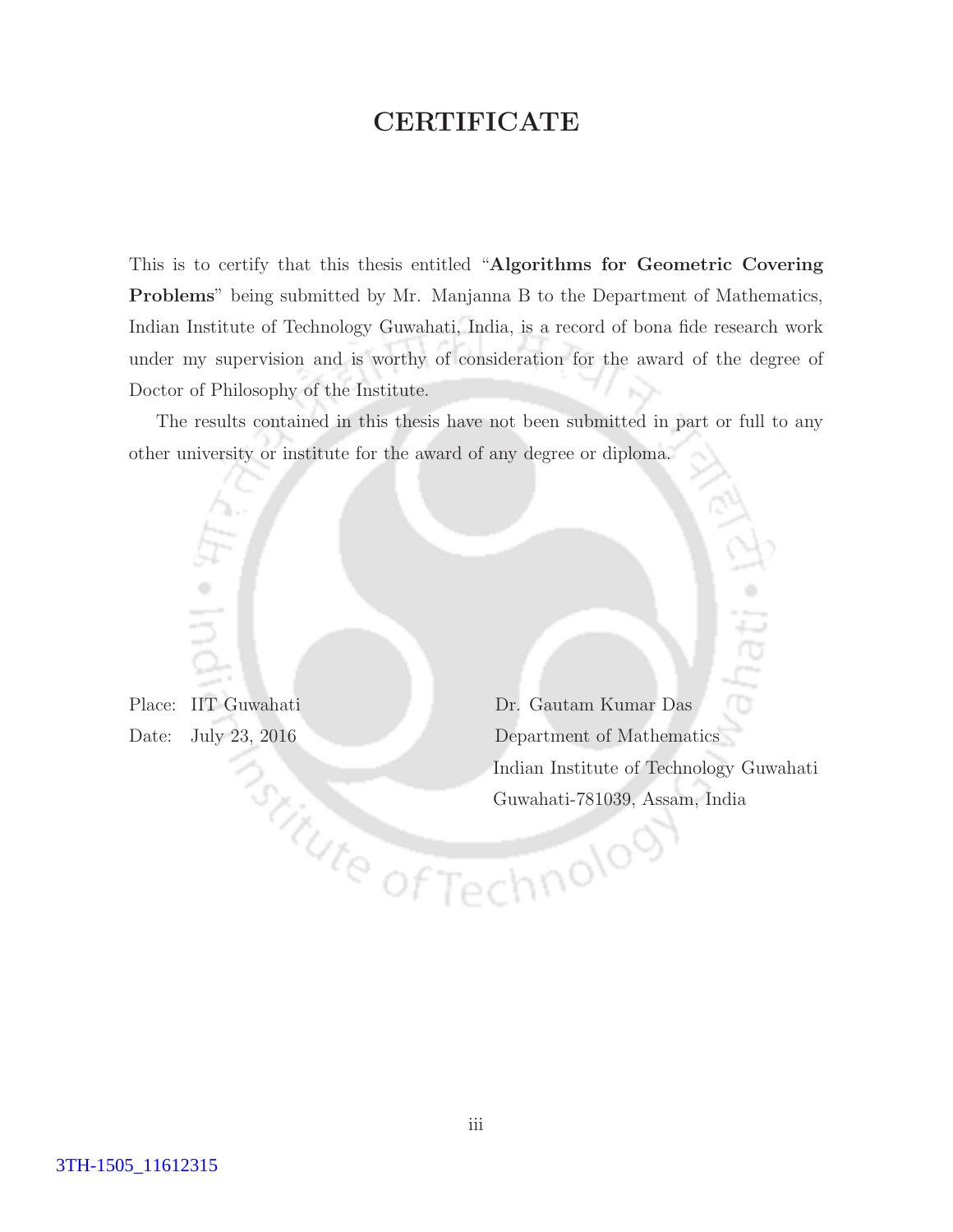### CERTIFICATE

This is to certify that this thesis entitled "Algorithms for Geometric Covering Problems" being submitted by Mr. Manjanna B to the Department of Mathematics, Indian Institute of Technology Guwahati, India, is a record of bona fide research work under my supervision and is worthy of consideration for the award of the degree of Doctor of Philosophy of the Institute.

The results contained in this thesis have not been submitted in part or full to any other university or institute for the award of any degree or diploma.

Place: IIT Guwahati Dr. Gautam Kumar Das Date: July 23, 2016 Department of Mathematics Indian Institute of Technology Guwahati<br>Guwahati-781039, Assam, India<br>Contract of Technology Guwahati Guwahati-781039, Assam, India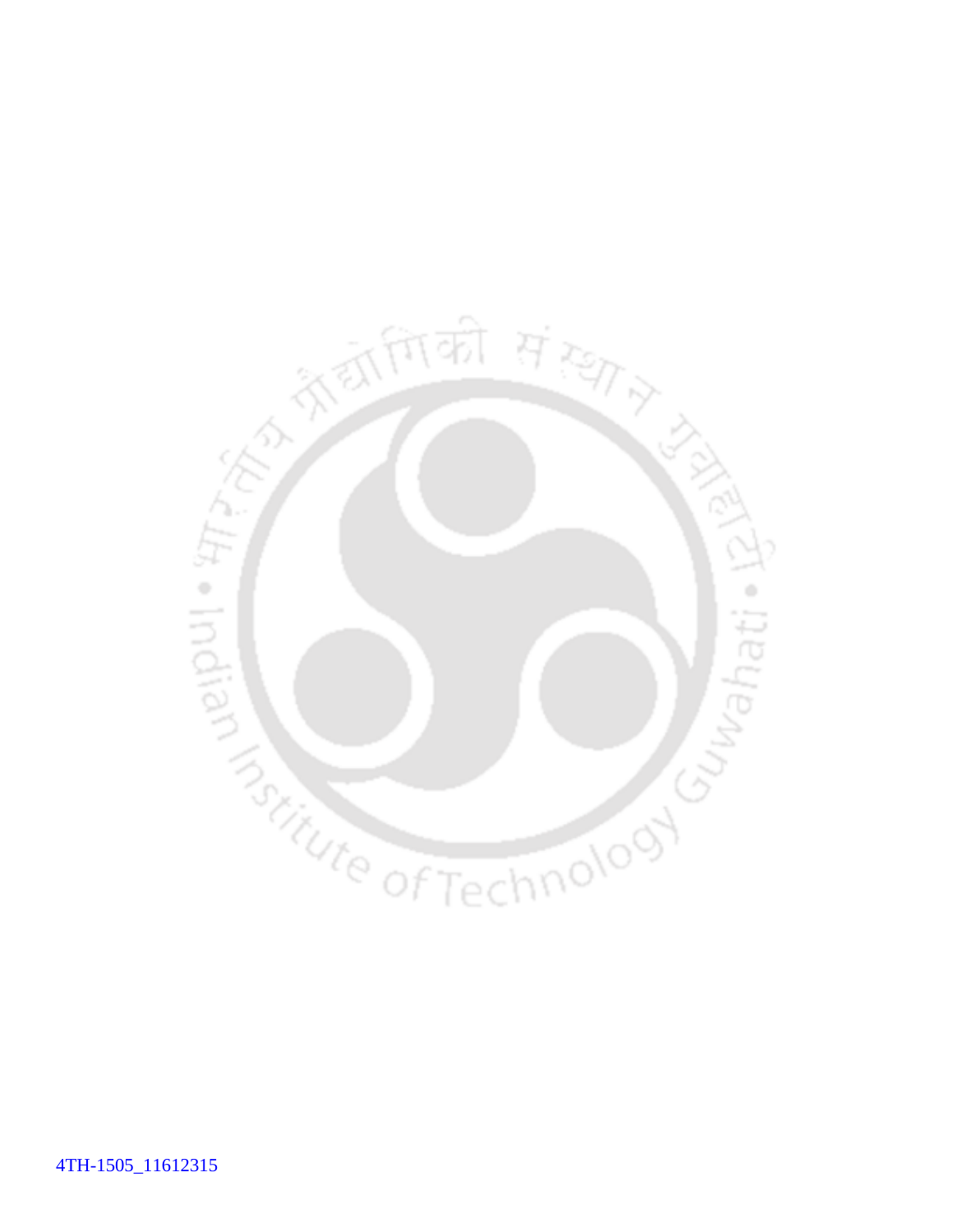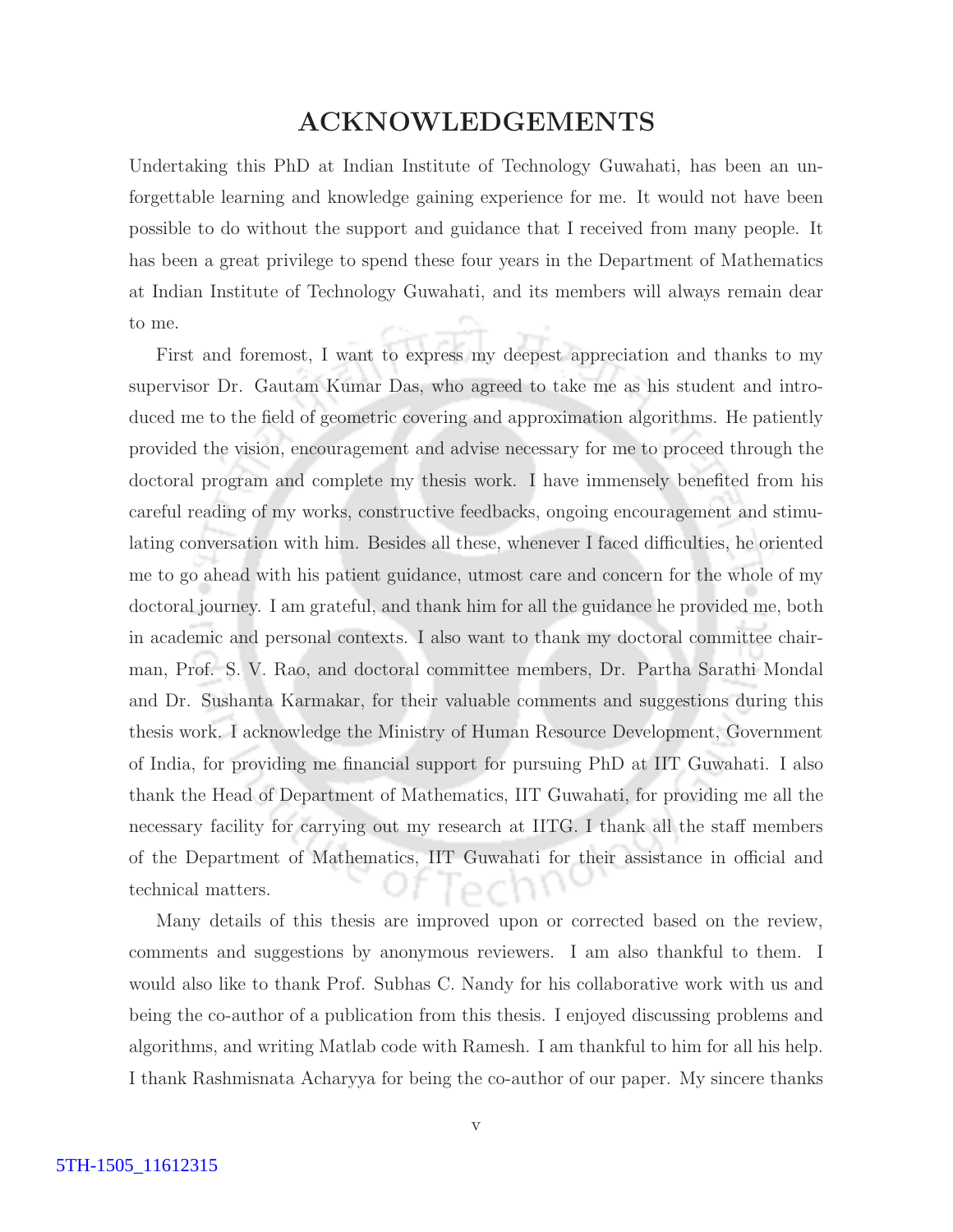### ACKNOWLEDGEMENTS

Undertaking this PhD at Indian Institute of Technology Guwahati, has been an unforgettable learning and knowledge gaining experience for me. It would not have been possible to do without the support and guidance that I received from many people. It has been a great privilege to spend these four years in the Department of Mathematics at Indian Institute of Technology Guwahati, and its members will always remain dear to me.

First and foremost, I want to express my deepest appreciation and thanks to my supervisor Dr. Gautam Kumar Das, who agreed to take me as his student and introduced me to the field of geometric covering and approximation algorithms. He patiently provided the vision, encouragement and advise necessary for me to proceed through the doctoral program and complete my thesis work. I have immensely benefited from his careful reading of my works, constructive feedbacks, ongoing encouragement and stimulating conversation with him. Besides all these, whenever I faced difficulties, he oriented me to go ahead with his patient guidance, utmost care and concern for the whole of my doctoral journey. I am grateful, and thank him for all the guidance he provided me, both in academic and personal contexts. I also want to thank my doctoral committee chairman, Prof. S. V. Rao, and doctoral committee members, Dr. Partha Sarathi Mondal and Dr. Sushanta Karmakar, for their valuable comments and suggestions during this thesis work. I acknowledge the Ministry of Human Resource Development, Government of India, for providing me financial support for pursuing PhD at IIT Guwahati. I also thank the Head of Department of Mathematics, IIT Guwahati, for providing me all the necessary facility for carrying out my research at IITG. I thank all the staff members of the Department of Mathematics, IIT Guwahati for their assistance in official and technical matters.

Many details of this thesis are improved upon or corrected based on the review, comments and suggestions by anonymous reviewers. I am also thankful to them. I would also like to thank Prof. Subhas C. Nandy for his collaborative work with us and being the co-author of a publication from this thesis. I enjoyed discussing problems and algorithms, and writing Matlab code with Ramesh. I am thankful to him for all his help. I thank Rashmisnata Acharyya for being the co-author of our paper. My sincere thanks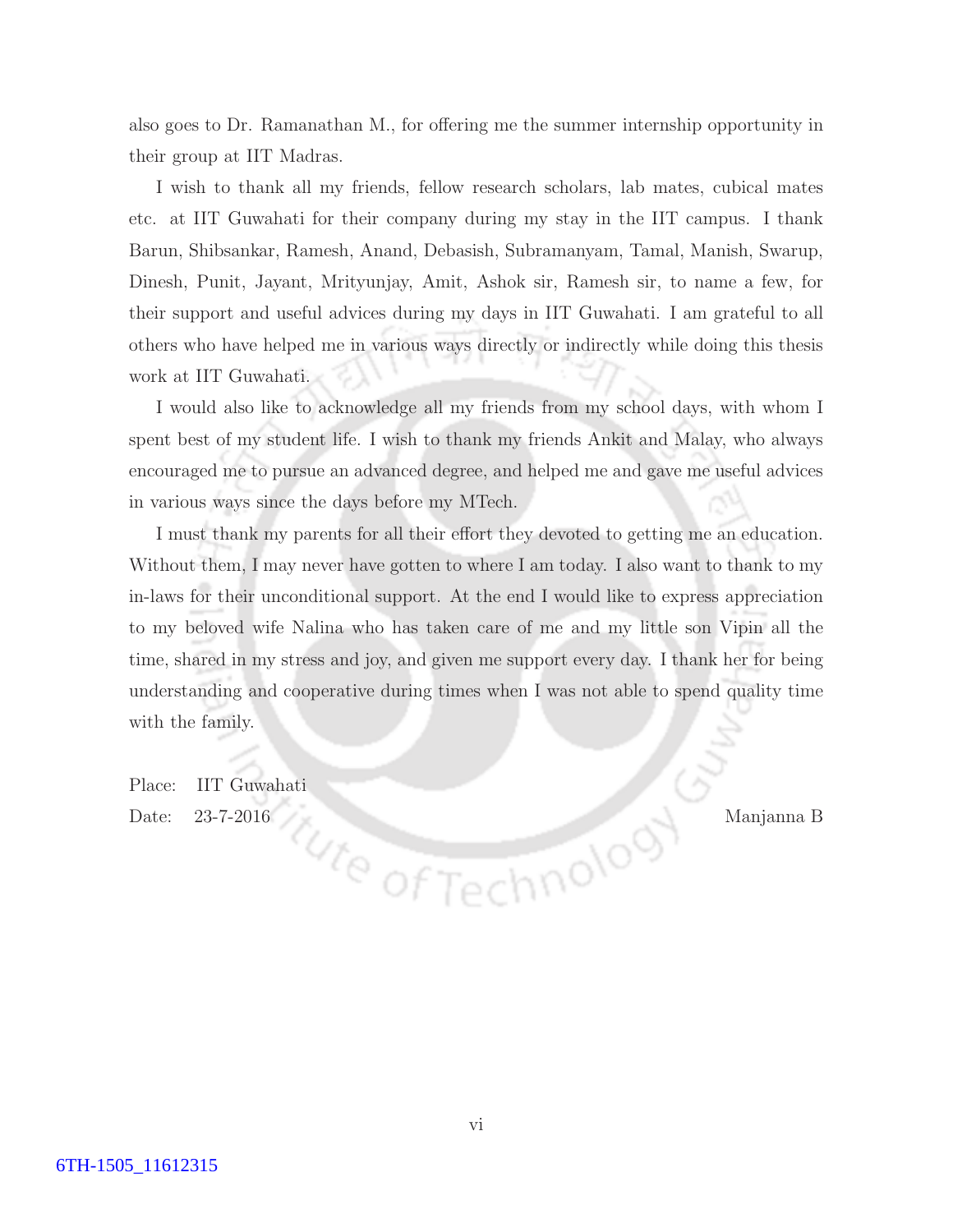also goes to Dr. Ramanathan M., for offering me the summer internship opportunity in their group at IIT Madras.

I wish to thank all my friends, fellow research scholars, lab mates, cubical mates etc. at IIT Guwahati for their company during my stay in the IIT campus. I thank Barun, Shibsankar, Ramesh, Anand, Debasish, Subramanyam, Tamal, Manish, Swarup, Dinesh, Punit, Jayant, Mrityunjay, Amit, Ashok sir, Ramesh sir, to name a few, for their support and useful advices during my days in IIT Guwahati. I am grateful to all others who have helped me in various ways directly or indirectly while doing this thesis work at IIT Guwahati.

I would also like to acknowledge all my friends from my school days, with whom I spent best of my student life. I wish to thank my friends Ankit and Malay, who always encouraged me to pursue an advanced degree, and helped me and gave me useful advices in various ways since the days before my MTech.

I must thank my parents for all their effort they devoted to getting me an education. Without them, I may never have gotten to where I am today. I also want to thank to my in-laws for their unconditional support. At the end I would like to express appreciation to my beloved wife Nalina who has taken care of me and my little son Vipin all the time, shared in my stress and joy, and given me support every day. I thank her for being understanding and cooperative during times when I was not able to spend quality time with the family.

Place: IIT Guwahati Date: 23-7-2016 Manjanna B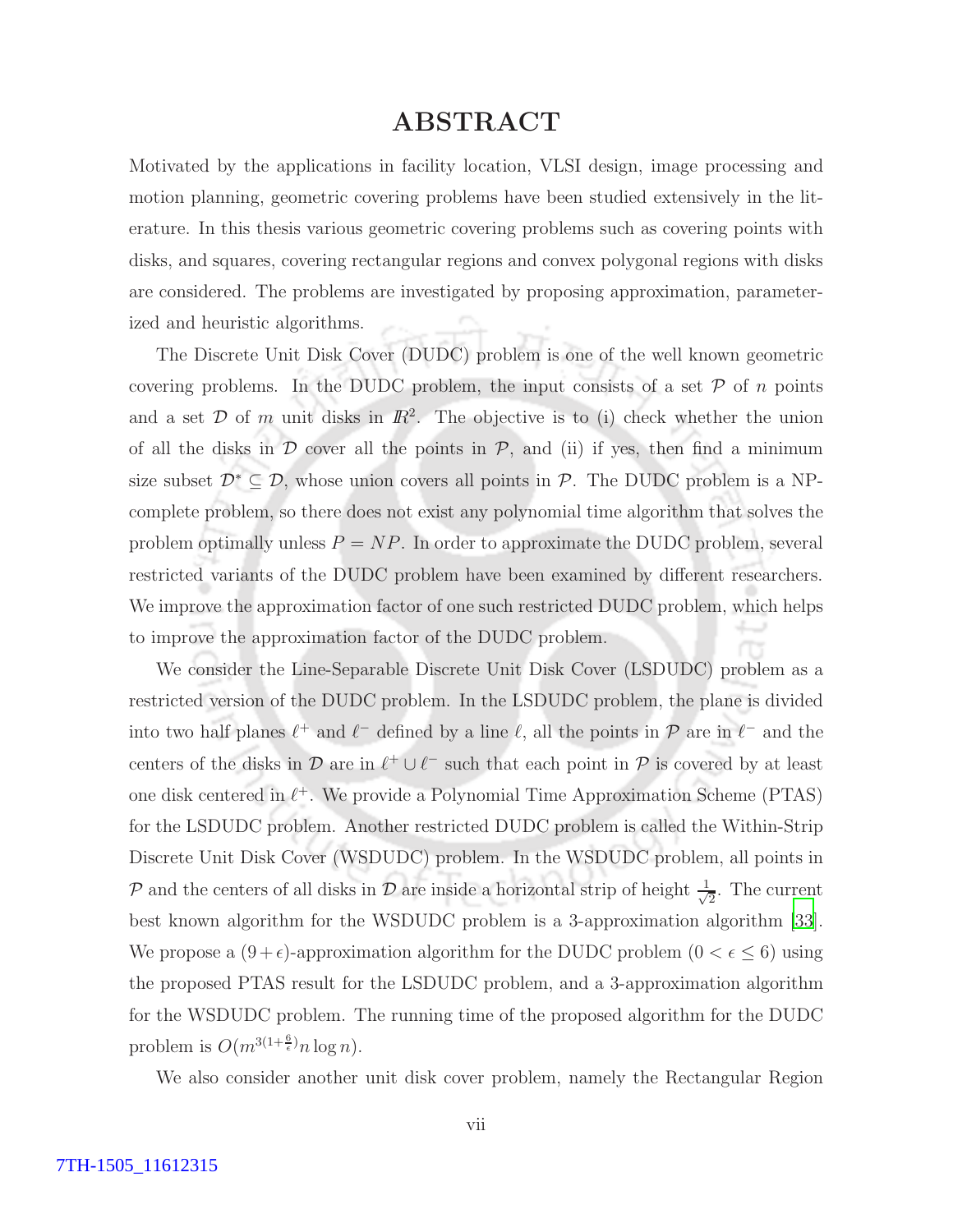### ABSTRACT

Motivated by the applications in facility location, VLSI design, image processing and motion planning, geometric covering problems have been studied extensively in the literature. In this thesis various geometric covering problems such as covering points with disks, and squares, covering rectangular regions and convex polygonal regions with disks are considered. The problems are investigated by proposing approximation, parameterized and heuristic algorithms.

The Discrete Unit Disk Cover (DUDC) problem is one of the well known geometric covering problems. In the DUDC problem, the input consists of a set  $P$  of n points and a set  $D$  of m unit disks in  $\mathbb{R}^2$ . The objective is to (i) check whether the union of all the disks in  $D$  cover all the points in  $P$ , and (ii) if yes, then find a minimum size subset  $\mathcal{D}^* \subseteq \mathcal{D}$ , whose union covers all points in  $\mathcal{P}$ . The DUDC problem is a NPcomplete problem, so there does not exist any polynomial time algorithm that solves the problem optimally unless  $P = NP$ . In order to approximate the DUDC problem, several restricted variants of the DUDC problem have been examined by different researchers. We improve the approximation factor of one such restricted DUDC problem, which helps to improve the approximation factor of the DUDC problem.

We consider the Line-Separable Discrete Unit Disk Cover (LSDUDC) problem as a restricted version of the DUDC problem. In the LSDUDC problem, the plane is divided into two half planes  $\ell^+$  and  $\ell^-$  defined by a line  $\ell$ , all the points in  $\mathcal P$  are in  $\ell^-$  and the centers of the disks in  $\mathcal D$  are in  $\ell^+ \cup \ell^-$  such that each point in  $\mathcal P$  is covered by at least one disk centered in  $\ell^+$ . We provide a Polynomial Time Approximation Scheme (PTAS) for the LSDUDC problem. Another restricted DUDC problem is called the Within-Strip Discrete Unit Disk Cover (WSDUDC) problem. In the WSDUDC problem, all points in P and the centers of all disks in D are inside a horizontal strip of height  $\frac{1}{\sqrt{2}}$  $\frac{1}{2}$ . The current best known algorithm for the WSDUDC problem is a 3-approximation algorithm [\[33\]](#page-103-0). We propose a  $(9 + \epsilon)$ -approximation algorithm for the DUDC problem  $(0 < \epsilon \leq 6)$  using the proposed PTAS result for the LSDUDC problem, and a 3-approximation algorithm for the WSDUDC problem. The running time of the proposed algorithm for the DUDC problem is  $O(m^{3(1+\frac{6}{\epsilon})}n \log n)$ .

We also consider another unit disk cover problem, namely the Rectangular Region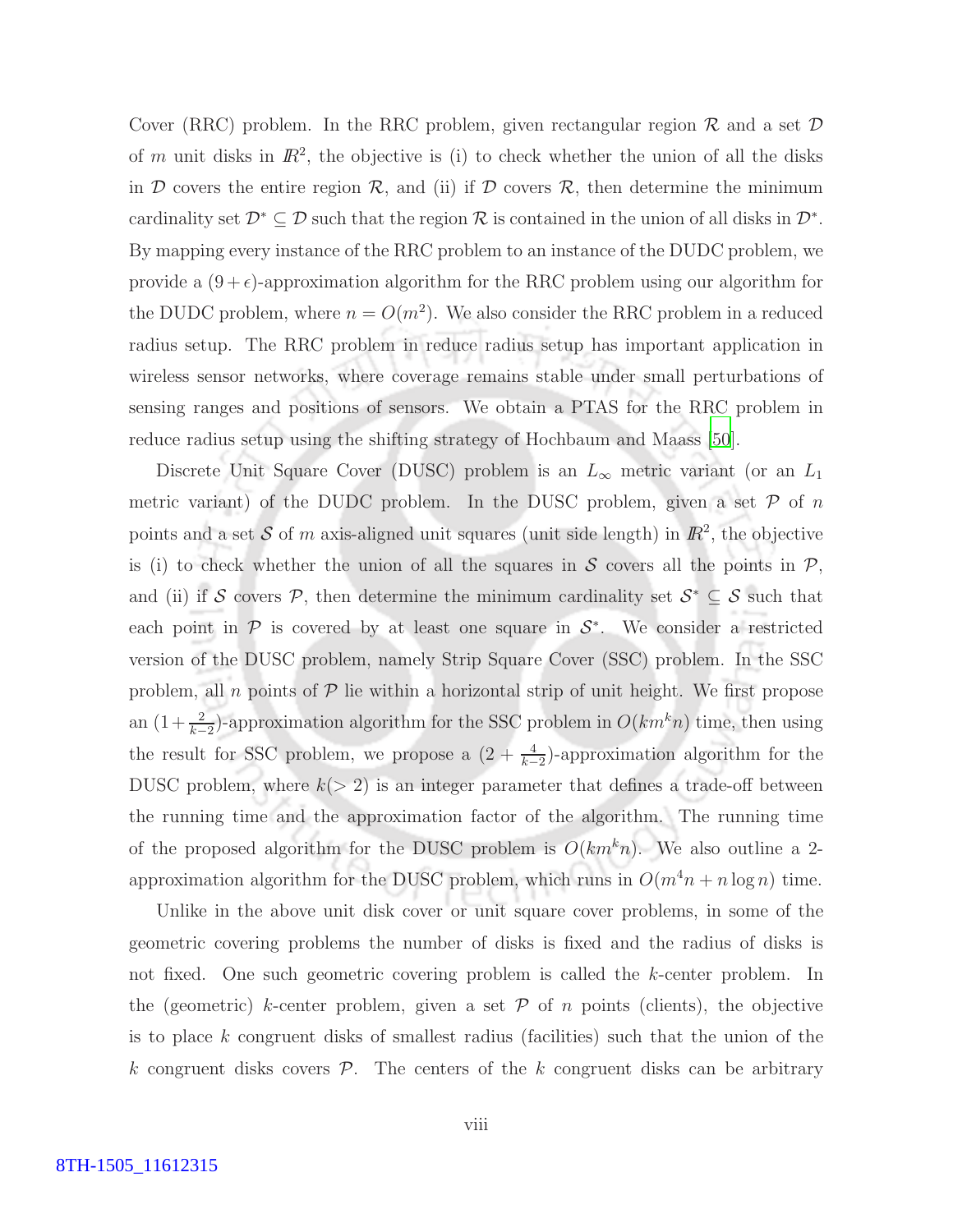Cover (RRC) problem. In the RRC problem, given rectangular region  $\mathcal R$  and a set  $\mathcal D$ of m unit disks in  $\mathbb{R}^2$ , the objective is (i) to check whether the union of all the disks in  $D$  covers the entire region  $R$ , and (ii) if  $D$  covers  $R$ , then determine the minimum cardinality set  $\mathcal{D}^* \subseteq \mathcal{D}$  such that the region  $\mathcal R$  is contained in the union of all disks in  $\mathcal{D}^*$ . By mapping every instance of the RRC problem to an instance of the DUDC problem, we provide a  $(9 + \epsilon)$ -approximation algorithm for the RRC problem using our algorithm for the DUDC problem, where  $n = O(m^2)$ . We also consider the RRC problem in a reduced radius setup. The RRC problem in reduce radius setup has important application in wireless sensor networks, where coverage remains stable under small perturbations of sensing ranges and positions of sensors. We obtain a PTAS for the RRC problem in reduce radius setup using the shifting strategy of Hochbaum and Maass [\[50\]](#page-105-0).

Discrete Unit Square Cover (DUSC) problem is an  $L_{\infty}$  metric variant (or an  $L_1$ metric variant) of the DUDC problem. In the DUSC problem, given a set  $P$  of n points and a set S of m axis-aligned unit squares (unit side length) in  $\mathbb{R}^2$ , the objective is (i) to check whether the union of all the squares in  $S$  covers all the points in  $\mathcal{P}$ , and (ii) if S covers P, then determine the minimum cardinality set  $S^* \subseteq S$  such that each point in  $\mathcal P$  is covered by at least one square in  $\mathcal S^*$ . We consider a restricted version of the DUSC problem, namely Strip Square Cover (SSC) problem. In the SSC problem, all n points of  $P$  lie within a horizontal strip of unit height. We first propose an  $(1+\frac{2}{k-2})$ -approximation algorithm for the SSC problem in  $O(km^kn)$  time, then using the result for SSC problem, we propose a  $(2 + \frac{4}{k-2})$ -approximation algorithm for the DUSC problem, where  $k(> 2)$  is an integer parameter that defines a trade-off between the running time and the approximation factor of the algorithm. The running time of the proposed algorithm for the DUSC problem is  $O(km^kn)$ . We also outline a 2approximation algorithm for the DUSC problem, which runs in  $O(m^4n + n \log n)$  time.

Unlike in the above unit disk cover or unit square cover problems, in some of the geometric covering problems the number of disks is fixed and the radius of disks is not fixed. One such geometric covering problem is called the k-center problem. In the (geometric) k-center problem, given a set  $P$  of n points (clients), the objective is to place  $k$  congruent disks of smallest radius (facilities) such that the union of the k congruent disks covers  $P$ . The centers of the k congruent disks can be arbitrary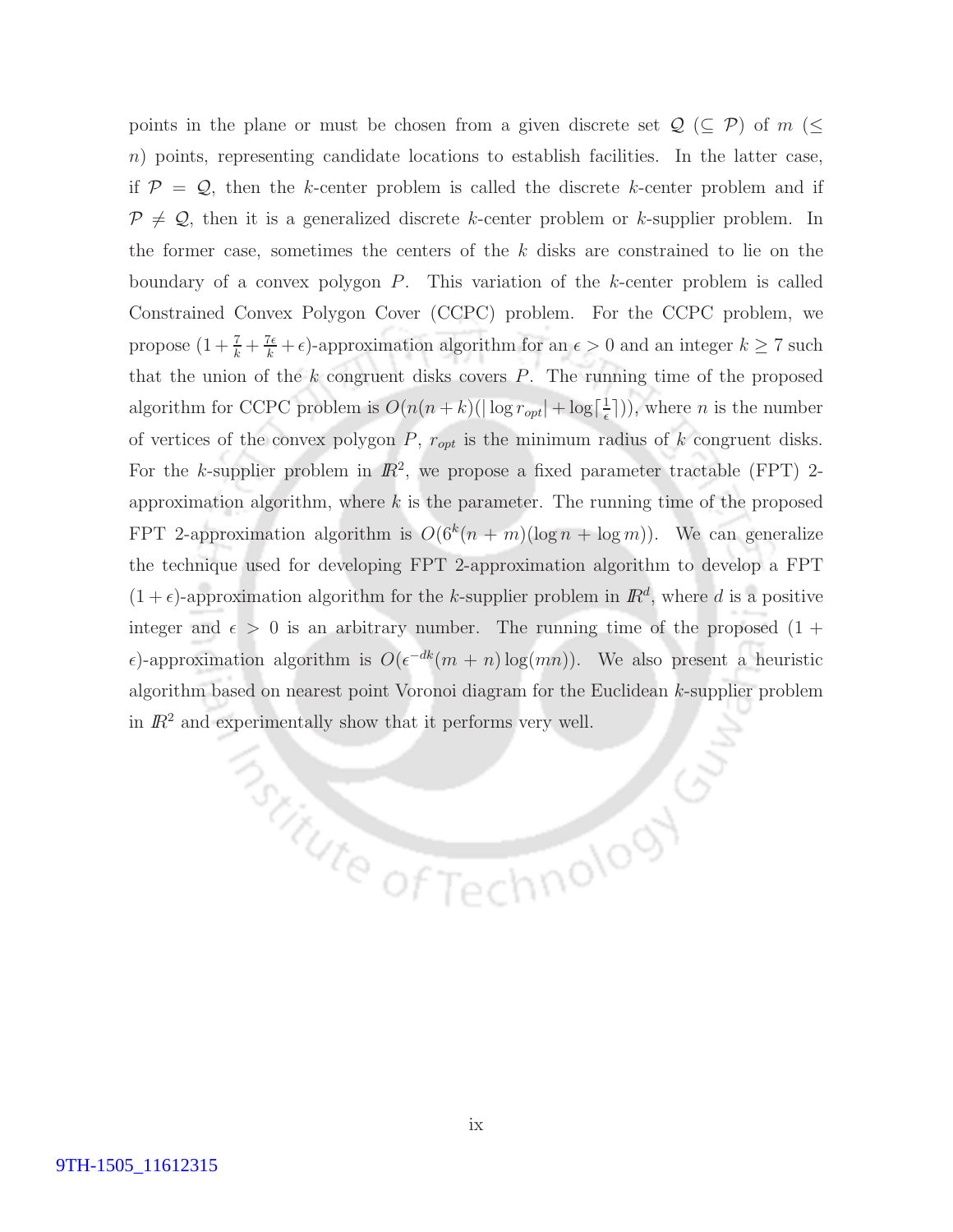points in the plane or must be chosen from a given discrete set  $\mathcal{Q} (\subseteq \mathcal{P})$  of  $m \leq$ n) points, representing candidate locations to establish facilities. In the latter case, if  $P = Q$ , then the k-center problem is called the discrete k-center problem and if  $P \neq Q$ , then it is a generalized discrete k-center problem or k-supplier problem. In the former case, sometimes the centers of the  $k$  disks are constrained to lie on the boundary of a convex polygon P. This variation of the k-center problem is called Constrained Convex Polygon Cover (CCPC) problem. For the CCPC problem, we propose  $(1 + \frac{7}{k} + \frac{7\epsilon}{k} + \epsilon)$ -approximation algorithm for an  $\epsilon > 0$  and an integer  $k \ge 7$  such that the union of the  $k$  congruent disks covers  $P$ . The running time of the proposed algorithm for CCPC problem is  $O(n(n+k)(|\log r_{opt}| + \log|\frac{1}{\epsilon})$  $(\frac{1}{\epsilon})$ ), where *n* is the number of vertices of the convex polygon  $P$ ,  $r_{opt}$  is the minimum radius of k congruent disks. For the k-supplier problem in  $\mathbb{R}^2$ , we propose a fixed parameter tractable (FPT) 2approximation algorithm, where  $k$  is the parameter. The running time of the proposed FPT 2-approximation algorithm is  $O(6^k(n+m)(\log n + \log m))$ . We can generalize the technique used for developing FPT 2-approximation algorithm to develop a FPT  $(1 + \epsilon)$ -approximation algorithm for the k-supplier problem in  $\mathbb{R}^d$ , where d is a positive integer and  $\epsilon > 0$  is an arbitrary number. The running time of the proposed  $(1 +$  $\epsilon$ )-approximation algorithm is  $O(\epsilon^{-dk}(m+n)\log(m))$ . We also present a heuristic algorithm based on nearest point Voronoi diagram for the Euclidean k-supplier problem in  $\mathbb{R}^2$  and experimentally show that it performs very well.

**Bottute of Tech**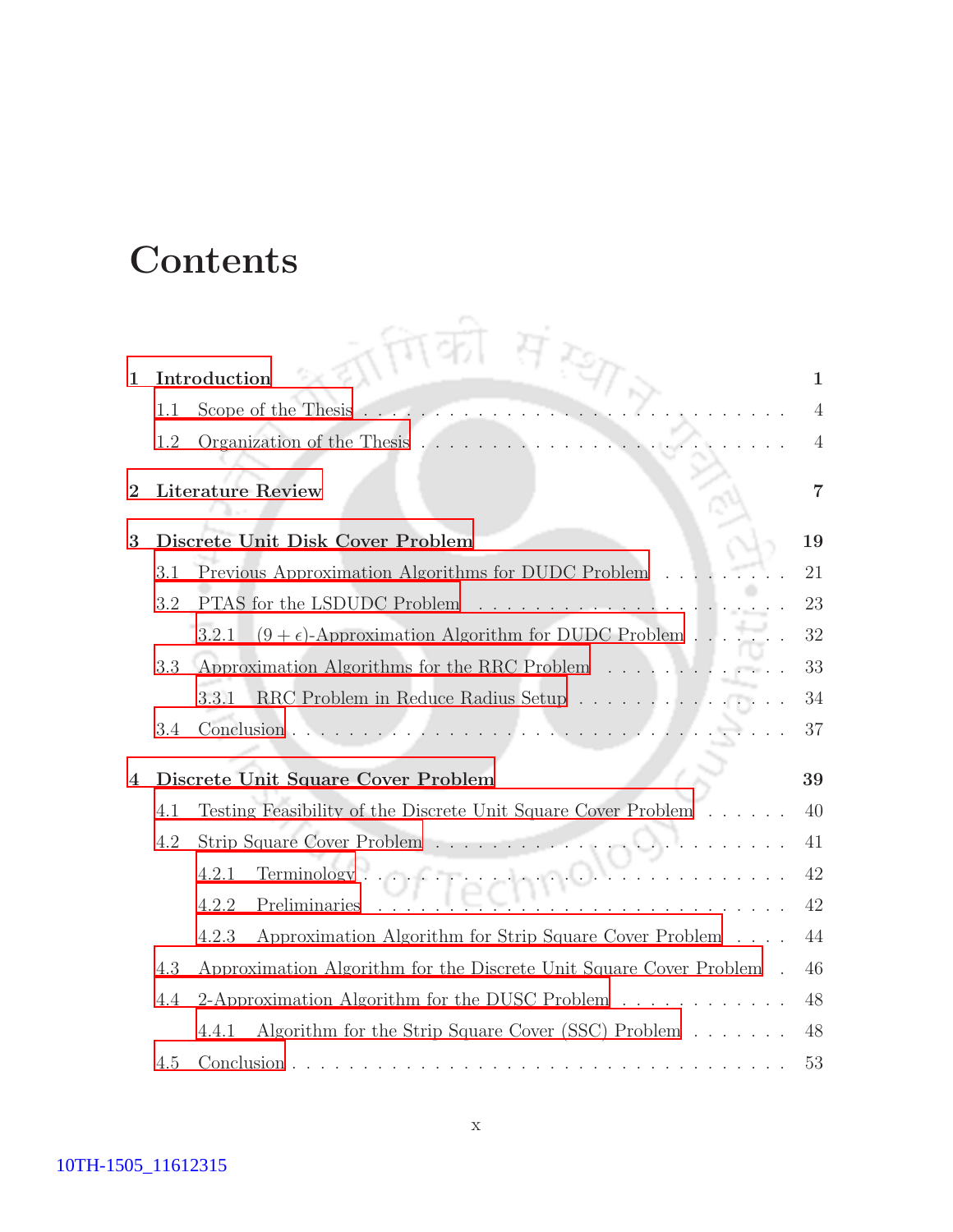# **Contents**

| $\mathbf{1}$   |                                   | Introduction |                                                                                             | $\mathbf 1$ |
|----------------|-----------------------------------|--------------|---------------------------------------------------------------------------------------------|-------------|
|                | 1.1                               |              |                                                                                             | 4           |
|                | 1.2                               |              | Organization of the Thesis                                                                  | 4           |
| $\overline{2}$ |                                   |              | <b>Literature Review</b>                                                                    | 7           |
| 3              |                                   |              | Discrete Unit Disk Cover Problem                                                            | 19          |
|                | 3.1                               |              | Previous Approximation Algorithms for DUDC Problem                                          | 21          |
|                | 3.2                               |              | PTAS for the LSDUDC Problem<br>.                                                            | 23          |
|                |                                   | 3.2.1        | $(9 + \epsilon)$ -Approximation Algorithm for DUDC Problem                                  | 32          |
|                | 3.3                               |              | Approximation Algorithms for the RRC Problem                                                | 33          |
|                |                                   | 3.3.1        | RRC Problem in Reduce Radius Setup $\hfill\ldots\ldots\ldots\ldots\ldots\ldots\ldots\ldots$ | 34          |
|                | 3.4                               |              | Conclusion                                                                                  | 37          |
| 4              |                                   |              | Discrete Unit Square Cover Problem                                                          | 39          |
|                | 4.1                               |              | Testing Feasibility of the Discrete Unit Square Cover Problem                               | 40          |
|                | Strip Square Cover Problem<br>4.2 |              |                                                                                             | 41          |
|                |                                   | 4.2.1        | Terminology.<br>Techn <sup>ov</sup>                                                         | 42          |
|                |                                   | 4.2.2        | Preliminaries<br>.                                                                          | 42          |
|                |                                   | 4.2.3        | Approximation Algorithm for Strip Square Cover Problem                                      | 44          |
|                | 4.3                               |              | Approximation Algorithm for the Discrete Unit Square Cover Problem.                         | 46          |
|                | 4.4                               |              | 2-Approximation Algorithm for the DUSC Problem                                              | 48          |
|                |                                   | 4.4.1        | Algorithm for the Strip Square Cover (SSC) Problem $\dots \dots$                            | 48          |
|                | 4.5                               |              | Conclusion $\cdots$<br>and a state of the                                                   | 53          |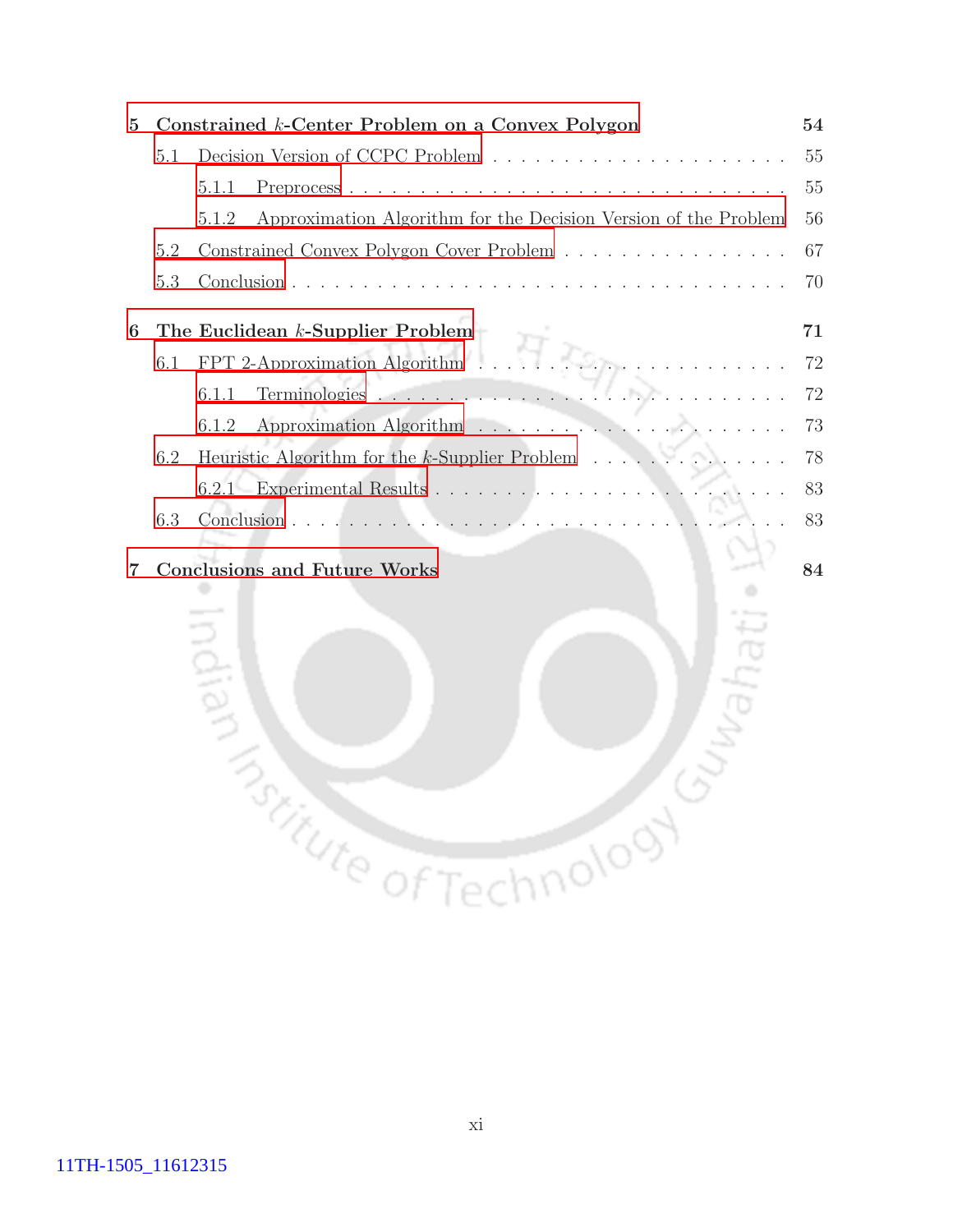| 5                                     | Constrained k-Center Problem on a Convex Polygon |                                                                                                 |    |
|---------------------------------------|--------------------------------------------------|-------------------------------------------------------------------------------------------------|----|
| 5.1                                   |                                                  | 55                                                                                              |    |
|                                       |                                                  | 5.1.1                                                                                           | 55 |
|                                       |                                                  | Approximation Algorithm for the Decision Version of the Problem<br>5.1.2                        | 56 |
|                                       | 5.2                                              | Constrained Convex Polygon Cover Problem                                                        | 67 |
|                                       | 5.3                                              |                                                                                                 | 70 |
| The Euclidean k-Supplier Problem<br>6 |                                                  |                                                                                                 | 71 |
|                                       | 6.1                                              | $\mathcal{L}_{\mathcal{D}}$<br>FPT 2-Approximation Algorithm $\phantom{1} \ldots \phantom{1}$ . | 72 |
|                                       |                                                  | .<br>6.1.1                                                                                      | 72 |
|                                       |                                                  | 6.1.2                                                                                           | 73 |
|                                       | 6.2                                              | Heuristic Algorithm for the $k$ -Supplier Problem $\ldots \ldots \ldots$                        | 78 |
|                                       |                                                  |                                                                                                 | 83 |
|                                       | 6.3                                              |                                                                                                 | 83 |
| 7                                     |                                                  | <b>Conclusions and Future Works</b>                                                             | 84 |
|                                       |                                                  |                                                                                                 |    |
|                                       |                                                  |                                                                                                 |    |
|                                       |                                                  |                                                                                                 |    |
|                                       |                                                  |                                                                                                 |    |
|                                       |                                                  |                                                                                                 |    |
|                                       |                                                  |                                                                                                 |    |
|                                       |                                                  |                                                                                                 |    |
|                                       |                                                  |                                                                                                 |    |
|                                       |                                                  | Hay Minister                                                                                    |    |
|                                       |                                                  |                                                                                                 |    |
|                                       |                                                  |                                                                                                 |    |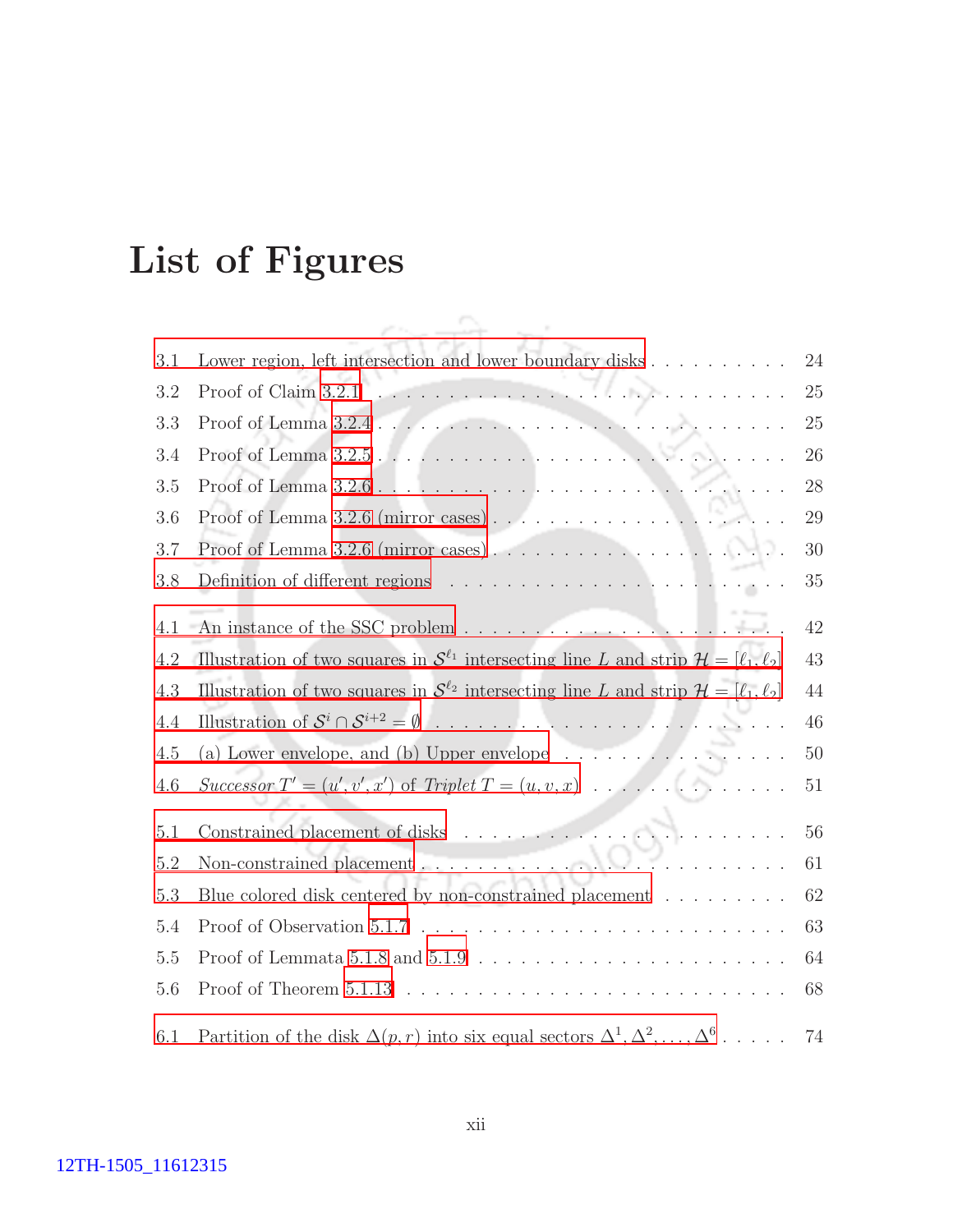# List of Figures

| 3.1     | Lower region, left intersection and lower boundary disks                                                             | 24 |
|---------|----------------------------------------------------------------------------------------------------------------------|----|
| 3.2     |                                                                                                                      | 25 |
| 3.3     |                                                                                                                      | 25 |
| 3.4     |                                                                                                                      | 26 |
| 3.5     |                                                                                                                      | 28 |
| 3.6     |                                                                                                                      | 29 |
| 3.7     | Proof of Lemma 3.2.6 (mirror cases)                                                                                  | 30 |
| 3.8     | Definition of different regions $\ldots \ldots \ldots \ldots \ldots \ldots \ldots \ldots$                            | 35 |
| 4.1     | An instance of the SSC problem $\ldots \ldots \ldots \ldots \ldots \ldots \ldots \ldots$                             | 42 |
| 4.2     | Illustration of two squares in $\mathcal{S}^{\ell_1}$ intersecting line L and strip $\mathcal{H} = [\ell_1, \ell_2]$ | 43 |
| 4.3     | Illustration of two squares in $\mathcal{S}^{\ell_2}$ intersecting line L and strip $\mathcal{H} = [\ell_1, \ell_2]$ | 44 |
| 4.4     |                                                                                                                      | 46 |
| 4.5     | (a) Lower envelope, and (b) Upper envelope $\dots \dots \dots \dots \dots$                                           | 50 |
| 4.6     | Successor $T' = (u', v', x')$ of Triplet $T = (u, v, x) \dots \dots \dots \dots$                                     | 51 |
| 5.1     |                                                                                                                      | 56 |
| 5.2     |                                                                                                                      | 61 |
| 5.3     | Blue colored disk centered by non-constrained placement                                                              | 62 |
| 5.4     |                                                                                                                      | 63 |
| $5.5\,$ |                                                                                                                      | 64 |
| 5.6     |                                                                                                                      | 68 |
| 6.1     | Partition of the disk $\Delta(p,r)$ into six equal sectors $\Delta^1, \Delta^2, \ldots, \Delta^6 \ldots$ .           | 74 |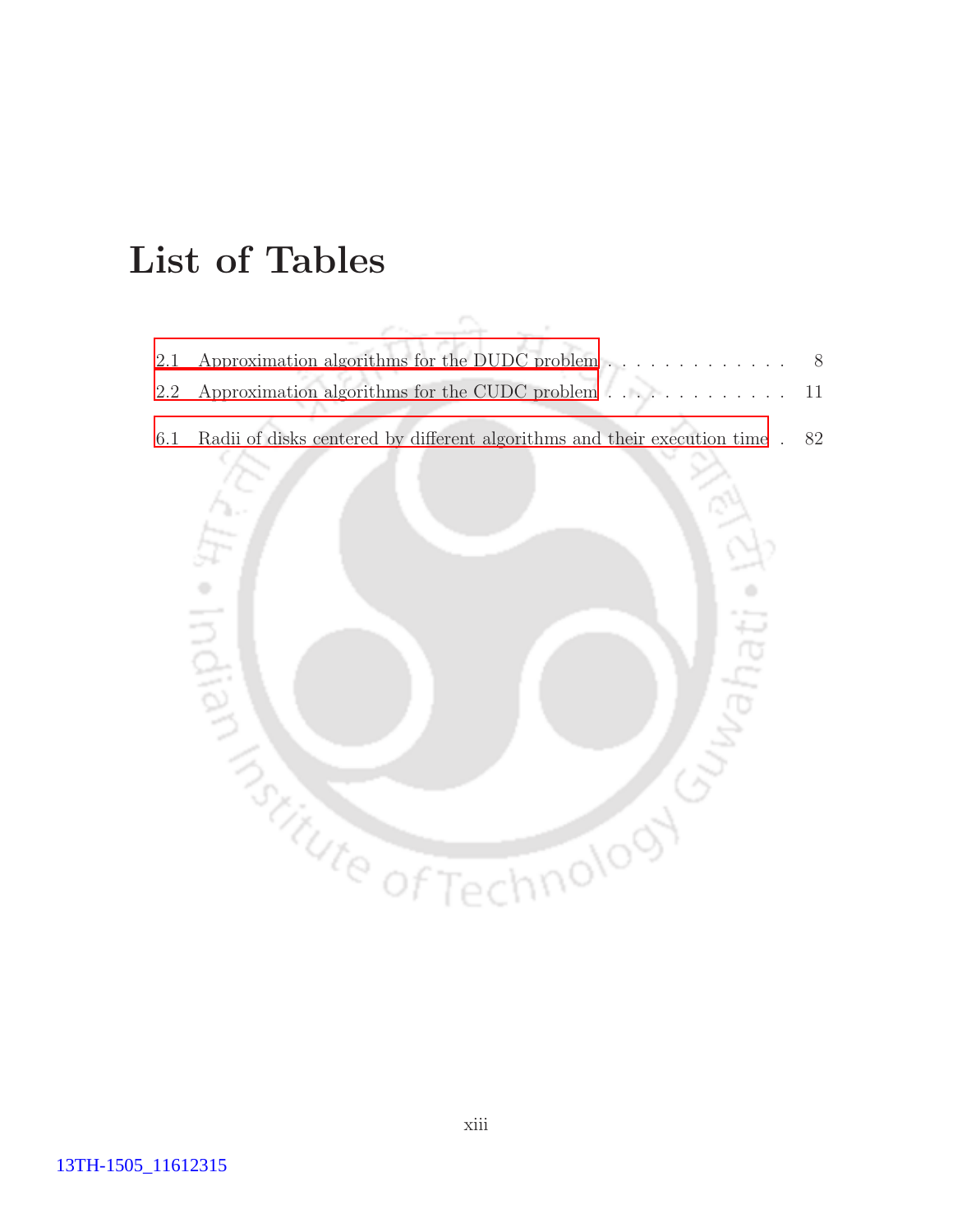# List of Tables

| 2.1 Approximation algorithms for the DUDC problem $\dots \dots \dots \dots$ |  |
|-----------------------------------------------------------------------------|--|
| 2.2 Approximation algorithms for the CUDC problem 11                        |  |

ਂ ਦਿਤ

[6.1 Radii of disks centered by different algorithms and their execution time](#page-95-0) . 82

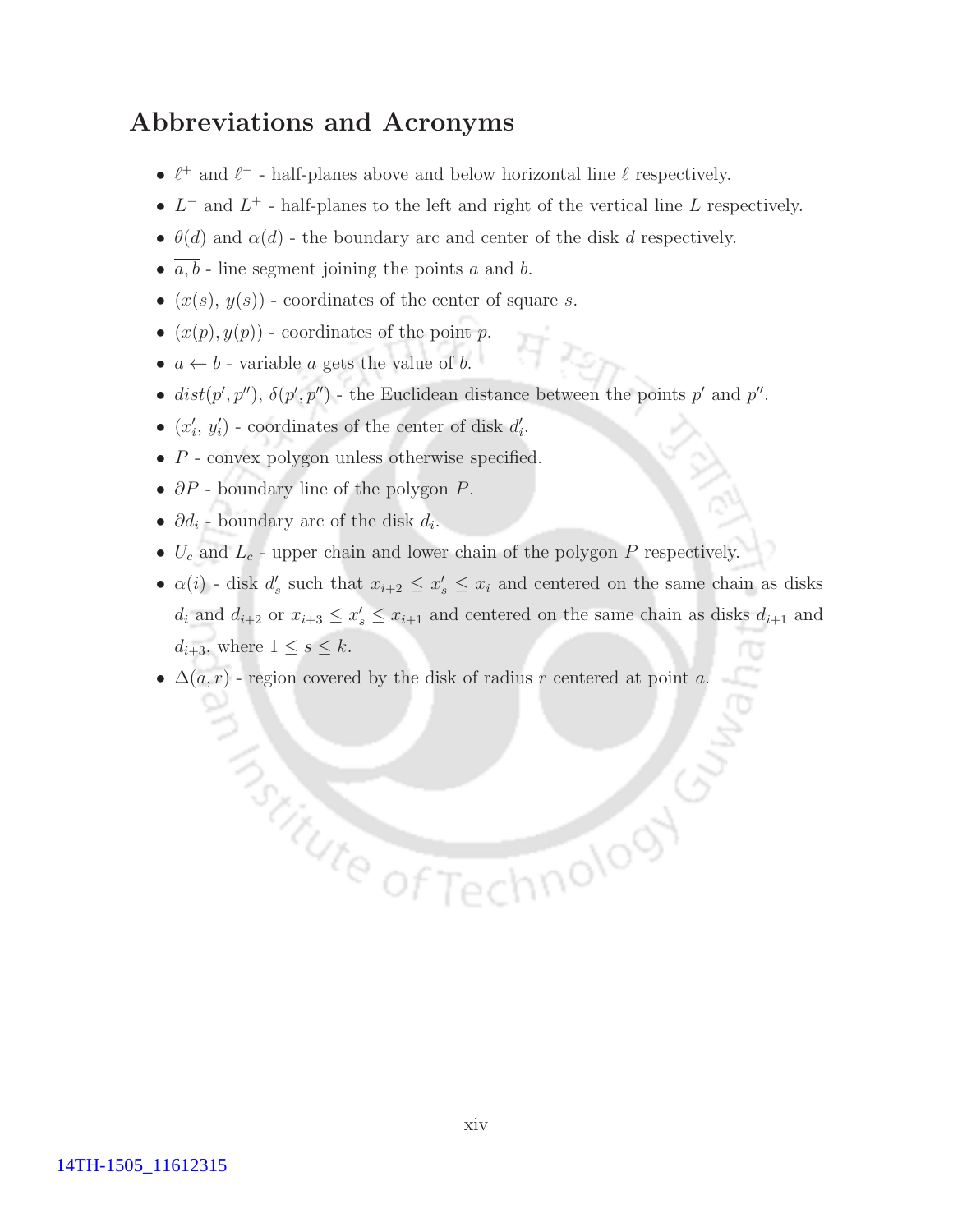### Abbreviations and Acronyms

- $\ell^+$  and  $\ell^-$  half-planes above and below horizontal line  $\ell$  respectively.
- $L^-$  and  $L^+$  half-planes to the left and right of the vertical line  $L$  respectively.
- $\theta(d)$  and  $\alpha(d)$  the boundary arc and center of the disk d respectively.
- $\overline{a,b}$  line segment joining the points a and b.
- $(x(s), y(s))$  coordinates of the center of square s.
- $(x(p), y(p))$  coordinates of the point p.
- $a \leftarrow b$  variable a gets the value of b.
- $dist(p', p'')$ ,  $\delta(p', p'')$  the Euclidean distance between the points p' and p''.
- $(x'_i, y'_i)$  coordinates of the center of disk  $d'_i$ .
- $\bullet$  P convex polygon unless otherwise specified.
- $\partial P$  boundary line of the polygon  $P$ .

**Trade of** 

- $\partial d_i$  boundary arc of the disk  $d_i$ .
- $U_c$  and  $L_c$  upper chain and lower chain of the polygon P respectively.
- $\alpha(i)$  disk  $d'_{s}$  such that  $x_{i+2} \leq x'_{s} \leq x_{i}$  and centered on the same chain as disks  $d_i$  and  $d_{i+2}$  or  $x_{i+3} \leq x'_{s} \leq x_{i+1}$  and centered on the same chain as disks  $d_{i+1}$  and  $d_{i+3}$ , where  $1 \leq s \leq k$ .
- $\Delta(a,r)$  region covered by the disk of radius r centered at point a.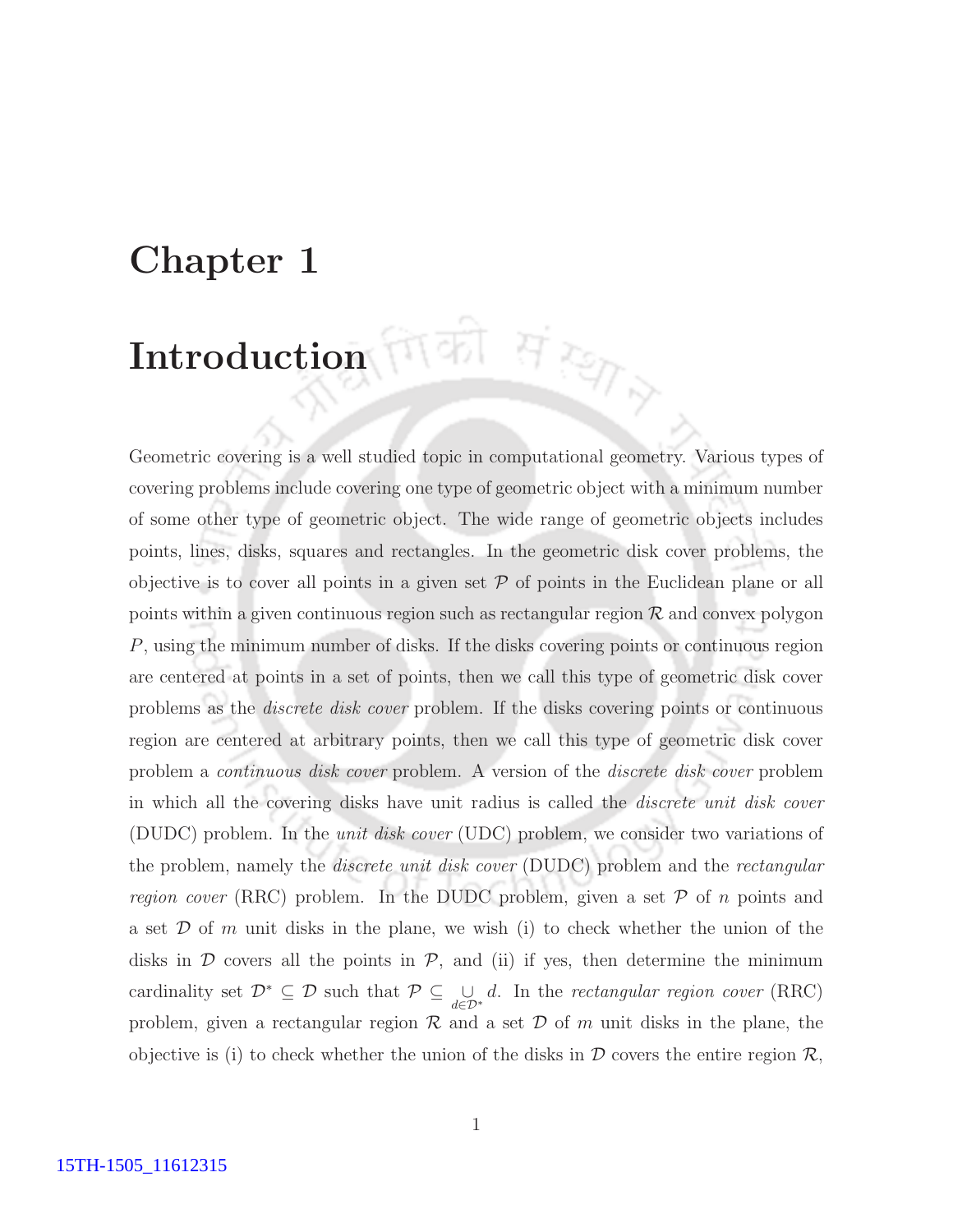# <span id="page-14-0"></span>Chapter 1

# Introduction

Geometric covering is a well studied topic in computational geometry. Various types of covering problems include covering one type of geometric object with a minimum number of some other type of geometric object. The wide range of geometric objects includes points, lines, disks, squares and rectangles. In the geometric disk cover problems, the objective is to cover all points in a given set  $P$  of points in the Euclidean plane or all points within a given continuous region such as rectangular region  $\mathcal R$  and convex polygon P, using the minimum number of disks. If the disks covering points or continuous region are centered at points in a set of points, then we call this type of geometric disk cover problems as the discrete disk cover problem. If the disks covering points or continuous region are centered at arbitrary points, then we call this type of geometric disk cover problem a continuous disk cover problem. A version of the discrete disk cover problem in which all the covering disks have unit radius is called the discrete unit disk cover (DUDC) problem. In the unit disk cover (UDC) problem, we consider two variations of the problem, namely the *discrete unit disk cover* (DUDC) problem and the *rectangular* region cover (RRC) problem. In the DUDC problem, given a set  $P$  of n points and a set  $\mathcal D$  of m unit disks in the plane, we wish (i) to check whether the union of the disks in  $\mathcal D$  covers all the points in  $\mathcal P$ , and (ii) if yes, then determine the minimum cardinality set  $\mathcal{D}^* \subseteq \mathcal{D}$  such that  $\mathcal{P} \subseteq \bigcup_{d \in \mathcal{D}^*}$ d. In the rectangular region cover (RRC) problem, given a rectangular region  $\mathcal R$  and a set  $\mathcal D$  of m unit disks in the plane, the objective is (i) to check whether the union of the disks in  $\mathcal D$  covers the entire region  $\mathcal R$ ,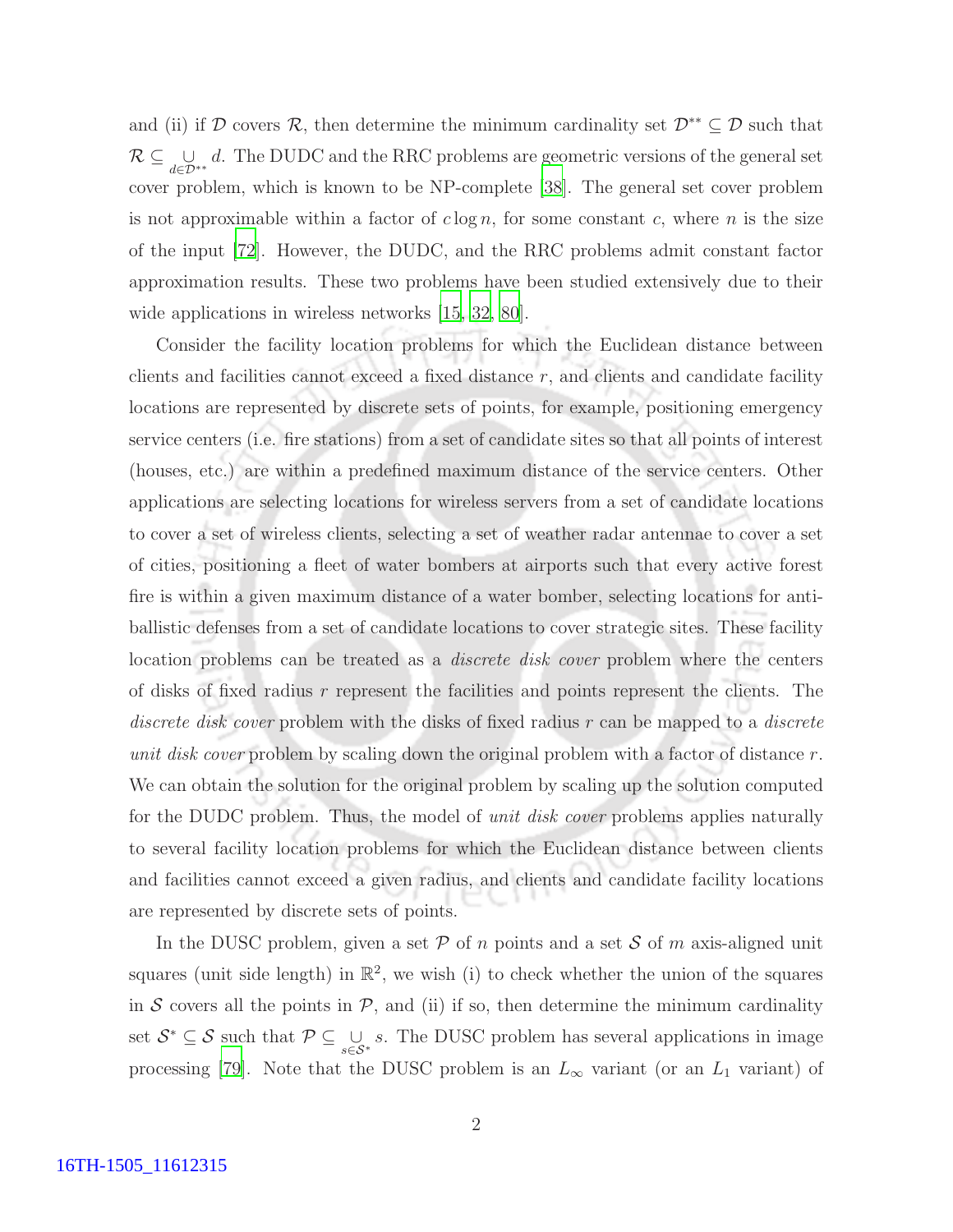and (ii) if D covers R, then determine the minimum cardinality set  $\mathcal{D}^{**} \subseteq \mathcal{D}$  such that  $\mathcal{R} \subseteq \bigcup_{d \in \mathcal{D}^{**}}$ d. The DUDC and the RRC problems are geometric versions of the general set cover problem, which is known to be NP-complete [\[38](#page-104-0)]. The general set cover problem is not approximable within a factor of  $c \log n$ , for some constant c, where n is the size of the input [\[72](#page-108-0)]. However, the DUDC, and the RRC problems admit constant factor approximation results. These two problems have been studied extensively due to their wide applications in wireless networks [\[15](#page-101-0), [32,](#page-103-1) [80\]](#page-108-1).

Consider the facility location problems for which the Euclidean distance between clients and facilities cannot exceed a fixed distance r, and clients and candidate facility locations are represented by discrete sets of points, for example, positioning emergency service centers (i.e. fire stations) from a set of candidate sites so that all points of interest (houses, etc.) are within a predefined maximum distance of the service centers. Other applications are selecting locations for wireless servers from a set of candidate locations to cover a set of wireless clients, selecting a set of weather radar antennae to cover a set of cities, positioning a fleet of water bombers at airports such that every active forest fire is within a given maximum distance of a water bomber, selecting locations for antiballistic defenses from a set of candidate locations to cover strategic sites. These facility location problems can be treated as a discrete disk cover problem where the centers of disks of fixed radius  $r$  represent the facilities and points represent the clients. The discrete disk cover problem with the disks of fixed radius  $r$  can be mapped to a discrete unit disk cover problem by scaling down the original problem with a factor of distance  $r$ . We can obtain the solution for the original problem by scaling up the solution computed for the DUDC problem. Thus, the model of *unit disk cover* problems applies naturally to several facility location problems for which the Euclidean distance between clients and facilities cannot exceed a given radius, and clients and candidate facility locations are represented by discrete sets of points.

In the DUSC problem, given a set  $P$  of n points and a set  $S$  of m axis-aligned unit squares (unit side length) in  $\mathbb{R}^2$ , we wish (i) to check whether the union of the squares in  $S$  covers all the points in  $P$ , and (ii) if so, then determine the minimum cardinality set  $S^* \subseteq S$  such that  $\mathcal{P} \subseteq \bigcup_{s \in S^*}$ s. The DUSC problem has several applications in image processing [\[79\]](#page-108-2). Note that the DUSC problem is an  $L_{\infty}$  variant (or an  $L_1$  variant) of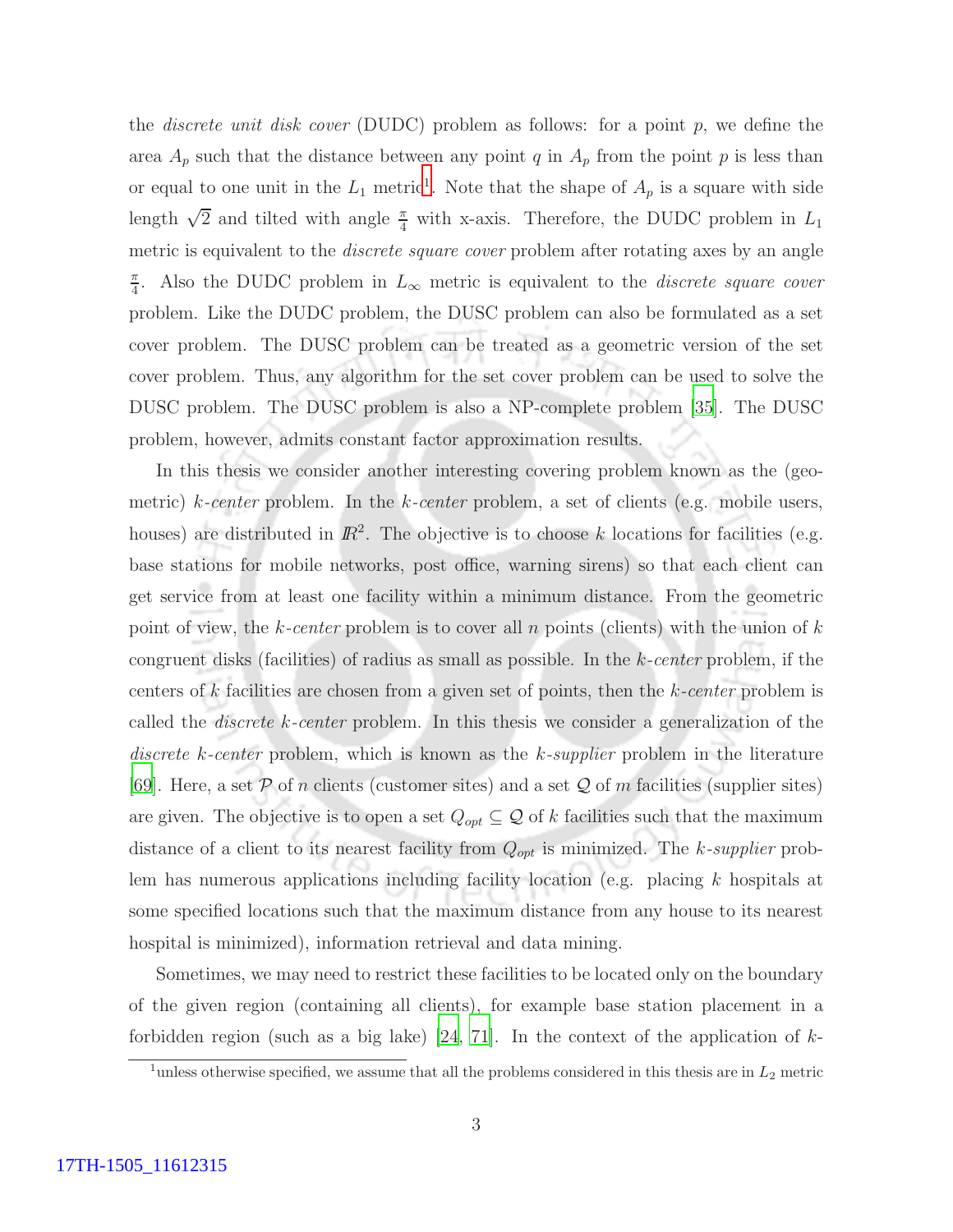the *discrete unit disk cover* (DUDC) problem as follows: for a point  $p$ , we define the area  $A_p$  such that the distance between any point q in  $A_p$  from the point p is less than or equal to one unit in the  $L_1$  $L_1$  metric<sup>1</sup>. Note that the shape of  $A_p$  is a square with side length  $\sqrt{2}$  and tilted with angle  $\frac{\pi}{4}$  with x-axis. Therefore, the DUDC problem in  $L_1$ metric is equivalent to the *discrete square cover* problem after rotating axes by an angle π  $\frac{\pi}{4}$ . Also the DUDC problem in  $L_{\infty}$  metric is equivalent to the *discrete square cover* problem. Like the DUDC problem, the DUSC problem can also be formulated as a set cover problem. The DUSC problem can be treated as a geometric version of the set cover problem. Thus, any algorithm for the set cover problem can be used to solve the DUSC problem. The DUSC problem is also a NP-complete problem [\[35](#page-104-1)]. The DUSC problem, however, admits constant factor approximation results.

In this thesis we consider another interesting covering problem known as the (geometric) k-center problem. In the k-center problem, a set of clients (e.g. mobile users, houses) are distributed in  $\mathbb{R}^2$ . The objective is to choose k locations for facilities (e.g. base stations for mobile networks, post office, warning sirens) so that each client can get service from at least one facility within a minimum distance. From the geometric point of view, the k-center problem is to cover all n points (clients) with the union of  $k$ congruent disks (facilities) of radius as small as possible. In the  $k$ -center problem, if the centers of k facilities are chosen from a given set of points, then the  $k$ -center problem is called the discrete k-center problem. In this thesis we consider a generalization of the discrete k-center problem, which is known as the k-supplier problem in the literature [\[69\]](#page-107-0). Here, a set  $P$  of n clients (customer sites) and a set  $Q$  of m facilities (supplier sites) are given. The objective is to open a set  $Q_{opt} \subseteq Q$  of k facilities such that the maximum distance of a client to its nearest facility from  $Q_{opt}$  is minimized. The k-supplier problem has numerous applications including facility location (e.g. placing k hospitals at some specified locations such that the maximum distance from any house to its nearest hospital is minimized), information retrieval and data mining.

Sometimes, we may need to restrict these facilities to be located only on the boundary of the given region (containing all clients), for example base station placement in a forbidden region (such as a big lake) [\[24,](#page-102-0) [71\]](#page-107-1). In the context of the application of  $k$ -

<span id="page-16-0"></span><sup>&</sup>lt;sup>1</sup>unless otherwise specified, we assume that all the problems considered in this thesis are in  $L_2$  metric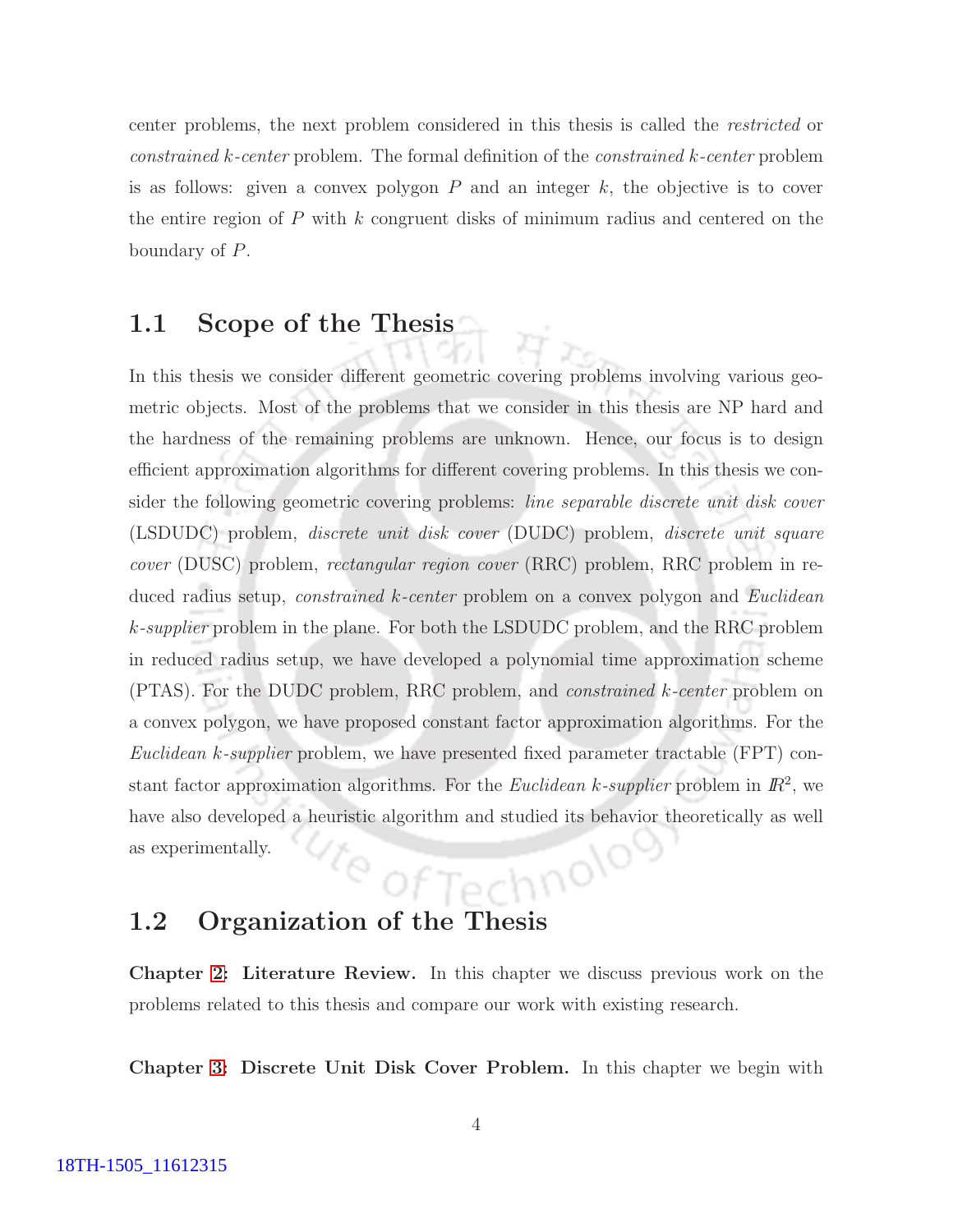center problems, the next problem considered in this thesis is called the *restricted* or constrained k-center problem. The formal definition of the constrained k-center problem is as follows: given a convex polygon  $P$  and an integer  $k$ , the objective is to cover the entire region of  $P$  with  $k$  congruent disks of minimum radius and centered on the boundary of P.

### <span id="page-17-0"></span>1.1 Scope of the Thesis

In this thesis we consider different geometric covering problems involving various geometric objects. Most of the problems that we consider in this thesis are NP hard and the hardness of the remaining problems are unknown. Hence, our focus is to design efficient approximation algorithms for different covering problems. In this thesis we consider the following geometric covering problems: *line separable discrete unit disk cover* (LSDUDC) problem, discrete unit disk cover (DUDC) problem, discrete unit square cover (DUSC) problem, rectangular region cover (RRC) problem, RRC problem in reduced radius setup, *constrained k-center* problem on a convex polygon and *Euclidean* k-supplier problem in the plane. For both the LSDUDC problem, and the RRC problem in reduced radius setup, we have developed a polynomial time approximation scheme (PTAS). For the DUDC problem, RRC problem, and *constrained k-center* problem on a convex polygon, we have proposed constant factor approximation algorithms. For the Euclidean k-supplier problem, we have presented fixed parameter tractable (FPT) constant factor approximation algorithms. For the Euclidean k-supplier problem in  $\mathbb{R}^2$ , we have also developed a heuristic algorithm and studied its behavior theoretically as well 4t<sub>0</sub> as experimentally. of Technolo

### <span id="page-17-1"></span>1.2 Organization of the Thesis

Chapter [2:](#page-20-0) Literature Review. In this chapter we discuss previous work on the problems related to this thesis and compare our work with existing research.

Chapter [3:](#page-32-0) Discrete Unit Disk Cover Problem. In this chapter we begin with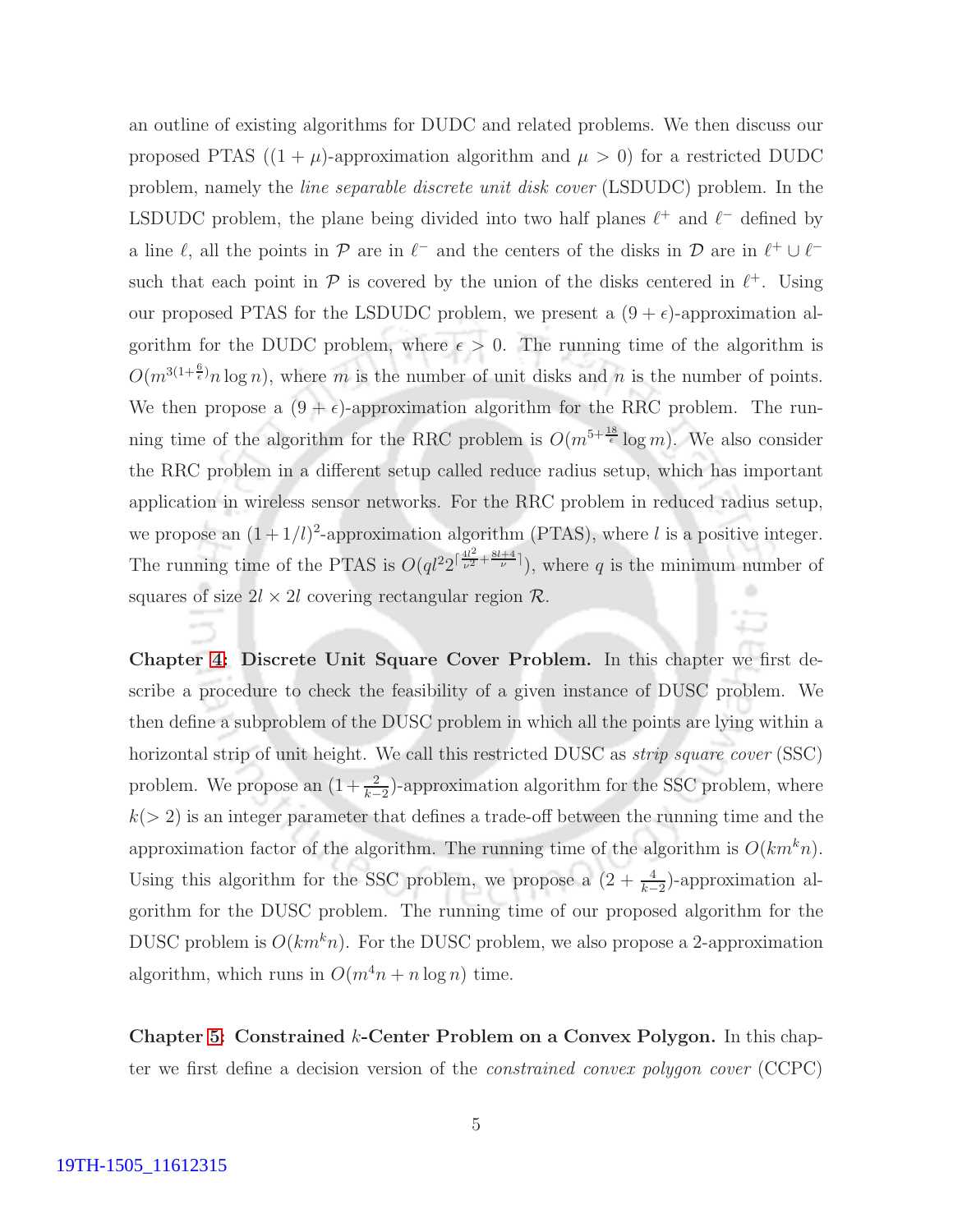an outline of existing algorithms for DUDC and related problems. We then discuss our proposed PTAS  $((1 + \mu)$ -approximation algorithm and  $\mu > 0$ ) for a restricted DUDC problem, namely the line separable discrete unit disk cover (LSDUDC) problem. In the LSDUDC problem, the plane being divided into two half planes  $\ell^+$  and  $\ell^-$  defined by a line  $\ell$ , all the points in  $\mathcal P$  are in  $\ell^-$  and the centers of the disks in  $\mathcal D$  are in  $\ell^+ \cup \ell^$ such that each point in  $P$  is covered by the union of the disks centered in  $\ell^+$ . Using our proposed PTAS for the LSDUDC problem, we present a  $(9 + \epsilon)$ -approximation algorithm for the DUDC problem, where  $\epsilon > 0$ . The running time of the algorithm is  $O(m^{3(1+\frac{6}{\epsilon})}n \log n)$ , where m is the number of unit disks and n is the number of points. We then propose a  $(9 + \epsilon)$ -approximation algorithm for the RRC problem. The running time of the algorithm for the RRC problem is  $O(m^{5+\frac{18}{\epsilon}} \log m)$ . We also consider the RRC problem in a different setup called reduce radius setup, which has important application in wireless sensor networks. For the RRC problem in reduced radius setup, we propose an  $(1+1/l)^2$ -approximation algorithm (PTAS), where l is a positive integer. The running time of the PTAS is  $O(q^{2} 2^{\lceil \frac{4l^{2}}{\nu^{2}} + \frac{8l+4}{\nu} \rceil})$ , where q is the minimum number of squares of size  $2l \times 2l$  covering rectangular region  $\mathcal{R}$ .

Chapter [4:](#page-52-0) Discrete Unit Square Cover Problem. In this chapter we first describe a procedure to check the feasibility of a given instance of DUSC problem. We then define a subproblem of the DUSC problem in which all the points are lying within a horizontal strip of unit height. We call this restricted DUSC as *strip square cover* (SSC) problem. We propose an  $(1+\frac{2}{k-2})$ -approximation algorithm for the SSC problem, where  $k(> 2)$  is an integer parameter that defines a trade-off between the running time and the approximation factor of the algorithm. The running time of the algorithm is  $O(km^k n)$ . Using this algorithm for the SSC problem, we propose a  $(2 + \frac{4}{k-2})$ -approximation algorithm for the DUSC problem. The running time of our proposed algorithm for the DUSC problem is  $O(km^k n)$ . For the DUSC problem, we also propose a 2-approximation algorithm, which runs in  $O(m^4n + n \log n)$  time.

Chapter [5:](#page-67-0) Constrained k-Center Problem on a Convex Polygon. In this chapter we first define a decision version of the constrained convex polygon cover (CCPC)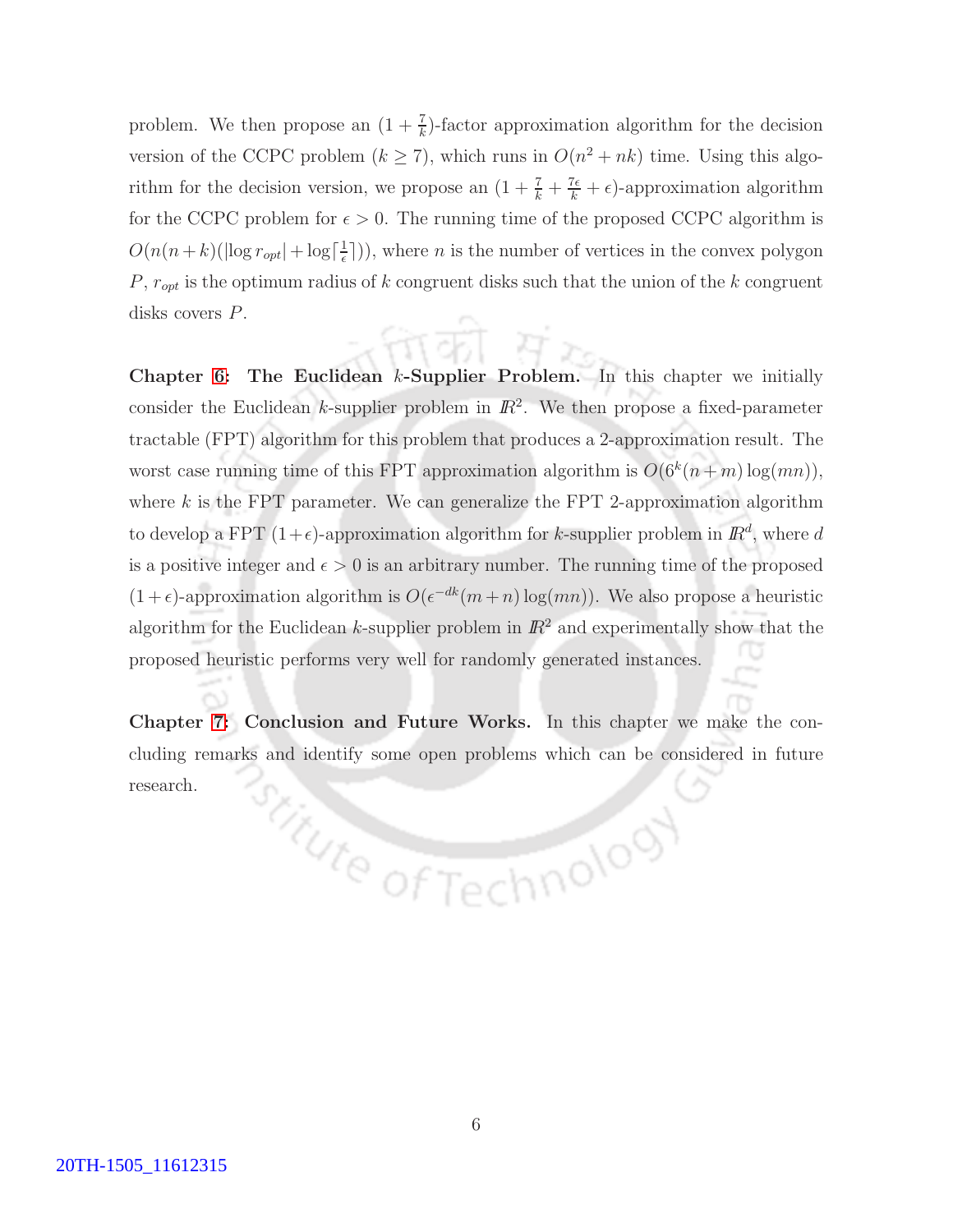problem. We then propose an  $(1 + \frac{7}{k})$ -factor approximation algorithm for the decision version of the CCPC problem  $(k \ge 7)$ , which runs in  $O(n^2 + nk)$  time. Using this algorithm for the decision version, we propose an  $(1 + \frac{7}{k} + \frac{7\epsilon}{k} + \epsilon)$ -approximation algorithm for the CCPC problem for  $\epsilon > 0$ . The running time of the proposed CCPC algorithm is  $O(n(n+k)(\log r_{opt}) + \log \lceil \frac{1}{\epsilon} \rceil)$  $\frac{1}{\epsilon}$ ]), where *n* is the number of vertices in the convex polygon  $P, r_{opt}$  is the optimum radius of k congruent disks such that the union of the k congruent disks covers P. तिको सं:

Chapter [6:](#page-84-0) The Euclidean  $k$ -Supplier Problem. In this chapter we initially consider the Euclidean k-supplier problem in  $\mathbb{R}^2$ . We then propose a fixed-parameter tractable (FPT) algorithm for this problem that produces a 2-approximation result. The worst case running time of this FPT approximation algorithm is  $O(6^k(n+m) \log(mn))$ , where  $k$  is the FPT parameter. We can generalize the FPT 2-approximation algorithm to develop a FPT  $(1+\epsilon)$ -approximation algorithm for k-supplier problem in  $\mathbb{R}^d$ , where d is a positive integer and  $\epsilon > 0$  is an arbitrary number. The running time of the proposed  $(1+\epsilon)$ -approximation algorithm is  $O(\epsilon^{-dk}(m+n)\log(mn))$ . We also propose a heuristic algorithm for the Euclidean k-supplier problem in  $\mathbb{R}^2$  and experimentally show that the proposed heuristic performs very well for randomly generated instances.

Chapter [7:](#page-97-0) Conclusion and Future Works. In this chapter we make the concluding remarks and identify some open problems which can be considered in future **STRUTE OF Technology** research.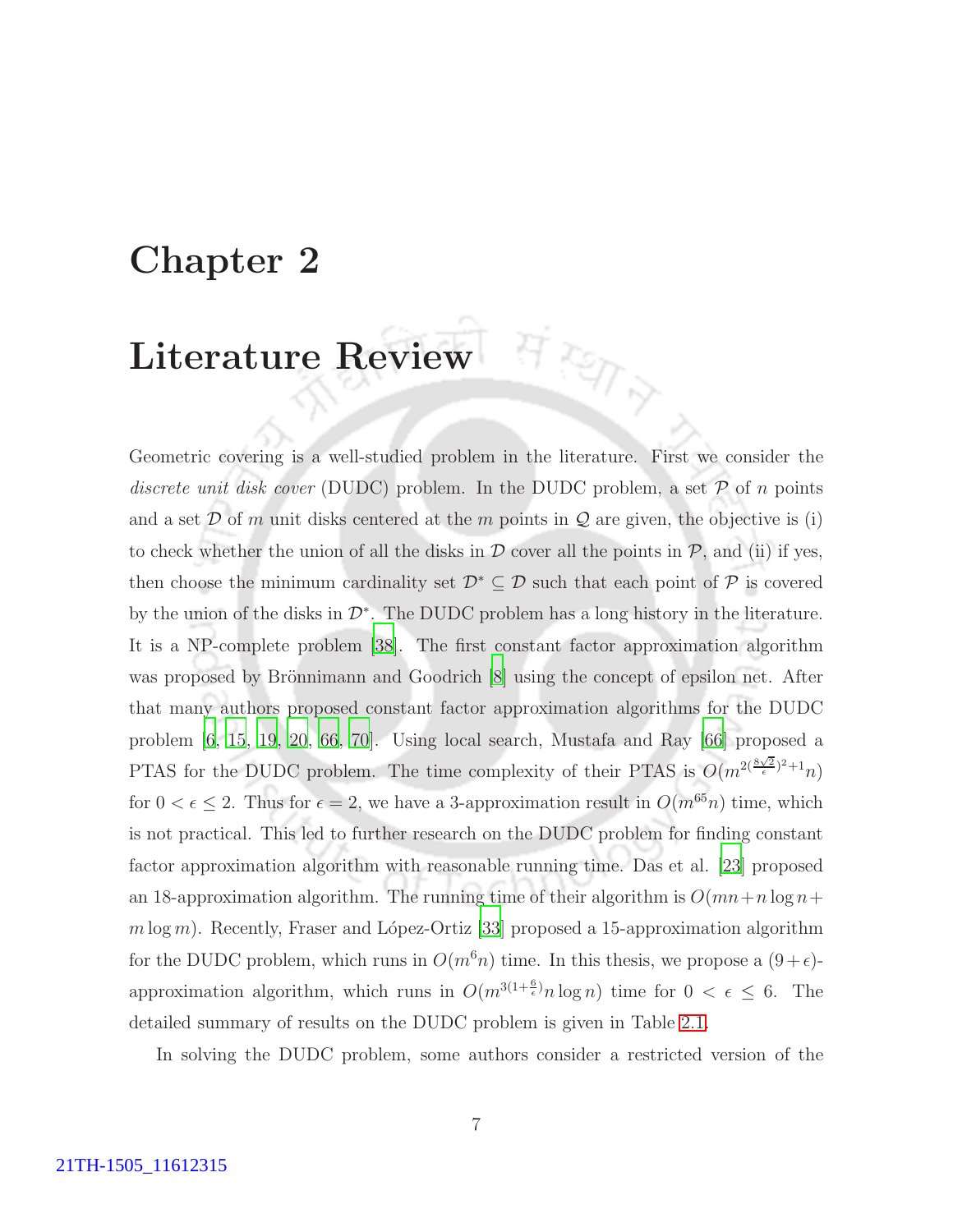## <span id="page-20-0"></span>Chapter 2

## Literature Review

Geometric covering is a well-studied problem in the literature. First we consider the discrete unit disk cover (DUDC) problem. In the DUDC problem, a set  $P$  of n points and a set  $D$  of m unit disks centered at the m points in  $Q$  are given, the objective is (i) to check whether the union of all the disks in  $D$  cover all the points in  $P$ , and (ii) if yes, then choose the minimum cardinality set  $\mathcal{D}^* \subseteq \mathcal{D}$  such that each point of  $\mathcal P$  is covered by the union of the disks in  $\mathcal{D}^*$ . The DUDC problem has a long history in the literature. It is a NP-complete problem [\[38\]](#page-104-0). The first constant factor approximation algorithm was proposed by Brönnimann and Goodrich  $[8]$  using the concept of epsilon net. After that many authors proposed constant factor approximation algorithms for the DUDC problem [\[6](#page-100-0), [15](#page-101-0), [19,](#page-102-1) [20,](#page-102-2) [66,](#page-107-2) [70](#page-107-3)]. Using local search, Mustafa and Ray [\[66\]](#page-107-2) proposed a PTAS for the DUDC problem. The time complexity of their PTAS is  $O(m^{2(\frac{8\sqrt{2}}{\epsilon})^2+1}n)$ for  $0 < \epsilon \leq 2$ . Thus for  $\epsilon = 2$ , we have a 3-approximation result in  $O(m^{65}n)$  time, which is not practical. This led to further research on the DUDC problem for finding constant factor approximation algorithm with reasonable running time. Das et al. [\[23](#page-102-3)] proposed an 18-approximation algorithm. The running time of their algorithm is  $O(mn+n \log n +$  $m \log m$ ). Recently, Fraser and López-Ortiz [\[33\]](#page-103-0) proposed a 15-approximation algorithm for the DUDC problem, which runs in  $O(m^6n)$  time. In this thesis, we propose a  $(9 + \epsilon)$ approximation algorithm, which runs in  $O(m^{3(1+\frac{6}{\epsilon})}n \log n)$  time for  $0 < \epsilon \leq 6$ . The detailed summary of results on the DUDC problem is given in Table [2.1.](#page-21-0)

HRAT Y

In solving the DUDC problem, some authors consider a restricted version of the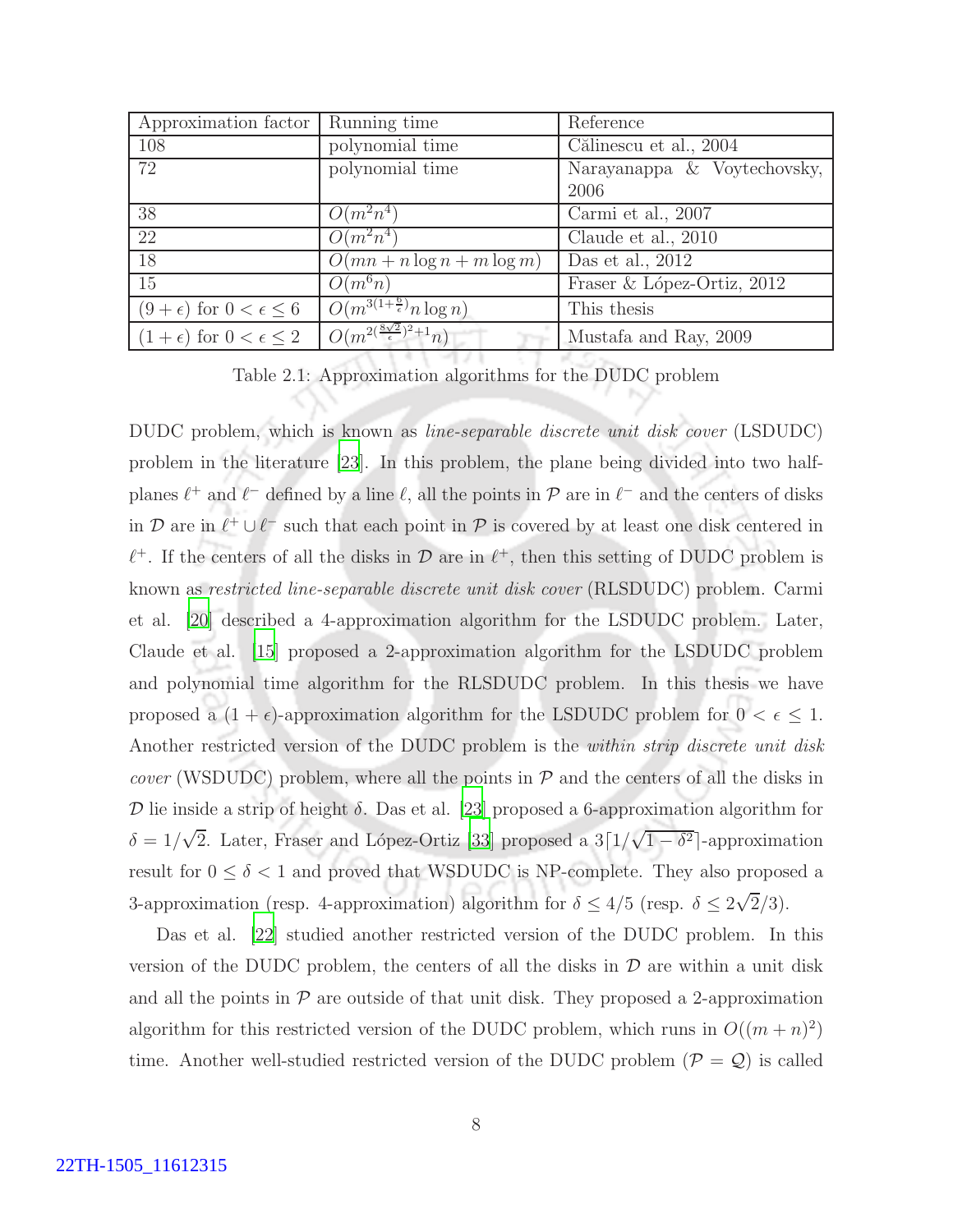<span id="page-21-0"></span>

| Approximation factor                       | Running time                                       | Reference                   |
|--------------------------------------------|----------------------------------------------------|-----------------------------|
| 108                                        | polynomial time                                    | Călinescu et al., 2004      |
| 72                                         | polynomial time                                    | Narayanappa & Voytechovsky, |
|                                            |                                                    | 2006                        |
| 38                                         | $O(m^2n^4)$                                        | Carmi et al., $2007$        |
| 22                                         | $O(m^2n^4)$                                        | Claude et al., 2010         |
| 18                                         | $O(mn + n \log n + m \log m)$                      | Das et al., 2012            |
| 15                                         | $O(m^6n)$                                          | Fraser & López-Ortiz, 2012  |
| $(9 + \epsilon)$ for $0 < \epsilon \leq 6$ | $\overline{O(m^{3(1+\frac{6}{\epsilon})}n\log n)}$ | This thesis                 |
| $(1+\epsilon)$ for $0 < \epsilon \leq 2$   | $O(m^{2(\frac{8\sqrt{2}}{\epsilon})^2+1}n)$        | Mustafa and Ray, 2009       |

Table 2.1: Approximation algorithms for the DUDC problem

DUDC problem, which is known as line-separable discrete unit disk cover (LSDUDC) problem in the literature [\[23\]](#page-102-3). In this problem, the plane being divided into two halfplanes  $\ell^+$  and  $\ell^-$  defined by a line  $\ell$ , all the points in  $\mathcal P$  are in  $\ell^-$  and the centers of disks in  $\mathcal D$  are in  $\ell^+ \cup \ell^-$  such that each point in  $\mathcal P$  is covered by at least one disk centered in  $\ell^+$ . If the centers of all the disks in  $\mathcal D$  are in  $\ell^+$ , then this setting of DUDC problem is known as restricted line-separable discrete unit disk cover (RLSDUDC) problem. Carmi et al. [\[20\]](#page-102-2) described a 4-approximation algorithm for the LSDUDC problem. Later, Claude et al. [\[15\]](#page-101-0) proposed a 2-approximation algorithm for the LSDUDC problem and polynomial time algorithm for the RLSDUDC problem. In this thesis we have proposed a  $(1 + \epsilon)$ -approximation algorithm for the LSDUDC problem for  $0 < \epsilon \leq 1$ . Another restricted version of the DUDC problem is the within strip discrete unit disk *cover* (WSDUDC) problem, where all the points in  $P$  and the centers of all the disks in D lie inside a strip of height  $\delta$ . Das et al. [\[23\]](#page-102-3) proposed a 6-approximation algorithm for  $\delta = 1/\sqrt{2}$ . Later, Fraser and López-Ortiz [\[33\]](#page-103-0) proposed a  $3\lceil 1/\sqrt{1-\delta^2} \rceil$ -approximation result for  $0 \le \delta < 1$  and proved that WSDUDC is NP-complete. They also proposed a 3-approximation (resp. 4-approximation) algorithm for  $\delta \leq 4/5$  (resp.  $\delta \leq 2\sqrt{2}/3$ ).

Das et al. [\[22\]](#page-102-4) studied another restricted version of the DUDC problem. In this version of the DUDC problem, the centers of all the disks in  $D$  are within a unit disk and all the points in  $P$  are outside of that unit disk. They proposed a 2-approximation algorithm for this restricted version of the DUDC problem, which runs in  $O((m+n)^2)$ time. Another well-studied restricted version of the DUDC problem  $(\mathcal{P} = \mathcal{Q})$  is called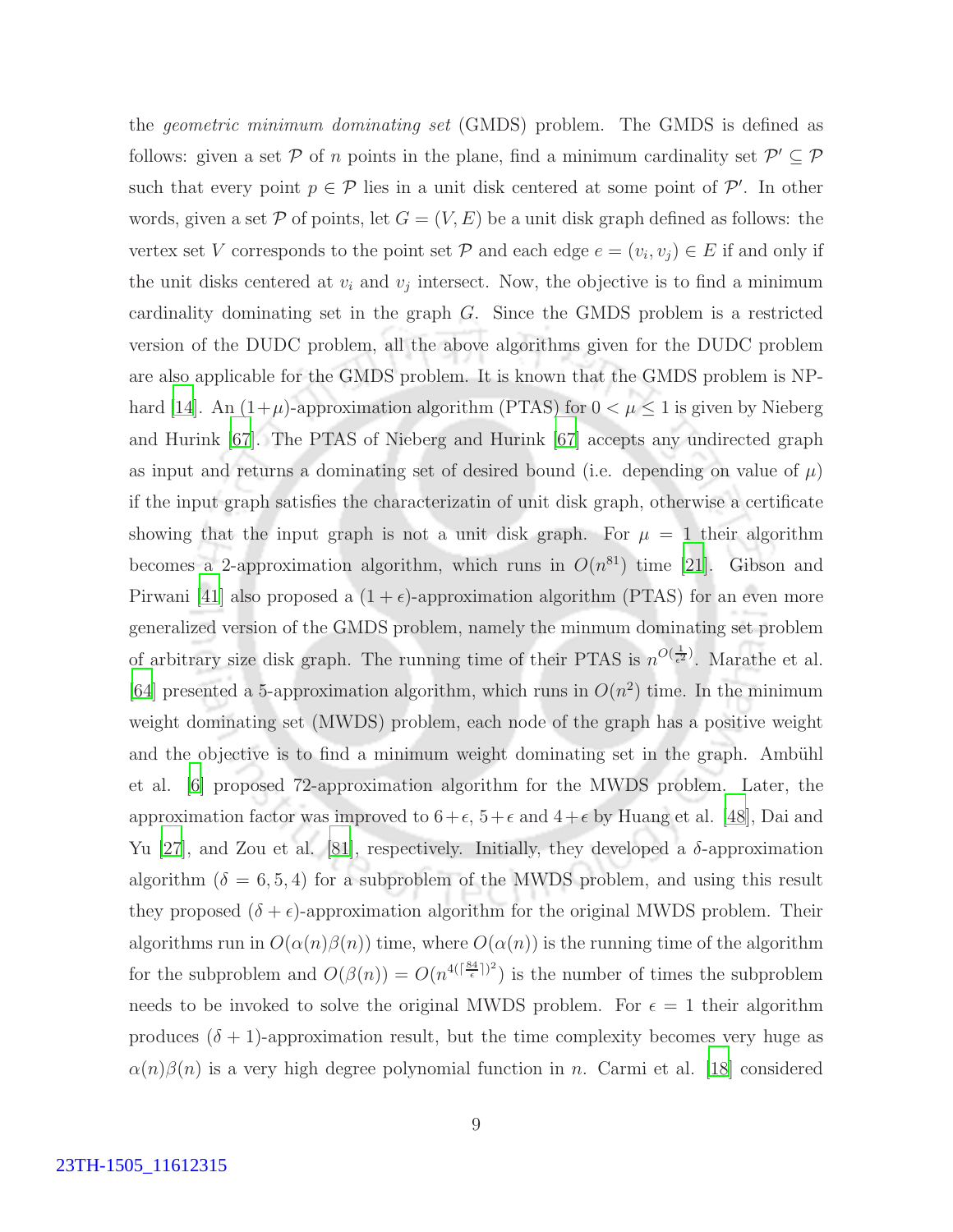the geometric minimum dominating set (GMDS) problem. The GMDS is defined as follows: given a set  $P$  of n points in the plane, find a minimum cardinality set  $P' \subseteq P$ such that every point  $p \in \mathcal{P}$  lies in a unit disk centered at some point of  $\mathcal{P}'$ . In other words, given a set P of points, let  $G = (V, E)$  be a unit disk graph defined as follows: the vertex set V corresponds to the point set  $P$  and each edge  $e = (v_i, v_j) \in E$  if and only if the unit disks centered at  $v_i$  and  $v_j$  intersect. Now, the objective is to find a minimum cardinality dominating set in the graph G. Since the GMDS problem is a restricted version of the DUDC problem, all the above algorithms given for the DUDC problem are also applicable for the GMDS problem. It is known that the GMDS problem is NP-hard [\[14](#page-101-2)]. An  $(1+\mu)$ -approximation algorithm (PTAS) for  $0 < \mu \le 1$  is given by Nieberg and Hurink [\[67](#page-107-4)]. The PTAS of Nieberg and Hurink [\[67\]](#page-107-4) accepts any undirected graph as input and returns a dominating set of desired bound (i.e. depending on value of  $\mu$ ) if the input graph satisfies the characterizatin of unit disk graph, otherwise a certificate showing that the input graph is not a unit disk graph. For  $\mu = 1$  their algorithm becomes a 2-approximation algorithm, which runs in  $O(n^{81})$  time [\[21](#page-102-5)]. Gibson and Pirwani [\[41](#page-104-2)] also proposed a  $(1 + \epsilon)$ -approximation algorithm (PTAS) for an even more generalized version of the GMDS problem, namely the minmum dominating set problem of arbitrary size disk graph. The running time of their PTAS is  $n^{O(\frac{1}{\epsilon^2})}$ . Marathe et al. [\[64\]](#page-107-5) presented a 5-approximation algorithm, which runs in  $O(n^2)$  time. In the minimum weight dominating set (MWDS) problem, each node of the graph has a positive weight and the objective is to find a minimum weight dominating set in the graph. Ambühl et al. [\[6\]](#page-100-0) proposed 72-approximation algorithm for the MWDS problem. Later, the approximation factor was improved to  $6+\epsilon$ ,  $5+\epsilon$  and  $4+\epsilon$  by Huang et al. [\[48](#page-105-1)], Dai and Yu [\[27\]](#page-103-2), and Zou et al. [\[81\]](#page-109-0), respectively. Initially, they developed a  $\delta$ -approximation algorithm ( $\delta = 6, 5, 4$ ) for a subproblem of the MWDS problem, and using this result they proposed  $(\delta + \epsilon)$ -approximation algorithm for the original MWDS problem. Their algorithms run in  $O(\alpha(n)\beta(n))$  time, where  $O(\alpha(n))$  is the running time of the algorithm for the subproblem and  $O(\beta(n)) = O(n^{4(\lceil \frac{84}{\epsilon} \rceil)^2})$  is the number of times the subproblem needs to be invoked to solve the original MWDS problem. For  $\epsilon = 1$  their algorithm produces  $(\delta + 1)$ -approximation result, but the time complexity becomes very huge as  $\alpha(n)\beta(n)$  is a very high degree polynomial function in n. Carmi et al. [\[18](#page-102-6)] considered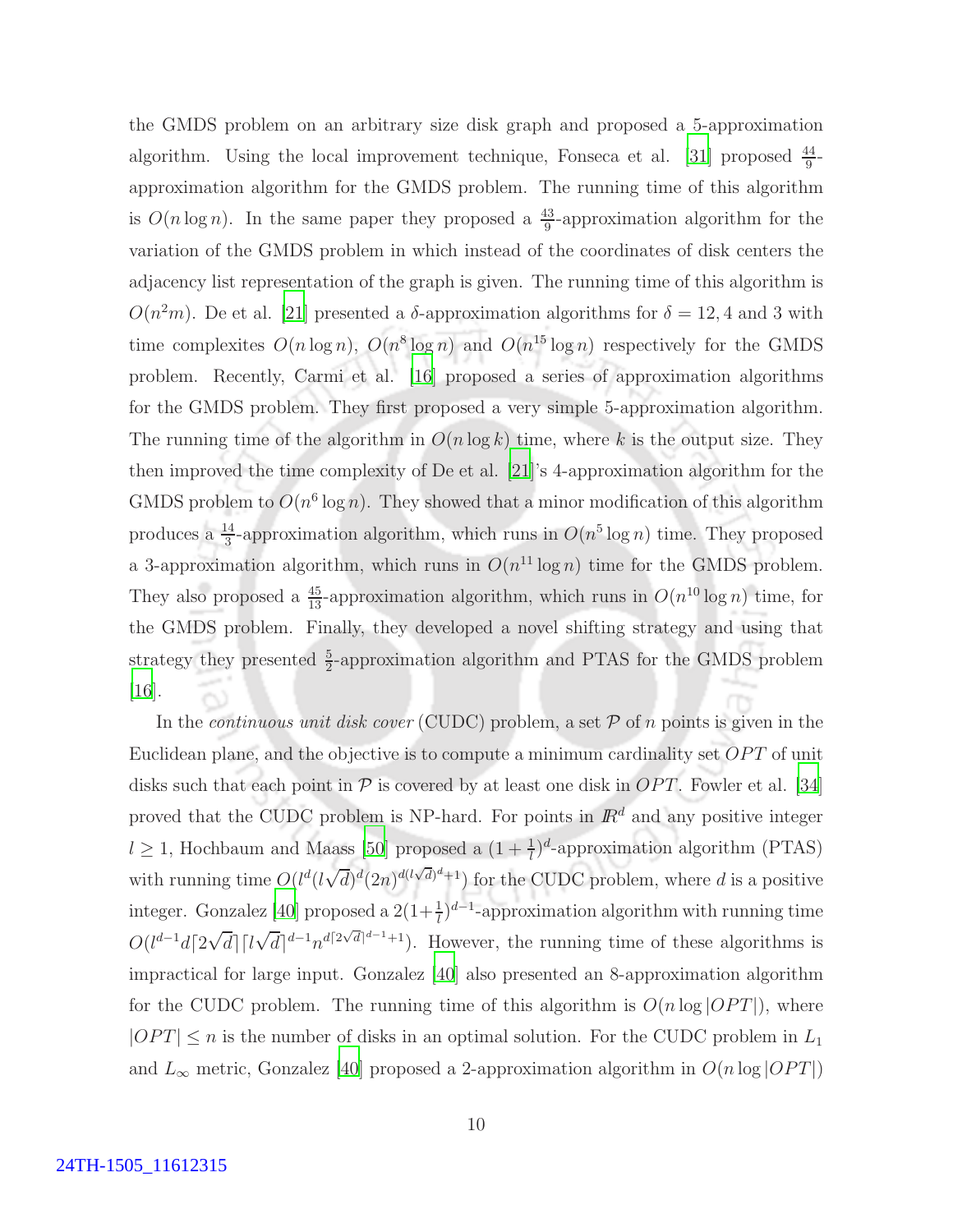the GMDS problem on an arbitrary size disk graph and proposed a 5-approximation algorithm. Using the local improvement technique, Fonseca et al. [\[31\]](#page-103-3) proposed  $\frac{44}{9}$ approximation algorithm for the GMDS problem. The running time of this algorithm is  $O(n \log n)$ . In the same paper they proposed a  $\frac{43}{9}$ -approximation algorithm for the variation of the GMDS problem in which instead of the coordinates of disk centers the adjacency list representation of the graph is given. The running time of this algorithm is  $O(n^2m)$ . De et al. [\[21](#page-102-5)] presented a  $\delta$ -approximation algorithms for  $\delta = 12, 4$  and 3 with time complexites  $O(n \log n)$ ,  $O(n^8 \log n)$  and  $O(n^{15} \log n)$  respectively for the GMDS problem. Recently, Carmi et al. [\[16\]](#page-101-3) proposed a series of approximation algorithms for the GMDS problem. They first proposed a very simple 5-approximation algorithm. The running time of the algorithm in  $O(n \log k)$  time, where k is the output size. They then improved the time complexity of De et al. [\[21\]](#page-102-5)'s 4-approximation algorithm for the GMDS problem to  $O(n^6 \log n)$ . They showed that a minor modification of this algorithm produces a  $\frac{14}{3}$ -approximation algorithm, which runs in  $O(n^5 \log n)$  time. They proposed a 3-approximation algorithm, which runs in  $O(n^{11} \log n)$  time for the GMDS problem. They also proposed a  $\frac{45}{13}$ -approximation algorithm, which runs in  $O(n^{10} \log n)$  time, for the GMDS problem. Finally, they developed a novel shifting strategy and using that strategy they presented  $\frac{5}{2}$ -approximation algorithm and PTAS for the GMDS problem [\[16\]](#page-101-3).

In the *continuous unit disk cover* (CUDC) problem, a set  $P$  of n points is given in the Euclidean plane, and the objective is to compute a minimum cardinality set  $OPT$  of unit disks such that each point in  $P$  is covered by at least one disk in  $OPT$ . Fowler et al. [\[34\]](#page-104-3) proved that the CUDC problem is NP-hard. For points in  $\mathbb{R}^d$  and any positive integer  $l \geq 1$ , Hochbaum and Maass [\[50](#page-105-0)] proposed a  $(1 + \frac{1}{l})^d$ -approximation algorithm (PTAS) with running time  $O(l^d(l\sqrt{d})^d(2n)^{d(l\sqrt{d})^d+1})$  for the CUDC problem, where d is a positive integer. Gonzalez [\[40\]](#page-104-4) proposed a  $2(1+\frac{1}{l})^{d-1}$ -approximation algorithm with running time  $O(l^{d-1}d\lceil 2\sqrt{d}\rceil \lceil l\sqrt{d}\rceil^{d-1}n^{d\lceil 2\sqrt{d}\rceil^{d-1}+1})$ . However, the running time of these algorithms is impractical for large input. Gonzalez [\[40](#page-104-4)] also presented an 8-approximation algorithm for the CUDC problem. The running time of this algorithm is  $O(n \log |OPT|)$ , where  $|OPT| \le n$  is the number of disks in an optimal solution. For the CUDC problem in  $L_1$ and  $L_{\infty}$  metric, Gonzalez [\[40\]](#page-104-4) proposed a 2-approximation algorithm in  $O(n \log |OPT|)$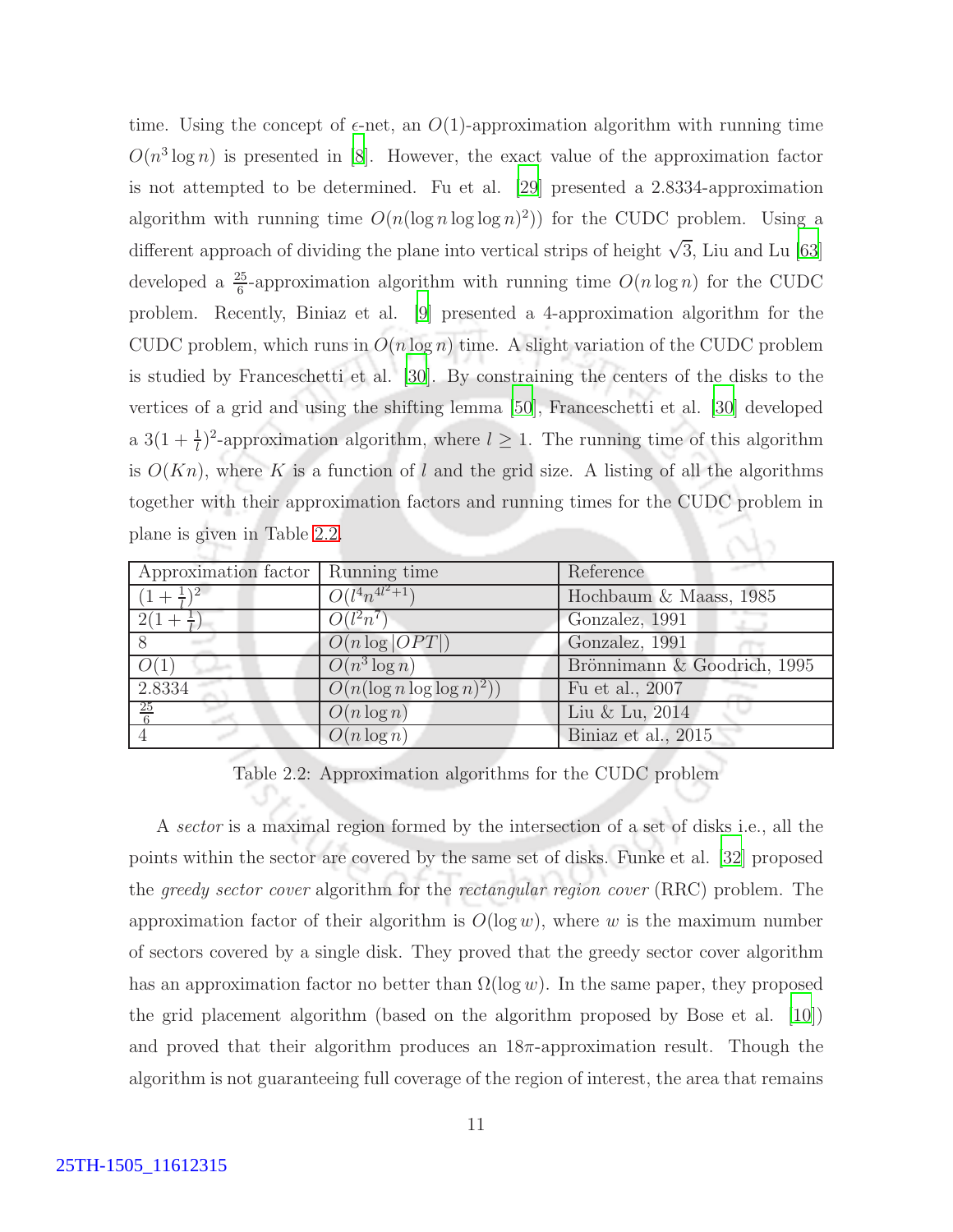time. Using the concept of  $\epsilon$ -net, an  $O(1)$ -approximation algorithm with running time  $O(n^3 \log n)$  is presented in [\[8](#page-101-1)]. However, the exact value of the approximation factor is not attempted to be determined. Fu et al. [\[29\]](#page-103-4) presented a 2.8334-approximation algorithm with running time  $O(n(\log n \log \log n)^2)$  for the CUDC problem. Using a different approach of dividing the plane into vertical strips of height  $\sqrt{3}$ , Liu and Lu [\[63\]](#page-107-6) developed a  $\frac{25}{6}$ -approximation algorithm with running time  $O(n \log n)$  for the CUDC problem. Recently, Biniaz et al. [\[9\]](#page-101-4) presented a 4-approximation algorithm for the CUDC problem, which runs in  $O(n \log n)$  time. A slight variation of the CUDC problem is studied by Franceschetti et al. [\[30\]](#page-103-5). By constraining the centers of the disks to the vertices of a grid and using the shifting lemma [\[50](#page-105-0)], Franceschetti et al. [\[30](#page-103-5)] developed a  $3(1 + \frac{1}{l})^2$ -approximation algorithm, where  $l \geq 1$ . The running time of this algorithm is  $O(Kn)$ , where K is a function of l and the grid size. A listing of all the algorithms together with their approximation factors and running times for the CUDC problem in plane is given in Table [2.2.](#page-24-0)

<span id="page-24-0"></span>

| Approximation factor | Running time                  | Reference                   |
|----------------------|-------------------------------|-----------------------------|
|                      | $O(l^4n^{4l^2+1})$            | Hochbaum & Maass, 1985      |
| $2(1+\frac{1}{7})$   | $O(l^2n^7)$                   | Gonzalez, 1991              |
|                      | $O(n \log  OPT )$             | Gonzalez, 1991              |
|                      | $O(n^3 \log n)$               | Brönnimann & Goodrich, 1995 |
| 2.8334               | $O(n(\log n \log \log n)^2))$ | Fu et al., 2007             |
| 25                   | $O(n \log n)$                 | Liu & Lu, 2014              |
|                      | $O(n \log n)$                 | Biniaz et al., 2015         |

Table 2.2: Approximation algorithms for the CUDC problem

A sector is a maximal region formed by the intersection of a set of disks i.e., all the points within the sector are covered by the same set of disks. Funke et al. [\[32\]](#page-103-1) proposed the greedy sector cover algorithm for the rectangular region cover (RRC) problem. The approximation factor of their algorithm is  $O(\log w)$ , where w is the maximum number of sectors covered by a single disk. They proved that the greedy sector cover algorithm has an approximation factor no better than  $\Omega(\log w)$ . In the same paper, they proposed the grid placement algorithm (based on the algorithm proposed by Bose et al. [\[10](#page-101-5)]) and proved that their algorithm produces an  $18\pi$ -approximation result. Though the algorithm is not guaranteeing full coverage of the region of interest, the area that remains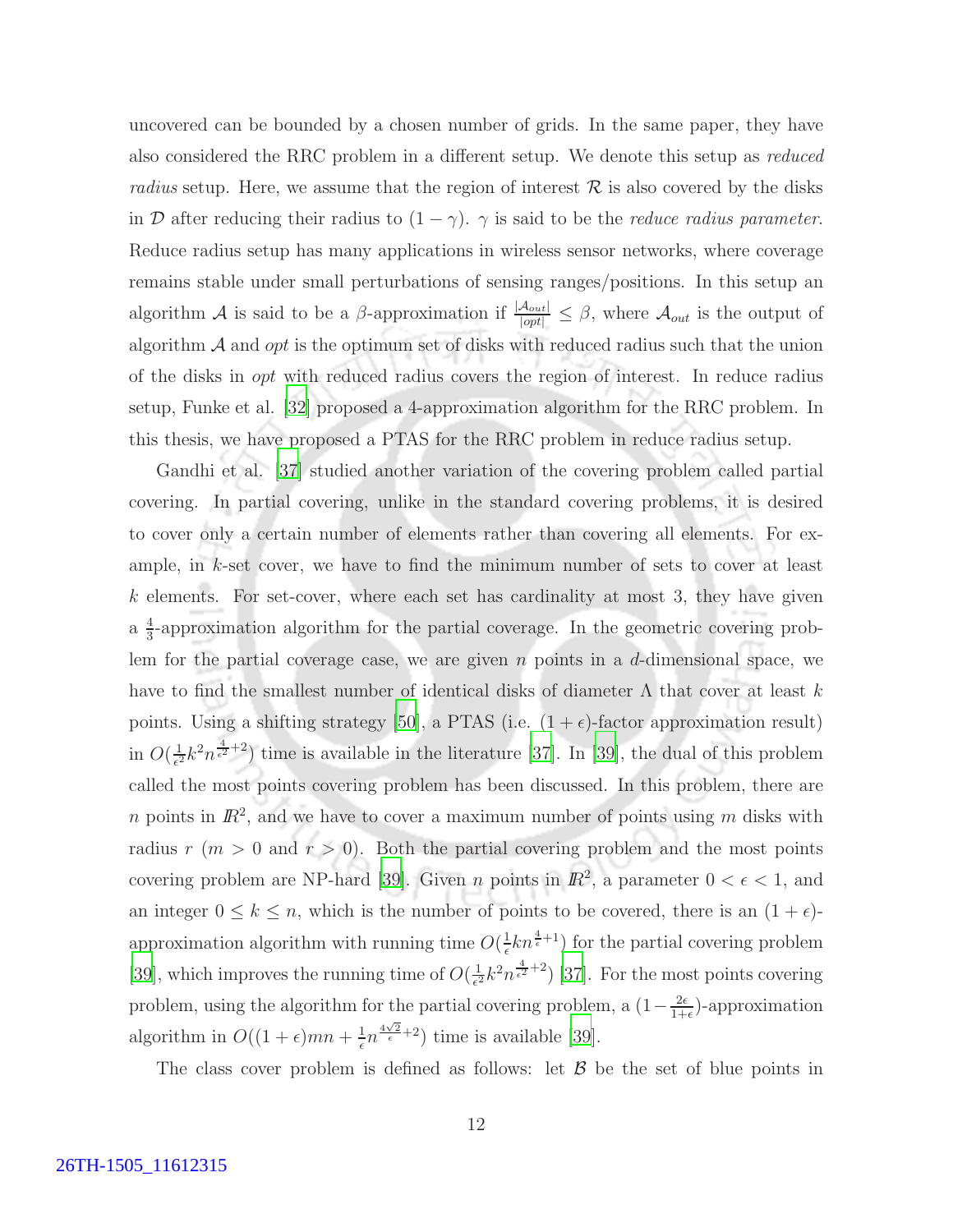uncovered can be bounded by a chosen number of grids. In the same paper, they have also considered the RRC problem in a different setup. We denote this setup as reduced radius setup. Here, we assume that the region of interest  $\mathcal R$  is also covered by the disks in D after reducing their radius to  $(1 - \gamma)$ .  $\gamma$  is said to be the *reduce radius parameter*. Reduce radius setup has many applications in wireless sensor networks, where coverage remains stable under small perturbations of sensing ranges/positions. In this setup an algorithm A is said to be a  $\beta$ -approximation if  $\frac{A_{out}}{|opt|} \leq \beta$ , where  $A_{out}$  is the output of algorithm  $A$  and *opt* is the optimum set of disks with reduced radius such that the union of the disks in opt with reduced radius covers the region of interest. In reduce radius setup, Funke et al. [\[32\]](#page-103-1) proposed a 4-approximation algorithm for the RRC problem. In this thesis, we have proposed a PTAS for the RRC problem in reduce radius setup.

Gandhi et al. [\[37](#page-104-5)] studied another variation of the covering problem called partial covering. In partial covering, unlike in the standard covering problems, it is desired to cover only a certain number of elements rather than covering all elements. For example, in  $k$ -set cover, we have to find the minimum number of sets to cover at least  $k$  elements. For set-cover, where each set has cardinality at most 3, they have given  $a \frac{4}{3}$  $\frac{4}{3}$ -approximation algorithm for the partial coverage. In the geometric covering problem for the partial coverage case, we are given  $n$  points in a  $d$ -dimensional space, we have to find the smallest number of identical disks of diameter  $\Lambda$  that cover at least k points. Using a shifting strategy [\[50](#page-105-0)], a PTAS (i.e.  $(1 + \epsilon)$ -factor approximation result) in  $O(\frac{1}{\epsilon^2})$  $\frac{1}{\epsilon^2}k^2n^{\frac{4}{\epsilon^2}+2}$  time is available in the literature [\[37\]](#page-104-5). In [\[39](#page-104-6)], the dual of this problem called the most points covering problem has been discussed. In this problem, there are n points in  $\mathbb{R}^2$ , and we have to cover a maximum number of points using m disks with radius  $r (m > 0$  and  $r > 0$ ). Both the partial covering problem and the most points covering problem are NP-hard [\[39\]](#page-104-6). Given *n* points in  $\mathbb{R}^2$ , a parameter  $0 < \epsilon < 1$ , and an integer  $0 \leq k \leq n$ , which is the number of points to be covered, there is an  $(1 + \epsilon)$ approximation algorithm with running time  $O(\frac{1}{\epsilon})$  $\frac{1}{\epsilon}kn^{\frac{4}{\epsilon}+1}$  for the partial covering problem [\[39\]](#page-104-6), which improves the running time of  $O(\frac{1}{\epsilon^2})$  $\frac{1}{\epsilon^2}k^2n^{\frac{4}{\epsilon^2}+2}$  [\[37](#page-104-5)]. For the most points covering problem, using the algorithm for the partial covering problem, a  $(1 - \frac{2\epsilon}{1 + \epsilon})$  $\frac{2\epsilon}{1+\epsilon}$  -approximation algorithm in  $O((1+\epsilon)mn+\frac{1}{\epsilon})$  $\frac{1}{\epsilon}n^{\frac{4\sqrt{2}}{\epsilon}+2}$  time is available [\[39\]](#page-104-6).

The class cover problem is defined as follows: let  $\beta$  be the set of blue points in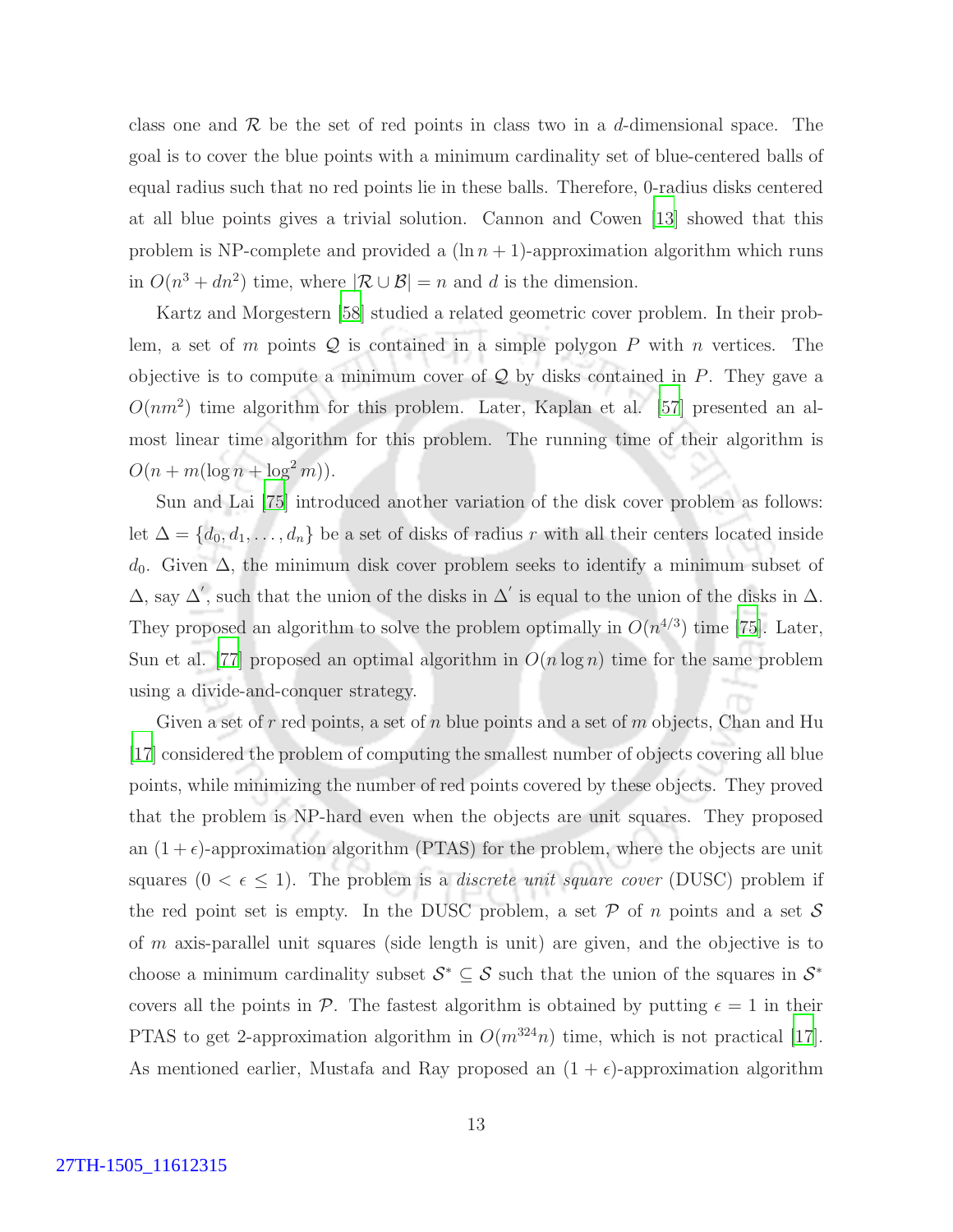class one and  $\mathcal R$  be the set of red points in class two in a d-dimensional space. The goal is to cover the blue points with a minimum cardinality set of blue-centered balls of equal radius such that no red points lie in these balls. Therefore, 0-radius disks centered at all blue points gives a trivial solution. Cannon and Cowen [\[13](#page-101-6)] showed that this problem is NP-complete and provided a  $(\ln n + 1)$ -approximation algorithm which runs in  $O(n^3 + dn^2)$  time, where  $|\mathcal{R} \cup \mathcal{B}| = n$  and d is the dimension.

Kartz and Morgestern [\[58\]](#page-106-0) studied a related geometric cover problem. In their problem, a set of m points  $Q$  is contained in a simple polygon P with n vertices. The objective is to compute a minimum cover of  $\mathcal Q$  by disks contained in P. They gave a  $O(nm^2)$  time algorithm for this problem. Later, Kaplan et al. [\[57\]](#page-106-1) presented an almost linear time algorithm for this problem. The running time of their algorithm is  $O(n + m(\log n + \log^2 m)).$ 

Sun and Lai [\[75\]](#page-108-3) introduced another variation of the disk cover problem as follows: let  $\Delta = \{d_0, d_1, \ldots, d_n\}$  be a set of disks of radius r with all their centers located inside  $d_0$ . Given  $\Delta$ , the minimum disk cover problem seeks to identify a minimum subset of  $\Delta$ , say  $\Delta'$ , such that the union of the disks in  $\Delta'$  is equal to the union of the disks in  $\Delta$ . They proposed an algorithm to solve the problem optimally in  $O(n^{4/3})$  time [\[75\]](#page-108-3). Later, Sun et al. [\[77](#page-108-4)] proposed an optimal algorithm in  $O(n \log n)$  time for the same problem using a divide-and-conquer strategy.

Given a set of r red points, a set of n blue points and a set of m objects, Chan and Hu [\[17\]](#page-102-7) considered the problem of computing the smallest number of objects covering all blue points, while minimizing the number of red points covered by these objects. They proved that the problem is NP-hard even when the objects are unit squares. They proposed an  $(1 + \epsilon)$ -approximation algorithm (PTAS) for the problem, where the objects are unit squares ( $0 < \epsilon \leq 1$ ). The problem is a *discrete unit square cover* (DUSC) problem if the red point set is empty. In the DUSC problem, a set  $P$  of n points and a set  $S$ of m axis-parallel unit squares (side length is unit) are given, and the objective is to choose a minimum cardinality subset  $S^* \subseteq S$  such that the union of the squares in  $S^*$ covers all the points in P. The fastest algorithm is obtained by putting  $\epsilon = 1$  in their PTAS to get 2-approximation algorithm in  $O(m^{324}n)$  time, which is not practical [\[17\]](#page-102-7). As mentioned earlier, Mustafa and Ray proposed an  $(1 + \epsilon)$ -approximation algorithm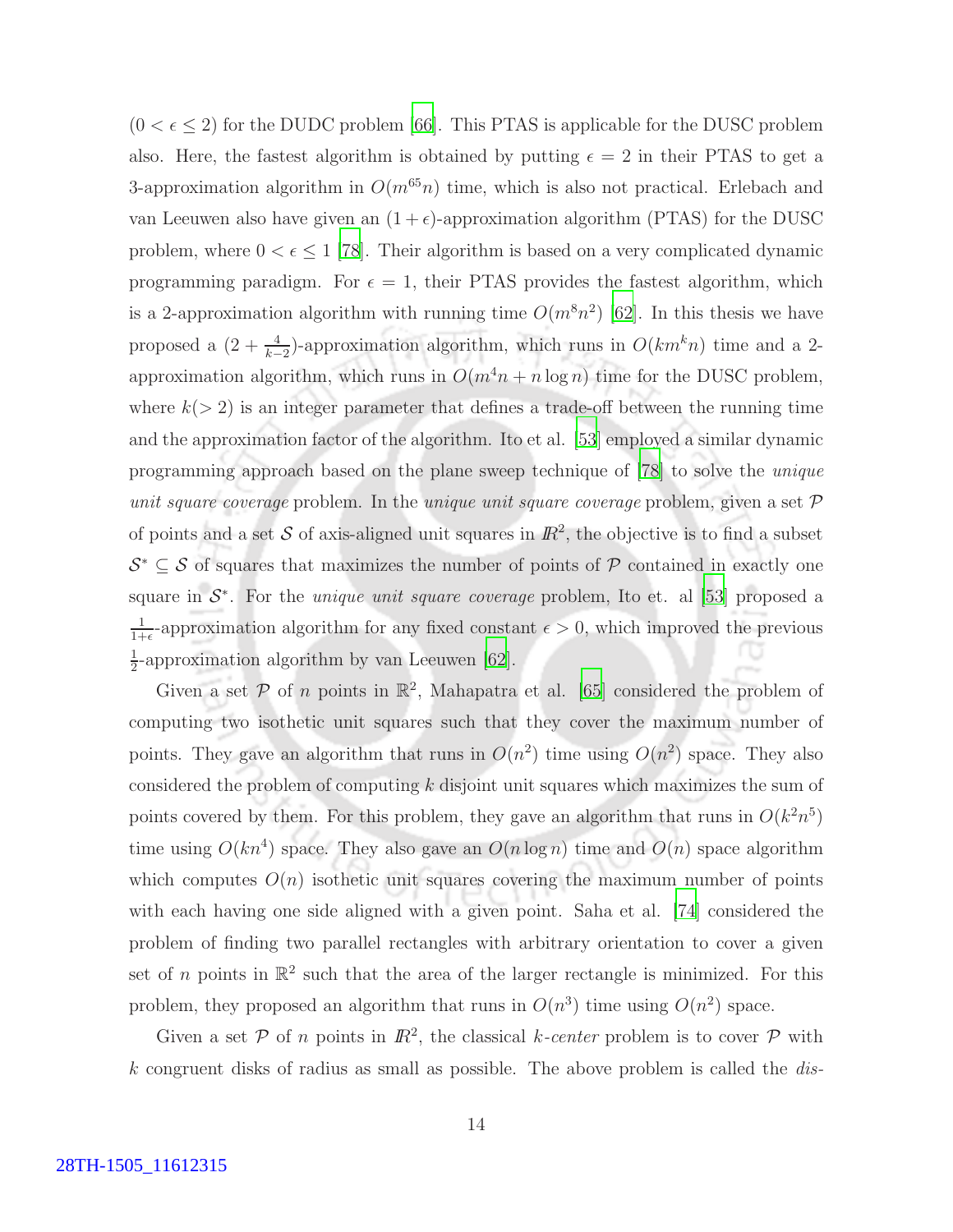$(0 < \epsilon \leq 2)$  for the DUDC problem [\[66\]](#page-107-2). This PTAS is applicable for the DUSC problem also. Here, the fastest algorithm is obtained by putting  $\epsilon = 2$  in their PTAS to get a 3-approximation algorithm in  $O(m^{65}n)$  time, which is also not practical. Erlebach and van Leeuwen also have given an  $(1 + \epsilon)$ -approximation algorithm (PTAS) for the DUSC problem, where  $0 < \epsilon \leq 1$  [\[78](#page-108-5)]. Their algorithm is based on a very complicated dynamic programming paradigm. For  $\epsilon = 1$ , their PTAS provides the fastest algorithm, which is a 2-approximation algorithm with running time  $O(m^8n^2)$  [\[62\]](#page-106-2). In this thesis we have proposed a  $(2 + \frac{4}{k-2})$ -approximation algorithm, which runs in  $O(km^k n)$  time and a 2approximation algorithm, which runs in  $O(m^4n + n \log n)$  time for the DUSC problem, where  $k(> 2)$  is an integer parameter that defines a trade-off between the running time and the approximation factor of the algorithm. Ito et al. [\[53\]](#page-105-2) employed a similar dynamic programming approach based on the plane sweep technique of [\[78\]](#page-108-5) to solve the unique unit square coverage problem. In the unique unit square coverage problem, given a set  $P$ of points and a set S of axis-aligned unit squares in  $\mathbb{R}^2$ , the objective is to find a subset  $S^* \subseteq S$  of squares that maximizes the number of points of  $P$  contained in exactly one square in  $S^*$ . For the *unique unit square coverage* problem, Ito et. al [\[53](#page-105-2)] proposed a 1  $\frac{1}{1+\epsilon}$ -approximation algorithm for any fixed constant  $\epsilon > 0$ , which improved the previous 1  $\frac{1}{2}$ -approximation algorithm by van Leeuwen [\[62](#page-106-2)].

Given a set  $P$  of n points in  $\mathbb{R}^2$ , Mahapatra et al. [\[65\]](#page-107-7) considered the problem of computing two isothetic unit squares such that they cover the maximum number of points. They gave an algorithm that runs in  $O(n^2)$  time using  $O(n^2)$  space. They also considered the problem of computing k disjoint unit squares which maximizes the sum of points covered by them. For this problem, they gave an algorithm that runs in  $O(k^2n^5)$ time using  $O(kn^4)$  space. They also gave an  $O(n \log n)$  time and  $O(n)$  space algorithm which computes  $O(n)$  isothetic unit squares covering the maximum number of points with each having one side aligned with a given point. Saha et al. [\[74](#page-108-6)] considered the problem of finding two parallel rectangles with arbitrary orientation to cover a given set of n points in  $\mathbb{R}^2$  such that the area of the larger rectangle is minimized. For this problem, they proposed an algorithm that runs in  $O(n^3)$  time using  $O(n^2)$  space.

Given a set  $P$  of *n* points in  $\mathbb{R}^2$ , the classical *k*-center problem is to cover  $P$  with k congruent disks of radius as small as possible. The above problem is called the dis-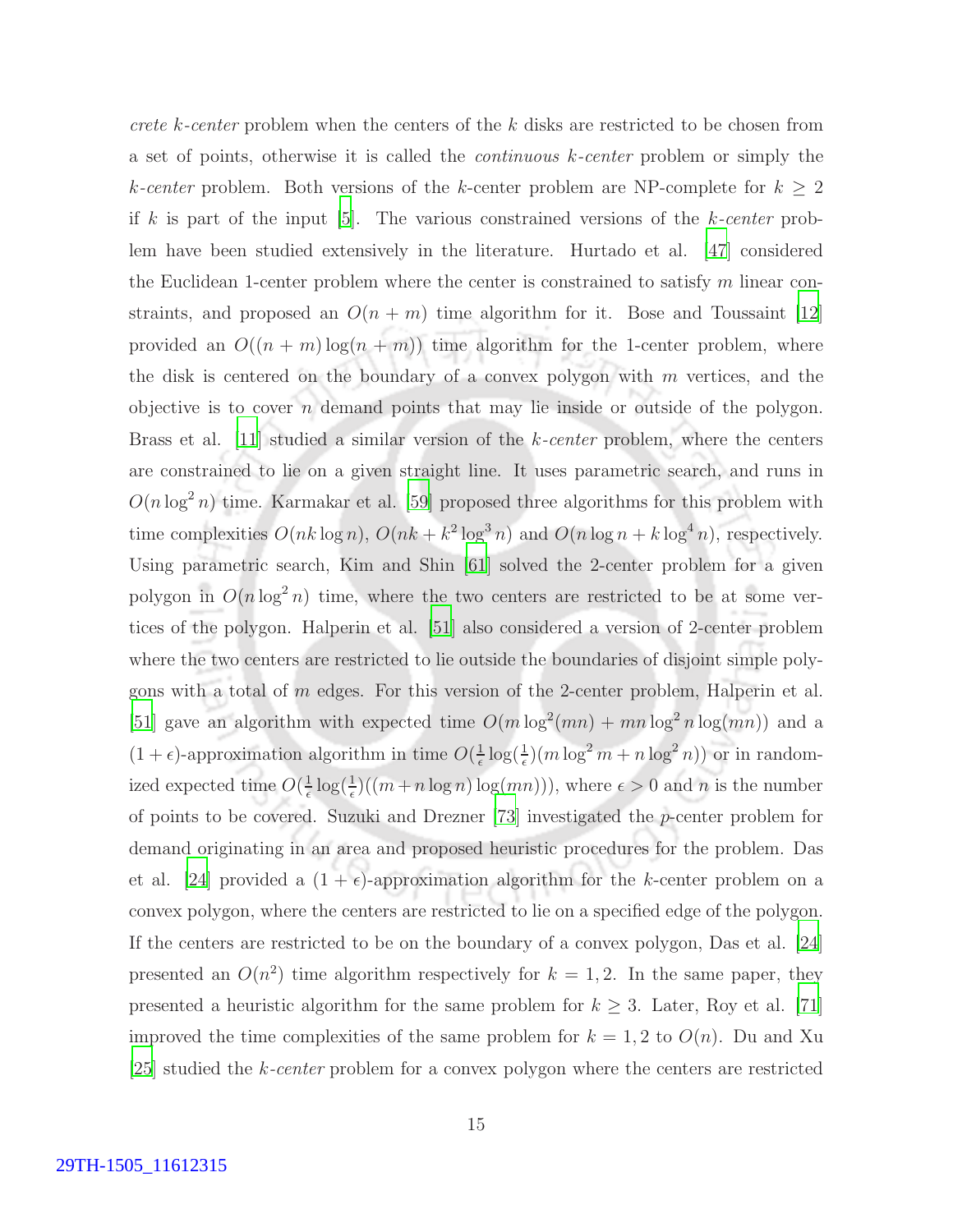crete k-center problem when the centers of the k disks are restricted to be chosen from a set of points, otherwise it is called the continuous k-center problem or simply the k-center problem. Both versions of the k-center problem are NP-complete for  $k \geq 2$ if k is part of the input  $[5]$ . The various constrained versions of the k-center problem have been studied extensively in the literature. Hurtado et al. [\[47](#page-105-3)] considered the Euclidean 1-center problem where the center is constrained to satisfy m linear constraints, and proposed an  $O(n + m)$  time algorithm for it. Bose and Toussaint [\[12\]](#page-101-7) provided an  $O((n + m) \log(n + m))$  time algorithm for the 1-center problem, where the disk is centered on the boundary of a convex polygon with  $m$  vertices, and the objective is to cover  $n$  demand points that may lie inside or outside of the polygon. Brass et al. [\[11](#page-101-8)] studied a similar version of the k-center problem, where the centers are constrained to lie on a given straight line. It uses parametric search, and runs in  $O(n \log^2 n)$  time. Karmakar et al. [\[59](#page-106-3)] proposed three algorithms for this problem with time complexities  $O(nk \log n)$ ,  $O(nk + k^2 \log^3 n)$  and  $O(n \log n + k \log^4 n)$ , respectively. Using parametric search, Kim and Shin [\[61\]](#page-106-4) solved the 2-center problem for a given polygon in  $O(n \log^2 n)$  time, where the two centers are restricted to be at some vertices of the polygon. Halperin et al. [\[51\]](#page-105-4) also considered a version of 2-center problem where the two centers are restricted to lie outside the boundaries of disjoint simple polygons with a total of m edges. For this version of the 2-center problem, Halperin et al. [\[51\]](#page-105-4) gave an algorithm with expected time  $O(m \log^2(mn) + mn \log^2 n \log(mn))$  and a  $(1 + \epsilon)$ -approximation algorithm in time  $O(\frac{1}{\epsilon})$  $\frac{1}{\epsilon} \log(\frac{1}{\epsilon})(m \log^2 m + n \log^2 n))$  or in randomized expected time  $O(\frac{1}{\epsilon})$  $\frac{1}{\epsilon} \log(\frac{1}{\epsilon})((m+n\log n)\log(mn)))$ , where  $\epsilon > 0$  and n is the number of points to be covered. Suzuki and Drezner [\[73](#page-108-7)] investigated the p-center problem for demand originating in an area and proposed heuristic procedures for the problem. Das et al. [\[24\]](#page-102-0) provided a  $(1 + \epsilon)$ -approximation algorithm for the k-center problem on a convex polygon, where the centers are restricted to lie on a specified edge of the polygon. If the centers are restricted to be on the boundary of a convex polygon, Das et al. [\[24\]](#page-102-0) presented an  $O(n^2)$  time algorithm respectively for  $k = 1, 2$ . In the same paper, they presented a heuristic algorithm for the same problem for  $k \geq 3$ . Later, Roy et al. [\[71\]](#page-107-1) improved the time complexities of the same problem for  $k = 1, 2$  to  $O(n)$ . Du and Xu [\[25\]](#page-103-6) studied the k-center problem for a convex polygon where the centers are restricted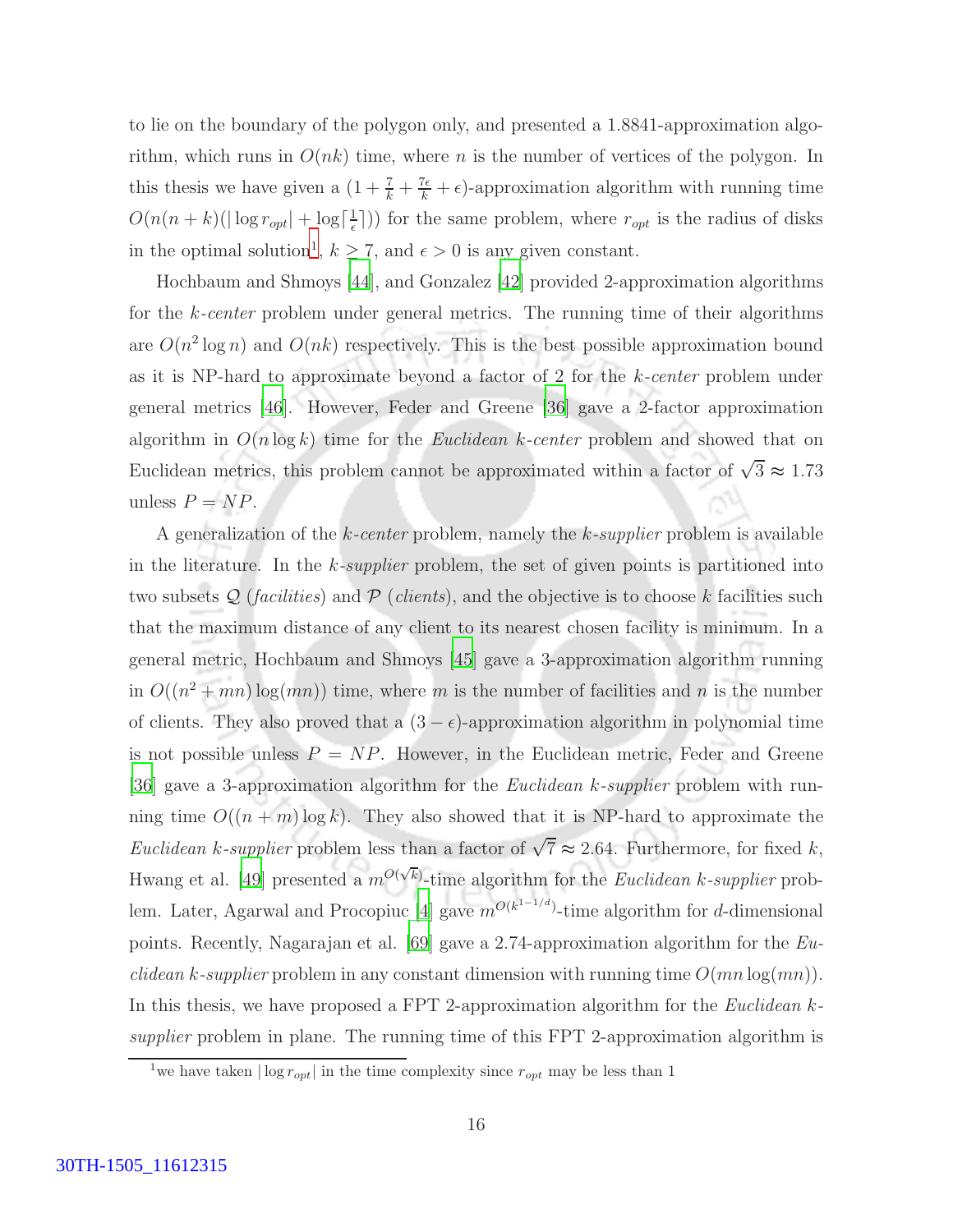to lie on the boundary of the polygon only, and presented a 1.8841-approximation algorithm, which runs in  $O(nk)$  time, where n is the number of vertices of the polygon. In this thesis we have given a  $(1 + \frac{7}{k} + \frac{7\epsilon}{k} + \epsilon)$ -approximation algorithm with running time  $O(n(n+k)(\vert \log r_{opt}\vert + \log \lceil \frac{1}{\epsilon}\rceil))$  $(\frac{1}{\epsilon})$ ) for the same problem, where  $r_{opt}$  is the radius of disks in the optimal solution<sup>[1](#page-29-0)</sup>,  $k \ge 7$ , and  $\epsilon > 0$  is any given constant.

Hochbaum and Shmoys [\[44\]](#page-105-5), and Gonzalez [\[42](#page-104-7)] provided 2-approximation algorithms for the k-center problem under general metrics. The running time of their algorithms are  $O(n^2 \log n)$  and  $O(nk)$  respectively. This is the best possible approximation bound as it is NP-hard to approximate beyond a factor of 2 for the k-center problem under general metrics [\[46\]](#page-105-6). However, Feder and Greene [\[36](#page-104-8)] gave a 2-factor approximation algorithm in  $O(n \log k)$  time for the *Euclidean k-center* problem and showed that on Euclidean metrics, this problem cannot be approximated within a factor of  $\sqrt{3} \approx 1.73$ unless  $P = NP$ .

A generalization of the k-center problem, namely the k-supplier problem is available in the literature. In the  $k$ -supplier problem, the set of given points is partitioned into two subsets  $Q$  (*facilities*) and  $P$  (*clients*), and the objective is to choose k facilities such that the maximum distance of any client to its nearest chosen facility is minimum. In a general metric, Hochbaum and Shmoys [\[45\]](#page-105-7) gave a 3-approximation algorithm running in  $O((n^2 + mn) \log(mn))$  time, where m is the number of facilities and n is the number of clients. They also proved that a  $(3 - \epsilon)$ -approximation algorithm in polynomial time is not possible unless  $P = NP$ . However, in the Euclidean metric, Feder and Greene [\[36\]](#page-104-8) gave a 3-approximation algorithm for the Euclidean k-supplier problem with running time  $O((n + m) \log k)$ . They also showed that it is NP-hard to approximate the Euclidean k-supplier problem less than a factor of  $\sqrt{7} \approx 2.64$ . Furthermore, for fixed k, Hwang et al. [\[49\]](#page-105-8) presented a  $m^{O(\sqrt{k})}$ -time algorithm for the *Euclidean k-supplier* prob-lem. Later, Agarwal and Procopiuc [\[4\]](#page-100-2) gave  $m^{O(k^{1-1/d})}$ -time algorithm for d-dimensional points. Recently, Nagarajan et al. [\[69\]](#page-107-0) gave a 2.74-approximation algorithm for the Eu*clidean k-supplier* problem in any constant dimension with running time  $O(mn \log(mn))$ . In this thesis, we have proposed a FPT 2-approximation algorithm for the *Euclidean k*supplier problem in plane. The running time of this FPT 2-approximation algorithm is

<span id="page-29-0"></span><sup>&</sup>lt;sup>1</sup>we have taken  $|\log r_{opt}|$  in the time complexity since  $r_{opt}$  may be less than 1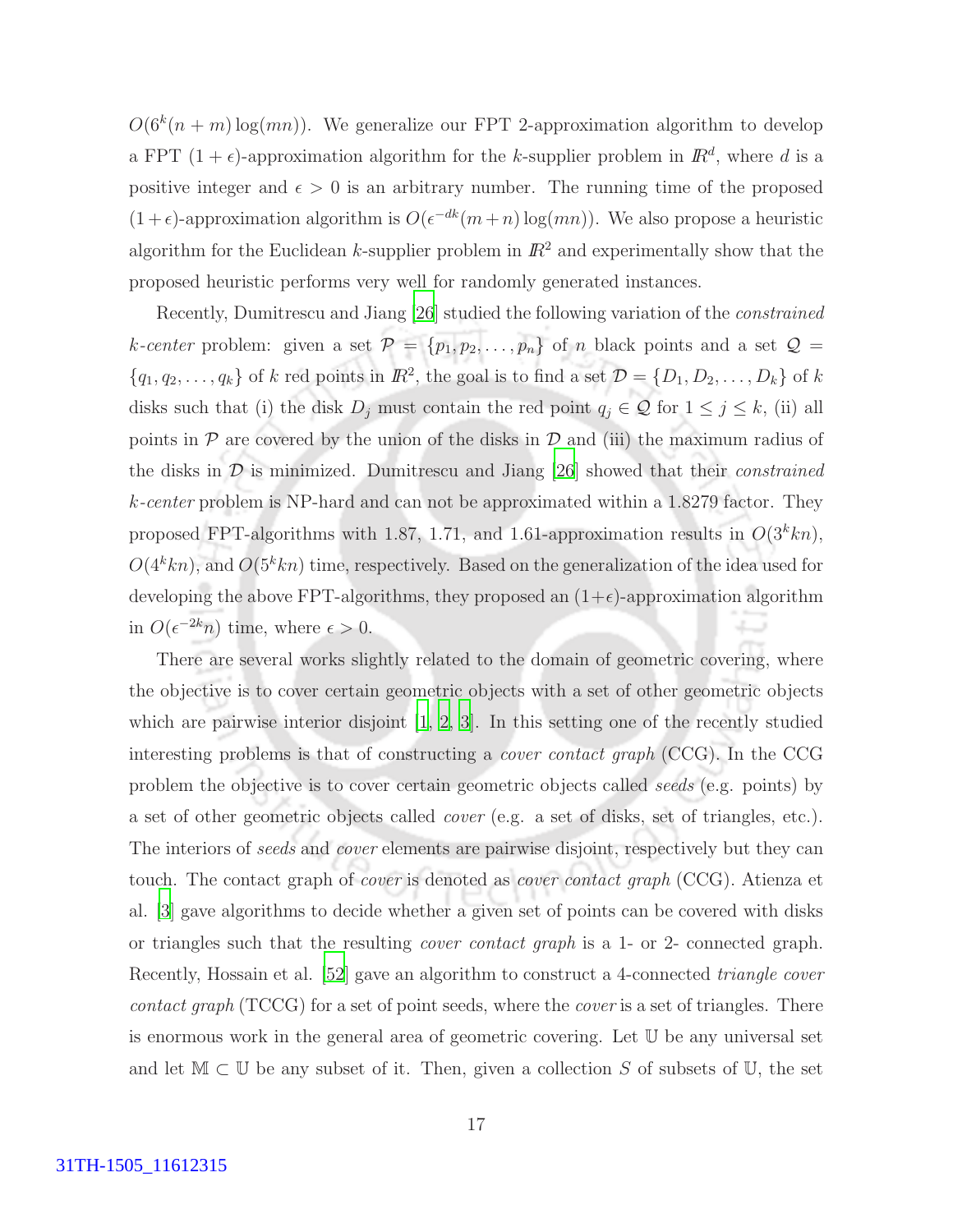$O(6^k(n+m) \log(mn))$ . We generalize our FPT 2-approximation algorithm to develop a FPT  $(1 + \epsilon)$ -approximation algorithm for the k-supplier problem in  $\mathbb{R}^d$ , where d is a positive integer and  $\epsilon > 0$  is an arbitrary number. The running time of the proposed  $(1+\epsilon)$ -approximation algorithm is  $O(\epsilon^{-dk}(m+n)\log(mn))$ . We also propose a heuristic algorithm for the Euclidean k-supplier problem in  $\mathbb{R}^2$  and experimentally show that the proposed heuristic performs very well for randomly generated instances.

Recently, Dumitrescu and Jiang [\[26](#page-103-7)] studied the following variation of the constrained k-center problem: given a set  $\mathcal{P} = \{p_1, p_2, \ldots, p_n\}$  of n black points and a set  $\mathcal{Q} =$  $\{q_1, q_2, \ldots, q_k\}$  of k red points in  $\mathbb{R}^2$ , the goal is to find a set  $\mathcal{D} = \{D_1, D_2, \ldots, D_k\}$  of k disks such that (i) the disk  $D_j$  must contain the red point  $q_j \in \mathcal{Q}$  for  $1 \leq j \leq k$ , (ii) all points in  $P$  are covered by the union of the disks in  $D$  and (iii) the maximum radius of the disks in  $\mathcal D$  is minimized. Dumitrescu and Jiang [\[26](#page-103-7)] showed that their *constrained* k-center problem is NP-hard and can not be approximated within a 1.8279 factor. They proposed FPT-algorithms with 1.87, 1.71, and 1.61-approximation results in  $O(3^k kn)$ ,  $O(4^k kn)$ , and  $O(5^k kn)$  time, respectively. Based on the generalization of the idea used for developing the above FPT-algorithms, they proposed an  $(1+\epsilon)$ -approximation algorithm in  $O(\epsilon^{-2k}n)$  time, where  $\epsilon > 0$ .

There are several works slightly related to the domain of geometric covering, where the objective is to cover certain geometric objects with a set of other geometric objects which are pairwise interior disjoint [\[1](#page-100-3), [2,](#page-100-4) [3\]](#page-100-5). In this setting one of the recently studied interesting problems is that of constructing a cover contact graph (CCG). In the CCG problem the objective is to cover certain geometric objects called seeds (e.g. points) by a set of other geometric objects called cover (e.g. a set of disks, set of triangles, etc.). The interiors of seeds and cover elements are pairwise disjoint, respectively but they can touch. The contact graph of cover is denoted as cover contact graph (CCG). Atienza et al. [\[3](#page-100-5)] gave algorithms to decide whether a given set of points can be covered with disks or triangles such that the resulting cover contact graph is a 1- or 2- connected graph. Recently, Hossain et al. [\[52](#page-105-9)] gave an algorithm to construct a 4-connected triangle cover contact graph (TCCG) for a set of point seeds, where the cover is a set of triangles. There is enormous work in the general area of geometric covering. Let  $\mathbb U$  be any universal set and let  $M \subset U$  be any subset of it. Then, given a collection S of subsets of U, the set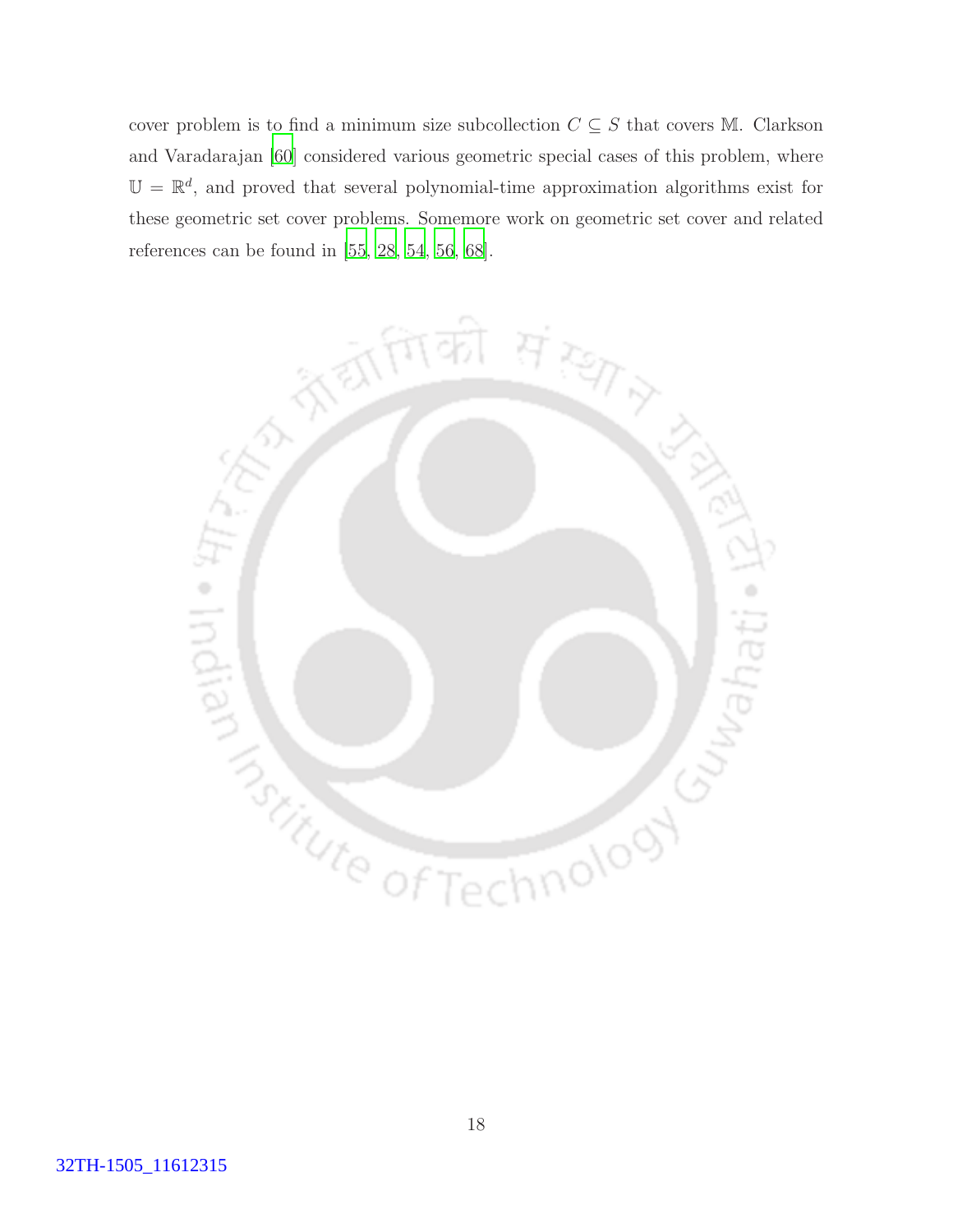cover problem is to find a minimum size subcollection  $C \subseteq S$  that covers M. Clarkson and Varadarajan [\[60](#page-106-5)] considered various geometric special cases of this problem, where  $\mathbb{U} = \mathbb{R}^d$ , and proved that several polynomial-time approximation algorithms exist for these geometric set cover problems. Somemore work on geometric set cover and related references can be found in [\[55](#page-106-6), [28](#page-103-8), [54](#page-106-7), [56,](#page-106-8) [68\]](#page-107-8).

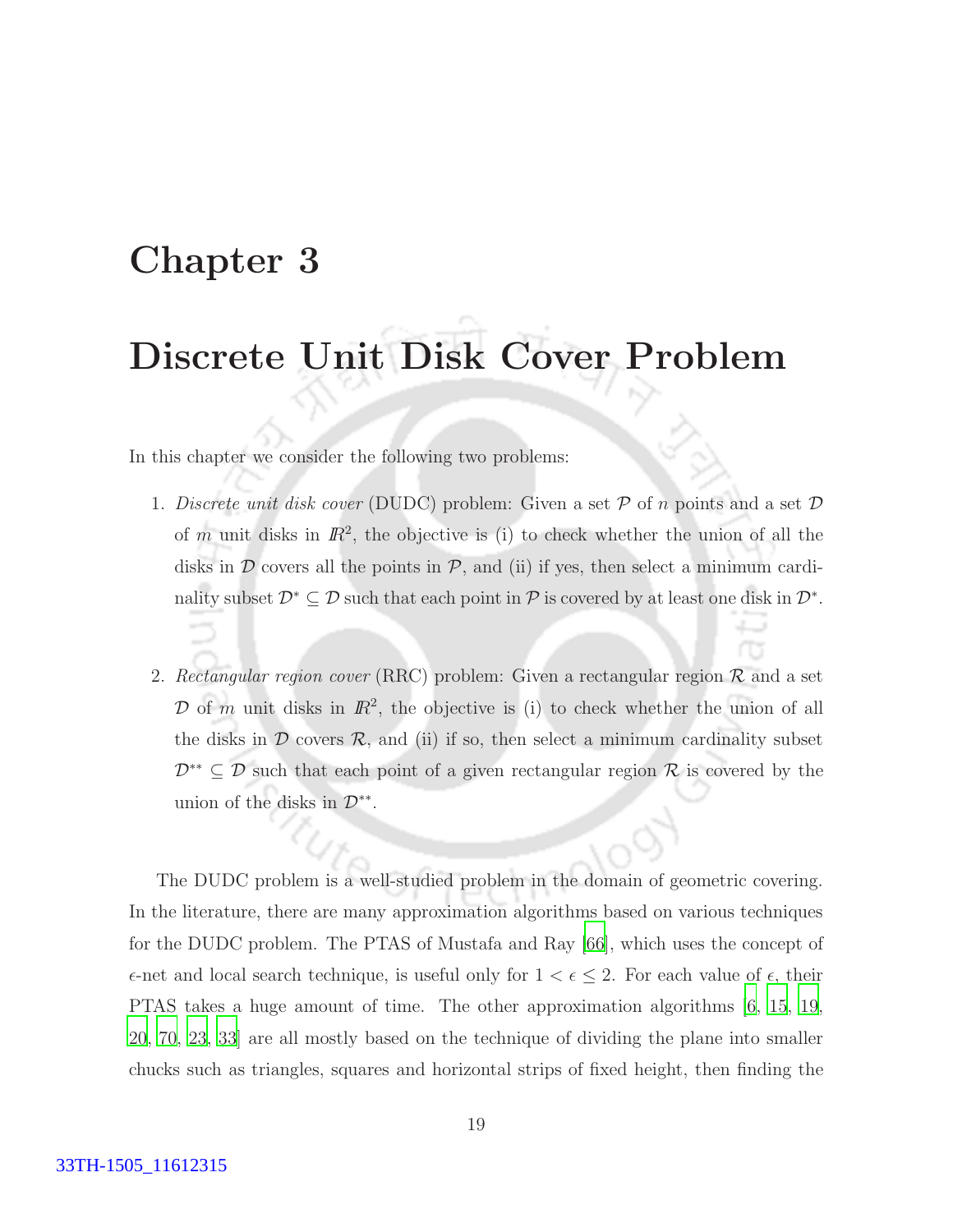## <span id="page-32-0"></span>Chapter 3

## Discrete Unit Disk Cover Problem

In this chapter we consider the following two problems:

- 1. Discrete unit disk cover (DUDC) problem: Given a set  $P$  of n points and a set  $D$ of m unit disks in  $\mathbb{R}^2$ , the objective is (i) to check whether the union of all the disks in  $\mathcal D$  covers all the points in  $\mathcal P$ , and (ii) if yes, then select a minimum cardinality subset  $\mathcal{D}^* \subseteq \mathcal{D}$  such that each point in  $\mathcal{P}$  is covered by at least one disk in  $\mathcal{D}^*$ .
- 2. Rectangular region cover (RRC) problem: Given a rectangular region  $\mathcal{R}$  and a set  $D$  of m unit disks in  $\mathbb{R}^2$ , the objective is (i) to check whether the union of all the disks in  $D$  covers  $R$ , and (ii) if so, then select a minimum cardinality subset  $\mathcal{D}^{**} \subseteq \mathcal{D}$  such that each point of a given rectangular region  $\mathcal{R}$  is covered by the union of the disks in  $\mathcal{D}^{**}$ .

The DUDC problem is a well-studied problem in the domain of geometric covering. In the literature, there are many approximation algorithms based on various techniques for the DUDC problem. The PTAS of Mustafa and Ray [\[66\]](#page-107-2), which uses the concept of  $\epsilon$ -net and local search technique, is useful only for  $1 < \epsilon \leq 2$ . For each value of  $\epsilon$ , their PTAS takes a huge amount of time. The other approximation algorithms [\[6](#page-100-0), [15](#page-101-0), [19,](#page-102-1) [20,](#page-102-2) [70,](#page-107-3) [23,](#page-102-3) [33](#page-103-0)] are all mostly based on the technique of dividing the plane into smaller chucks such as triangles, squares and horizontal strips of fixed height, then finding the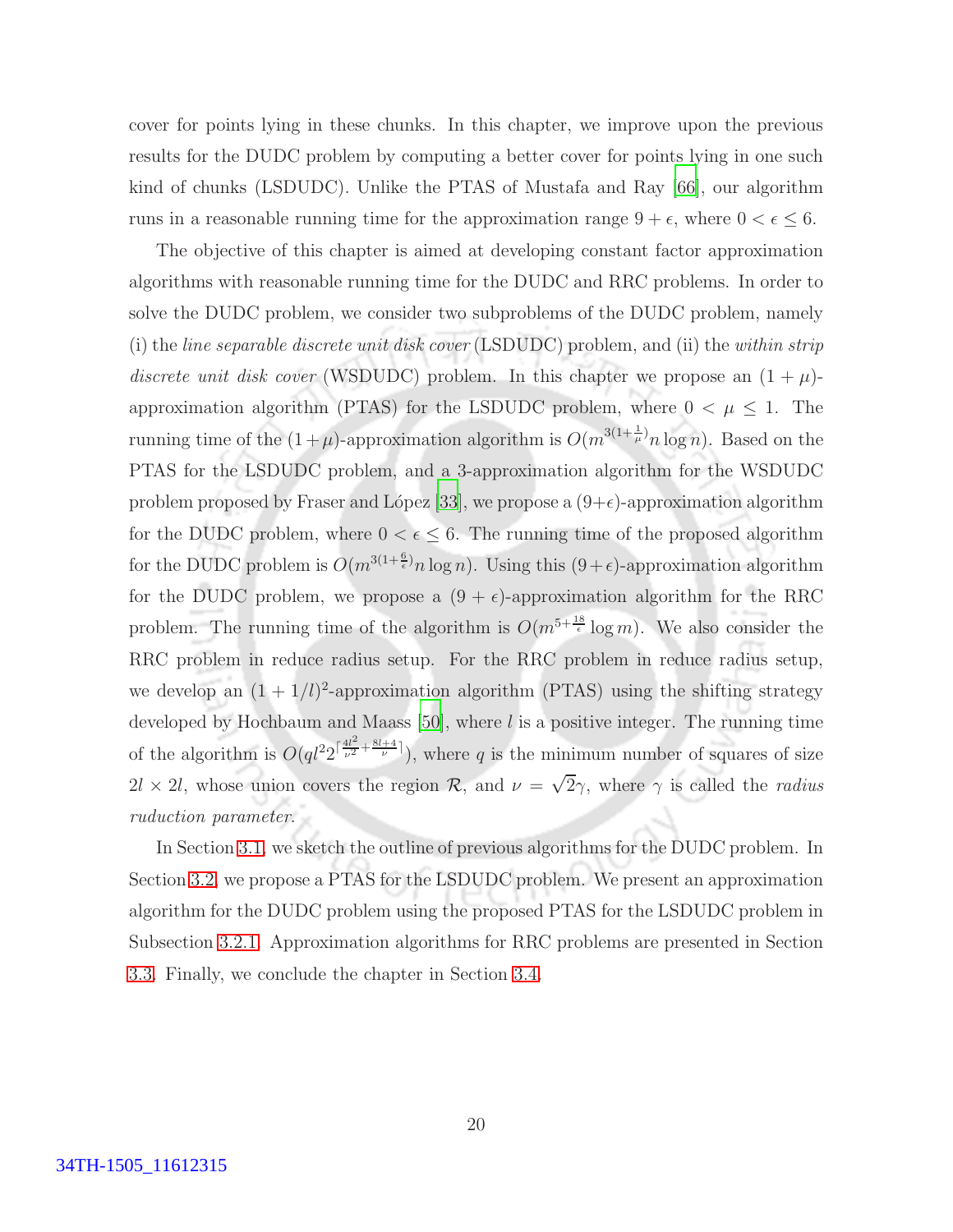cover for points lying in these chunks. In this chapter, we improve upon the previous results for the DUDC problem by computing a better cover for points lying in one such kind of chunks (LSDUDC). Unlike the PTAS of Mustafa and Ray [\[66\]](#page-107-2), our algorithm runs in a reasonable running time for the approximation range  $9 + \epsilon$ , where  $0 < \epsilon \leq 6$ .

The objective of this chapter is aimed at developing constant factor approximation algorithms with reasonable running time for the DUDC and RRC problems. In order to solve the DUDC problem, we consider two subproblems of the DUDC problem, namely (i) the *line separable discrete unit disk cover* (LSDUDC) problem, and (ii) the *within strip* discrete unit disk cover (WSDUDC) problem. In this chapter we propose an  $(1 + \mu)$ approximation algorithm (PTAS) for the LSDUDC problem, where  $0 < \mu \leq 1$ . The running time of the  $(1+\mu)$ -approximation algorithm is  $O(m^{3(1+\frac{1}{\mu})}n \log n)$ . Based on the PTAS for the LSDUDC problem, and a 3-approximation algorithm for the WSDUDC problem proposed by Fraser and López [\[33](#page-103-0)], we propose a  $(9+\epsilon)$ -approximation algorithm for the DUDC problem, where  $0 < \epsilon \leq 6$ . The running time of the proposed algorithm for the DUDC problem is  $O(m^{3(1+\frac{6}{\epsilon})}n \log n)$ . Using this  $(9+\epsilon)$ -approximation algorithm for the DUDC problem, we propose a  $(9 + \epsilon)$ -approximation algorithm for the RRC problem. The running time of the algorithm is  $O(m^{5+\frac{18}{\epsilon}} \log m)$ . We also consider the RRC problem in reduce radius setup. For the RRC problem in reduce radius setup, we develop an  $(1 + 1/l)^2$ -approximation algorithm (PTAS) using the shifting strategy developed by Hochbaum and Maass  $[50]$ , where  $l$  is a positive integer. The running time of the algorithm is  $O(ql^2 2^{\lceil \frac{4l^2}{\nu^2} + \frac{8l+4}{\nu} \rceil})$ , where q is the minimum number of squares of size  $2l \times 2l$ , whose union covers the region R, and  $\nu = \sqrt{2}\gamma$ , where  $\gamma$  is called the *radius* ruduction parameter.

In Section [3.1,](#page-34-0) we sketch the outline of previous algorithms for the DUDC problem. In Section [3.2,](#page-36-0) we propose a PTAS for the LSDUDC problem. We present an approximation algorithm for the DUDC problem using the proposed PTAS for the LSDUDC problem in Subsection [3.2.1.](#page-45-0) Approximation algorithms for RRC problems are presented in Section [3.3.](#page-46-0) Finally, we conclude the chapter in Section [3.4.](#page-50-0)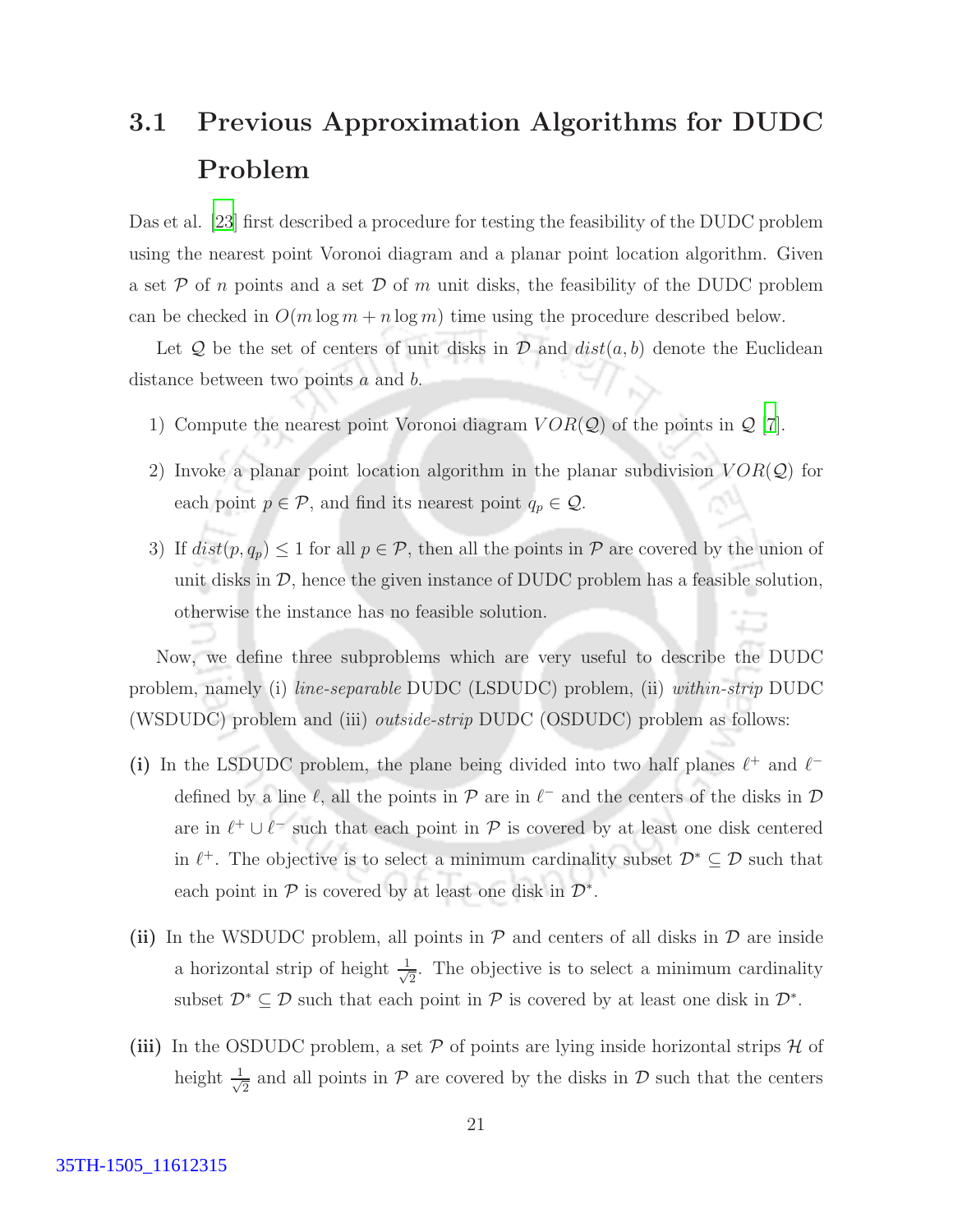## <span id="page-34-0"></span>3.1 Previous Approximation Algorithms for DUDC Problem

Das et al. [\[23\]](#page-102-3) first described a procedure for testing the feasibility of the DUDC problem using the nearest point Voronoi diagram and a planar point location algorithm. Given a set  $P$  of n points and a set  $D$  of m unit disks, the feasibility of the DUDC problem can be checked in  $O(m \log m + n \log m)$  time using the procedure described below.

Let  $Q$  be the set of centers of unit disks in  $D$  and  $dist(a, b)$  denote the Euclidean distance between two points a and b.

- 1) Compute the nearest point Voronoi diagram  $VOR(\mathcal{Q})$  of the points in  $\mathcal{Q}$  [\[7\]](#page-101-9).
- 2) Invoke a planar point location algorithm in the planar subdivision  $VOR(\mathcal{Q})$  for each point  $p \in \mathcal{P}$ , and find its nearest point  $q_p \in \mathcal{Q}$ .
- 3) If  $dist(p, q_p) \leq 1$  for all  $p \in \mathcal{P}$ , then all the points in  $\mathcal P$  are covered by the union of unit disks in  $D$ , hence the given instance of DUDC problem has a feasible solution, otherwise the instance has no feasible solution.

Now, we define three subproblems which are very useful to describe the DUDC problem, namely (i) line-separable DUDC (LSDUDC) problem, (ii) within-strip DUDC (WSDUDC) problem and (iii) outside-strip DUDC (OSDUDC) problem as follows:

- (i) In the LSDUDC problem, the plane being divided into two half planes  $\ell^+$  and  $\ell^$ defined by a line  $\ell$ , all the points in  $\mathcal P$  are in  $\ell^-$  and the centers of the disks in  $\mathcal D$ are in  $\ell^+ \cup \ell^-$  such that each point in  $\mathcal P$  is covered by at least one disk centered in  $\ell^+$ . The objective is to select a minimum cardinality subset  $\mathcal{D}^* \subseteq \mathcal{D}$  such that each point in  $P$  is covered by at least one disk in  $\mathcal{D}^*$ .
- (ii) In the WSDUDC problem, all points in  $P$  and centers of all disks in  $D$  are inside a horizontal strip of height  $\frac{1}{\sqrt{2}}$  $\frac{1}{2}$ . The objective is to select a minimum cardinality subset  $\mathcal{D}^* \subseteq \mathcal{D}$  such that each point in  $\mathcal{P}$  is covered by at least one disk in  $\mathcal{D}^*$ .
- (iii) In the OSDUDC problem, a set  $P$  of points are lying inside horizontal strips  $H$  of height  $\frac{1}{\sqrt{2}}$  $\frac{1}{2}$  and all points in  $P$  are covered by the disks in  $D$  such that the centers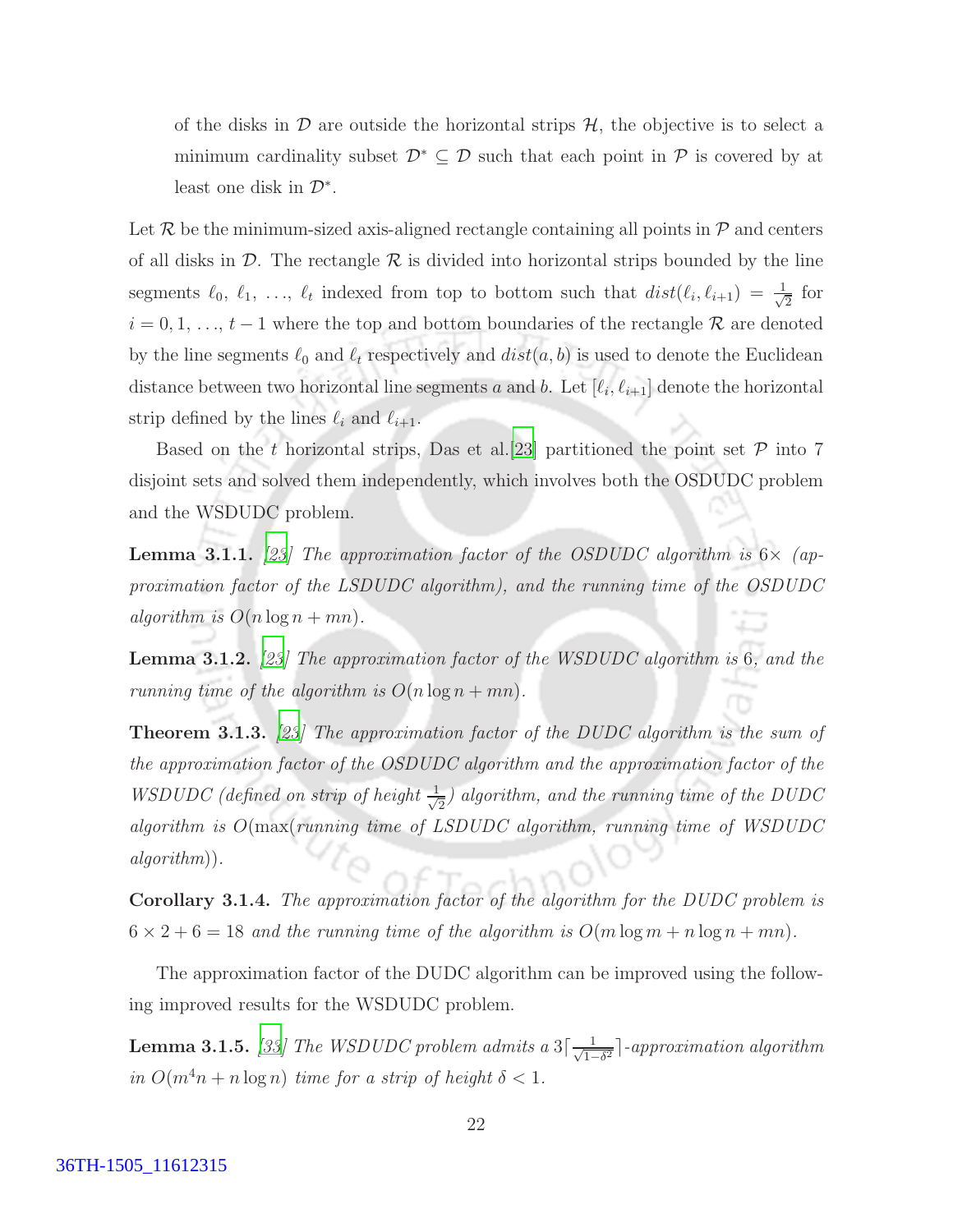of the disks in  $\mathcal D$  are outside the horizontal strips  $\mathcal H$ , the objective is to select a minimum cardinality subset  $\mathcal{D}^* \subseteq \mathcal{D}$  such that each point in  $\mathcal P$  is covered by at least one disk in  $\mathcal{D}^*$ .

Let  $\mathcal R$  be the minimum-sized axis-aligned rectangle containing all points in  $\mathcal P$  and centers of all disks in  $\mathcal{D}$ . The rectangle  $\mathcal R$  is divided into horizontal strips bounded by the line segments  $\ell_0, \ell_1, \ldots, \ell_t$  indexed from top to bottom such that  $dist(\ell_i, \ell_{i+1}) = \frac{1}{\sqrt{2\pi}}$  $\frac{1}{2}$  for  $i = 0, 1, \ldots, t-1$  where the top and bottom boundaries of the rectangle R are denoted by the line segments  $\ell_0$  and  $\ell_t$  respectively and  $dist(a, b)$  is used to denote the Euclidean distance between two horizontal line segments a and b. Let  $[\ell_i, \ell_{i+1}]$  denote the horizontal strip defined by the lines  $\ell_i$  and  $\ell_{i+1}$ .

Based on the t horizontal strips, Das et al. [\[23](#page-102-3)] partitioned the point set  $P$  into 7 disjoint sets and solved them independently, which involves both the OSDUDC problem and the WSDUDC problem.

**Lemma 3.1.1.** [\[23](#page-102-3)] The approximation factor of the OSDUDC algorithm is  $6 \times$  (approximation factor of the LSDUDC algorithm), and the running time of the OSDUDC algorithm is  $O(n \log n + mn)$ .

Lemma 3.1.2. [\[23\]](#page-102-3) The approximation factor of the WSDUDC algorithm is 6, and the running time of the algorithm is  $O(n \log n + mn)$ .

**Theorem 3.1.3.** [\[23](#page-102-3)] The approximation factor of the DUDC algorithm is the sum of the approximation factor of the OSDUDC algorithm and the approximation factor of the WSDUDC (defined on strip of height  $\frac{1}{\sqrt{2}}$  $\frac{1}{2}$ ) algorithm, and the running time of the DUDC algorithm is O(max(running time of LSDUDC algorithm, running time of WSDUDC algorithm)).

Corollary 3.1.4. The approximation factor of the algorithm for the DUDC problem is  $6 \times 2 + 6 = 18$  and the running time of the algorithm is  $O(m \log m + n \log n + mn)$ .

The approximation factor of the DUDC algorithm can be improved using the following improved results for the WSDUDC problem.

**Lemma 3.1.5.** [\[33](#page-103-0)] The WSDUDC problem admits a  $3\lceil\frac{1}{\sqrt{1-1}}\rceil$  $\frac{1}{1-\delta^2}$  -approximation algorithm in  $O(m^4n + n \log n)$  time for a strip of height  $\delta < 1$ .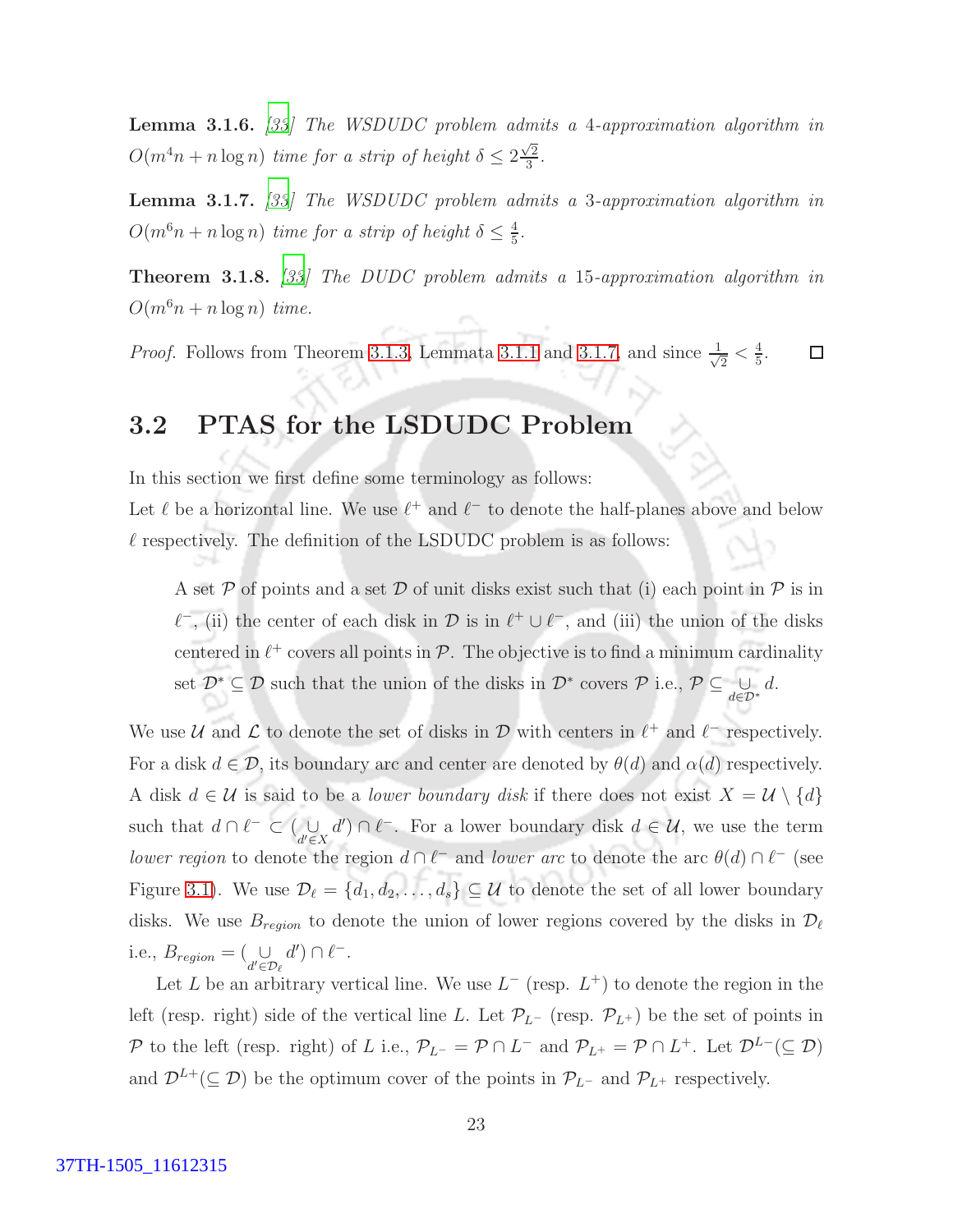Lemma 3.1.6. [\[33](#page-103-0)] The WSDUDC problem admits a 4-approximation algorithm in  $O(m^4n + n \log n)$  time for a strip of height  $\delta \leq 2\frac{\sqrt{2}}{3}$  $rac{2}{3}$ .

<span id="page-36-0"></span>Lemma 3.1.7. [\[33](#page-103-0)] The WSDUDC problem admits a 3-approximation algorithm in  $O(m^6n + n \log n)$  time for a strip of height  $\delta \leq \frac{4}{5}$  $\frac{4}{5}$ .

**Theorem 3.1.8.** [\[33](#page-103-0)] The DUDC problem admits a 15-approximation algorithm in  $O(m^6n + n \log n)$  time.

*Proof.* Follows from Theorem [3.1.3,](#page-35-0) Lemmata [3.1.1](#page-35-1) and [3.1.7,](#page-36-0) and since  $\frac{1}{\sqrt{2}}$  $\frac{1}{2} < \frac{4}{5}$  $\frac{4}{5}$ .  $\Box$ 

### 3.2 PTAS for the LSDUDC Problem

In this section we first define some terminology as follows:

Let  $\ell$  be a horizontal line. We use  $\ell^+$  and  $\ell^-$  to denote the half-planes above and below  $\ell$  respectively. The definition of the LSDUDC problem is as follows:

A set  $P$  of points and a set  $D$  of unit disks exist such that (i) each point in  $P$  is in  $\ell^-$ , (ii) the center of each disk in  $\mathcal D$  is in  $\ell^+ \cup \ell^-$ , and (iii) the union of the disks centered in  $\ell^+$  covers all points in  $\mathcal{P}$ . The objective is to find a minimum cardinality set  $\mathcal{D}^* \subseteq \mathcal{D}$  such that the union of the disks in  $\mathcal{D}^*$  covers  $\mathcal{P}$  i.e.,  $\mathcal{P} \subseteq \bigcup_{d \in \mathcal{D}^*}$ d.

We use U and L to denote the set of disks in D with centers in  $\ell^+$  and  $\ell^-$  respectively. For a disk  $d \in \mathcal{D}$ , its boundary arc and center are denoted by  $\theta(d)$  and  $\alpha(d)$  respectively. A disk  $d \in \mathcal{U}$  is said to be a *lower boundary disk* if there does not exist  $X = \mathcal{U} \setminus \{d\}$ such that  $d \cap \ell^- \subset \bigcup_{d' \in X}$  $d'$ )  $\cap \ell^-$ . For a lower boundary disk  $d \in \mathcal{U}$ , we use the term lower region to denote the region  $d \cap \ell^-$  and lower arc to denote the arc  $\theta(d) \cap \ell^-$  (see Figure [3.1\)](#page-37-0). We use  $\mathcal{D}_{\ell} = \{d_1, d_2, \ldots, d_s\} \subseteq \mathcal{U}$  to denote the set of all lower boundary disks. We use  $B_{region}$  to denote the union of lower regions covered by the disks in  $\mathcal{D}_{\ell}$ i.e.,  $B_{region} = (\bigcup_{d' \in \mathcal{D}_{\ell}}$  $d'$ )  $\cap \ell^-$ .

Let L be an arbitrary vertical line. We use  $L^-$  (resp.  $L^+$ ) to denote the region in the left (resp. right) side of the vertical line L. Let  $\mathcal{P}_{L}$ - (resp.  $\mathcal{P}_{L+}$ ) be the set of points in P to the left (resp. right) of L i.e.,  $\mathcal{P}_{L^-} = \mathcal{P} \cap L^-$  and  $\mathcal{P}_{L^+} = \mathcal{P} \cap L^+$ . Let  $\mathcal{D}^{L-}(\subseteq \mathcal{D})$ and  $\mathcal{D}^{L+}(\subseteq \mathcal{D})$  be the optimum cover of the points in  $\mathcal{P}_{L-}$  and  $\mathcal{P}_{L+}$  respectively.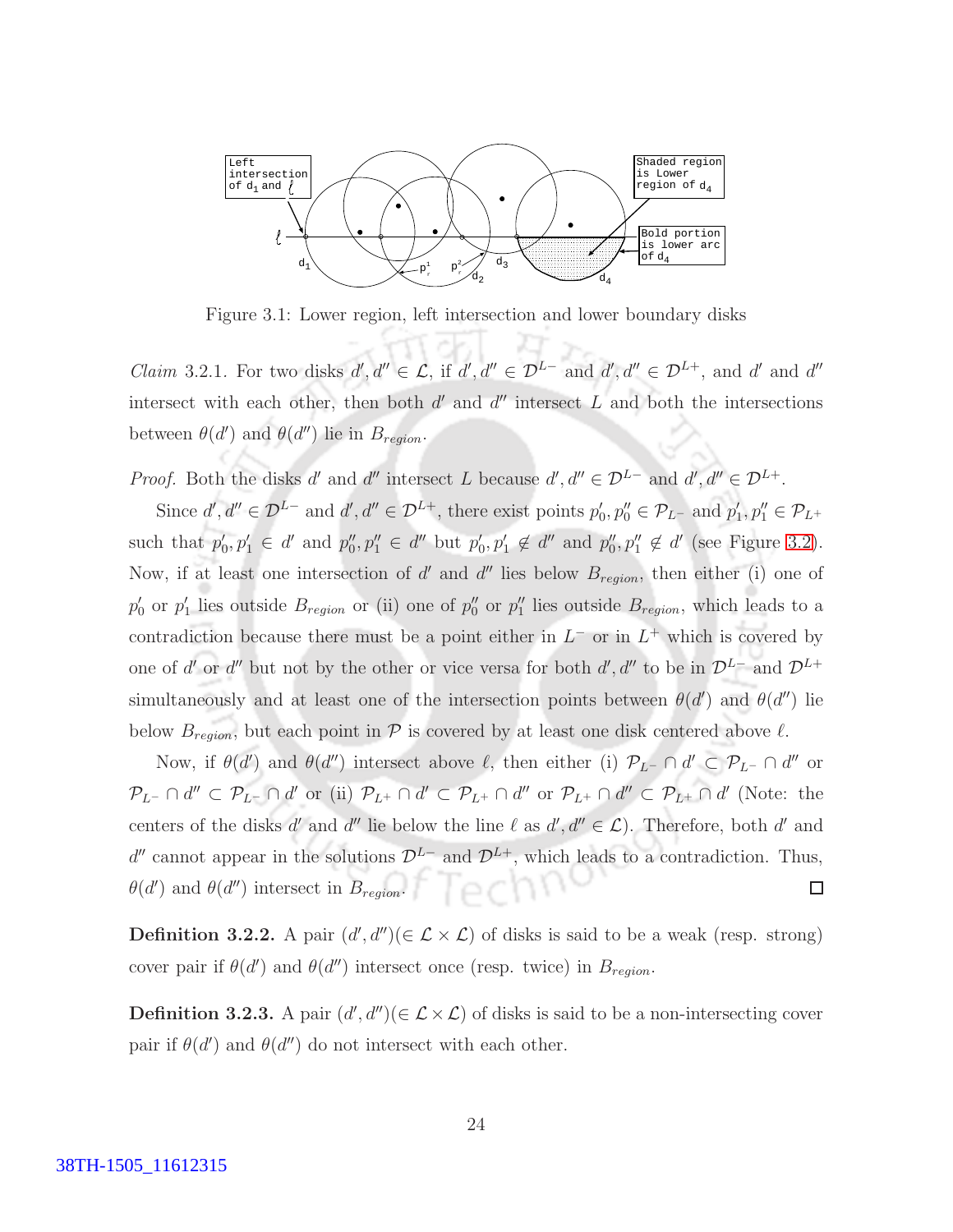<span id="page-37-0"></span>

Figure 3.1: Lower region, left intersection and lower boundary disks

<span id="page-37-1"></span>*Claim* 3.2.1. For two disks  $d', d'' \in \mathcal{L}$ , if  $d', d'' \in \mathcal{D}^{L-}$  and  $d', d'' \in \mathcal{D}^{L+}$ , and  $d'$  and  $d''$ intersect with each other, then both  $d'$  and  $d''$  intersect  $L$  and both the intersections between  $\theta(d')$  and  $\theta(d'')$  lie in  $B_{region}$ .

*Proof.* Both the disks d' and d'' intersect L because  $d', d'' \in \mathcal{D}^{L-}$  and  $d', d'' \in \mathcal{D}^{L+}$ .

Since  $d', d'' \in \mathcal{D}^{L-}$  and  $d', d'' \in \mathcal{D}^{L+}$ , there exist points  $p'_0, p''_0 \in \mathcal{P}_{L-}$  and  $p'_1, p''_1 \in \mathcal{P}_{L+}$ such that  $p'_0, p'_1 \in d'$  and  $p''_0, p''_1 \in d''$  but  $p'_0, p'_1 \notin d''$  and  $p''_0, p''_1 \notin d'$  (see Figure [3.2\)](#page-38-0). Now, if at least one intersection of d' and d'' lies below  $B_{region}$ , then either (i) one of  $p'_0$  or  $p'_1$  lies outside  $B_{region}$  or (ii) one of  $p''_0$  or  $p''_1$  lies outside  $B_{region}$ , which leads to a contradiction because there must be a point either in  $L^-$  or in  $L^+$  which is covered by one of d' or d'' but not by the other or vice versa for both  $d', d''$  to be in  $\mathcal{D}^{L-}$  and  $\mathcal{D}^{L+}$ simultaneously and at least one of the intersection points between  $\theta(d')$  and  $\theta(d'')$  lie below  $B_{region}$ , but each point in  $\mathcal P$  is covered by at least one disk centered above  $\ell$ .

Now, if  $\theta(d')$  and  $\theta(d'')$  intersect above  $\ell$ , then either (i)  $\mathcal{P}_{L}$ -  $\cap d' \subset \mathcal{P}_{L}$ -  $\cap d''$  or  $\mathcal{P}_{L^{-}} \cap d'' \subset \mathcal{P}_{L^{-}} \cap d'$  or (ii)  $\mathcal{P}_{L^{+}} \cap d' \subset \mathcal{P}_{L^{+}} \cap d''$  or  $\mathcal{P}_{L^{+}} \cap d'' \subset \mathcal{P}_{L^{+}} \cap d'$  (Note: the centers of the disks d' and d'' lie below the line  $\ell$  as  $d', d'' \in \mathcal{L}$ ). Therefore, both d' and  $d''$  cannot appear in the solutions  $\mathcal{D}^{L-}$  and  $\mathcal{D}^{L+}$ , which leads to a contradiction. Thus,  $\Box$  $\theta(d')$  and  $\theta(d'')$  intersect in  $B_{region}$ .

**Definition 3.2.2.** A pair  $(d', d'') (\in \mathcal{L} \times \mathcal{L})$  of disks is said to be a weak (resp. strong) cover pair if  $\theta(d')$  and  $\theta(d'')$  intersect once (resp. twice) in  $B_{region}$ .

**Definition 3.2.3.** A pair  $(d', d'') (\in \mathcal{L} \times \mathcal{L})$  of disks is said to be a non-intersecting cover pair if  $\theta(d')$  and  $\theta(d'')$  do not intersect with each other.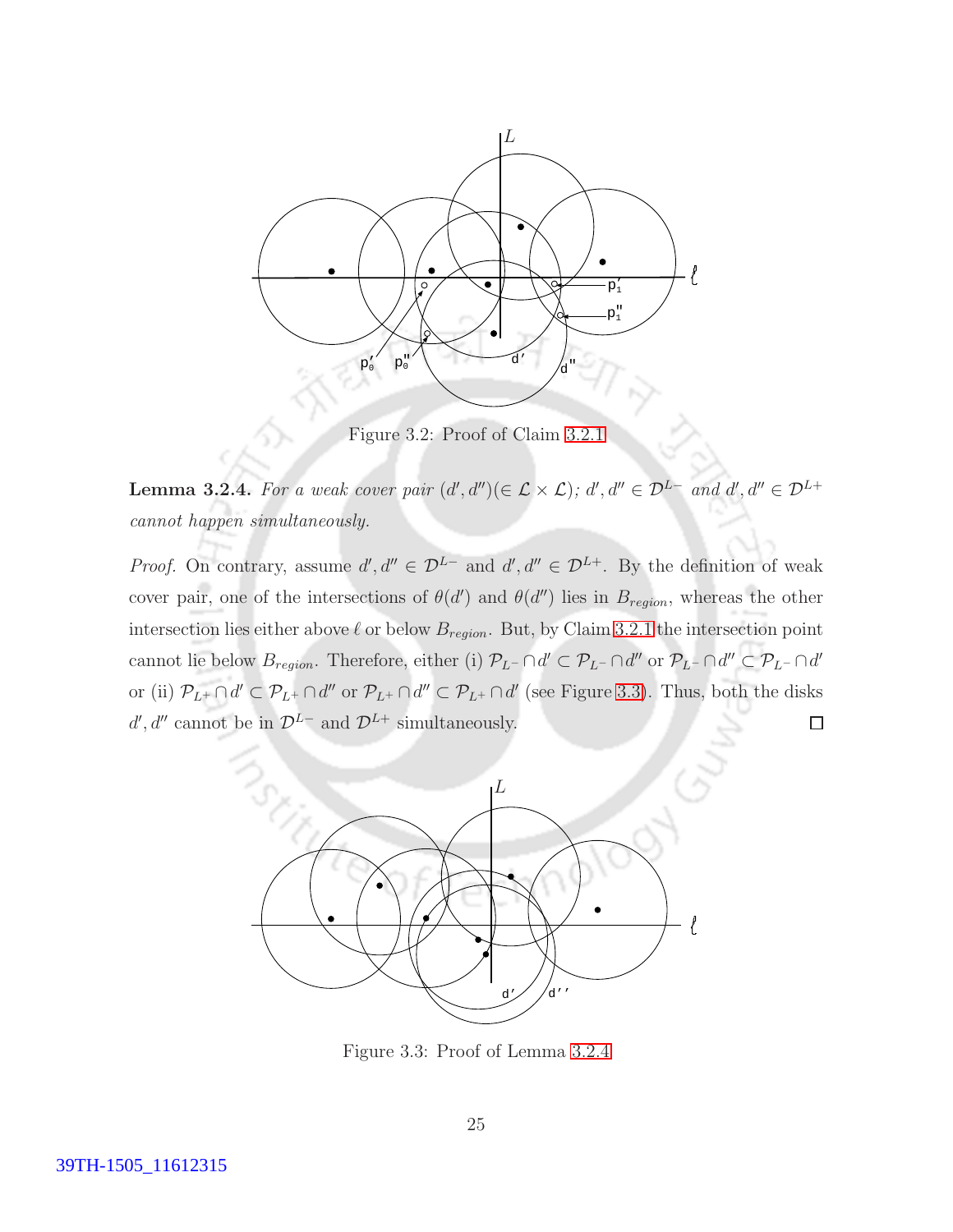<span id="page-38-0"></span>

Figure 3.2: Proof of Claim [3.2.1](#page-37-1)

<span id="page-38-2"></span>**Lemma 3.2.4.** For a weak cover pair  $(d', d'') (\in \mathcal{L} \times \mathcal{L})$ ;  $d', d'' \in \mathcal{D}^{L-}$  and  $d', d'' \in \mathcal{D}^{L+}$ cannot happen simultaneously.

*Proof.* On contrary, assume  $d', d'' \in \mathcal{D}^{L-}$  and  $d', d'' \in \mathcal{D}^{L+}$ . By the definition of weak cover pair, one of the intersections of  $\theta(d')$  and  $\theta(d'')$  lies in  $B_{region}$ , whereas the other intersection lies either above  $\ell$  or below  $B_{region}$ . But, by Claim [3.2.1](#page-37-1) the intersection point cannot lie below  $B_{region}$ . Therefore, either (i)  $\mathcal{P}_L$ - ∩d'  $\subset \mathcal{P}_L$ - ∩d'' or  $\mathcal{P}_L$ - ∩d''  $\subset \mathcal{P}_L$ - ∩d' or (ii)  $\mathcal{P}_{L^+} \cap d' \subset \mathcal{P}_{L^+} \cap d''$  or  $\mathcal{P}_{L^+} \cap d'' \subset \mathcal{P}_{L^+} \cap d'$  (see Figure [3.3\)](#page-38-1). Thus, both the disks  $d', d''$  cannot be in  $\mathcal{D}^{L-}$  and  $\mathcal{D}^{L+}$  simultaneously.  $\Box$ 

<span id="page-38-1"></span>

Figure 3.3: Proof of Lemma [3.2.4](#page-38-2)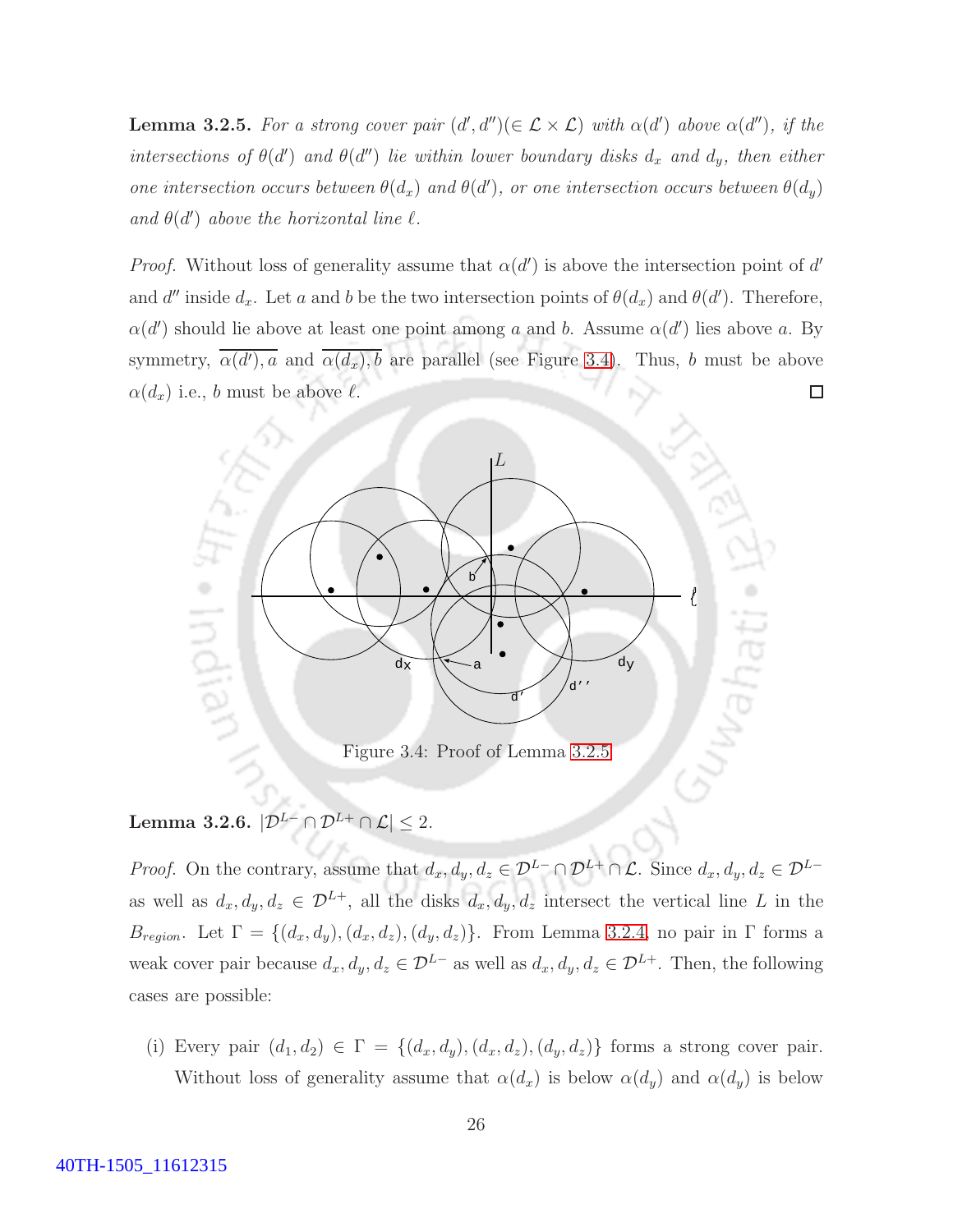<span id="page-39-1"></span>**Lemma 3.2.5.** For a strong cover pair  $(d', d'') (\in \mathcal{L} \times \mathcal{L})$  with  $\alpha(d')$  above  $\alpha(d'')$ , if the intersections of  $\theta(d')$  and  $\theta(d'')$  lie within lower boundary disks  $d_x$  and  $d_y$ , then either one intersection occurs between  $\theta(d_x)$  and  $\theta(d')$ , or one intersection occurs between  $\theta(d_y)$ and  $\theta(d')$  above the horizontal line  $\ell$ .

*Proof.* Without loss of generality assume that  $\alpha(d')$  is above the intersection point of d' and d'' inside  $d_x$ . Let a and b be the two intersection points of  $\theta(d_x)$  and  $\theta(d')$ . Therefore,  $\alpha(d')$  should lie above at least one point among a and b. Assume  $\alpha(d')$  lies above a. By symmetry,  $\alpha(d)$ , a and  $\alpha(d_x)$ , b are parallel (see Figure [3.4\)](#page-39-0). Thus, b must be above  $\alpha(d_x)$  i.e., b must be above  $\ell$ .  $\Box$ 

<span id="page-39-0"></span>

### <span id="page-39-2"></span>Lemma 3.2.6.  $|\mathcal{D}^{L-} \cap \mathcal{D}^{L+} \cap \mathcal{L}| \leq 2$ .

*Proof.* On the contrary, assume that  $d_x, d_y, d_z \in \mathcal{D}^{L-} \cap \mathcal{D}^{L+} \cap \mathcal{L}$ . Since  $d_x, d_y, d_z \in \mathcal{D}^{L-}$ as well as  $d_x, d_y, d_z \in \mathcal{D}^{L+}$ , all the disks  $d_x, d_y, d_z$  intersect the vertical line L in the  $B_{region}$ . Let  $\Gamma = \{(d_x, d_y), (d_x, d_z), (d_y, d_z)\}\$ . From Lemma [3.2.4,](#page-38-2) no pair in  $\Gamma$  forms a weak cover pair because  $d_x, d_y, d_z \in \mathcal{D}^{L-}$  as well as  $d_x, d_y, d_z \in \mathcal{D}^{L+}$ . Then, the following cases are possible:

(i) Every pair  $(d_1, d_2) \in \Gamma = \{(d_x, d_y), (d_x, d_z), (d_y, d_z)\}\)$  forms a strong cover pair. Without loss of generality assume that  $\alpha(d_x)$  is below  $\alpha(d_y)$  and  $\alpha(d_y)$  is below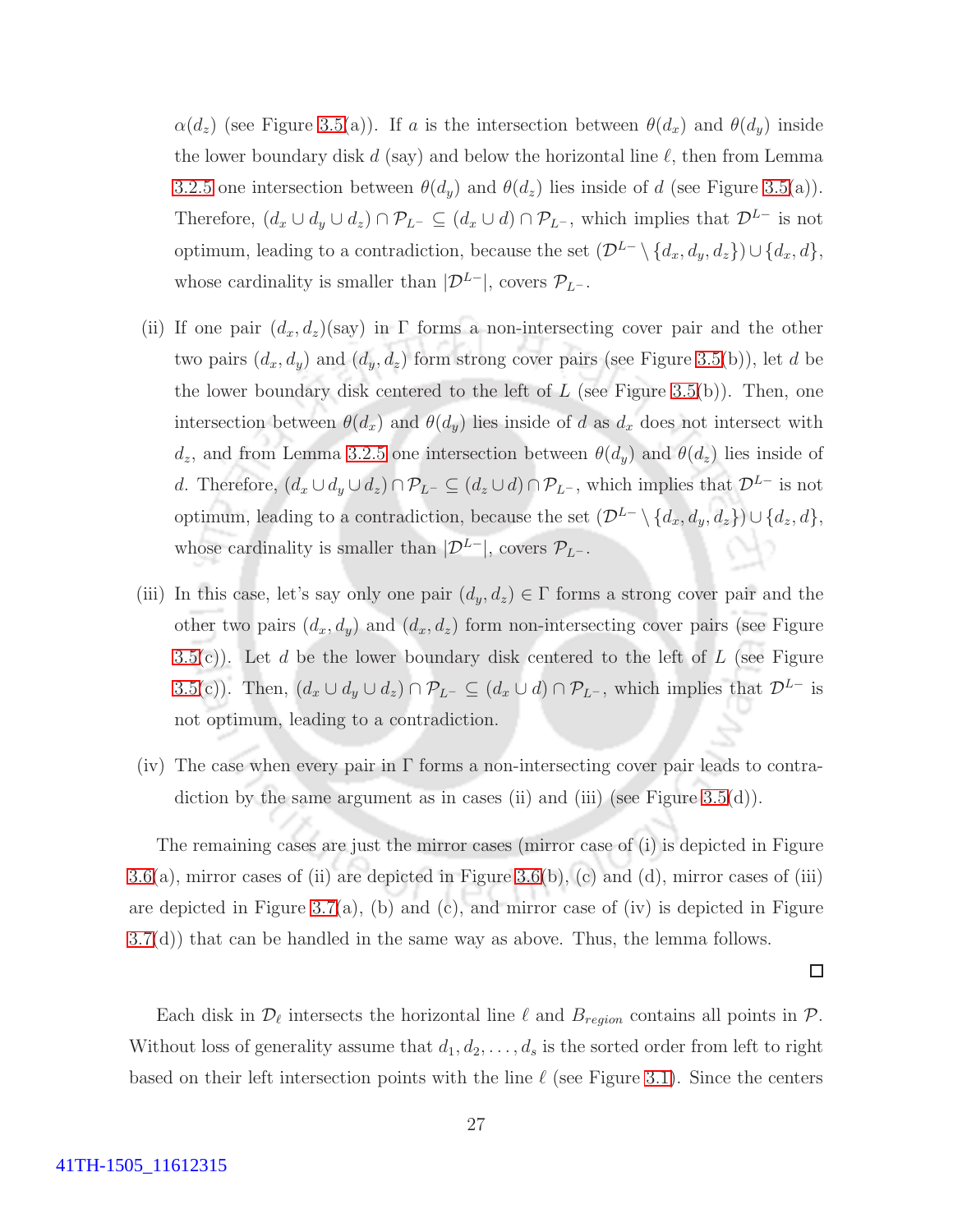$\alpha(d_z)$  (see Figure [3.5\(](#page-41-0)a)). If a is the intersection between  $\theta(d_x)$  and  $\theta(d_y)$  inside the lower boundary disk d (say) and below the horizontal line  $\ell$ , then from Lemma [3.2.5](#page-39-1) one intersection between  $\theta(d_u)$  and  $\theta(d_z)$  lies inside of d (see Figure [3.5\(](#page-41-0)a)). Therefore,  $(d_x \cup d_y \cup d_z) \cap \mathcal{P}_{L^-} \subseteq (d_x \cup d) \cap \mathcal{P}_{L^-}$ , which implies that  $\mathcal{D}^{L-}$  is not optimum, leading to a contradiction, because the set  $(\mathcal{D}^{L-}\setminus\{d_x, d_y, d_z\})\cup\{d_x, d\}$ , whose cardinality is smaller than  $|\mathcal{D}^{L-}|$ , covers  $\mathcal{P}_{L^-}$ .

- (ii) If one pair  $(d_x, d_z)$ (say) in  $\Gamma$  forms a non-intersecting cover pair and the other two pairs  $(d_x, d_y)$  and  $(d_y, d_z)$  form strong cover pairs (see Figure [3.5\(](#page-41-0)b)), let d be the lower boundary disk centered to the left of  $L$  (see Figure [3.5\(](#page-41-0)b)). Then, one intersection between  $\theta(d_x)$  and  $\theta(d_y)$  lies inside of d as  $d_x$  does not intersect with  $d_z$ , and from Lemma [3.2.5](#page-39-1) one intersection between  $\theta(d_y)$  and  $\theta(d_z)$  lies inside of d. Therefore,  $(d_x \cup d_y \cup d_z) \cap \mathcal{P}_{L}$   $\subseteq$   $(d_z \cup d) \cap \mathcal{P}_{L}$ , which implies that  $\mathcal{D}^{L-}$  is not optimum, leading to a contradiction, because the set  $(\mathcal{D}^{L-}\setminus\{d_x, d_y, d_z\})\cup\{d_z, d\},$ whose cardinality is smaller than  $|\mathcal{D}^{L-}|$ , covers  $\mathcal{P}_{L^-}$ .
- (iii) In this case, let's say only one pair  $(d_y, d_z) \in \Gamma$  forms a strong cover pair and the other two pairs  $(d_x, d_y)$  and  $(d_x, d_z)$  form non-intersecting cover pairs (see Figure [3.5\(](#page-41-0)c)). Let d be the lower boundary disk centered to the left of  $L$  (see Figure [3.5\(](#page-41-0)c)). Then,  $(d_x \cup d_y \cup d_z) \cap \mathcal{P}_{L}$ - ⊆  $(d_x \cup d) \cap \mathcal{P}_{L}$ -, which implies that  $\mathcal{D}^{L-}$  is not optimum, leading to a contradiction.
- (iv) The case when every pair in  $\Gamma$  forms a non-intersecting cover pair leads to contradiction by the same argument as in cases (ii) and (iii) (see Figure  $3.5(d)$ ).

The remaining cases are just the mirror cases (mirror case of (i) is depicted in Figure  $3.6(a)$  $3.6(a)$ , mirror cases of (ii) are depicted in Figure  $3.6(b)$ , (c) and (d), mirror cases of (iii) are depicted in Figure [3.7\(](#page-43-0)a), (b) and (c), and mirror case of (iv) is depicted in Figure [3.7\(](#page-43-0)d)) that can be handled in the same way as above. Thus, the lemma follows.

Each disk in  $\mathcal{D}_{\ell}$  intersects the horizontal line  $\ell$  and  $B_{region}$  contains all points in  $\mathcal{P}$ . Without loss of generality assume that  $d_1, d_2, \ldots, d_s$  is the sorted order from left to right based on their left intersection points with the line  $\ell$  (see Figure [3.1\)](#page-37-0). Since the centers

 $\Box$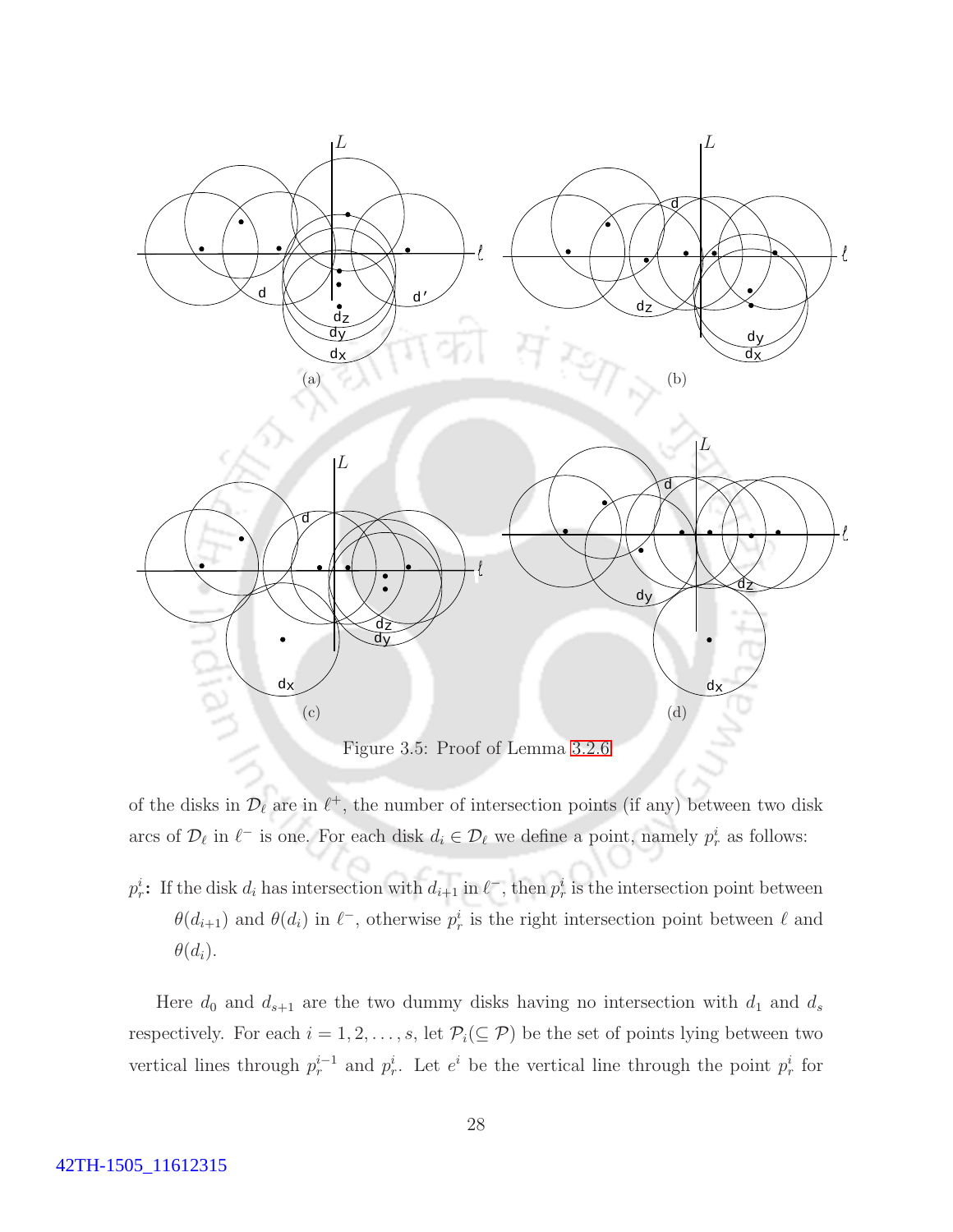<span id="page-41-0"></span>

Figure 3.5: Proof of Lemma [3.2.6](#page-39-2)

of the disks in  $\mathcal{D}_{\ell}$  are in  $\ell^{+}$ , the number of intersection points (if any) between two disk arcs of  $\mathcal{D}_{\ell}$  in  $\ell^-$  is one. For each disk  $d_i \in \mathcal{D}_{\ell}$  we define a point, namely  $p_r^i$  as follows:

 $p_r^i$ : If the disk  $d_i$  has intersection with  $d_{i+1}$  in  $\ell^-$ , then  $p_r^i$  is the intersection point between  $\theta(d_{i+1})$  and  $\theta(d_i)$  in  $\ell^-$ , otherwise  $p_r^i$  is the right intersection point between  $\ell$  and  $\theta(d_i)$ .

Here  $d_0$  and  $d_{s+1}$  are the two dummy disks having no intersection with  $d_1$  and  $d_s$ respectively. For each  $i = 1, 2, ..., s$ , let  $\mathcal{P}_i(\subseteq \mathcal{P})$  be the set of points lying between two vertical lines through  $p_r^{i-1}$  and  $p_r^i$ . Let  $e^i$  be the vertical line through the point  $p_r^i$  for

### 42TH-1505\_11612315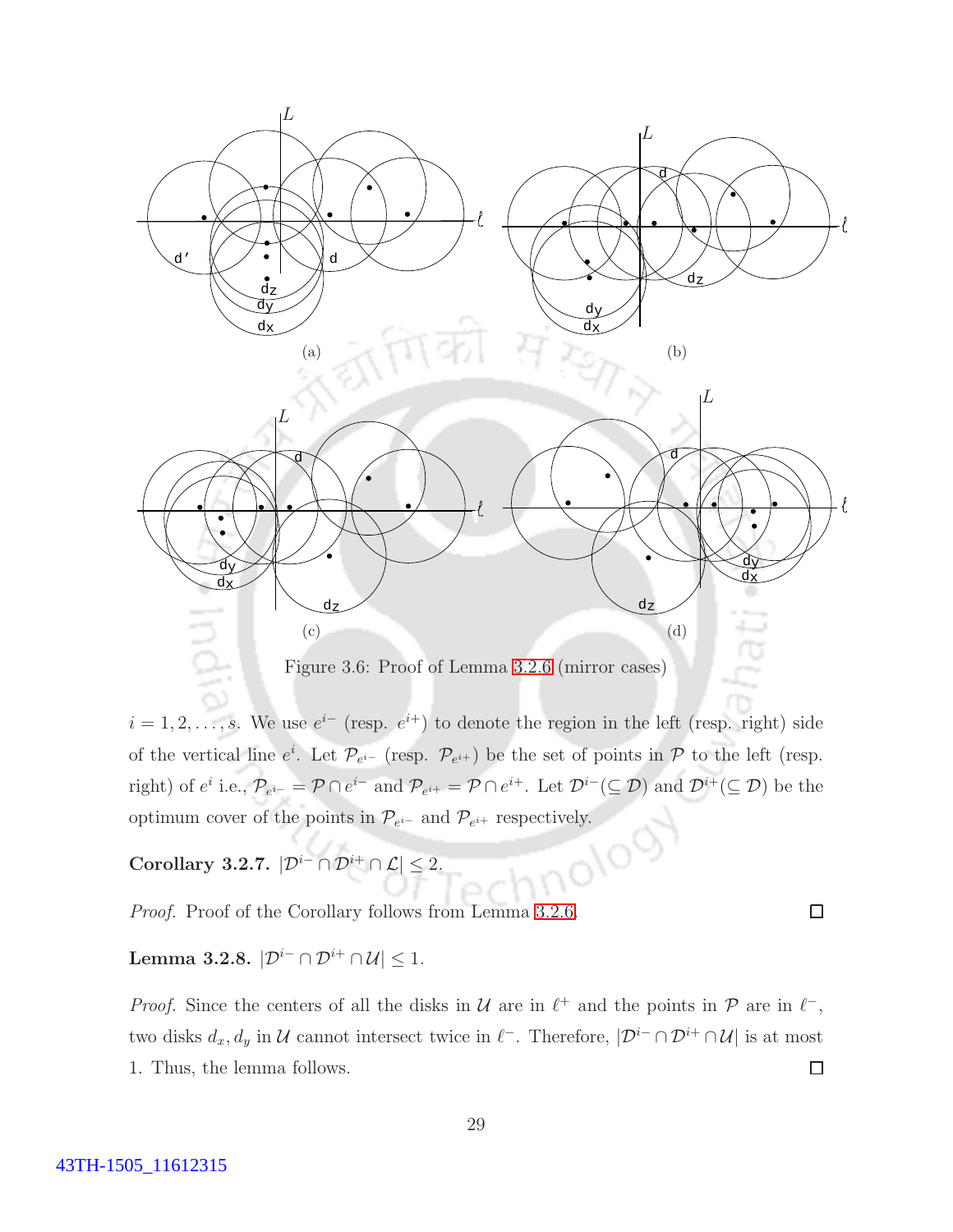<span id="page-42-0"></span>

 $i = 1, 2, \ldots, s$ . We use  $e^{i-}$  (resp.  $e^{i+}$ ) to denote the region in the left (resp. right) side

of the vertical line  $e^i$ . Let  $\mathcal{P}_{e^{i-}}$  (resp.  $\mathcal{P}_{e^{i+}}$ ) be the set of points in  $\mathcal{P}$  to the left (resp. right) of  $e^i$  i.e.,  $\mathcal{P}_{e^{i-}} = \mathcal{P} \cap e^{i-}$  and  $\mathcal{P}_{e^{i+}} = \mathcal{P} \cap e^{i+}$ . Let  $\mathcal{D}^{i-}(\subseteq \mathcal{D})$  and  $\mathcal{D}^{i+}(\subseteq \mathcal{D})$  be the optimum cover of the points in  $\mathcal{P}_{e^{i-}}$  and  $\mathcal{P}_{e^{i+}}$  respectively. /o<sub>o</sub>

<span id="page-42-1"></span>Corollary 3.2.7.  $|\mathcal{D}^{i-} \cap \mathcal{D}^{i+} \cap \mathcal{L}| \leq 2$ .

Proof. Proof of the Corollary follows from Lemma [3.2.6.](#page-39-2)

<span id="page-42-2"></span>Lemma 3.2.8.  $|\mathcal{D}^{i-} \cap \mathcal{D}^{i+} \cap \mathcal{U}| \leq 1$ .

*Proof.* Since the centers of all the disks in  $\mathcal U$  are in  $\ell^+$  and the points in  $\mathcal P$  are in  $\ell^-$ , two disks  $d_x, d_y$  in U cannot intersect twice in  $\ell^-$ . Therefore,  $|\mathcal{D}^{i-} \cap \mathcal{D}^{i+} \cap \mathcal{U}|$  is at most 1. Thus, the lemma follows.  $\Box$ 

 $\Box$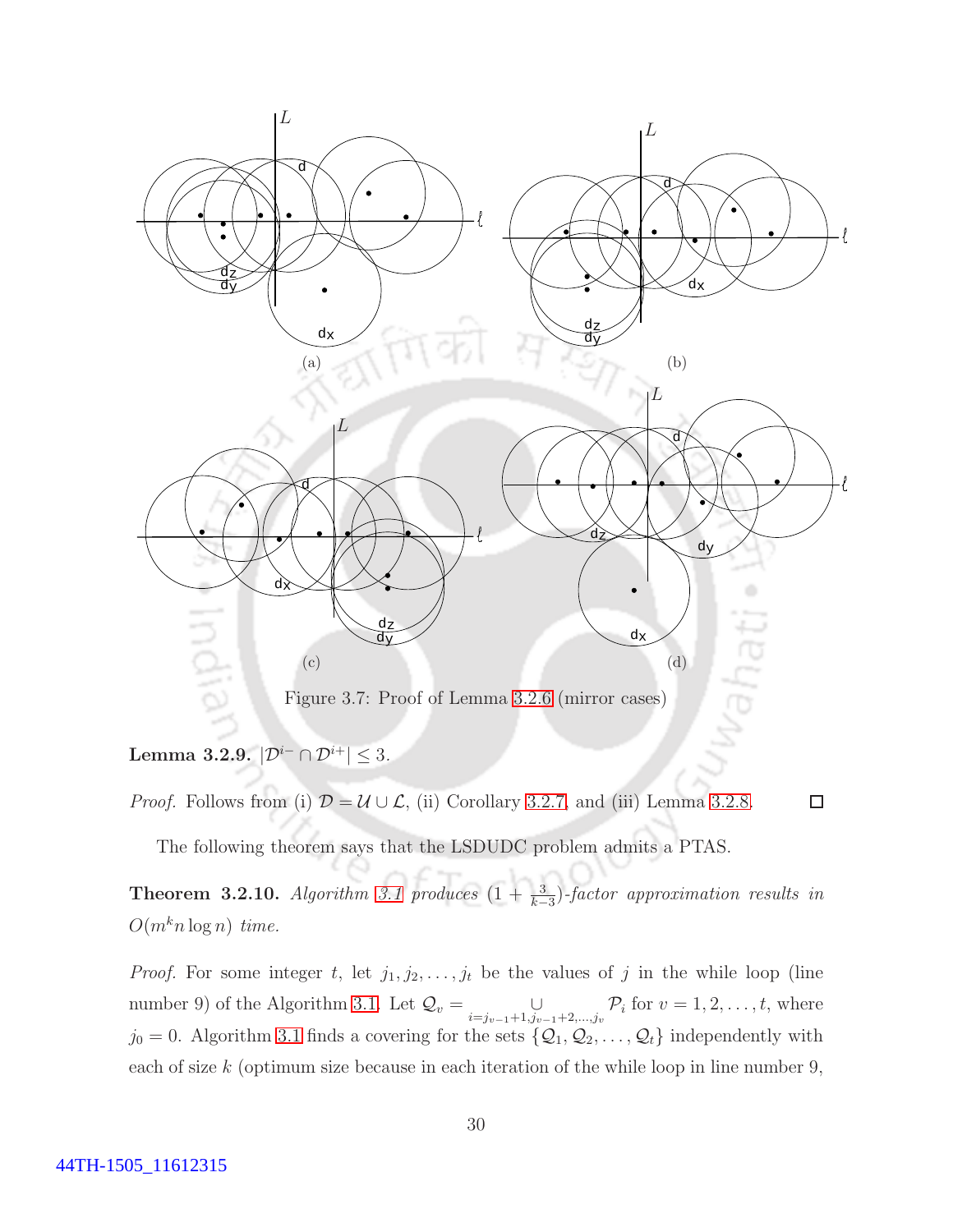<span id="page-43-0"></span>

<span id="page-43-1"></span>Lemma 3.2.9.  $|\mathcal{D}^{i-} \cap \mathcal{D}^{i+}|$  ≤ 3.

*Proof.* Follows from (i)  $\mathcal{D} = \mathcal{U} \cup \mathcal{L}$ , (ii) Corollary [3.2.7,](#page-42-1) and (iii) Lemma [3.2.8.](#page-42-2)  $\Box$ 

The following theorem says that the LSDUDC problem admits a PTAS.

<span id="page-43-2"></span>**Theorem 3.2.10.** Algorithm [3.1](#page-44-0) produces  $(1 + \frac{3}{k-3})$ -factor approximation results in  $O(m^k n \log n)$  time.

*Proof.* For some integer t, let  $j_1, j_2, \ldots, j_t$  be the values of j in the while loop (line number 9) of the Algorithm [3.1.](#page-44-0) Let  $\mathcal{Q}_v = \bigcup_{i=j_{v-1}+1,j_{v-1}+2,\dots,j_v} \mathcal{P}_i$  for  $v=1,2,\dots,t$ , where  $j_0 = 0$ . Algorithm [3.1](#page-44-0) finds a covering for the sets  $\{Q_1, Q_2, \ldots, Q_t\}$  independently with each of size  $k$  (optimum size because in each iteration of the while loop in line number 9,

#### 44TH-1505\_11612315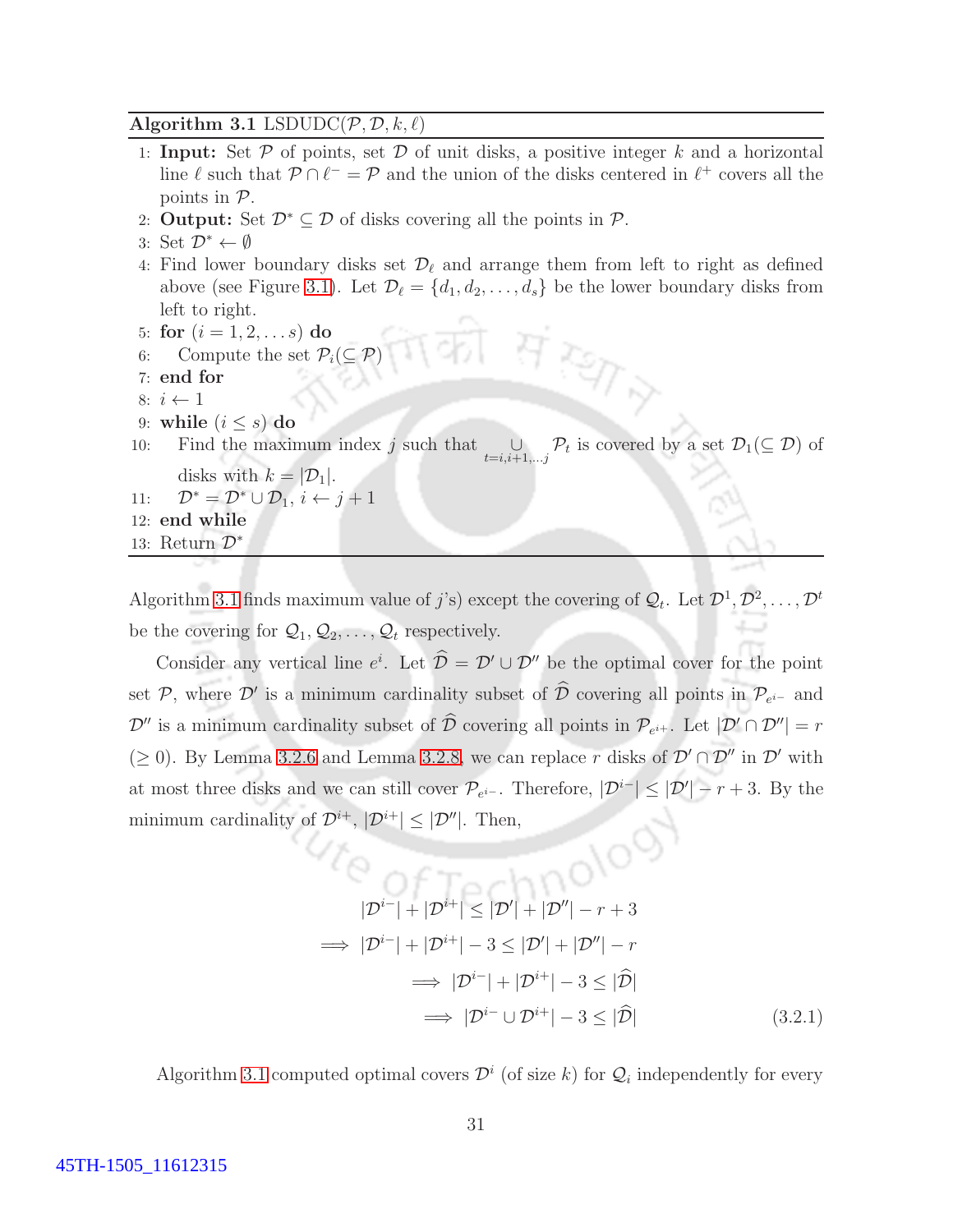#### Algorithm 3.1 LSDUDC( $\mathcal{P}, \mathcal{D}, k, \ell$ )

- 1: Input: Set  $P$  of points, set  $D$  of unit disks, a positive integer k and a horizontal line  $\ell$  such that  $\mathcal{P} \cap \ell^- = \mathcal{P}$  and the union of the disks centered in  $\ell^+$  covers all the points in P.
- 2: **Output:** Set  $\mathcal{D}^* \subseteq \mathcal{D}$  of disks covering all the points in  $\mathcal{P}$ .
- 3: Set  $\mathcal{D}^* \leftarrow \emptyset$
- 4: Find lower boundary disks set  $\mathcal{D}_{\ell}$  and arrange them from left to right as defined above (see Figure [3.1\)](#page-37-0). Let  $\mathcal{D}_{\ell} = \{d_1, d_2, \ldots, d_s\}$  be the lower boundary disks from left to right. तकी *संस्था<sub>ने</sub>*
- 5: for  $(i = 1, 2, \ldots s)$  do
- 6: Compute the set  $\mathcal{P}_i(\subseteq \mathcal{P})$
- 7: end for
- 8:  $i \leftarrow 1$
- 9: while  $(i \leq s)$  do
- 10: Find the maximum index j such that  $\bigcup_{t=i,i+1,...j} \mathcal{P}_t$  is covered by a set  $\mathcal{D}_1(\subseteq \mathcal{D})$  of disks with  $k = |\mathcal{D}_1|$ .

```
11: \mathcal{D}^* = \mathcal{D}^* \cup \mathcal{D}_1, i \leftarrow j + 1
```
- <span id="page-44-0"></span>12: end while
- 13: Return D<sup>∗</sup>

Algorithm [3.1](#page-44-0) finds maximum value of j's) except the covering of  $\mathcal{Q}_t$ . Let  $\mathcal{D}^1, \mathcal{D}^2, \ldots, \mathcal{D}^t$ be the covering for  $Q_1, Q_2, \ldots, Q_t$  respectively.

Consider any vertical line  $e^i$ . Let  $\mathcal{D} = \mathcal{D}' \cup \mathcal{D}''$  be the optimal cover for the point set  $P$ , where  $\mathcal{D}'$  is a minimum cardinality subset of  $D$  covering all points in  $\mathcal{P}_{e^{i-}}$  and  $\mathcal{D}''$  is a minimum cardinality subset of  $\mathcal D$  covering all points in  $\mathcal P_{e^{i+}}$ . Let  $|\mathcal{D}' \cap \mathcal{D}''| = r$ ( $\geq$  0). By Lemma [3.2.6](#page-39-2) and Lemma [3.2.8,](#page-42-2) we can replace r disks of  $\mathcal{D}' \cap \mathcal{D}''$  in  $\mathcal{D}'$  with at most three disks and we can still cover  $\mathcal{P}_{e^{i-}}$ . Therefore,  $|\mathcal{D}^{i-}| \leq |\mathcal{D}'| - r + 3$ . By the minimum cardinality of  $\mathcal{D}^{i+}$ ,  $|\mathcal{D}^{i+}| \leq |\mathcal{D}''|$ . Then,

<span id="page-44-1"></span>
$$
|\mathcal{D}^{i-}| + |\mathcal{D}^{i+}| \leq |\mathcal{D}'| + |\mathcal{D}''| - r + 3
$$
  
\n
$$
\implies |\mathcal{D}^{i-}| + |\mathcal{D}^{i+}| - 3 \leq |\mathcal{D}'| + |\mathcal{D}''| - r
$$
  
\n
$$
\implies |\mathcal{D}^{i-}| + |\mathcal{D}^{i+}| - 3 \leq |\widehat{\mathcal{D}}|
$$
  
\n
$$
\implies |\mathcal{D}^{i-} \cup \mathcal{D}^{i+}| - 3 \leq |\widehat{\mathcal{D}}|
$$
\n(3.2.1)

Algorithm [3.1](#page-44-0) computed optimal covers  $\mathcal{D}^i$  (of size k) for  $\mathcal{Q}_i$  independently for every

### 45TH-1505\_11612315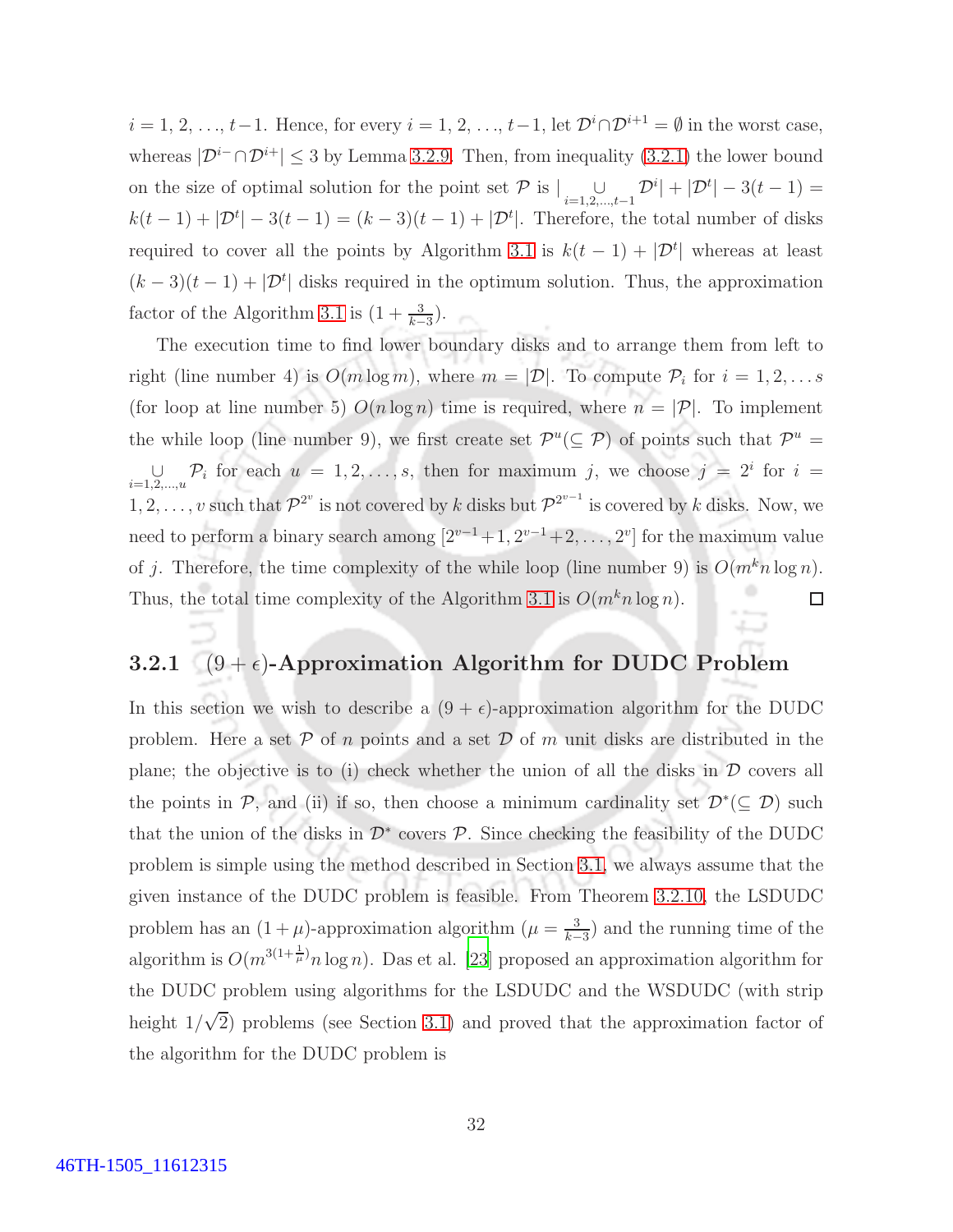$i = 1, 2, ..., t-1$ . Hence, for every  $i = 1, 2, ..., t-1$ , let  $\mathcal{D}^i \cap \mathcal{D}^{i+1} = \emptyset$  in the worst case, whereas  $|\mathcal{D}^{i-} \cap \mathcal{D}^{i+}| \leq 3$  by Lemma [3.2.9.](#page-43-1) Then, from inequality [\(3.2.1\)](#page-44-1) the lower bound on the size of optimal solution for the point set  $\mathcal{P}$  is  $|\bigcup_{i=1,2,\dots,t-1} \mathcal{D}^i| + |\mathcal{D}^t| - 3(t-1) =$  $k(t-1) + |\mathcal{D}^t| - 3(t-1) = (k-3)(t-1) + |\mathcal{D}^t|$ . Therefore, the total number of disks required to cover all the points by Algorithm [3.1](#page-44-0) is  $k(t-1) + |\mathcal{D}^t|$  whereas at least  $(k-3)(t-1) + |\mathcal{D}^t|$  disks required in the optimum solution. Thus, the approximation factor of the Algorithm [3.1](#page-44-0) is  $(1 + \frac{3}{k-3})$ .

The execution time to find lower boundary disks and to arrange them from left to right (line number 4) is  $O(m \log m)$ , where  $m = |\mathcal{D}|$ . To compute  $\mathcal{P}_i$  for  $i = 1, 2, \dots s$ (for loop at line number 5)  $O(n \log n)$  time is required, where  $n = |\mathcal{P}|$ . To implement the while loop (line number 9), we first create set  $\mathcal{P}^u(\subseteq \mathcal{P})$  of points such that  $\mathcal{P}^u$  =  $\bigcup_{i=1,2,...,u}$   $\mathcal{P}_i$  for each  $u = 1,2,...,s$ , then for maximum j, we choose j = 2<sup>i</sup> for i = 1, 2, ..., v such that  $\mathcal{P}^{2^v}$  is not covered by k disks but  $\mathcal{P}^{2^{v-1}}$  is covered by k disks. Now, we need to perform a binary search among  $[2^{v-1}+1, 2^{v-1}+2, \ldots, 2^v]$  for the maximum value of j. Therefore, the time complexity of the while loop (line number 9) is  $O(m^k n \log n)$ . Thus, the total time complexity of the Algorithm [3.1](#page-44-0) is  $O(m^k n \log n)$ .  $\Box$ 

### 3.2.1  $(9 + \epsilon)$ -Approximation Algorithm for DUDC Problem

In this section we wish to describe a  $(9 + \epsilon)$ -approximation algorithm for the DUDC problem. Here a set  $P$  of n points and a set  $D$  of m unit disks are distributed in the plane; the objective is to (i) check whether the union of all the disks in  $\mathcal D$  covers all the points in P, and (ii) if so, then choose a minimum cardinality set  $\mathcal{D}^*(\subseteq \mathcal{D})$  such that the union of the disks in  $\mathcal{D}^*$  covers  $\mathcal{P}$ . Since checking the feasibility of the DUDC problem is simple using the method described in Section [3.1,](#page-34-0) we always assume that the given instance of the DUDC problem is feasible. From Theorem [3.2.10,](#page-43-2) the LSDUDC problem has an  $(1 + \mu)$ -approximation algorithm  $(\mu = \frac{3}{k-1})$  $\frac{3}{k-3}$ ) and the running time of the algorithm is  $O(m^{3(1+\frac{1}{\mu})}n \log n)$ . Das et al. [\[23\]](#page-102-0) proposed an approximation algorithm for the DUDC problem using algorithms for the LSDUDC and the WSDUDC (with strip height  $1/\sqrt{2}$ ) problems (see Section [3.1\)](#page-34-0) and proved that the approximation factor of the algorithm for the DUDC problem is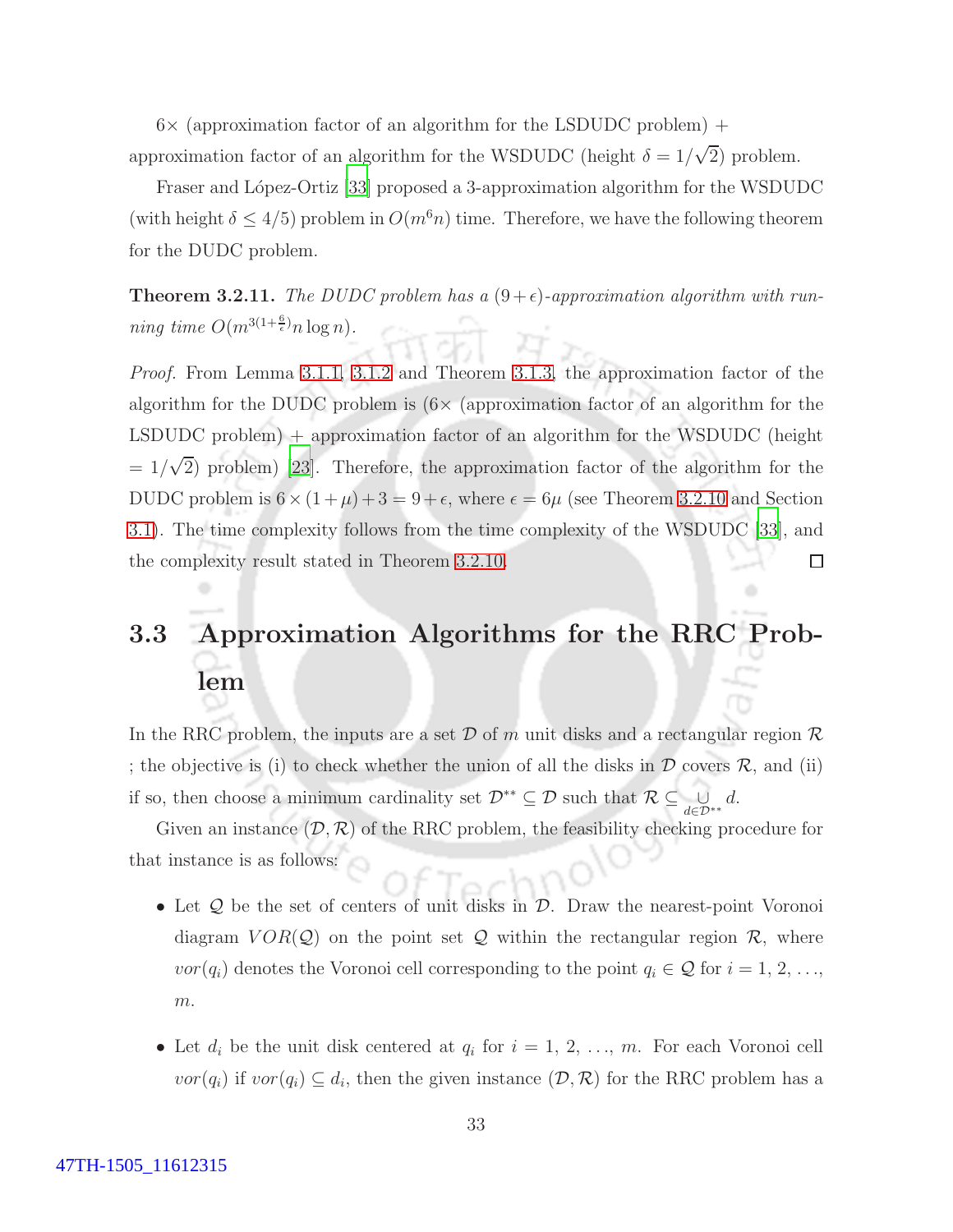$6\times$  (approximation factor of an algorithm for the LSDUDC problem) + approximation factor of an algorithm for the WSDUDC (height  $\delta = 1/\sqrt{2}$ ) problem.

Fraser and López-Ortiz [\[33\]](#page-103-0) proposed a 3-approximation algorithm for the WSDUDC (with height  $\delta \leq 4/5$ ) problem in  $O(m^6n)$  time. Therefore, we have the following theorem for the DUDC problem.

<span id="page-46-0"></span>**Theorem 3.2.11.** The DUDC problem has a  $(9+\epsilon)$ -approximation algorithm with running time  $O(m^{3(1+\frac{6}{\epsilon})}n \log n)$ .

Proof. From Lemma [3.1.1,](#page-35-1) [3.1.2](#page-35-2) and Theorem [3.1.3,](#page-35-0) the approximation factor of the algorithm for the DUDC problem is  $(6\times$  (approximation factor of an algorithm for the LSDUDC problem) + approximation factor of an algorithm for the WSDUDC (height  $= 1/\sqrt{2}$  problem) [\[23](#page-102-0)]. Therefore, the approximation factor of the algorithm for the DUDC problem is  $6 \times (1 + \mu) + 3 = 9 + \epsilon$ , where  $\epsilon = 6\mu$  (see Theorem [3.2.10](#page-43-2) and Section [3.1\)](#page-34-0). The time complexity follows from the time complexity of the WSDUDC [\[33\]](#page-103-0), and the complexity result stated in Theorem [3.2.10.](#page-43-2)  $\Box$ 

# 3.3 Approximation Algorithms for the RRC Problem

In the RRC problem, the inputs are a set  $\mathcal D$  of m unit disks and a rectangular region  $\mathcal R$ ; the objective is (i) to check whether the union of all the disks in  $D$  covers  $R$ , and (ii) if so, then choose a minimum cardinality set  $\mathcal{D}^{**} \subseteq \mathcal{D}$  such that  $\mathcal{R} \subseteq \bigcup_{d \in \mathcal{D}^{**}}$ d.

Given an instance  $(\mathcal{D}, \mathcal{R})$  of the RRC problem, the feasibility checking procedure for that instance is as follows:

- Let  $\mathcal Q$  be the set of centers of unit disks in  $\mathcal D$ . Draw the nearest-point Voronoi diagram  $VOR(\mathcal{Q})$  on the point set  $\mathcal Q$  within the rectangular region  $\mathcal R$ , where  $vor(q_i)$  denotes the Voronoi cell corresponding to the point  $q_i \in \mathcal{Q}$  for  $i = 1, 2, ...,$  $m$ .
- Let  $d_i$  be the unit disk centered at  $q_i$  for  $i = 1, 2, ..., m$ . For each Voronoi cell  $vor(q_i)$  if  $vor(q_i) \subseteq d_i$ , then the given instance  $(D, \mathcal{R})$  for the RRC problem has a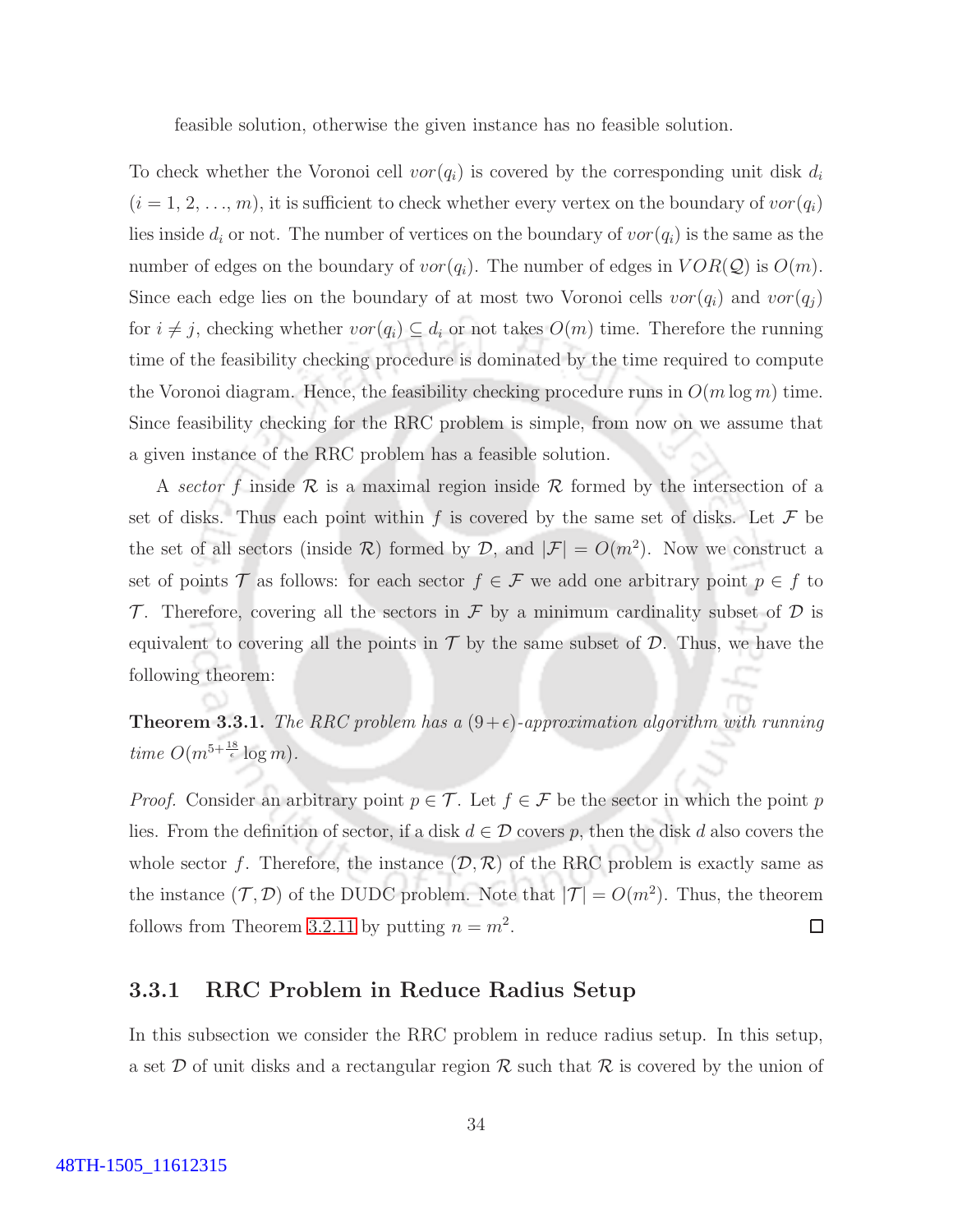feasible solution, otherwise the given instance has no feasible solution.

To check whether the Voronoi cell  $vor(q_i)$  is covered by the corresponding unit disk  $d_i$  $(i = 1, 2, ..., m)$ , it is sufficient to check whether every vertex on the boundary of  $vor(q_i)$ lies inside  $d_i$  or not. The number of vertices on the boundary of  $vor(q_i)$  is the same as the number of edges on the boundary of  $vor(q_i)$ . The number of edges in  $VOR(\mathcal{Q})$  is  $O(m)$ . Since each edge lies on the boundary of at most two Voronoi cells  $vor(q_i)$  and  $vor(q_j)$ for  $i \neq j$ , checking whether  $vor(q_i) \subseteq d_i$  or not takes  $O(m)$  time. Therefore the running time of the feasibility checking procedure is dominated by the time required to compute the Voronoi diagram. Hence, the feasibility checking procedure runs in  $O(m \log m)$  time. Since feasibility checking for the RRC problem is simple, from now on we assume that a given instance of the RRC problem has a feasible solution.

A sector f inside  $R$  is a maximal region inside  $R$  formed by the intersection of a set of disks. Thus each point within f is covered by the same set of disks. Let  $\mathcal F$  be the set of all sectors (inside R) formed by  $\mathcal{D}$ , and  $|\mathcal{F}| = O(m^2)$ . Now we construct a set of points T as follows: for each sector  $f \in \mathcal{F}$  we add one arbitrary point  $p \in f$  to T. Therefore, covering all the sectors in F by a minimum cardinality subset of D is equivalent to covering all the points in  $\mathcal T$  by the same subset of  $\mathcal D$ . Thus, we have the following theorem:

**Theorem 3.3.1.** The RRC problem has a  $(9+\epsilon)$ -approximation algorithm with running time  $O(m^{5+\frac{18}{\epsilon}} \log m)$ .

*Proof.* Consider an arbitrary point  $p \in \mathcal{T}$ . Let  $f \in \mathcal{F}$  be the sector in which the point p lies. From the definition of sector, if a disk  $d \in \mathcal{D}$  covers p, then the disk d also covers the whole sector f. Therefore, the instance  $(\mathcal{D}, \mathcal{R})$  of the RRC problem is exactly same as the instance  $(\mathcal{T}, \mathcal{D})$  of the DUDC problem. Note that  $|\mathcal{T}| = O(m^2)$ . Thus, the theorem follows from Theorem [3.2.11](#page-46-0) by putting  $n = m^2$ .  $\Box$ 

### 3.3.1 RRC Problem in Reduce Radius Setup

In this subsection we consider the RRC problem in reduce radius setup. In this setup, a set D of unit disks and a rectangular region R such that R is covered by the union of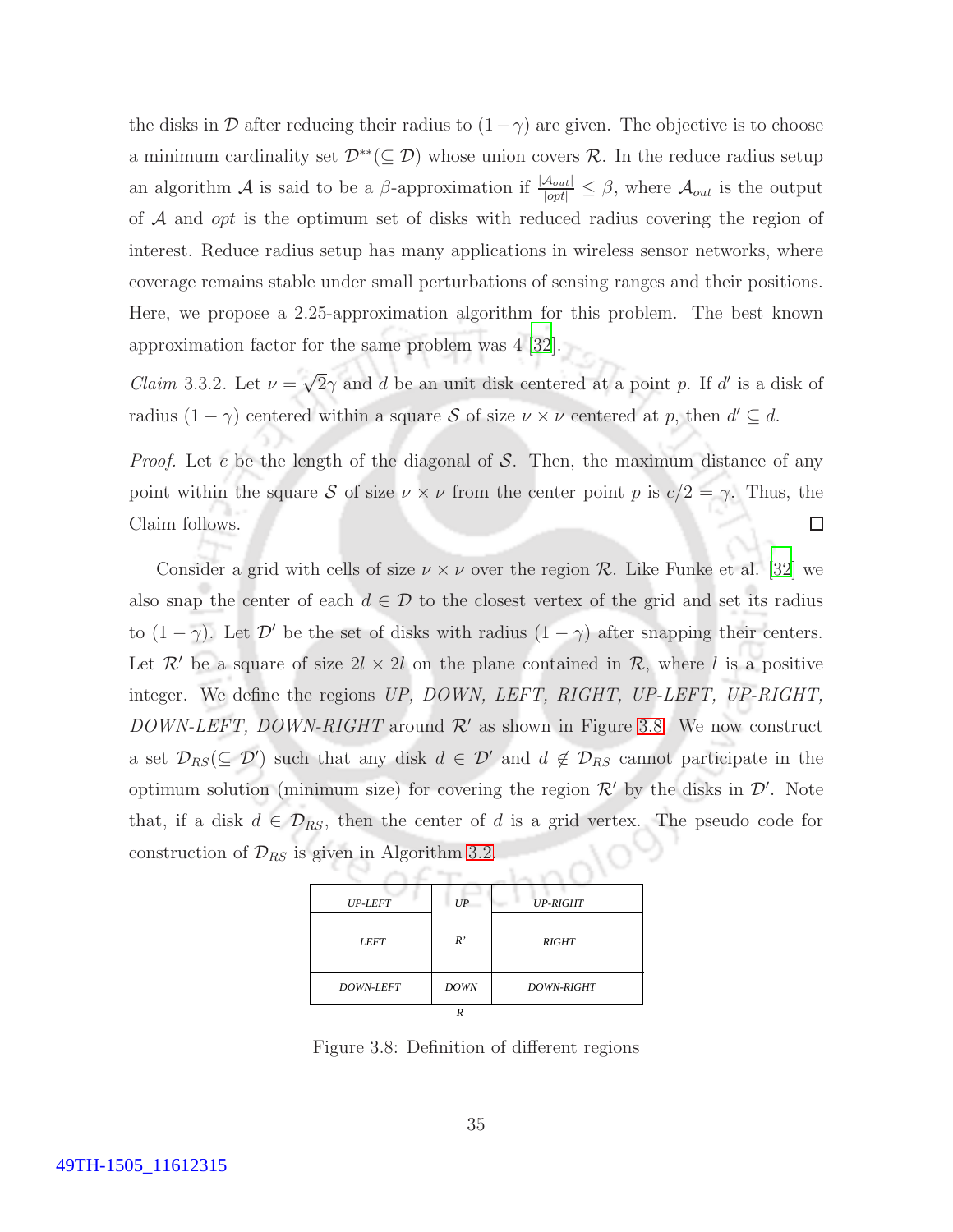the disks in D after reducing their radius to  $(1-\gamma)$  are given. The objective is to choose a minimum cardinality set  $\mathcal{D}^{**}(\subseteq \mathcal{D})$  whose union covers  $\mathcal{R}$ . In the reduce radius setup an algorithm A is said to be a  $\beta$ -approximation if  $\frac{|A_{out}|}{|opt|} \leq \beta$ , where  $A_{out}$  is the output of  $A$  and  $opt$  is the optimum set of disks with reduced radius covering the region of interest. Reduce radius setup has many applications in wireless sensor networks, where coverage remains stable under small perturbations of sensing ranges and their positions. Here, we propose a 2.25-approximation algorithm for this problem. The best known approximation factor for the same problem was 4 [\[32](#page-103-1)].

<span id="page-48-1"></span>*Claim* 3.3.2. Let  $\nu = \sqrt{2}\gamma$  and d be an unit disk centered at a point p. If d' is a disk of radius  $(1 - \gamma)$  centered within a square S of size  $\nu \times \nu$  centered at p, then  $d' \subseteq d$ .

*Proof.* Let c be the length of the diagonal of  $S$ . Then, the maximum distance of any point within the square S of size  $\nu \times \nu$  from the center point p is  $c/2 = \gamma$ . Thus, the Claim follows.  $\Box$ 

Consider a grid with cells of size  $\nu \times \nu$  over the region  $\mathcal{R}$ . Like Funke et al. [\[32\]](#page-103-1) we also snap the center of each  $d \in \mathcal{D}$  to the closest vertex of the grid and set its radius to  $(1 - \gamma)$ . Let  $\mathcal{D}'$  be the set of disks with radius  $(1 - \gamma)$  after snapping their centers. Let  $\mathcal{R}'$  be a square of size  $2l \times 2l$  on the plane contained in  $\mathcal{R}$ , where l is a positive integer. We define the regions UP, DOWN, LEFT, RIGHT, UP-LEFT, UP-RIGHT, DOWN-LEFT, DOWN-RIGHT around  $\mathcal{R}'$  as shown in Figure [3.8.](#page-48-0) We now construct a set  $\mathcal{D}_{RS}(\subseteq \mathcal{D}')$  such that any disk  $d \in \mathcal{D}'$  and  $d \notin \mathcal{D}_{RS}$  cannot participate in the optimum solution (minimum size) for covering the region  $\mathcal{R}'$  by the disks in  $\mathcal{D}'$ . Note that, if a disk  $d \in \mathcal{D}_{RS}$ , then the center of d is a grid vertex. The pseudo code for construction of  $\mathcal{D}_{RS}$  is given in Algorithm [3.2.](#page-49-0)

<span id="page-48-0"></span>

| <b>UP-LEFT</b> | UP          | <b>UP-RIGHT</b>   |
|----------------|-------------|-------------------|
| <i>LEFT</i>    | R'          | <b>RIGHT</b>      |
| DOWN-LEFT      | <b>DOWN</b> | <b>DOWN-RIGHT</b> |
|                |             |                   |

Figure 3.8: Definition of different regions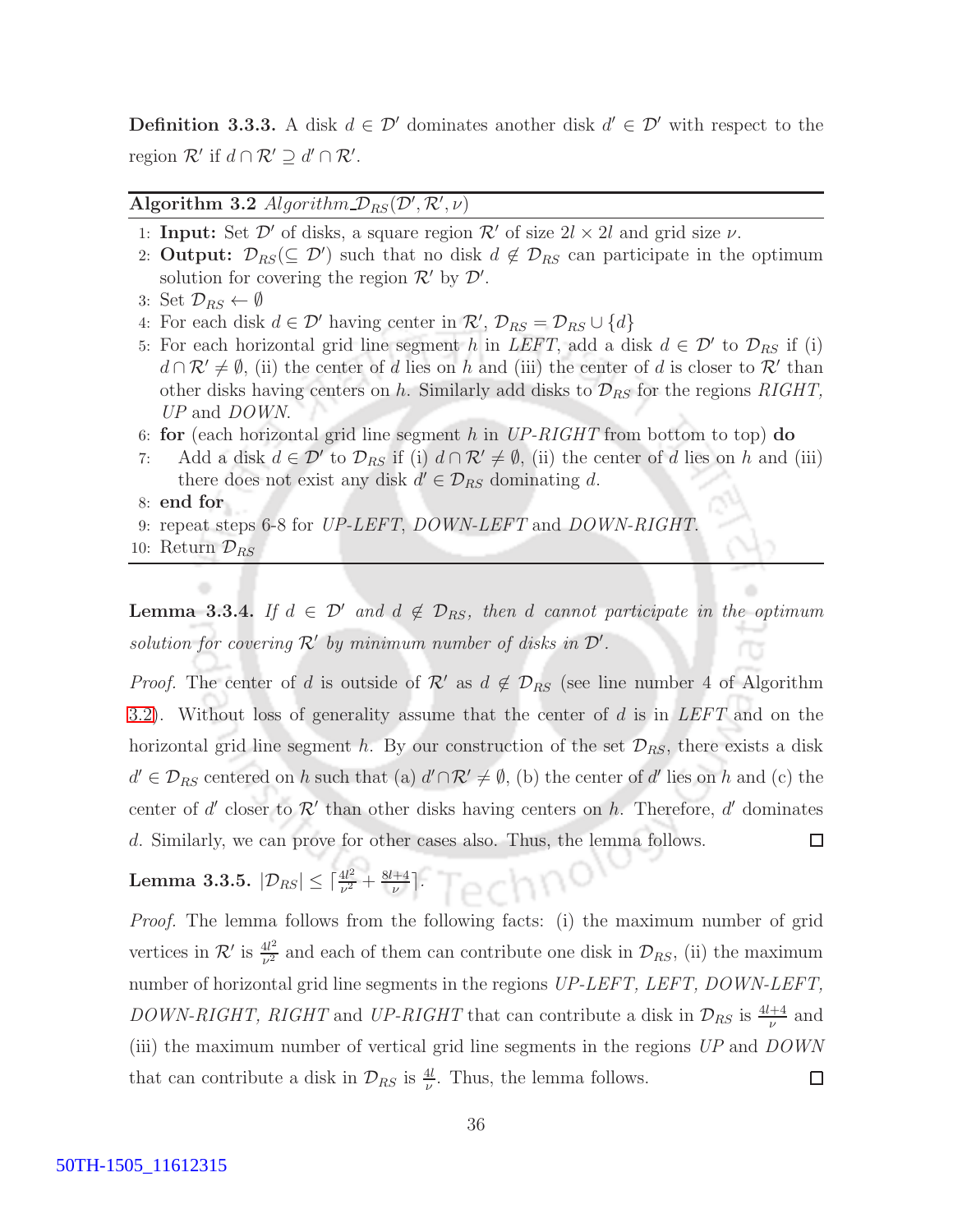**Definition 3.3.3.** A disk  $d \in \mathcal{D}'$  dominates another disk  $d' \in \mathcal{D}'$  with respect to the region  $\mathcal{R}'$  if  $d \cap \mathcal{R}' \supseteq d' \cap \mathcal{R}'$ .

### Algorithm 3.2  $Algorithm\_D_{RS}(\mathcal{D}', \mathcal{R}', \nu)$

- 1: Input: Set  $\mathcal{D}'$  of disks, a square region  $\mathcal{R}'$  of size  $2l \times 2l$  and grid size  $\nu$ .
- 2: **Output:**  $\mathcal{D}_{RS}(\subseteq \mathcal{D}')$  such that no disk  $d \notin \mathcal{D}_{RS}$  can participate in the optimum solution for covering the region  $\mathcal{R}'$  by  $\mathcal{D}'$ .
- 3: Set  $\mathcal{D}_{RS} \leftarrow \emptyset$
- 4: For each disk  $d \in \mathcal{D}'$  having center in  $\mathcal{R}', \mathcal{D}_{RS} = \mathcal{D}_{RS} \cup \{d\}$
- 5: For each horizontal grid line segment h in LEFT, add a disk  $d \in \mathcal{D}'$  to  $\mathcal{D}_{RS}$  if (i)  $d \cap \mathcal{R}' \neq \emptyset$ , (ii) the center of d lies on h and (iii) the center of d is closer to  $\mathcal{R}'$  than other disks having centers on h. Similarly add disks to  $\mathcal{D}_{RS}$  for the regions RIGHT, UP and DOWN.
- 6: for (each horizontal grid line segment h in  $UP\text{-}RIGHT$  from bottom to top) do
- 7: Add a disk  $d \in \mathcal{D}'$  to  $\mathcal{D}_{RS}$  if (i)  $d \cap \mathcal{R}' \neq \emptyset$ , (ii) the center of d lies on h and (iii) there does not exist any disk  $d' \in \mathcal{D}_{RS}$  dominating d.
- <span id="page-49-0"></span>8: end for
- 9: repeat steps 6-8 for UP-LEFT, DOWN-LEFT and DOWN-RIGHT.
- 10: Return  $\mathcal{D}_{RS}$

**Lemma 3.3.4.** If  $d \in \mathcal{D}'$  and  $d \notin \mathcal{D}_{RS}$ , then d cannot participate in the optimum solution for covering  $\mathcal{R}'$  by minimum number of disks in  $\mathcal{D}'$ .

*Proof.* The center of d is outside of  $\mathcal{R}'$  as  $d \notin \mathcal{D}_{RS}$  (see line number 4 of Algorithm [3.2\)](#page-49-0). Without loss of generality assume that the center of  $d$  is in LEFT and on the horizontal grid line segment h. By our construction of the set  $\mathcal{D}_{RS}$ , there exists a disk  $d' \in \mathcal{D}_{RS}$  centered on h such that (a)  $d' \cap \mathcal{R}' \neq \emptyset$ , (b) the center of d' lies on h and (c) the center of  $d'$  closer to  $\mathcal{R}'$  than other disks having centers on h. Therefore,  $d'$  dominates d. Similarly, we can prove for other cases also. Thus, the lemma follows. □

#### <span id="page-49-1"></span>Lemma 3.3.5.  $|\mathcal{D}_{RS}| \leq \lceil \frac{4l^2}{\nu^2} \rceil$  $\frac{4l^2}{\nu^2}+\frac{8l+4}{\nu}$  $\frac{+4}{\nu}$ .

Proof. The lemma follows from the following facts: (i) the maximum number of grid vertices in  $\mathcal{R}'$  is  $\frac{4l^2}{\nu^2}$  $\frac{4l^2}{\nu^2}$  and each of them can contribute one disk in  $\mathcal{D}_{RS}$ , (ii) the maximum number of horizontal grid line segments in the regions UP-LEFT, LEFT, DOWN-LEFT, DOWN-RIGHT, RIGHT and UP-RIGHT that can contribute a disk in  $\mathcal{D}_{RS}$  is  $\frac{4l+4}{\nu}$  and (iii) the maximum number of vertical grid line segments in the regions UP and DOWN that can contribute a disk in  $\mathcal{D}_{RS}$  is  $\frac{4l}{\nu}$ . Thus, the lemma follows.  $\Box$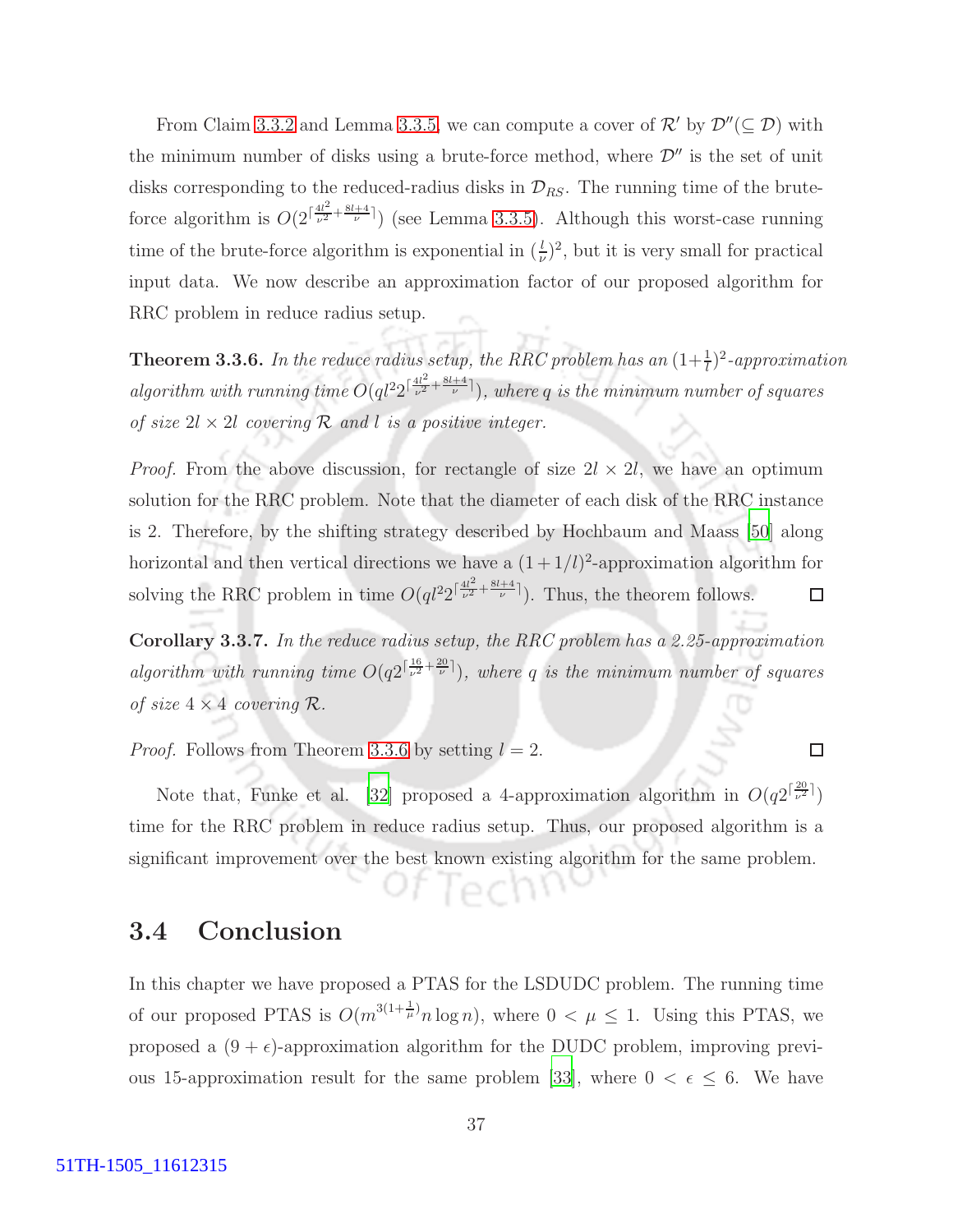From Claim [3.3.2](#page-48-1) and Lemma [3.3.5,](#page-49-1) we can compute a cover of  $\mathcal{R}'$  by  $\mathcal{D}''(\subseteq \mathcal{D})$  with the minimum number of disks using a brute-force method, where  $\mathcal{D}''$  is the set of unit disks corresponding to the reduced-radius disks in  $\mathcal{D}_{RS}$ . The running time of the bruteforce algorithm is  $O(2^{\lceil \frac{4l^2}{\nu^2} + \frac{8l+4}{\nu} \rceil})$  (see Lemma [3.3.5\)](#page-49-1). Although this worst-case running time of the brute-force algorithm is exponential in  $(\frac{l}{\nu})^2$ , but it is very small for practical input data. We now describe an approximation factor of our proposed algorithm for RRC problem in reduce radius setup.

<span id="page-50-0"></span>**Theorem 3.3.6.** In the reduce radius setup, the RRC problem has an  $(1+\frac{1}{l})^2$ -approximation algorithm with running time  $O(q^{2} 2^{\lceil \frac{4l^{2}}{\nu^{2}} + \frac{8l+4}{\nu} \rceil})$ , where q is the minimum number of squares of size  $2l \times 2l$  covering R and l is a positive integer.

*Proof.* From the above discussion, for rectangle of size  $2l \times 2l$ , we have an optimum solution for the RRC problem. Note that the diameter of each disk of the RRC instance is 2. Therefore, by the shifting strategy described by Hochbaum and Maass [\[50](#page-105-0)] along horizontal and then vertical directions we have a  $(1+1/l)^2$ -approximation algorithm for solving the RRC problem in time  $O(ql^2 2^{\lceil \frac{4l^2}{\nu^2} + \frac{8l+4}{\nu} \rceil})$ . Thus, the theorem follows.  $\Box$ 

Corollary 3.3.7. In the reduce radius setup, the RRC problem has a 2.25-approximation algorithm with running time  $O(q^{[\frac{16}{\nu^2} + \frac{20}{\nu}]}),$  where q is the minimum number of squares of size  $4 \times 4$  covering R.

*Proof.* Follows from Theorem [3.3.6](#page-50-0) by setting  $l = 2$ .

 $\Box$ 

Note that, Funke et al. [\[32\]](#page-103-1) proposed a 4-approximation algorithm in  $O(q^{2^{\left[\frac{20}{\nu^2}\right]}})$ time for the RRC problem in reduce radius setup. Thus, our proposed algorithm is a significant improvement over the best known existing algorithm for the same problem.

### 3.4 Conclusion

In this chapter we have proposed a PTAS for the LSDUDC problem. The running time of our proposed PTAS is  $O(m^{3(1+\frac{1}{\mu})}n \log n)$ , where  $0 < \mu \le 1$ . Using this PTAS, we proposed a  $(9 + \epsilon)$ -approximation algorithm for the DUDC problem, improving previ-ous 15-approximation result for the same problem [\[33](#page-103-0)], where  $0 < \epsilon \leq 6$ . We have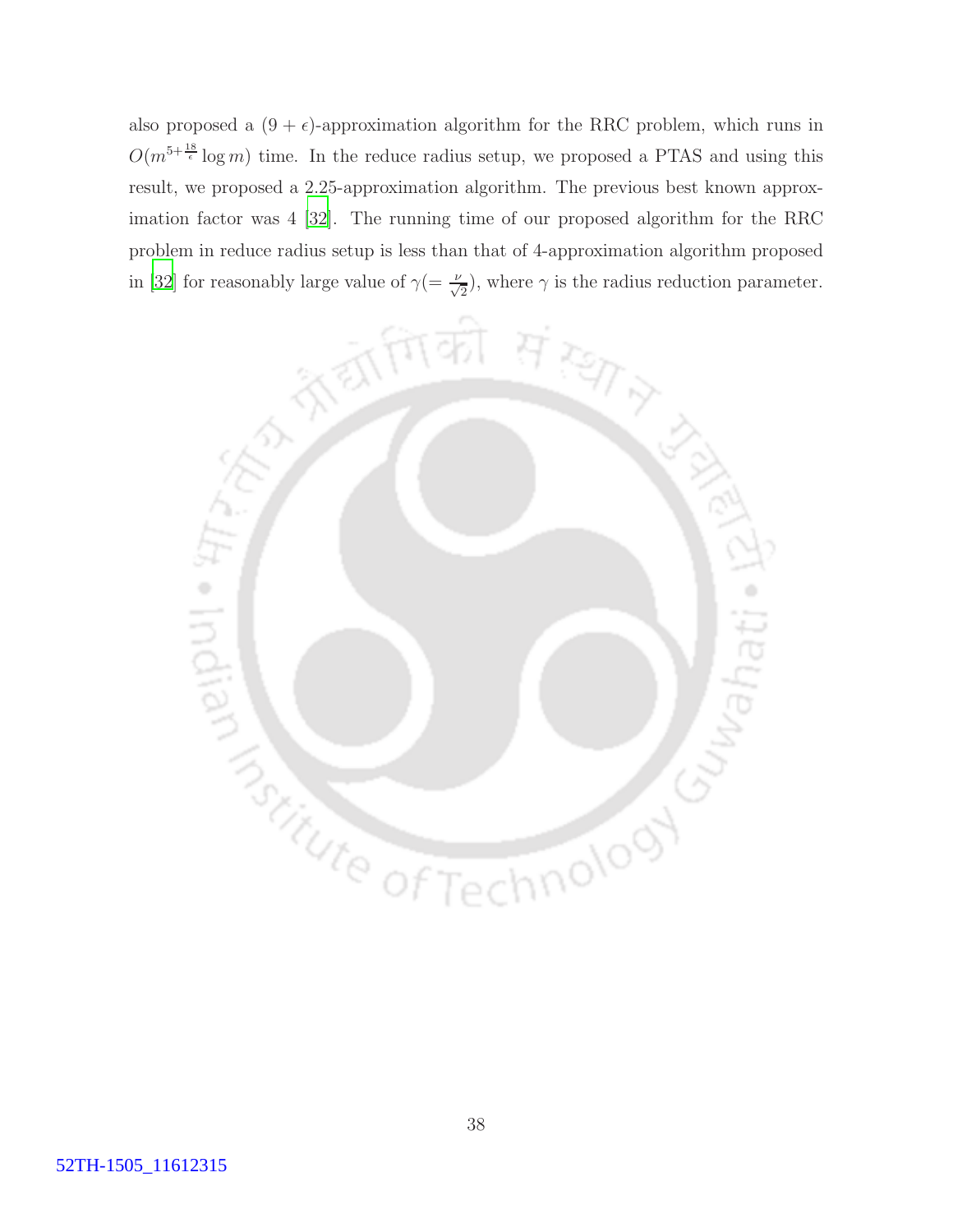also proposed a  $(9 + \epsilon)$ -approximation algorithm for the RRC problem, which runs in  $O(m^{5+\frac{18}{\epsilon}}\log m)$  time. In the reduce radius setup, we proposed a PTAS and using this result, we proposed a 2.25-approximation algorithm. The previous best known approximation factor was 4 [\[32](#page-103-1)]. The running time of our proposed algorithm for the RRC problem in reduce radius setup is less than that of 4-approximation algorithm proposed in [\[32\]](#page-103-1) for reasonably large value of  $\gamma(=\frac{\nu}{\sqrt{2}})$ , where  $\gamma$  is the radius reduction parameter.

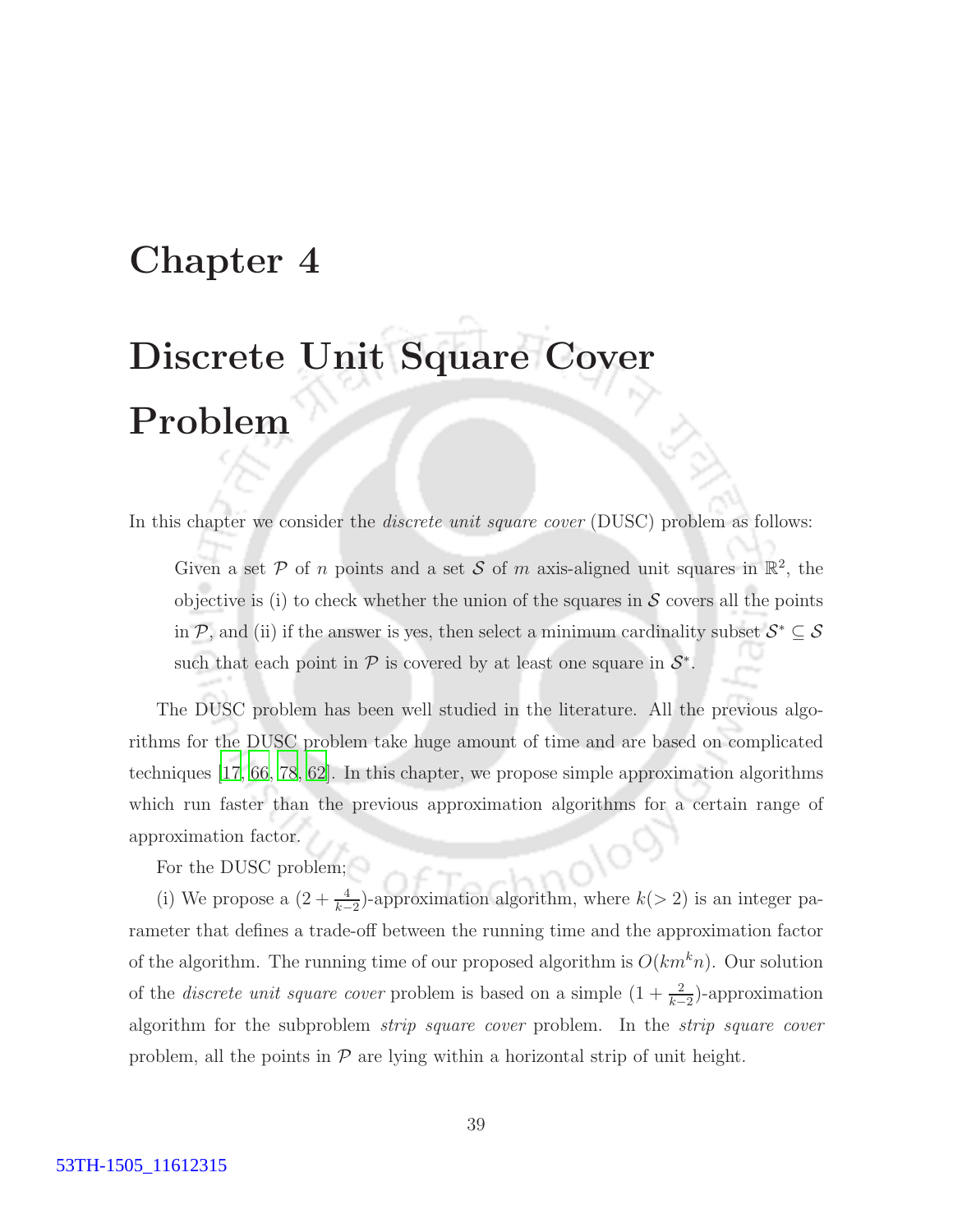# Chapter 4

# Discrete Unit Square Cover Problem

In this chapter we consider the *discrete unit square cover* (DUSC) problem as follows:

Given a set  $P$  of n points and a set  $S$  of m axis-aligned unit squares in  $\mathbb{R}^2$ , the objective is (i) to check whether the union of the squares in  $S$  covers all the points in P, and (ii) if the answer is yes, then select a minimum cardinality subset  $S^* \subseteq S$ such that each point in  $P$  is covered by at least one square in  $S^*$ .

The DUSC problem has been well studied in the literature. All the previous algorithms for the DUSC problem take huge amount of time and are based on complicated techniques [\[17,](#page-102-1) [66,](#page-107-0) [78](#page-108-0), [62\]](#page-106-0). In this chapter, we propose simple approximation algorithms which run faster than the previous approximation algorithms for a certain range of approximation factor.

For the DUSC problem;

(i) We propose a  $(2 + \frac{4}{k-2})$ -approximation algorithm, where  $k(> 2)$  is an integer parameter that defines a trade-off between the running time and the approximation factor of the algorithm. The running time of our proposed algorithm is  $O(km^kn)$ . Our solution of the *discrete unit square cover* problem is based on a simple  $(1 + \frac{2}{k-2})$ -approximation algorithm for the subproblem strip square cover problem. In the strip square cover problem, all the points in  $P$  are lying within a horizontal strip of unit height.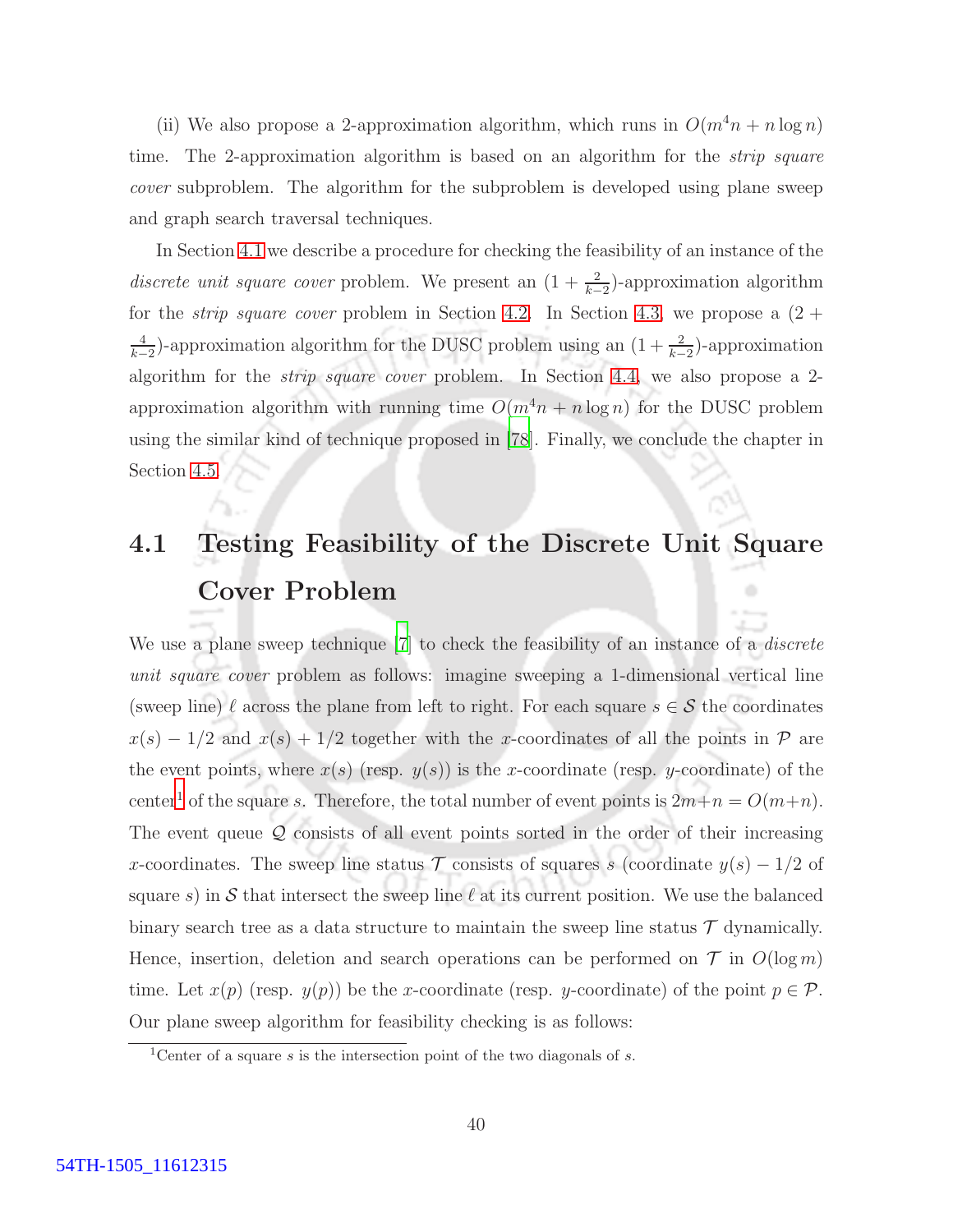(ii) We also propose a 2-approximation algorithm, which runs in  $O(m^4n + n \log n)$ time. The 2-approximation algorithm is based on an algorithm for the *strip square* cover subproblem. The algorithm for the subproblem is developed using plane sweep and graph search traversal techniques.

In Section [4.1](#page-53-0) we describe a procedure for checking the feasibility of an instance of the discrete unit square cover problem. We present an  $(1 + \frac{2}{k-2})$ -approximation algorithm for the *strip square cover* problem in Section [4.2.](#page-54-0) In Section [4.3,](#page-59-0) we propose a  $(2 +$ 4  $\frac{4}{k-2}$ )-approximation algorithm for the DUSC problem using an  $(1+\frac{2}{k-2})$ -approximation algorithm for the strip square cover problem. In Section [4.4,](#page-61-0) we also propose a 2 approximation algorithm with running time  $O(m^4n + n \log n)$  for the DUSC problem using the similar kind of technique proposed in [\[78\]](#page-108-0). Finally, we conclude the chapter in Section [4.5.](#page-66-0)

## <span id="page-53-0"></span>4.1 Testing Feasibility of the Discrete Unit Square Cover Problem

We use a plane sweep technique [\[7\]](#page-101-0) to check the feasibility of an instance of a *discrete* unit square cover problem as follows: imagine sweeping a 1-dimensional vertical line (sweep line)  $\ell$  across the plane from left to right. For each square  $s \in \mathcal{S}$  the coordinates  $x(s) - 1/2$  and  $x(s) + 1/2$  together with the x-coordinates of all the points in  $\mathcal P$  are the event points, where  $x(s)$  (resp.  $y(s)$ ) is the x-coordinate (resp. y-coordinate) of the center<sup>[1](#page-53-1)</sup> of the square s. Therefore, the total number of event points is  $2m+n = O(m+n)$ . The event queue  $Q$  consists of all event points sorted in the order of their increasing x-coordinates. The sweep line status T consists of squares s (coordinate  $y(s) - 1/2$  of square s) in S that intersect the sweep line  $\ell$  at its current position. We use the balanced binary search tree as a data structure to maintain the sweep line status  $\mathcal T$  dynamically. Hence, insertion, deletion and search operations can be performed on  $\mathcal T$  in  $O(\log m)$ time. Let  $x(p)$  (resp.  $y(p)$ ) be the x-coordinate (resp. y-coordinate) of the point  $p \in \mathcal{P}$ . Our plane sweep algorithm for feasibility checking is as follows:

<span id="page-53-1"></span><sup>&</sup>lt;sup>1</sup>Center of a square s is the intersection point of the two diagonals of s.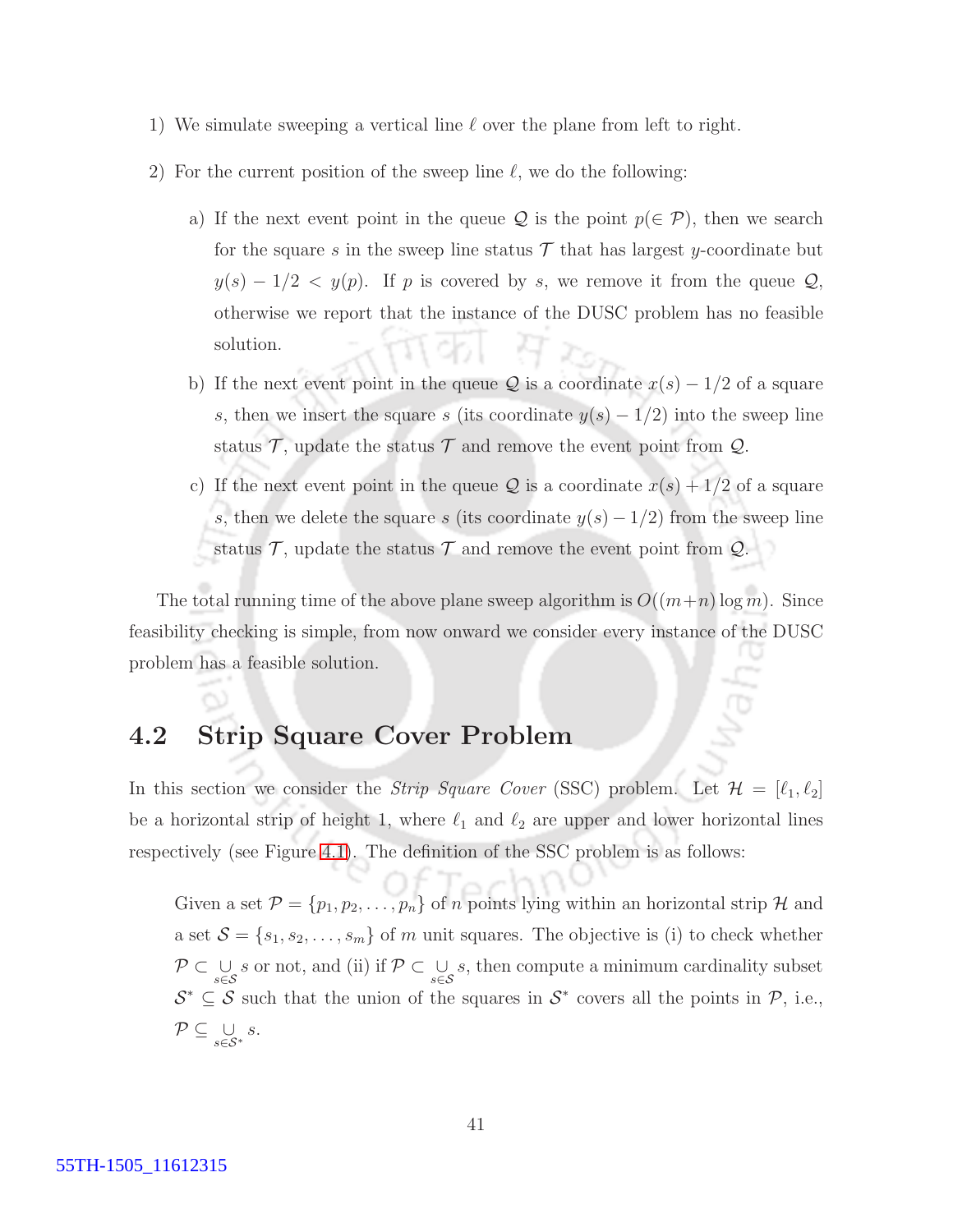- 1) We simulate sweeping a vertical line  $\ell$  over the plane from left to right.
- 2) For the current position of the sweep line  $\ell$ , we do the following:
	- a) If the next event point in the queue Q is the point  $p(\in \mathcal{P})$ , then we search for the square s in the sweep line status  $\mathcal T$  that has largest y-coordinate but  $y(s) - 1/2 < y(p)$ . If p is covered by s, we remove it from the queue  $\mathcal{Q}$ , otherwise we report that the instance of the DUSC problem has no feasible solution. An In I I Ob L
	- b) If the next event point in the queue Q is a coordinate  $x(s) 1/2$  of a square s, then we insert the square s (its coordinate  $y(s) - 1/2$ ) into the sweep line status  $\mathcal T$ , update the status  $\mathcal T$  and remove the event point from  $\mathcal Q$ .
	- c) If the next event point in the queue Q is a coordinate  $x(s) + 1/2$  of a square s, then we delete the square s (its coordinate  $y(s) - 1/2$ ) from the sweep line status  $\mathcal{T}$ , update the status  $\mathcal{T}$  and remove the event point from  $\mathcal{Q}$ .

The total running time of the above plane sweep algorithm is  $O((m+n) \log m)$ . Since feasibility checking is simple, from now onward we consider every instance of the DUSC problem has a feasible solution.

### <span id="page-54-0"></span>4.2 Strip Square Cover Problem

In this section we consider the *Strip Square Cover* (SSC) problem. Let  $\mathcal{H} = [\ell_1, \ell_2]$ be a horizontal strip of height 1, where  $\ell_1$  and  $\ell_2$  are upper and lower horizontal lines respectively (see Figure [4.1\)](#page-55-0). The definition of the SSC problem is as follows:

Given a set  $\mathcal{P} = \{p_1, p_2, \ldots, p_n\}$  of n points lying within an horizontal strip  $\mathcal{H}$  and a set  $S = \{s_1, s_2, \ldots, s_m\}$  of m unit squares. The objective is (i) to check whether  $\mathcal{P} \subset \bigcup_{s \in \mathcal{S}} s$  or not, and (ii) if  $\mathcal{P} \subset \bigcup_{s \in \mathcal{S}} s$ s, then compute a minimum cardinality subset  $\mathcal{S}^* \subseteq \mathcal{S}$  such that the union of the squares in  $\mathcal{S}^*$  covers all the points in  $\mathcal{P}$ , i.e.,  $P \subseteq \bigcup_{s \in \mathcal{S}^*}$ s.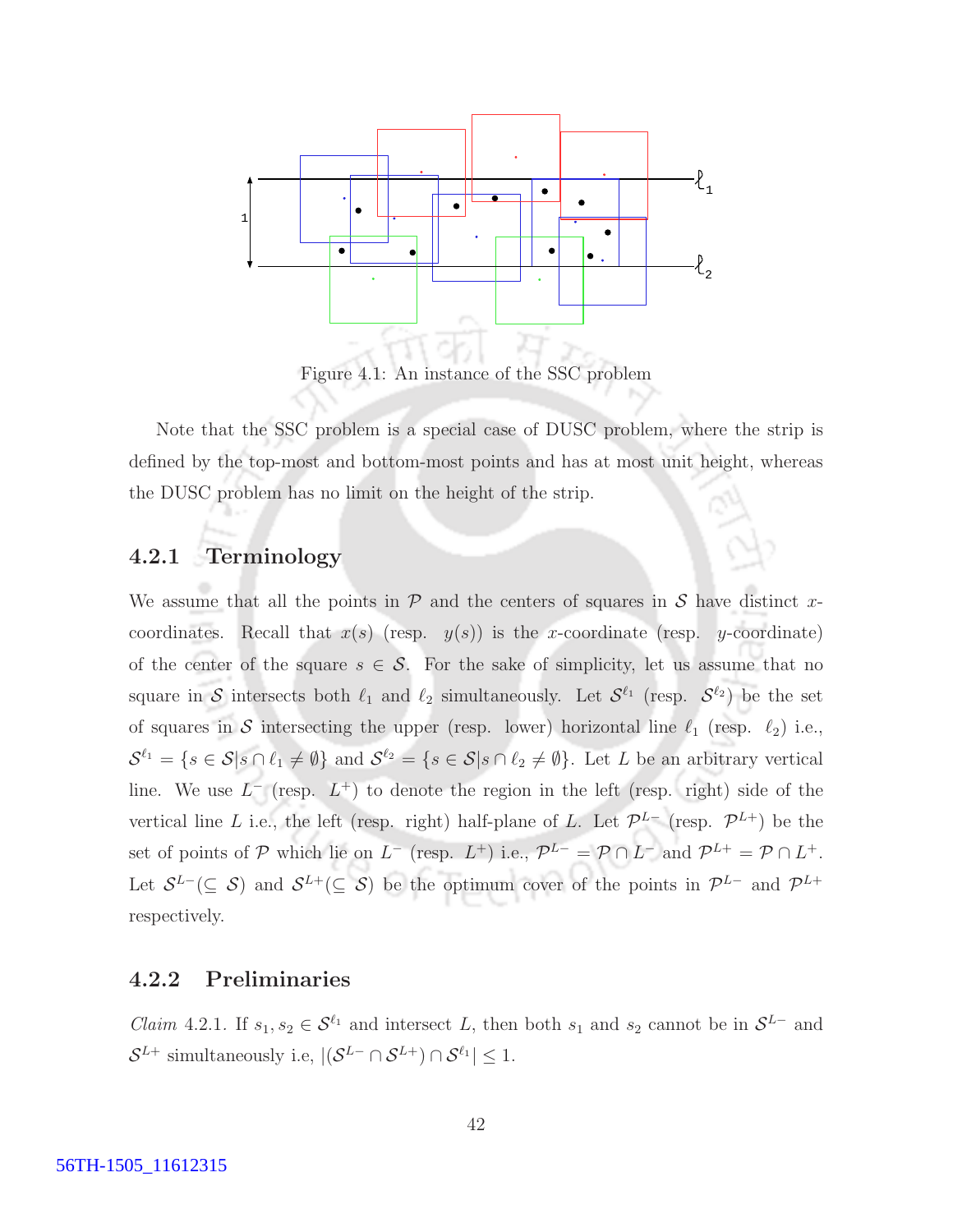<span id="page-55-0"></span>

Figure 4.1: An instance of the SSC problem

Note that the SSC problem is a special case of DUSC problem, where the strip is defined by the top-most and bottom-most points and has at most unit height, whereas the DUSC problem has no limit on the height of the strip.

### 4.2.1 Terminology

We assume that all the points in  $P$  and the centers of squares in  $S$  have distinct xcoordinates. Recall that  $x(s)$  (resp.  $y(s)$ ) is the x-coordinate (resp. y-coordinate) of the center of the square  $s \in \mathcal{S}$ . For the sake of simplicity, let us assume that no square in S intersects both  $\ell_1$  and  $\ell_2$  simultaneously. Let  $\mathcal{S}^{\ell_1}$  (resp.  $\mathcal{S}^{\ell_2}$ ) be the set of squares in S intersecting the upper (resp. lower) horizontal line  $\ell_1$  (resp.  $\ell_2$ ) i.e.,  $\mathcal{S}^{\ell_1} = \{s \in \mathcal{S} | s \cap \ell_1 \neq \emptyset\}$  and  $\mathcal{S}^{\ell_2} = \{s \in \mathcal{S} | s \cap \ell_2 \neq \emptyset\}$ . Let L be an arbitrary vertical line. We use  $L^-$  (resp.  $L^+$ ) to denote the region in the left (resp. right) side of the vertical line L i.e., the left (resp. right) half-plane of L. Let  $\mathcal{P}^{L-}$  (resp.  $\mathcal{P}^{L+}$ ) be the set of points of P which lie on  $L^-$  (resp.  $L^+$ ) i.e.,  $\mathcal{P}^{L-} = \mathcal{P} \cap L^-$  and  $\mathcal{P}^{L+} = \mathcal{P} \cap L^+$ . Let  $S^{L-}(\subseteq S)$  and  $S^{L+}(\subseteq S)$  be the optimum cover of the points in  $\mathcal{P}^{L-}$  and  $\mathcal{P}^{L+}$ respectively.

### 4.2.2 Preliminaries

<span id="page-55-1"></span>*Claim* 4.2.1. If  $s_1, s_2 \in \mathcal{S}^{\ell_1}$  and intersect L, then both  $s_1$  and  $s_2$  cannot be in  $\mathcal{S}^{L-}$  and  $S^{L+}$  simultaneously i.e,  $| (S^{L-} \cap S^{L+}) \cap S^{\ell_1} | \leq 1$ .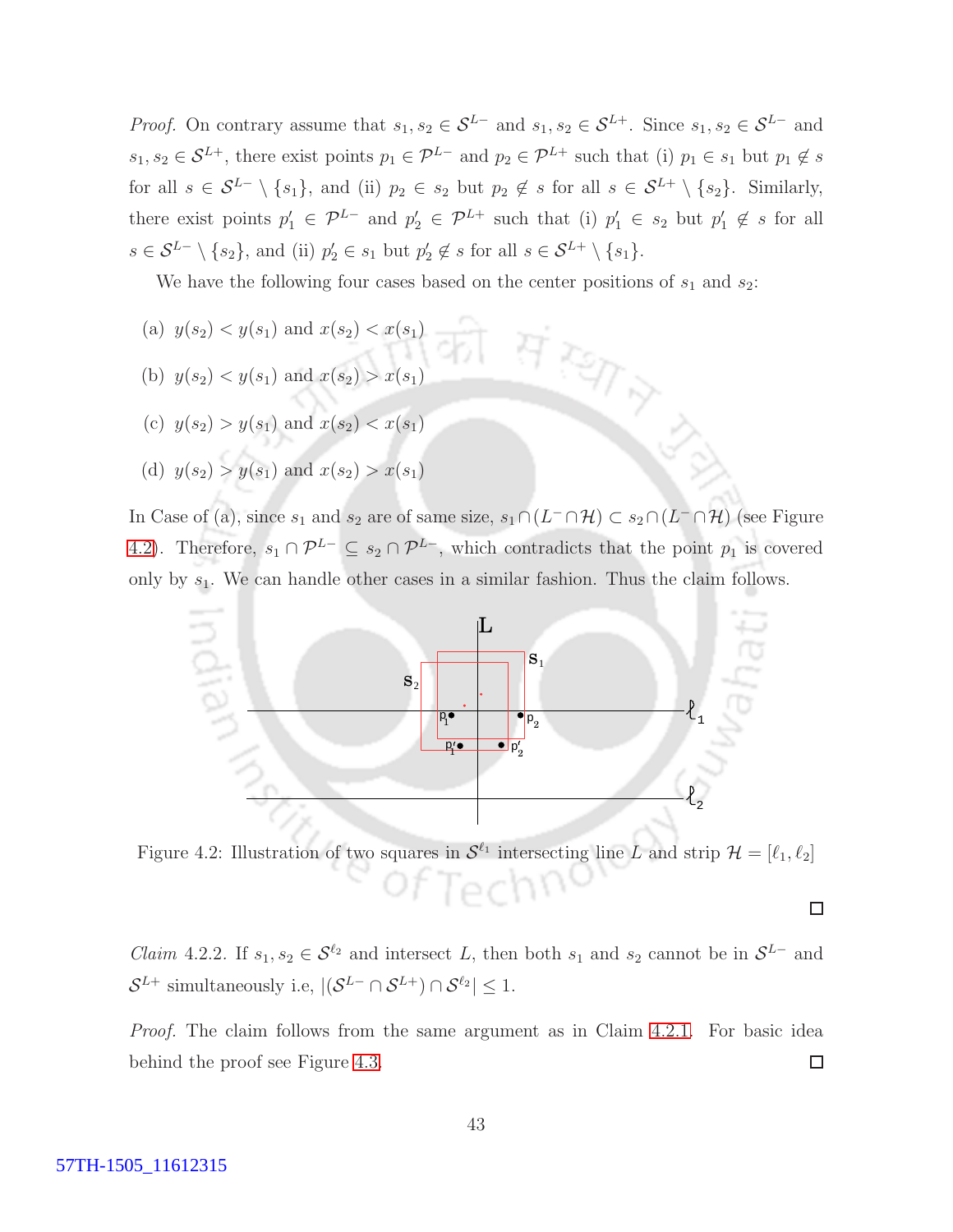*Proof.* On contrary assume that  $s_1, s_2 \in S^{L-}$  and  $s_1, s_2 \in S^{L+}$ . Since  $s_1, s_2 \in S^{L-}$  and  $s_1, s_2 \in \mathcal{S}^{L+}$ , there exist points  $p_1 \in \mathcal{P}^{L-}$  and  $p_2 \in \mathcal{P}^{L+}$  such that (i)  $p_1 \in s_1$  but  $p_1 \notin s_2$ for all  $s \in S^{L-} \setminus \{s_1\}$ , and (ii)  $p_2 \in s_2$  but  $p_2 \notin s$  for all  $s \in S^{L+} \setminus \{s_2\}$ . Similarly, there exist points  $p'_1 \in \mathcal{P}^{L-}$  and  $p'_2 \in \mathcal{P}^{L+}$  such that (i)  $p'_1 \in s_2$  but  $p'_1 \notin s$  for all  $s \in \mathcal{S}^{L-} \setminus \{s_2\}$ , and (ii)  $p'_2 \in s_1$  but  $p'_2 \notin s$  for all  $s \in \mathcal{S}^{L+} \setminus \{s_1\}$ .

We have the following four cases based on the center positions of  $s_1$  and  $s_2$ :

- (a)  $y(s_2) < y(s_1)$  and  $x(s_2) < x(s_1)$
- (b)  $y(s_2) < y(s_1)$  and  $x(s_2) > x(s_1)$
- (c)  $y(s_2) > y(s_1)$  and  $x(s_2) < x(s_1)$
- (d)  $y(s_2) > y(s_1)$  and  $x(s_2) > x(s_1)$

In Case of (a), since  $s_1$  and  $s_2$  are of same size,  $s_1 \cap (L^- \cap \mathcal{H}) \subset s_2 \cap (L^- \cap \mathcal{H})$  (see Figure [4.2\)](#page-56-0). Therefore,  $s_1 \cap \mathcal{P}^{L-} \subseteq s_2 \cap \mathcal{P}^{L-}$ , which contradicts that the point  $p_1$  is covered only by  $s_1$ . We can handle other cases in a similar fashion. Thus the claim follows.

<span id="page-56-0"></span>

Figure 4.2: Illustration of two squares in  $\mathcal{S}^{\ell_1}$  intersecting line L and strip  $\mathcal{H} = [\ell_1, \ell_2]$ 

 $\Box$ 

<span id="page-56-1"></span>*Claim* 4.2.2. If  $s_1, s_2 \in \mathcal{S}^{\ell_2}$  and intersect L, then both  $s_1$  and  $s_2$  cannot be in  $\mathcal{S}^{L-}$  and  $S^{L+}$  simultaneously i.e,  $| (S^{L-} \cap S^{L+}) \cap S^{\ell_2} | \leq 1$ .

*Proof.* The claim follows from the same argument as in Claim [4.2.1.](#page-55-1) For basic idea behind the proof see Figure [4.3.](#page-57-0) □

#### 57TH-1505\_11612315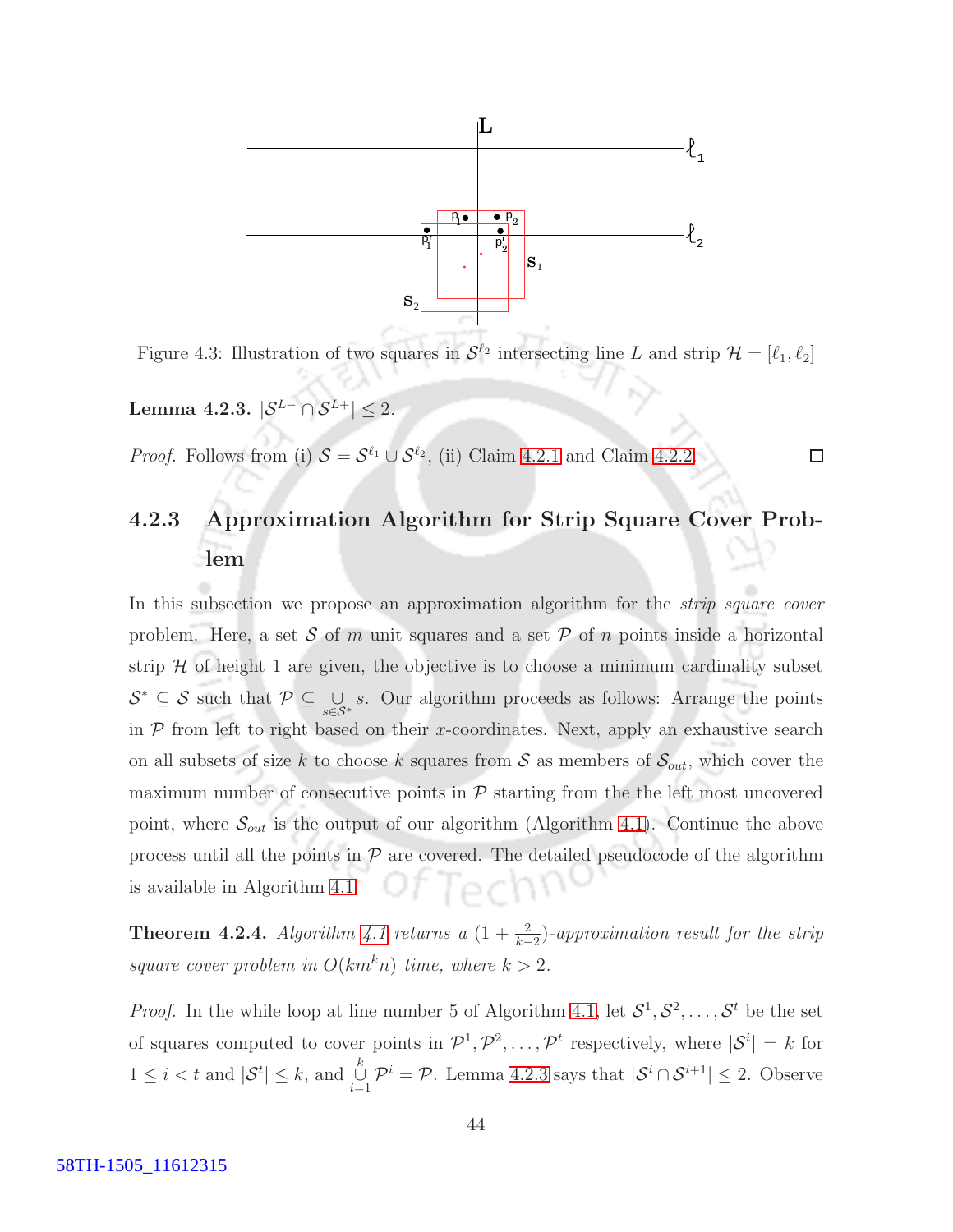<span id="page-57-0"></span>

Figure 4.3: Illustration of two squares in  $\mathcal{S}^{\ell_2}$  intersecting line L and strip  $\mathcal{H} = [\ell_1, \ell_2]$ 

### <span id="page-57-1"></span>Lemma 4.2.3.  $|\mathcal{S}^{L-} \cap \mathcal{S}^{L+}| \leq 2$

*Proof.* Follows from (i)  $S = S^{\ell_1} \cup S^{\ell_2}$ , (ii) Claim [4.2.1](#page-55-1) and Claim [4.2.2.](#page-56-1)  $\Box$ 

### 4.2.3 Approximation Algorithm for Strip Square Cover Problem

In this subsection we propose an approximation algorithm for the *strip square cover* problem. Here, a set S of m unit squares and a set  $P$  of n points inside a horizontal strip  $H$  of height 1 are given, the objective is to choose a minimum cardinality subset  $\mathcal{S}^* \subseteq \mathcal{S}$  such that  $\mathcal{P} \subseteq \bigcup_{s \in \mathcal{S}^*}$ s. Our algorithm proceeds as follows: Arrange the points in  $P$  from left to right based on their x-coordinates. Next, apply an exhaustive search on all subsets of size k to choose k squares from S as members of  $S_{out}$ , which cover the maximum number of consecutive points in  $P$  starting from the the left most uncovered point, where  $\mathcal{S}_{out}$  is the output of our algorithm (Algorithm [4.1\)](#page-58-0). Continue the above process until all the points in  $P$  are covered. The detailed pseudocode of the algorithm is available in Algorithm 4.1. is available in Algorithm [4.1.](#page-58-0)

<span id="page-57-2"></span>**Theorem 4.2.4.** Algorithm [4.1](#page-58-0) returns a  $(1 + \frac{2}{k-2})$ -approximation result for the strip square cover problem in  $O(km^kn)$  time, where  $k > 2$ .

*Proof.* In the while loop at line number 5 of Algorithm [4.1,](#page-58-0) let  $S^1, S^2, \ldots, S^t$  be the set of squares computed to cover points in  $\mathcal{P}^1, \mathcal{P}^2, \ldots, \mathcal{P}^t$  respectively, where  $|\mathcal{S}^i| = k$  for  $1 \leq i < t$  and  $|\mathcal{S}^t| \leq k$ , and  $\bigcup_{i=1}^k$  $\bigcup_{i=1}^{n} \mathcal{P}^i = \mathcal{P}$ . Lemma [4.2.3](#page-57-1) says that  $|\mathcal{S}^i \cap \mathcal{S}^{i+1}| \leq 2$ . Observe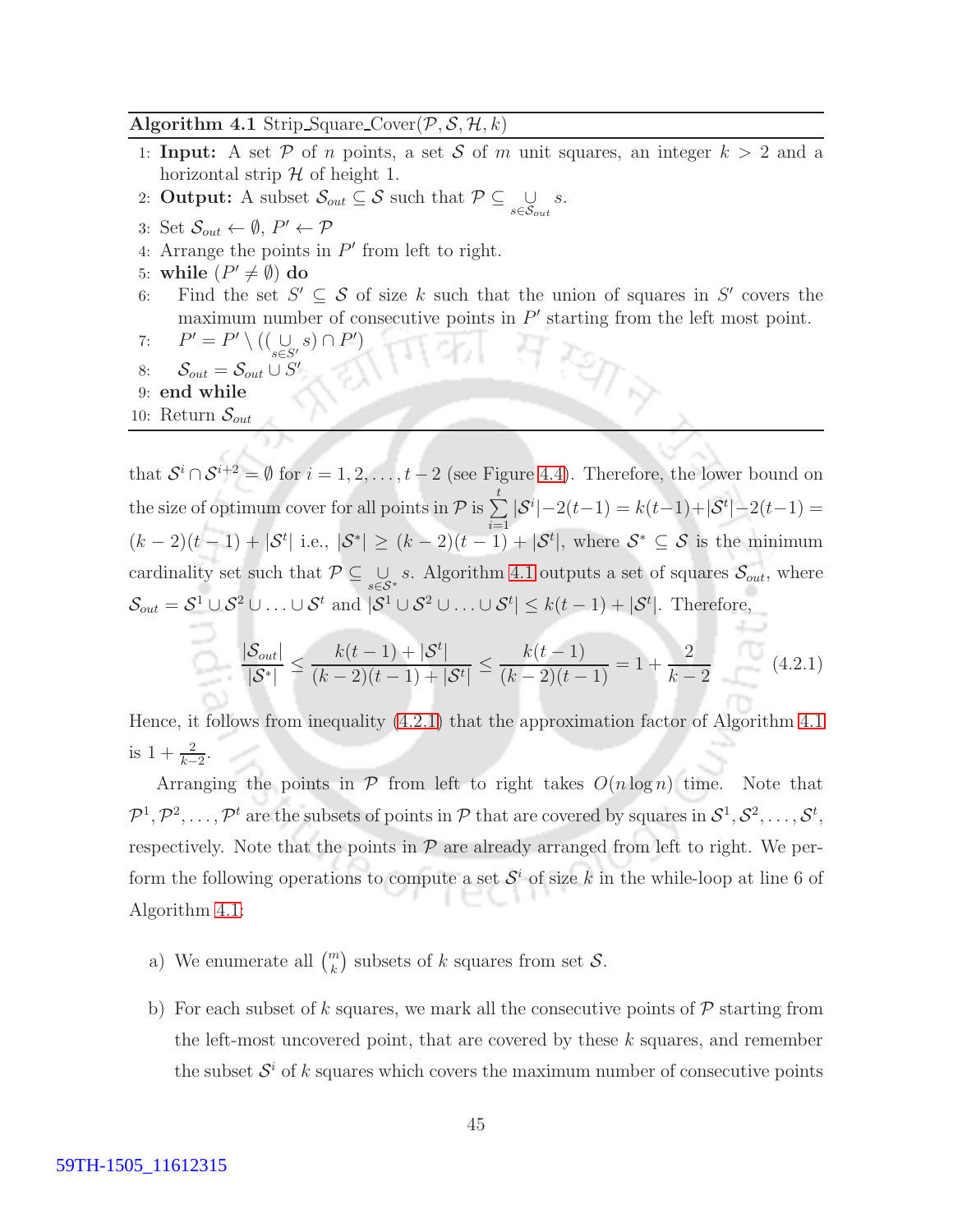#### Algorithm 4.1 Strip Square Cover $(\mathcal{P}, \mathcal{S}, \mathcal{H}, k)$

- 1: **Input:** A set  $P$  of n points, a set  $S$  of m unit squares, an integer  $k > 2$  and a horizontal strip  $H$  of height 1.
- 2: **Output:** A subset  $\mathcal{S}_{out} \subseteq \mathcal{S}$  such that  $\mathcal{P} \subseteq \bigcup_{s \in \mathcal{S}_{out}}$ s.
- 3: Set  $\mathcal{S}_{out} \leftarrow \emptyset, P' \leftarrow \mathcal{P}$
- 4: Arrange the points in  $P'$  from left to right.
- 5: while  $(P' \neq \emptyset)$  do
- 6: Find the set  $S' \subseteq S$  of size k such that the union of squares in  $S'$  covers the maximum number of consecutive points in  $P'$  starting from the left most point.
- 7:  $P' = P' \setminus ((\bigcup_{s \in S'} s) \cap P')$
- 8:  $\mathcal{S}_{out} = \mathcal{S}_{out} \cup S'$
- <span id="page-58-0"></span>9: end while
- 10: Return  $S_{out}$

that  $S^i \cap S^{i+2} = \emptyset$  for  $i = 1, 2, ..., t-2$  (see Figure [4.4\)](#page-59-1). Therefore, the lower bound on the size of optimum cover for all points in  $P$  is  $\sum_{i=1}^{t}$  $\sum_{i=1} |S^i| - 2(t-1) = k(t-1) + |S^t| - 2(t-1) =$  $(k-2)(t-1) + |\mathcal{S}^t|$  i.e.,  $|\mathcal{S}^*| \ge (k-2)(t-1) + |\mathcal{S}^t|$ , where  $\mathcal{S}^* \subseteq \mathcal{S}$  is the minimum cardinality set such that  $\mathcal{P} \subseteq \bigcup_{s \in \mathcal{S}^*} s$ . Algorithm [4.1](#page-58-0) outputs a set of squares  $\mathcal{S}_{out}$ , where  $\mathcal{S}_{out} = \mathcal{S}^1 \cup \mathcal{S}^2 \cup ... \cup \mathcal{S}^t$  and  $|\mathcal{S}^1 \cup \mathcal{S}^2 \cup ... \cup \mathcal{S}^t| \leq k(t-1) + |\mathcal{S}^t|$ . Therefore,

<span id="page-58-1"></span>
$$
\frac{|\mathcal{S}_{out}|}{|\mathcal{S}^*|} \le \frac{k(t-1) + |\mathcal{S}^t|}{(k-2)(t-1) + |\mathcal{S}^t|} \le \frac{k(t-1)}{(k-2)(t-1)} = 1 + \frac{2}{k-2}
$$
(4.2.1)

Hence, it follows from inequality [\(4.2.1\)](#page-58-1) that the approximation factor of Algorithm [4.1](#page-58-0) is  $1 + \frac{2}{k-2}$ .

Arranging the points in  $P$  from left to right takes  $O(n \log n)$  time. Note that  $\mathcal{P}^1, \mathcal{P}^2, \ldots, \mathcal{P}^t$  are the subsets of points in  $\mathcal P$  that are covered by squares in  $\mathcal{S}^1, \mathcal{S}^2, \ldots, \mathcal{S}^t$ , respectively. Note that the points in  $P$  are already arranged from left to right. We perform the following operations to compute a set  $S<sup>i</sup>$  of size k in the while-loop at line 6 of Algorithm [4.1:](#page-58-0)

- a) We enumerate all  $\binom{m}{k}$  subsets of k squares from set S.
- b) For each subset of k squares, we mark all the consecutive points of  $\mathcal P$  starting from the left-most uncovered point, that are covered by these  $k$  squares, and remember the subset  $S^i$  of k squares which covers the maximum number of consecutive points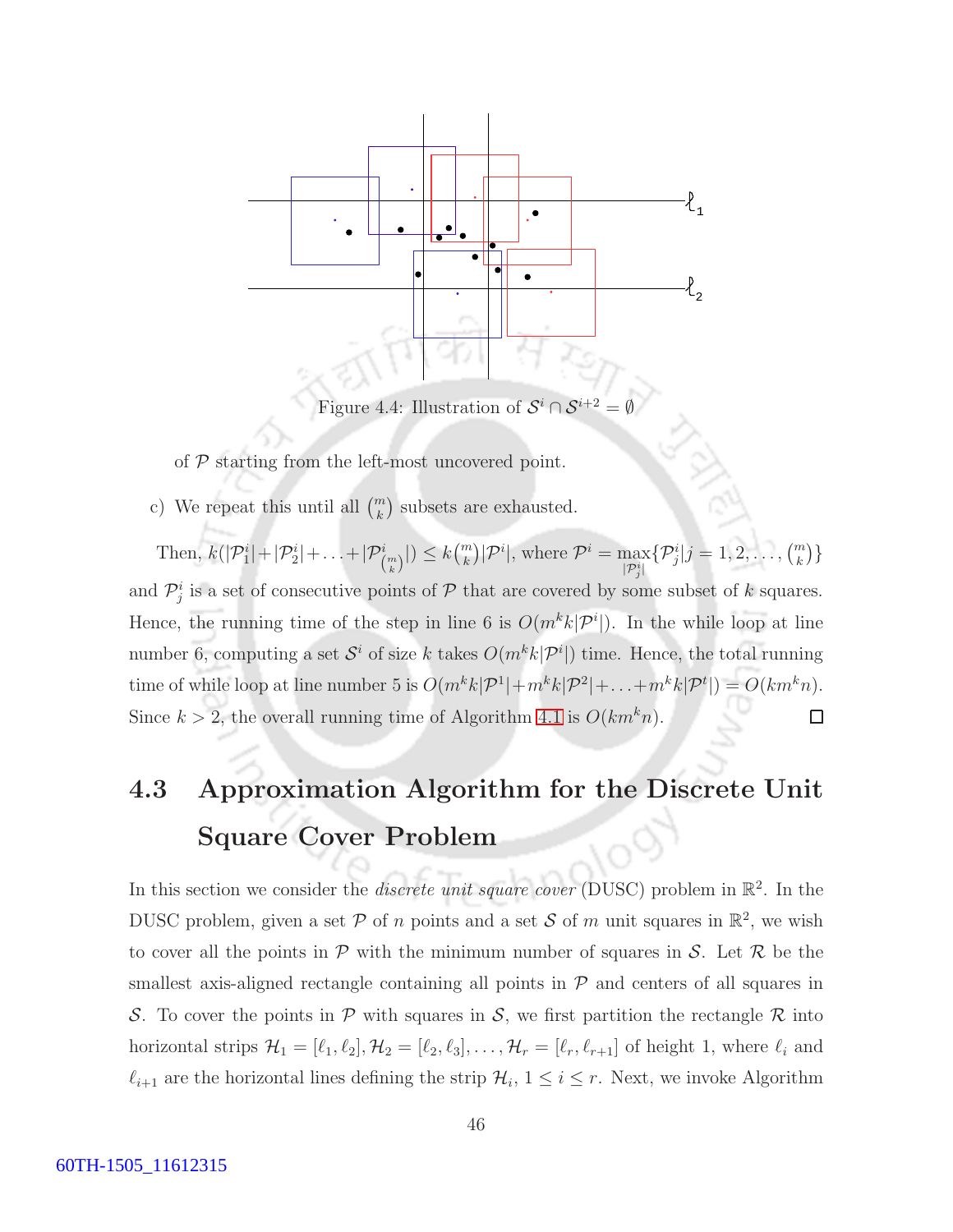<span id="page-59-1"></span>

Figure 4.4: Illustration of  $S^i \cap S^{i+2} = \emptyset$ 

of  $P$  starting from the left-most uncovered point.

c) We repeat this until all  $\binom{m}{k}$  subsets are exhausted.

Then,  $k(|\mathcal{P}_{1}^{i}|+|\mathcal{P}_{2}^{i}|+\ldots+|\mathcal{P}_{\binom{m}{k}}^{i}|) \leq k {m \choose k}$  $||\mathcal{P}^i|$ , where  $\mathcal{P}^i = \max_{|\mathcal{P}^i|}$  $\max_{|\mathcal{P}_j^i|} \{ \mathcal{P}_j^i | j = 1, 2, \ldots, \binom{m}{k}$  $\overline{ }$ } k and  $\mathcal{P}_j^i$  is a set of consecutive points of  $\mathcal P$  that are covered by some subset of k squares. Hence, the running time of the step in line 6 is  $O(m^k k |\mathcal{P}^i|)$ . In the while loop at line number 6, computing a set  $\mathcal{S}^i$  of size k takes  $O(m^kk|\mathcal{P}^i|)$  time. Hence, the total running time of while loop at line number 5 is  $O(m^k k |\mathcal{P}^1| + m^k k |\mathcal{P}^2| + \ldots + m^k k |\mathcal{P}^t|) = O(k m^k n)$ . Since  $k > 2$ , the overall running time of Algorithm [4.1](#page-58-0) is  $O(km^k n)$ .  $\Box$ 

# <span id="page-59-0"></span>4.3 Approximation Algorithm for the Discrete Unit Square Cover Problem

In this section we consider the *discrete unit square cover* (DUSC) problem in  $\mathbb{R}^2$ . In the DUSC problem, given a set  $P$  of n points and a set  $S$  of m unit squares in  $\mathbb{R}^2$ , we wish to cover all the points in  $P$  with the minimum number of squares in  $S$ . Let  $R$  be the smallest axis-aligned rectangle containing all points in  $P$  and centers of all squares in S. To cover the points in  $P$  with squares in S, we first partition the rectangle R into horizontal strips  $\mathcal{H}_1 = [\ell_1, \ell_2], \mathcal{H}_2 = [\ell_2, \ell_3], \ldots, \mathcal{H}_r = [\ell_r, \ell_{r+1}]$  of height 1, where  $\ell_i$  and  $\ell_{i+1}$  are the horizontal lines defining the strip  $\mathcal{H}_i$ ,  $1 \leq i \leq r$ . Next, we invoke Algorithm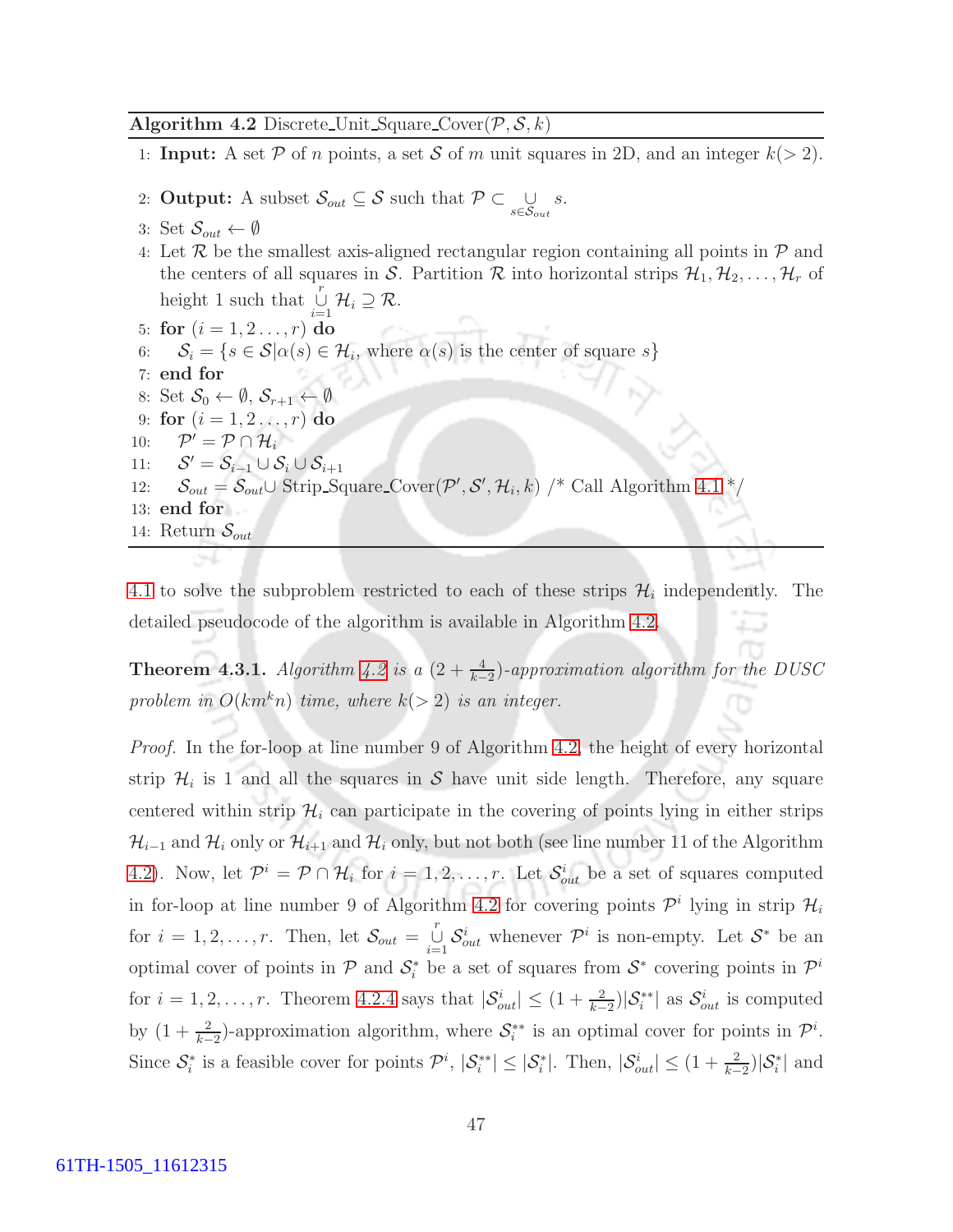### Algorithm 4.2 Discrete Unit Square Cover $(\mathcal{P}, \mathcal{S}, k)$

- 1: **Input:** A set  $P$  of n points, a set  $S$  of m unit squares in 2D, and an integer  $k(>2)$ .
- 2: **Output:** A subset  $\mathcal{S}_{out} \subseteq \mathcal{S}$  such that  $\mathcal{P} \subset \bigcup_{s \in \mathcal{S}_{out}}$ s.
- 3: Set  $\mathcal{S}_{out} \leftarrow \emptyset$ 4: Let  $\mathcal R$  be the smallest axis-aligned rectangular region containing all points in  $\mathcal P$  and the centers of all squares in S. Partition R into horizontal strips  $\mathcal{H}_1, \mathcal{H}_2, \ldots, \mathcal{H}_r$  of height 1 such that  $\overline{C}$  $\bigcup_{i=1}^{\mathcal{C}}\mathcal{H}_i\supseteq\mathcal{R}.$ 5: for  $(i = 1, 2, ..., r)$  do 6:  $S_i = \{ s \in S | \alpha(s) \in \mathcal{H}_i \}$ , where  $\alpha(s)$  is the center of square  $s \}$ 7: end for 8: Set  $S_0 \leftarrow \emptyset$ ,  $S_{r+1} \leftarrow \emptyset$ 9: for  $(i = 1, 2, ..., r)$  do  $10:$  $\mathcal{P}' = \mathcal{P} \cap \mathcal{H}_i$  $\frac{11:}{12:}$  $\mathcal{S}' = \mathcal{S}_{i-1} \cup \mathcal{S}_i \cup \mathcal{S}_{i+1}$ 12:  $S_{out} = S_{out} \cup$  Strip\_Square\_Cover(P', S', H<sub>i</sub>, k) /\* Call Algorithm [4.1](#page-58-0) \*/ 13: end for 14: Return  $S_{out}$

<span id="page-60-0"></span>[4.1](#page-58-0) to solve the subproblem restricted to each of these strips  $\mathcal{H}_i$  independently. The detailed pseudocode of the algorithm is available in Algorithm [4.2.](#page-60-0)

<span id="page-60-1"></span>**Theorem 4.3.1.** Algorithm [4.2](#page-60-0) is a  $(2 + \frac{4}{k-2})$ -approximation algorithm for the DUSC problem in  $O(km^k n)$  time, where  $k(> 2)$  is an integer.

*Proof.* In the for-loop at line number 9 of Algorithm [4.2,](#page-60-0) the height of every horizontal strip  $\mathcal{H}_i$  is 1 and all the squares in S have unit side length. Therefore, any square centered within strip  $\mathcal{H}_i$  can participate in the covering of points lying in either strips  $\mathcal{H}_{i-1}$  and  $\mathcal{H}_i$  only or  $\mathcal{H}_{i+1}$  and  $\mathcal{H}_i$  only, but not both (see line number 11 of the Algorithm [4.2\)](#page-60-0). Now, let  $\mathcal{P}^i = \mathcal{P} \cap \mathcal{H}_i$  for  $i = 1, 2, ..., r$ . Let  $\mathcal{S}^i_{out}$  be a set of squares computed in for-loop at line number 9 of Algorithm [4.2](#page-60-0) for covering points  $\mathcal{P}^i$  lying in strip  $\mathcal{H}_i$ for  $i = 1, 2, \ldots, r$ . Then, let  $\mathcal{S}_{out} = \bigcup_{i=1}^{r}$  $\bigcup_{i=1}^{i} \mathcal{S}_{out}^{i}$  whenever  $\mathcal{P}^{i}$  is non-empty. Let  $\mathcal{S}^{*}$  be an optimal cover of points in  $\mathcal P$  and  $\mathcal S_i^*$  be a set of squares from  $\mathcal S^*$  covering points in  $\mathcal P^i$ for  $i = 1, 2, \ldots, r$ . Theorem [4.2.4](#page-57-2) says that  $|\mathcal{S}_{out}^i| \leq (1 + \frac{2}{k-2})|\mathcal{S}_{i}^{**}|$  as  $\mathcal{S}_{out}^i$  is computed by  $(1+\frac{2}{k-2})$ -approximation algorithm, where  $\mathcal{S}_i^{**}$  is an optimal cover for points in  $\mathcal{P}^i$ . Since  $\mathcal{S}_i^*$  is a feasible cover for points  $\mathcal{P}^i$ ,  $|\mathcal{S}_i^{**}| \leq |\mathcal{S}_i^*|$ . Then,  $|\mathcal{S}_{out}^i| \leq (1 + \frac{2}{k-2})|\mathcal{S}_i^*|$  and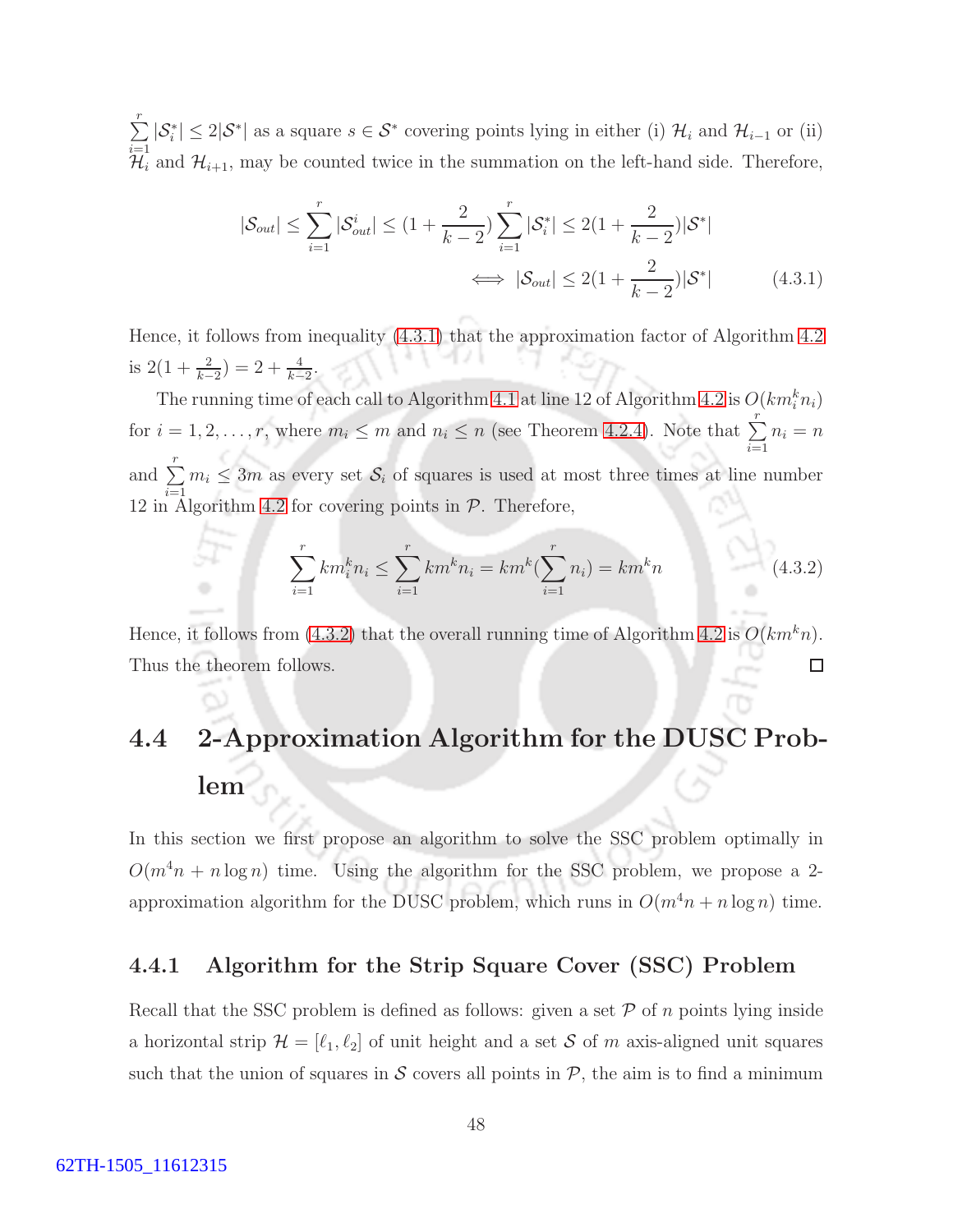$\frac{r}{\sqrt{r}}$  $\sum_{i=1} |\mathcal{S}_i^*| \leq 2|\mathcal{S}^*|$  as a square  $s \in \mathcal{S}^*$  covering points lying in either (i)  $\mathcal{H}_i$  and  $\mathcal{H}_{i-1}$  or (ii)  $\mathcal{H}_i$  and  $\mathcal{H}_{i+1}$ , may be counted twice in the summation on the left-hand side. Therefore,

<span id="page-61-1"></span>
$$
|\mathcal{S}_{out}| \le \sum_{i=1}^r |\mathcal{S}_{out}^i| \le (1 + \frac{2}{k-2}) \sum_{i=1}^r |\mathcal{S}_i^*| \le 2(1 + \frac{2}{k-2}) |\mathcal{S}^*|
$$
  

$$
\iff |\mathcal{S}_{out}| \le 2(1 + \frac{2}{k-2}) |\mathcal{S}^*|
$$
(4.3.1)

Hence, it follows from inequality [\(4.3.1\)](#page-61-1) that the approximation factor of Algorithm [4.2](#page-60-0) is  $2(1+\frac{2}{k-2})=2+\frac{4}{k-2}$ .

The running time of each call to Algorithm [4.1](#page-58-0) at line 12 of Algorithm [4.2](#page-60-0) is  $O(km_i^k n_i)$ for  $i = 1, 2, ..., r$ , where  $m_i \leq m$  and  $n_i \leq n$  (see Theorem [4.2.4\)](#page-57-2). Note that  $\sum_{i=1}^{r}$  $n_i = n$ and  $\sum_{r=1}^{r}$  $\sum_{i=1}^m m_i \leq 3m$  as every set  $S_i$  of squares is used at most three times at line number 12 in Algorithm [4.2](#page-60-0) for covering points in  $P$ . Therefore,

<span id="page-61-2"></span>
$$
\sum_{i=1}^{r} km_i^k n_i \le \sum_{i=1}^{r} km^k n_i = km^k (\sum_{i=1}^{r} n_i) = km^k n
$$
\n(4.3.2)

<span id="page-61-0"></span>Hence, it follows from [\(4.3.2\)](#page-61-2) that the overall running time of Algorithm [4.2](#page-60-0) is  $O(km^k n)$ . Thus the theorem follows.  $\Box$ 

# 4.4 2-Approximation Algorithm for the DUSC Problem

In this section we first propose an algorithm to solve the SSC problem optimally in  $O(m<sup>4</sup>n + n \log n)$  time. Using the algorithm for the SSC problem, we propose a 2approximation algorithm for the DUSC problem, which runs in  $O(m^4n + n \log n)$  time.

### 4.4.1 Algorithm for the Strip Square Cover (SSC) Problem

Recall that the SSC problem is defined as follows: given a set  $P$  of n points lying inside a horizontal strip  $\mathcal{H} = [\ell_1, \ell_2]$  of unit height and a set S of m axis-aligned unit squares such that the union of squares in S covers all points in  $P$ , the aim is to find a minimum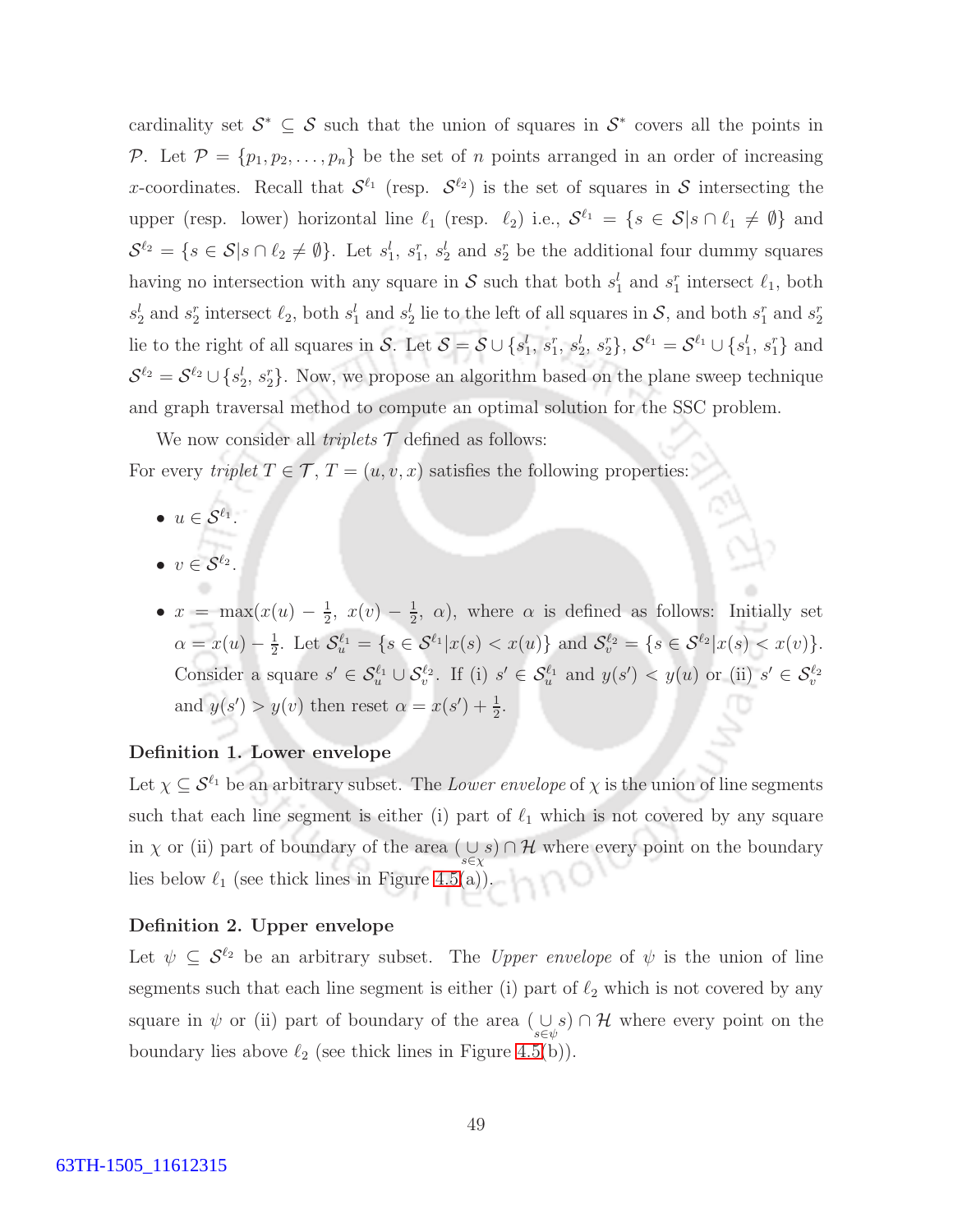cardinality set  $S^* \subseteq S$  such that the union of squares in  $S^*$  covers all the points in P. Let  $P = \{p_1, p_2, \ldots, p_n\}$  be the set of n points arranged in an order of increasing x-coordinates. Recall that  $S^{\ell_1}$  (resp.  $S^{\ell_2}$ ) is the set of squares in S intersecting the upper (resp. lower) horizontal line  $\ell_1$  (resp.  $\ell_2$ ) i.e.,  $S^{\ell_1} = \{s \in S | s \cap \ell_1 \neq \emptyset\}$  and  $\mathcal{S}^{\ell_2} = \{s \in \mathcal{S} | s \cap \ell_2 \neq \emptyset\}$ . Let  $s_1^l, s_1^r, s_2^l$  and  $s_2^r$  be the additional four dummy squares having no intersection with any square in  $S$  such that both  $s_1^l$  and  $s_1^r$  intersect  $\ell_1$ , both  $s_2^l$  and  $s_2^r$  intersect  $\ell_2$ , both  $s_1^l$  and  $s_2^l$  lie to the left of all squares in S, and both  $s_1^r$  and  $s_2^r$ lie to the right of all squares in S. Let  $S = S \cup \{s_1^l, s_1^r, s_2^l, s_2^r\}, S^{\ell_1} = S^{\ell_1} \cup \{s_1^l, s_1^r\}$  and  $S^{\ell_2} = S^{\ell_2} \cup \{s_2^l, s_2^r\}$ . Now, we propose an algorithm based on the plane sweep technique and graph traversal method to compute an optimal solution for the SSC problem.

We now consider all *triplets*  $\mathcal T$  defined as follows:

For every triplet  $T \in \mathcal{T}$ ,  $T = (u, v, x)$  satisfies the following properties:

- $u \in \mathcal{S}^{\ell_1}$ .
- $v \in \mathcal{S}^{\ell_2}$ .
- $x = \max(x(u) \frac{1}{2})$  $\frac{1}{2}$ ,  $x(v) - \frac{1}{2}$  $(\frac{1}{2}, \alpha)$ , where  $\alpha$  is defined as follows: Initially set  $\alpha = x(u) - \frac{1}{2}$  $\frac{1}{2}$ . Let  $\mathcal{S}_u^{\ell_1} = \{s \in \mathcal{S}^{\ell_1} | x(s) < x(u) \}$  and  $\mathcal{S}_v^{\ell_2} = \{s \in \mathcal{S}^{\ell_2} | x(s) < x(v) \}$ . Consider a square  $s' \in \mathcal{S}_u^{\ell_1} \cup \mathcal{S}_v^{\ell_2}$ . If (i)  $s' \in \mathcal{S}_u^{\ell_1}$  and  $y(s') < y(u)$  or (ii)  $s' \in \mathcal{S}_v^{\ell_2}$ and  $y(s') > y(v)$  then reset  $\alpha = x(s') + \frac{1}{2}$ .

### Definition 1. Lower envelope

Let  $\chi \subseteq \mathcal{S}^{\ell_1}$  be an arbitrary subset. The Lower envelope of  $\chi$  is the union of line segments such that each line segment is either (i) part of  $\ell_1$  which is not covered by any square in  $\chi$  or (ii) part of boundary of the area  $(\bigcup_{s\in\chi}s)\cap\mathcal{H}$  where every point on the boundary lies below  $\ell_1$  (see thick lines in Figure [4.5\(](#page-63-0)a)).

### Definition 2. Upper envelope

Let  $\psi \subseteq \mathcal{S}^{\ell_2}$  be an arbitrary subset. The Upper envelope of  $\psi$  is the union of line segments such that each line segment is either (i) part of  $\ell_2$  which is not covered by any square in  $\psi$  or (ii) part of boundary of the area  $(\bigcup_{s\in\psi} s)\cap H$  where every point on the boundary lies above  $\ell_2$  (see thick lines in Figure [4.5\(](#page-63-0)b)).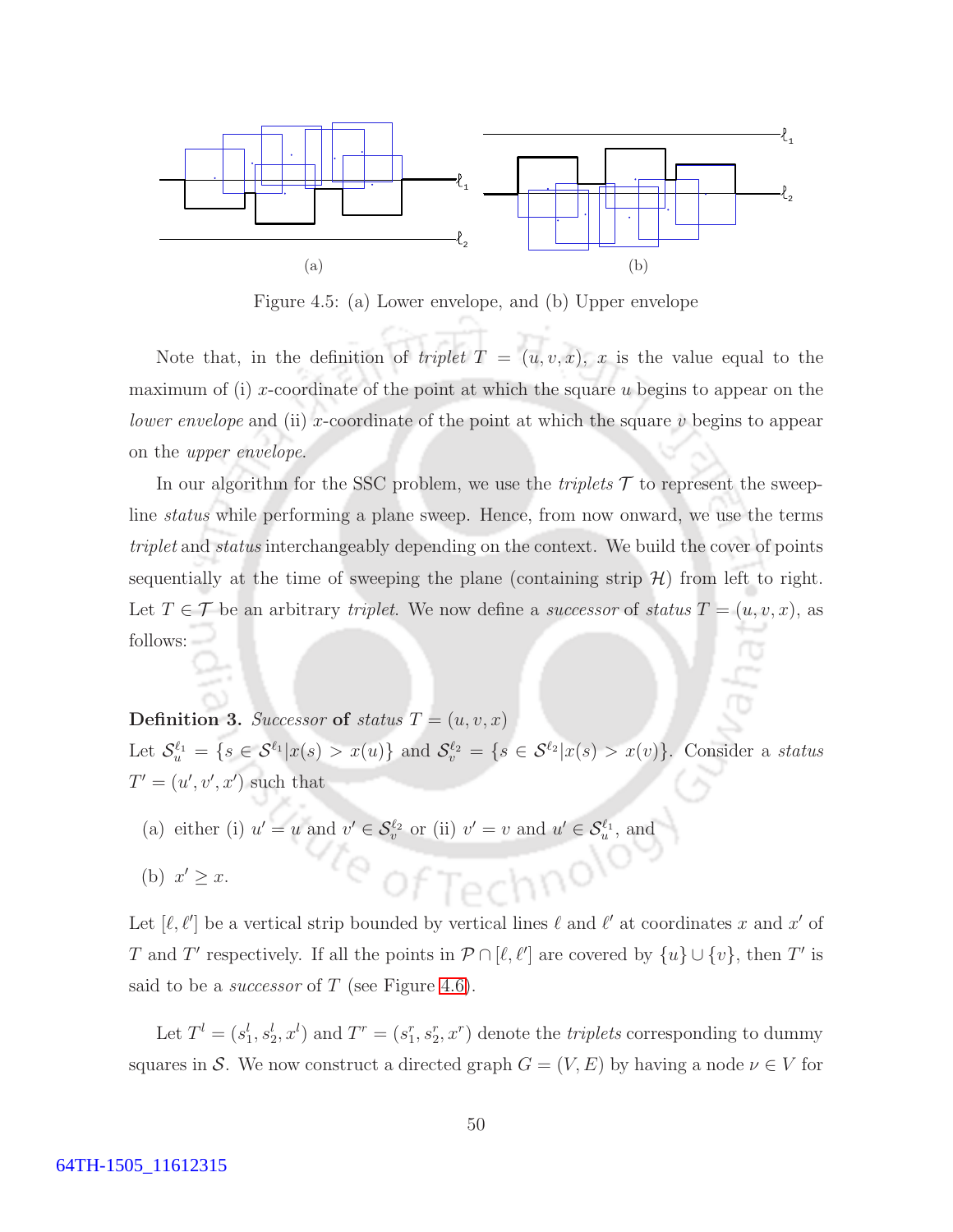<span id="page-63-0"></span>

Figure 4.5: (a) Lower envelope, and (b) Upper envelope

Note that, in the definition of *triplet*  $T = (u, v, x)$ , x is the value equal to the maximum of (i) x-coordinate of the point at which the square  $u$  begins to appear on the lower envelope and (ii) x-coordinate of the point at which the square v begins to appear on the upper envelope.

In our algorithm for the SSC problem, we use the *triplets*  $\mathcal T$  to represent the sweepline status while performing a plane sweep. Hence, from now onward, we use the terms *triplet* and *status* interchangeably depending on the context. We build the cover of points sequentially at the time of sweeping the plane (containing strip  $\mathcal{H}$ ) from left to right. Let  $T \in \mathcal{T}$  be an arbitrary triplet. We now define a successor of status  $T = (u, v, x)$ , as follows:

Definition 3. Successor of status  $T = (u, v, x)$ Let  $S_u^{\ell_1} = \{s \in S^{\ell_1} | x(s) > x(u)\}\$  and  $S_v^{\ell_2} = \{s \in S^{\ell_2} | x(s) > x(v)\}\$ . Consider a status  $T' = (u', v', x')$  such that

- (a) either (i)  $u' = u$  and  $v' \in \mathcal{S}_v^{\ell_2}$  or (ii)  $v' = v$  and  $u' \in \mathcal{S}_u^{\ell_1}$ , and
- (b)  $x' \geq x$ .

Let  $[\ell, \ell']$  be a vertical strip bounded by vertical lines  $\ell$  and  $\ell'$  at coordinates x and x' of T and T' respectively. If all the points in  $P \cap [\ell, \ell']$  are covered by  $\{u\} \cup \{v\}$ , then T' is said to be a *successor* of  $T$  (see Figure [4.6\)](#page-64-0).

Let  $T^l = (s_1^l, s_2^l, x^l)$  and  $T^r = (s_1^r, s_2^r, x^r)$  denote the *triplets* corresponding to dummy squares in S. We now construct a directed graph  $G = (V, E)$  by having a node  $\nu \in V$  for

#### 64TH-1505\_11612315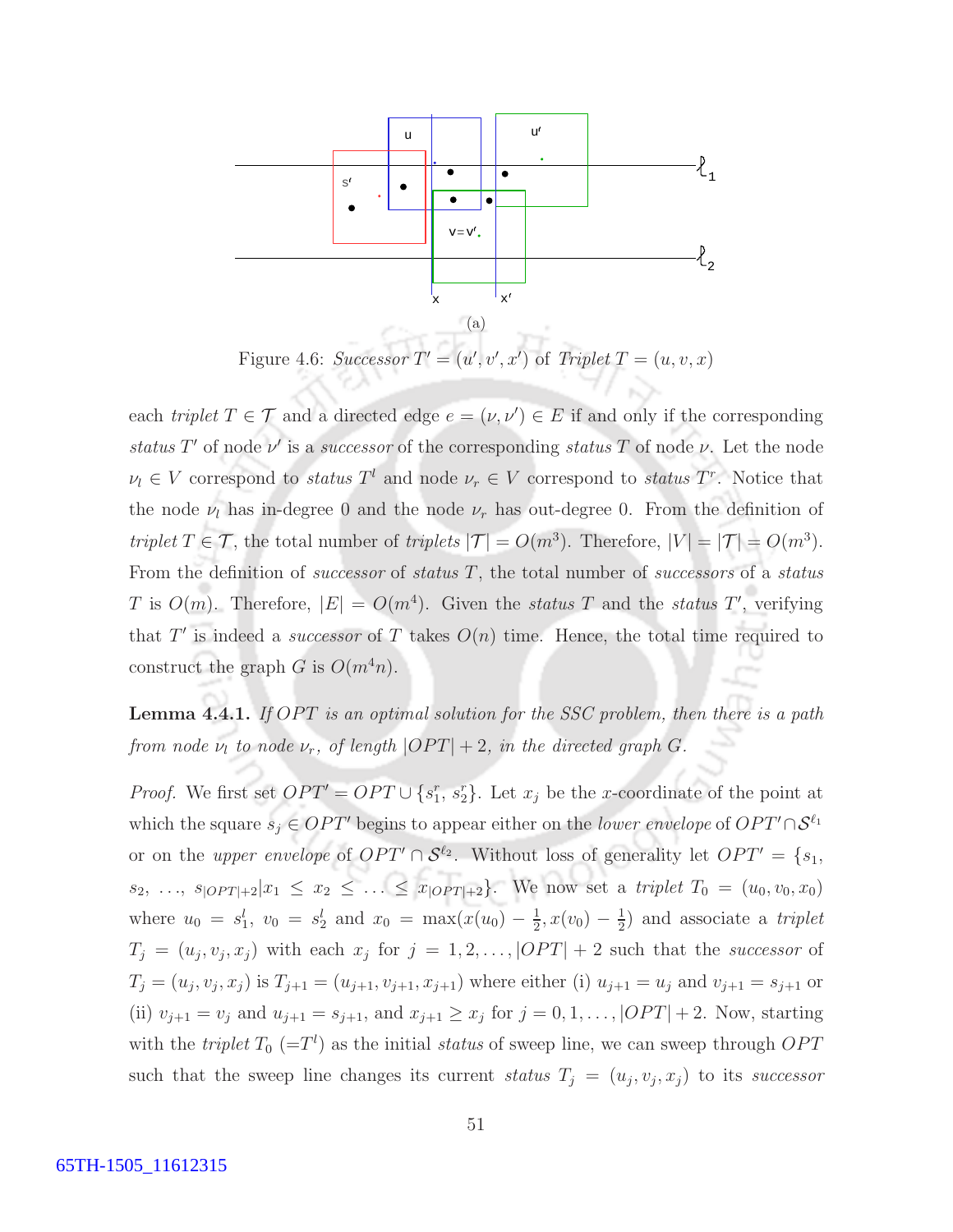<span id="page-64-0"></span>

each *triplet*  $T \in \mathcal{T}$  and a directed edge  $e = (\nu, \nu') \in E$  if and only if the corresponding status T' of node  $\nu'$  is a successor of the corresponding status T of node  $\nu$ . Let the node  $\nu_l \in V$  correspond to *status*  $T^l$  and node  $\nu_r \in V$  correspond to *status*  $T^r$ . Notice that the node  $\nu_l$  has in-degree 0 and the node  $\nu_r$  has out-degree 0. From the definition of triplet  $T \in \mathcal{T}$ , the total number of triplets  $|\mathcal{T}| = O(m^3)$ . Therefore,  $|V| = |\mathcal{T}| = O(m^3)$ . From the definition of *successor* of *status T*, the total number of *successors* of a *status* T is  $O(m)$ . Therefore,  $|E| = O(m^4)$ . Given the status T and the status T', verifying that T' is indeed a *successor* of T takes  $O(n)$  time. Hence, the total time required to construct the graph G is  $O(m^4n)$ .

<span id="page-64-1"></span>**Lemma 4.4.1.** If OPT is an optimal solution for the SSC problem, then there is a path from node  $\nu_l$  to node  $\nu_r$ , of length  $|OPT| + 2$ , in the directed graph G.

*Proof.* We first set  $OPT' = OPT \cup \{s_1^r, s_2^r\}$ . Let  $x_j$  be the x-coordinate of the point at which the square  $s_j \in OPT'$  begins to appear either on the *lower envelope* of  $OPT' \cap \mathcal{S}^{\ell_1}$ or on the *upper envelope* of  $OPT' \cap S^{\ell_2}$ . Without loss of generality let  $OPT' = \{s_1,$  $s_2, \ldots, s_{|OPT|+2}|x_1 \leq x_2 \leq \ldots \leq x_{|OPT|+2}$ . We now set a triplet  $T_0 = (u_0, v_0, x_0)$ where  $u_0 = s_1^l$ ,  $v_0 = s_2^l$  and  $x_0 = \max(x(u_0) - \frac{1}{2})$  $\frac{1}{2}$ ,  $x(v_0) - \frac{1}{2}$  $(\frac{1}{2})$  and associate a *triplet*  $T_j = (u_j, v_j, x_j)$  with each  $x_j$  for  $j = 1, 2, \ldots, |OPT| + 2$  such that the successor of  $T_j = (u_j, v_j, x_j)$  is  $T_{j+1} = (u_{j+1}, v_{j+1}, x_{j+1})$  where either (i)  $u_{j+1} = u_j$  and  $v_{j+1} = s_{j+1}$  or (ii)  $v_{j+1} = v_j$  and  $u_{j+1} = s_{j+1}$ , and  $x_{j+1} \ge x_j$  for  $j = 0, 1, ..., |OPT| + 2$ . Now, starting with the *triplet*  $T_0$  (=T<sup>l</sup>) as the initial *status* of sweep line, we can sweep through OPT such that the sweep line changes its current status  $T_j = (u_j, v_j, x_j)$  to its successor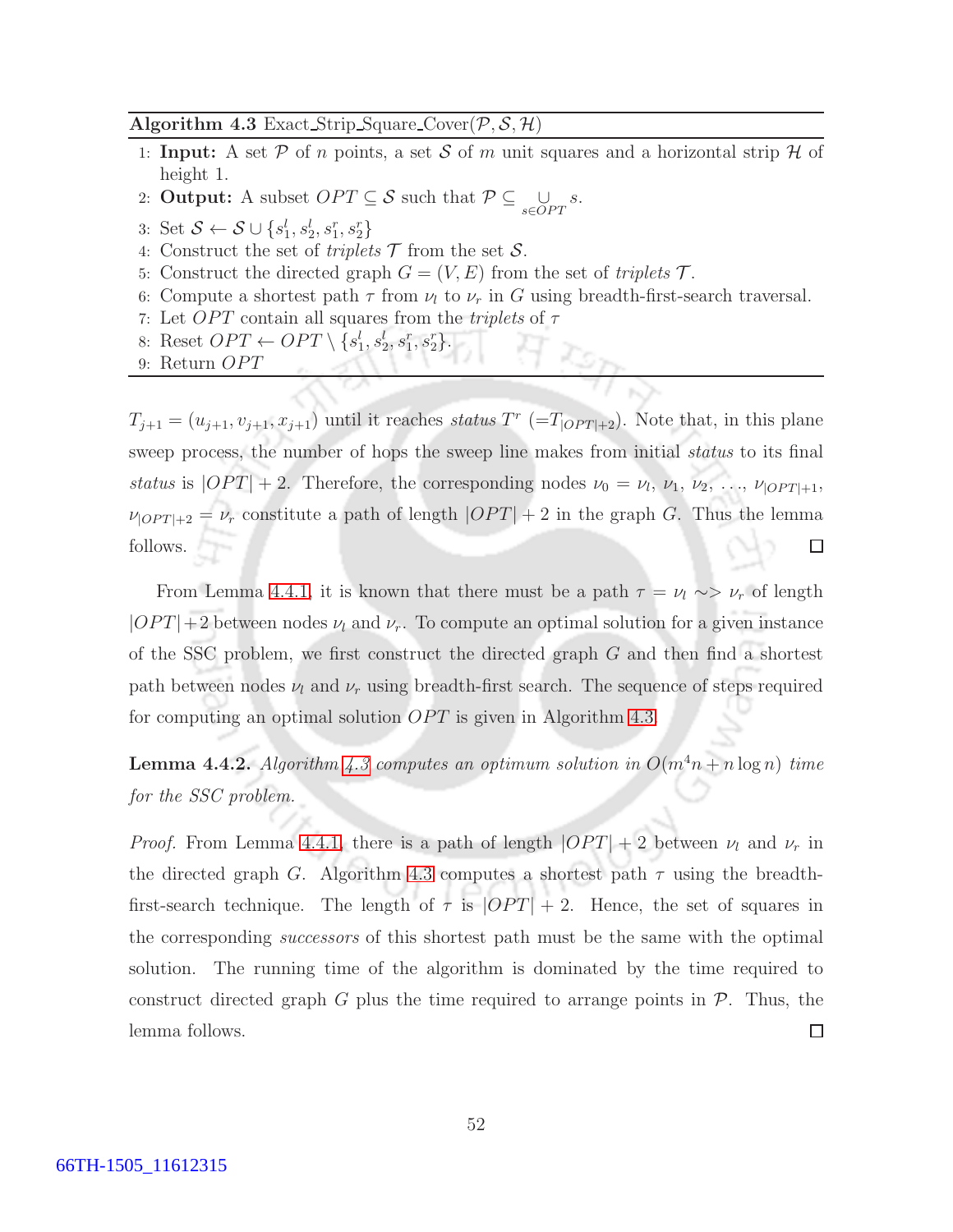#### Algorithm 4.3 Exact Strip Square Cover $(\mathcal{P}, \mathcal{S}, \mathcal{H})$

- 1: Input: A set  $P$  of n points, a set S of m unit squares and a horizontal strip  $H$  of height 1.
- 2: **Output:** A subset  $OPT \subseteq S$  such that  $\mathcal{P} \subseteq \bigcup_{s \in OPT}$ s.
- 3: Set  $S \leftarrow S \cup \{s_1^l, s_2^l, s_1^r, s_2^r\}$
- 4: Construct the set of *triplets*  $\mathcal T$  from the set  $\mathcal S$ .
- 5: Construct the directed graph  $G = (V, E)$  from the set of triplets  $\mathcal{T}$ .
- 6: Compute a shortest path  $\tau$  from  $\nu_l$  to  $\nu_r$  in G using breadth-first-search traversal.
- 7: Let  $OPT$  contain all squares from the *triplets* of  $\tau$
- <span id="page-65-0"></span>8: Reset  $OPT \leftarrow OPT \setminus \{s_1^l, s_2^l, s_1^r, s_2^r\}.$

9: Return OPT

 $T_{j+1} = (u_{j+1}, v_{j+1}, x_{j+1})$  until it reaches status  $T^r$  (=T<sub>|OPT|+2</sub>). Note that, in this plane sweep process, the number of hops the sweep line makes from initial *status* to its final status is  $|OPT| + 2$ . Therefore, the corresponding nodes  $\nu_0 = \nu_1, \nu_1, \nu_2, \ldots, \nu_{|OPT|+1},$  $\nu_{|OPT|+2} = \nu_r$  constitute a path of length  $|OPT| + 2$  in the graph G. Thus the lemma follows.  $\Box$ 

From Lemma [4.4.1,](#page-64-1) it is known that there must be a path  $\tau = \nu_l \sim > \nu_r$  of length  $|OPT|+2$  between nodes  $\nu_l$  and  $\nu_r$ . To compute an optimal solution for a given instance of the SSC problem, we first construct the directed graph  $G$  and then find a shortest path between nodes  $\nu_l$  and  $\nu_r$  using breadth-first search. The sequence of steps required for computing an optimal solution  $OPT$  is given in Algorithm [4.3.](#page-65-0)

<span id="page-65-1"></span>**Lemma 4.4.2.** Algorithm [4.3](#page-65-0) computes an optimum solution in  $O(m^4n + n \log n)$  time for the SSC problem.

*Proof.* From Lemma [4.4.1,](#page-64-1) there is a path of length  $|OPT| + 2$  between  $\nu_l$  and  $\nu_r$  in the directed graph G. Algorithm [4.3](#page-65-0) computes a shortest path  $\tau$  using the breadthfirst-search technique. The length of  $\tau$  is  $|OPT| + 2$ . Hence, the set of squares in the corresponding successors of this shortest path must be the same with the optimal solution. The running time of the algorithm is dominated by the time required to construct directed graph G plus the time required to arrange points in  $\mathcal{P}$ . Thus, the lemma follows. □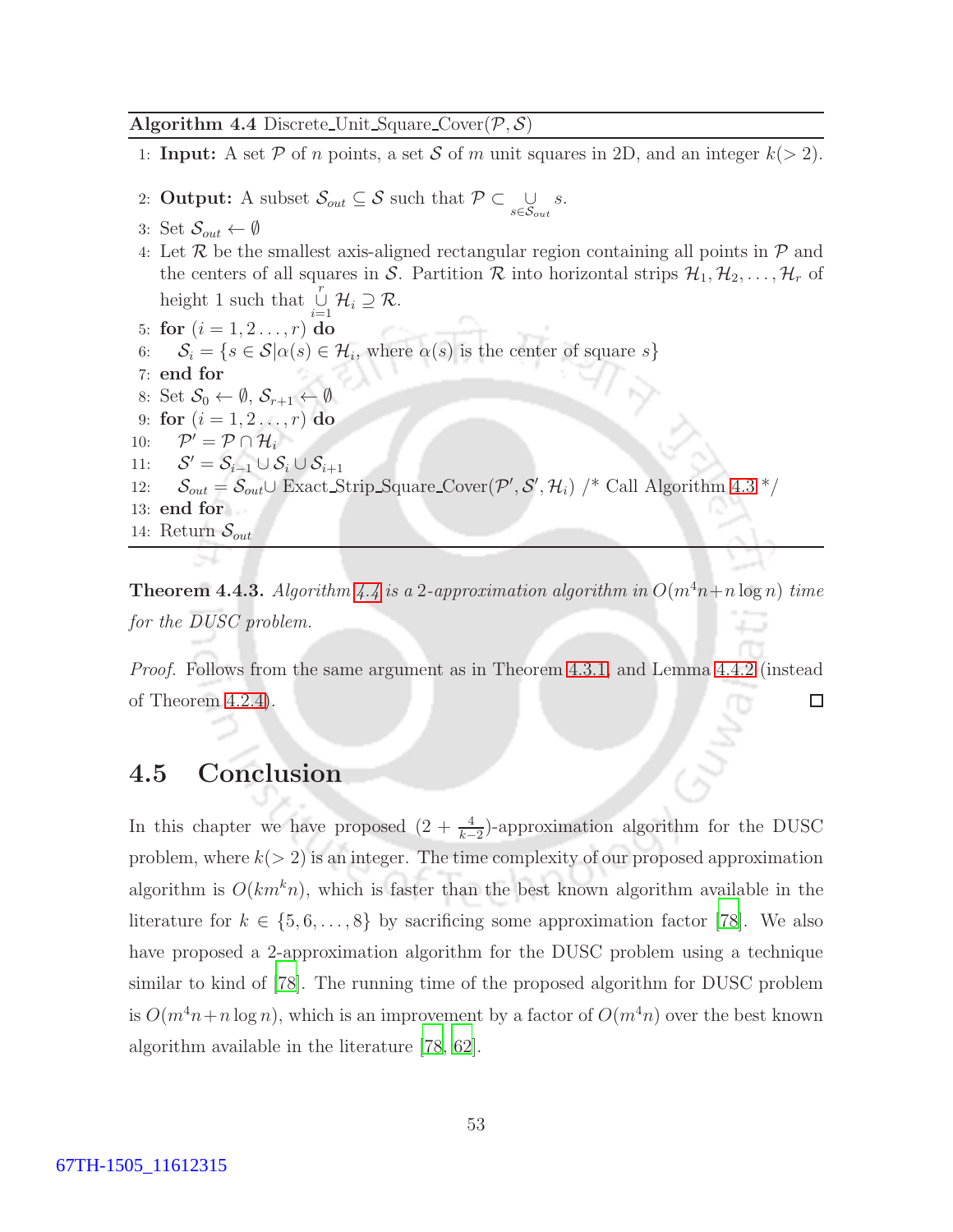### Algorithm 4.4 Discrete Unit Square Cover $(\mathcal{P}, \mathcal{S})$

- 1: **Input:** A set  $P$  of n points, a set  $S$  of m unit squares in 2D, and an integer  $k(>2)$ .
- 2: **Output:** A subset  $\mathcal{S}_{out} \subseteq \mathcal{S}$  such that  $\mathcal{P} \subset \bigcup_{s \in \mathcal{S}_{out}}$ s.
- 3: Set  $\mathcal{S}_{out} \leftarrow \emptyset$ 4: Let  $\mathcal R$  be the smallest axis-aligned rectangular region containing all points in  $\mathcal P$  and the centers of all squares in S. Partition R into horizontal strips  $\mathcal{H}_1, \mathcal{H}_2, \ldots, \mathcal{H}_r$  of height 1 such that  $\overline{C}$  $\bigcup_{i=1}^{\mathcal{C}}\mathcal{H}_i\supseteq\mathcal{R}.$ 5: for  $(i = 1, 2, ..., r)$  do 6:  $S_i = \{ s \in S | \alpha(s) \in \mathcal{H}_i \}$ , where  $\alpha(s)$  is the center of square  $s \}$ 7: end for 8: Set  $S_0 \leftarrow \emptyset$ ,  $S_{r+1} \leftarrow \emptyset$ 9: for  $(i = 1, 2, ..., r)$  do  $10:$  $\mathcal{P}' = \mathcal{P} \cap \mathcal{H}_i$  $\frac{11:}{12:}$  $\mathcal{S}' = \mathcal{S}_{i-1} \cup \mathcal{S}_i \cup \mathcal{S}_{i+1}$ 12:  $S_{out} = S_{out}$ ∪ Exact\_Strip\_Square\_Cover(P', S', H<sub>i</sub>) /\* Call Algorithm [4.3](#page-65-0) \*/ 13: end for 14: Return  $\mathcal{S}_{out}$

<span id="page-66-1"></span>**Theorem [4.4](#page-66-1).3.** Algorithm 4.4 is a 2-approximation algorithm in  $O(m^4n+n \log n)$  time for the DUSC problem.

Proof. Follows from the same argument as in Theorem [4.3.1,](#page-60-1) and Lemma [4.4.2](#page-65-1) (instead of Theorem [4.2.4\)](#page-57-2). □

### <span id="page-66-0"></span>4.5 Conclusion

In this chapter we have proposed  $(2 + \frac{4}{k-2})$ -approximation algorithm for the DUSC problem, where  $k(> 2)$  is an integer. The time complexity of our proposed approximation algorithm is  $O(km^k n)$ , which is faster than the best known algorithm available in the literature for  $k \in \{5, 6, \ldots, 8\}$  by sacrificing some approximation factor [\[78](#page-108-0)]. We also have proposed a 2-approximation algorithm for the DUSC problem using a technique similar to kind of [\[78](#page-108-0)]. The running time of the proposed algorithm for DUSC problem is  $O(m^4n+n \log n)$ , which is an improvement by a factor of  $O(m^4n)$  over the best known algorithm available in the literature [\[78](#page-108-0), [62](#page-106-0)].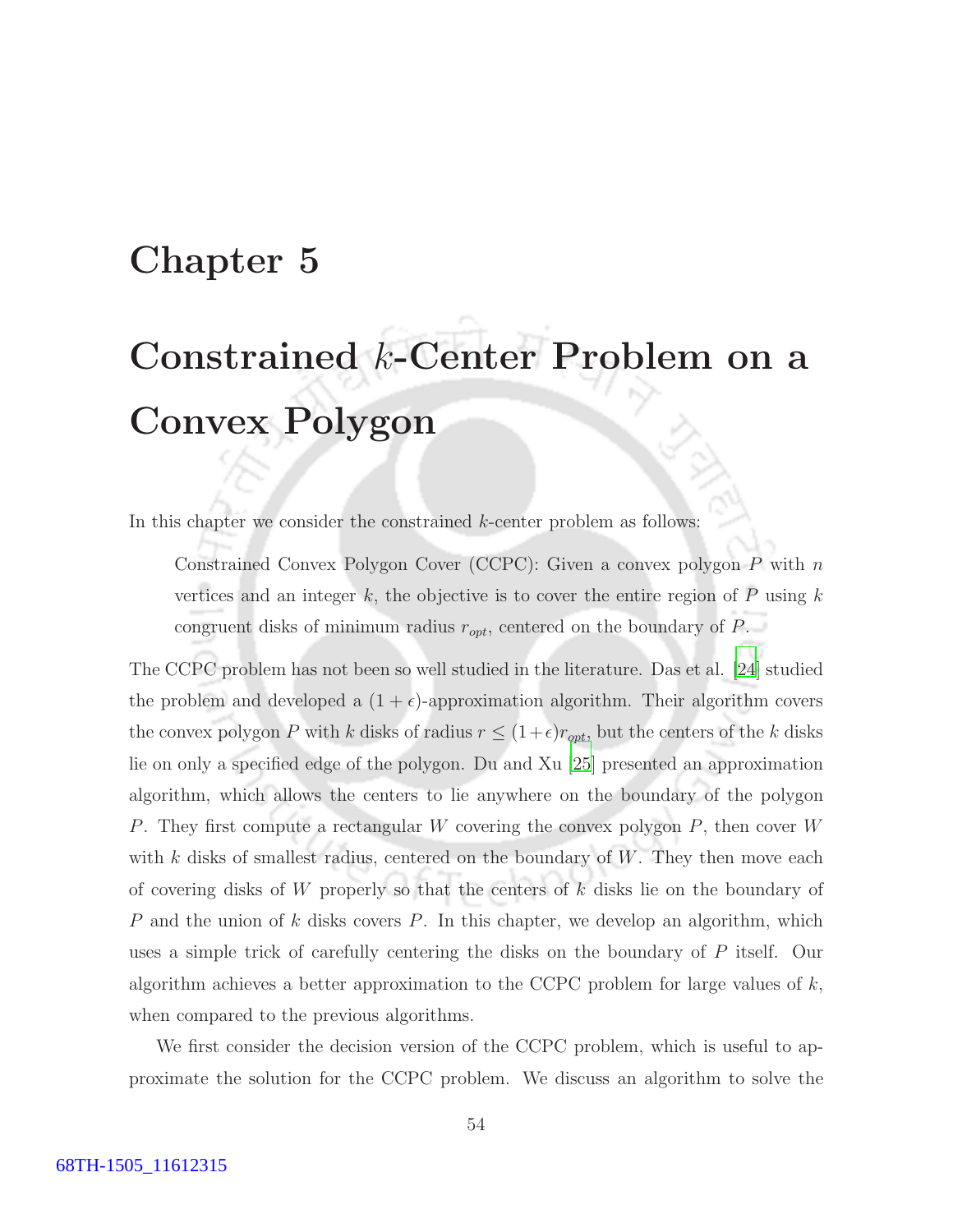# Chapter 5

# Constrained k-Center Problem on a Convex Polygon

In this chapter we consider the constrained k-center problem as follows:

Constrained Convex Polygon Cover (CCPC): Given a convex polygon  $P$  with  $n$ vertices and an integer  $k$ , the objective is to cover the entire region of  $P$  using  $k$ congruent disks of minimum radius  $r_{opt}$ , centered on the boundary of P.

The CCPC problem has not been so well studied in the literature. Das et al. [\[24\]](#page-102-2) studied the problem and developed a  $(1 + \epsilon)$ -approximation algorithm. Their algorithm covers the convex polygon P with k disks of radius  $r \leq (1+\epsilon)r_{opt}$ , but the centers of the k disks lie on only a specified edge of the polygon. Du and Xu [\[25\]](#page-103-2) presented an approximation algorithm, which allows the centers to lie anywhere on the boundary of the polygon P. They first compute a rectangular W covering the convex polygon  $P$ , then cover W with k disks of smallest radius, centered on the boundary of  $W$ . They then move each of covering disks of  $W$  properly so that the centers of  $k$  disks lie on the boundary of P and the union of k disks covers  $P$ . In this chapter, we develop an algorithm, which uses a simple trick of carefully centering the disks on the boundary of P itself. Our algorithm achieves a better approximation to the CCPC problem for large values of  $k$ , when compared to the previous algorithms.

We first consider the decision version of the CCPC problem, which is useful to approximate the solution for the CCPC problem. We discuss an algorithm to solve the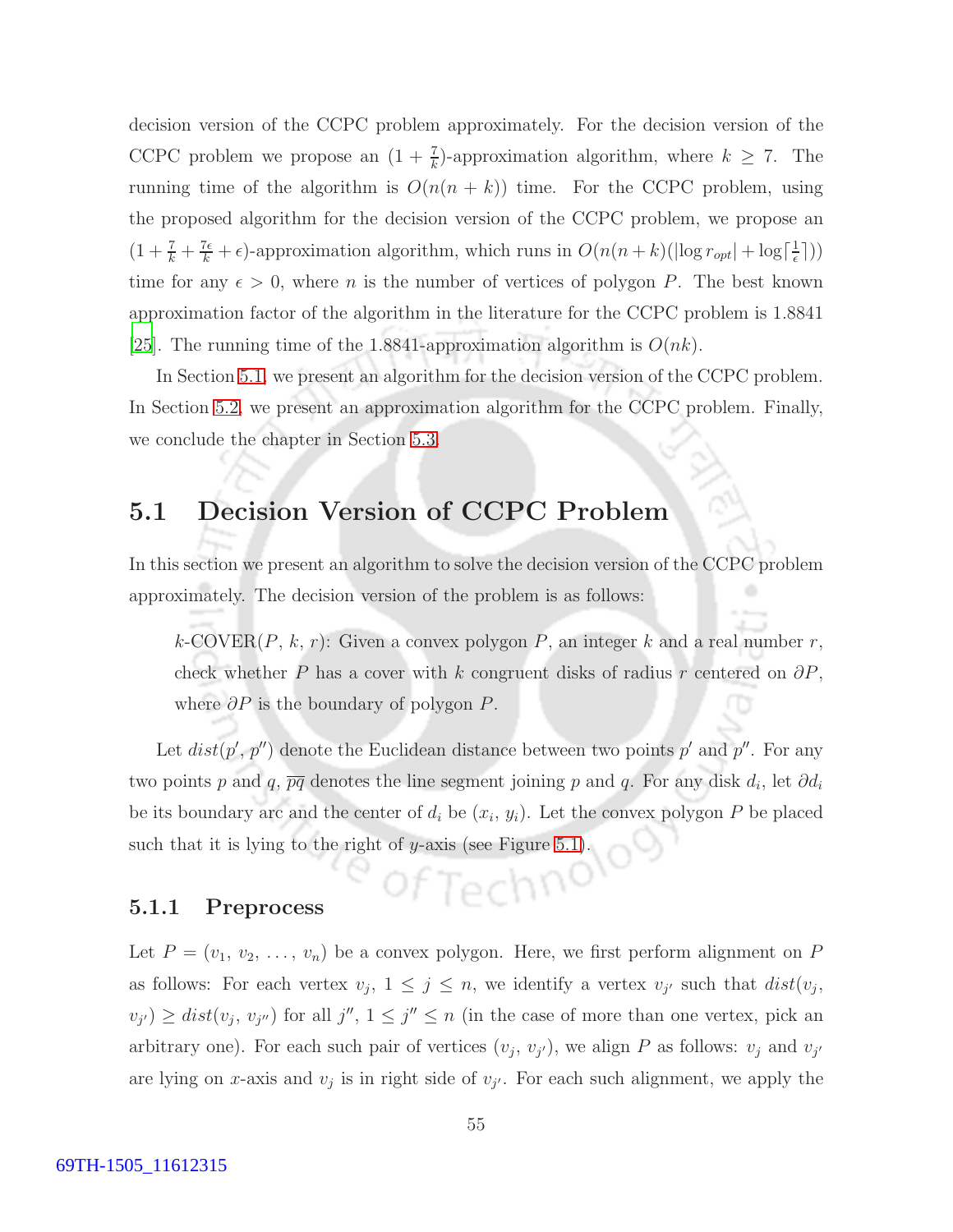decision version of the CCPC problem approximately. For the decision version of the CCPC problem we propose an  $(1 + \frac{7}{k})$ -approximation algorithm, where  $k \ge 7$ . The running time of the algorithm is  $O(n(n + k))$  time. For the CCPC problem, using the proposed algorithm for the decision version of the CCPC problem, we propose an  $(1 + \frac{7}{k} + \frac{7\epsilon}{k} + \epsilon)$ -approximation algorithm, which runs in  $O(n(n+k)(\log r_{opt}) + \log \lceil \frac{1}{\epsilon} \rceil)$  $\frac{1}{\epsilon}$ ])) time for any  $\epsilon > 0$ , where *n* is the number of vertices of polygon *P*. The best known approximation factor of the algorithm in the literature for the CCPC problem is 1.8841 [\[25\]](#page-103-2). The running time of the 1.8841-approximation algorithm is  $O(nk)$ .

In Section [5.1,](#page-68-0) we present an algorithm for the decision version of the CCPC problem. In Section [5.2,](#page-80-0) we present an approximation algorithm for the CCPC problem. Finally, we conclude the chapter in Section [5.3.](#page-83-0)

### <span id="page-68-0"></span>5.1 Decision Version of CCPC Problem

In this section we present an algorithm to solve the decision version of the CCPC problem approximately. The decision version of the problem is as follows:

 $k$ -COVER(P, k, r): Given a convex polygon P, an integer k and a real number r, check whether P has a cover with k congruent disks of radius r centered on  $\partial P$ , where  $\partial P$  is the boundary of polygon P.

Let  $dist(p', p'')$  denote the Euclidean distance between two points  $p'$  and  $p''$ . For any two points p and q,  $\overline{pq}$  denotes the line segment joining p and q. For any disk  $d_i$ , let  $\partial d_i$ be its boundary arc and the center of  $d_i$  be  $(x_i, y_i)$ . Let the convex polygon P be placed such that it is lying to the right of  $y$ -axis (see Figure [5.1\)](#page-69-0).

of Techn

### <span id="page-68-1"></span>5.1.1 Preprocess

Let  $P = (v_1, v_2, \ldots, v_n)$  be a convex polygon. Here, we first perform alignment on P as follows: For each vertex  $v_j$ ,  $1 \leq j \leq n$ , we identify a vertex  $v_{j'}$  such that  $dist(v_j)$ ,  $(v_{j'}) \geq dist(v_j, v_{j''})$  for all  $j''$ ,  $1 \leq j'' \leq n$  (in the case of more than one vertex, pick an arbitrary one). For each such pair of vertices  $(v_j, v_{j'})$ , we align P as follows:  $v_j$  and  $v_{j'}$ are lying on x-axis and  $v_j$  is in right side of  $v_{j'}$ . For each such alignment, we apply the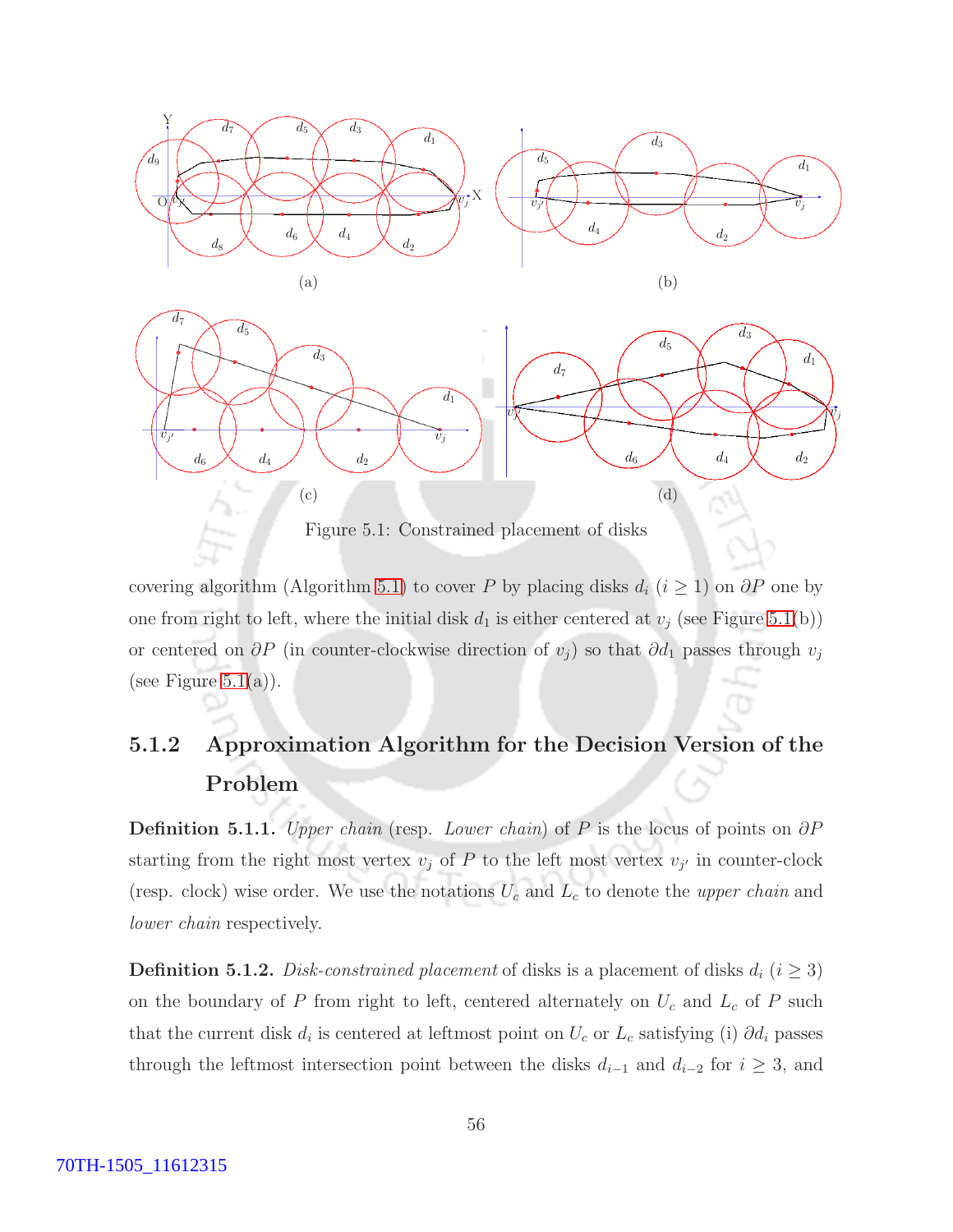<span id="page-69-0"></span>



Figure 5.1: Constrained placement of disks

covering algorithm (Algorithm [5.1\)](#page-71-0) to cover P by placing disks  $d_i$  ( $i \geq 1$ ) on  $\partial P$  one by one from right to left, where the initial disk  $d_1$  is either centered at  $v_j$  (see Figure [5.1\(](#page-69-0)b)) or centered on  $\partial P$  (in counter-clockwise direction of  $v_j$ ) so that  $\partial d_1$  passes through  $v_j$ (see Figure  $5.1(a)$ ).

### 5.1.2 Approximation Algorithm for the Decision Version of the Problem

**Definition 5.1.1.** Upper chain (resp. Lower chain) of P is the locus of points on  $\partial P$ starting from the right most vertex  $v_j$  of P to the left most vertex  $v_{j'}$  in counter-clock (resp. clock) wise order. We use the notations  $U_c$  and  $L_c$  to denote the upper chain and lower chain respectively.

<span id="page-69-1"></span>**Definition 5.1.2.** Disk-constrained placement of disks is a placement of disks  $d_i$  ( $i \geq 3$ ) on the boundary of  $P$  from right to left, centered alternately on  $U_c$  and  $L_c$  of  $P$  such that the current disk  $d_i$  is centered at leftmost point on  $U_c$  or  $L_c$  satisfying (i)  $\partial d_i$  passes through the leftmost intersection point between the disks  $d_{i-1}$  and  $d_{i-2}$  for  $i \geq 3$ , and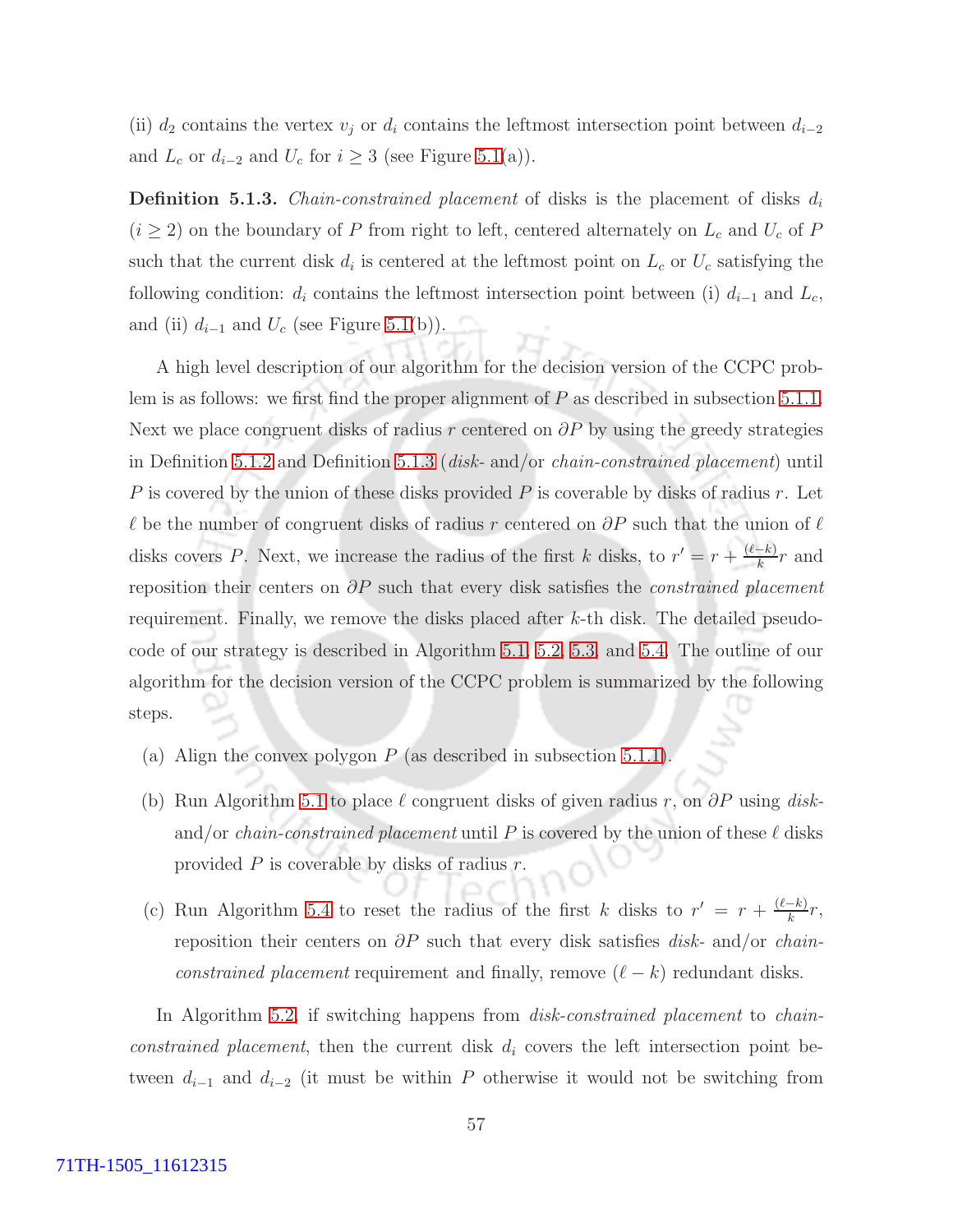(ii)  $d_2$  contains the vertex  $v_j$  or  $d_i$  contains the leftmost intersection point between  $d_{i-2}$ and  $L_c$  or  $d_{i-2}$  and  $U_c$  for  $i \geq 3$  (see Figure [5.1\(](#page-69-0)a)).

<span id="page-70-0"></span>**Definition 5.1.3.** Chain-constrained placement of disks is the placement of disks  $d_i$  $(i \geq 2)$  on the boundary of  $P$  from right to left, centered alternately on  $L_c$  and  $U_c$  of  $P$ such that the current disk  $d_i$  is centered at the leftmost point on  $L_c$  or  $U_c$  satisfying the following condition:  $d_i$  contains the leftmost intersection point between (i)  $d_{i-1}$  and  $L_c$ , and (ii)  $d_{i-1}$  and  $U_c$  (see Figure [5.1\(](#page-69-0)b)).

A high level description of our algorithm for the decision version of the CCPC problem is as follows: we first find the proper alignment of P as described in subsection [5.1.1.](#page-68-1) Next we place congruent disks of radius r centered on  $\partial P$  by using the greedy strategies in Definition [5.1.2](#page-69-1) and Definition [5.1.3](#page-70-0) (disk- and/or chain-constrained placement) until P is covered by the union of these disks provided P is coverable by disks of radius r. Let  $ℓ$  be the number of congruent disks of radius r centered on  $∂P$  such that the union of  $ℓ$ disks covers P. Next, we increase the radius of the first k disks, to  $r' = r + \frac{(\ell - k)}{k}r$  and reposition their centers on  $\partial P$  such that every disk satisfies the *constrained placement* requirement. Finally, we remove the disks placed after  $k$ -th disk. The detailed pseudocode of our strategy is described in Algorithm [5.1,](#page-71-0) [5.2,](#page-72-0) [5.3,](#page-73-0) and [5.4.](#page-79-0) The outline of our algorithm for the decision version of the CCPC problem is summarized by the following steps.

- (a) Align the convex polygon  $P$  (as described in subsection [5.1.1\)](#page-68-1).
- (b) Run Algorithm [5.1](#page-71-0) to place  $\ell$  congruent disks of given radius r, on  $\partial P$  using diskand/or *chain-constrained placement* until P is covered by the union of these  $\ell$  disks provided  $P$  is coverable by disks of radius  $r$ .
- (c) Run Algorithm [5.4](#page-79-0) to reset the radius of the first k disks to  $r' = r + \frac{(\ell k)}{k}r$ , reposition their centers on  $\partial P$  such that every disk satisfies *disk*- and/or *chain*constrained placement requirement and finally, remove  $(\ell - k)$  redundant disks.

In Algorithm [5.2,](#page-72-0) if switching happens from *disk-constrained placement* to *chainconstrained placement*, then the current disk  $d_i$  covers the left intersection point between  $d_{i-1}$  and  $d_{i-2}$  (it must be within P otherwise it would not be switching from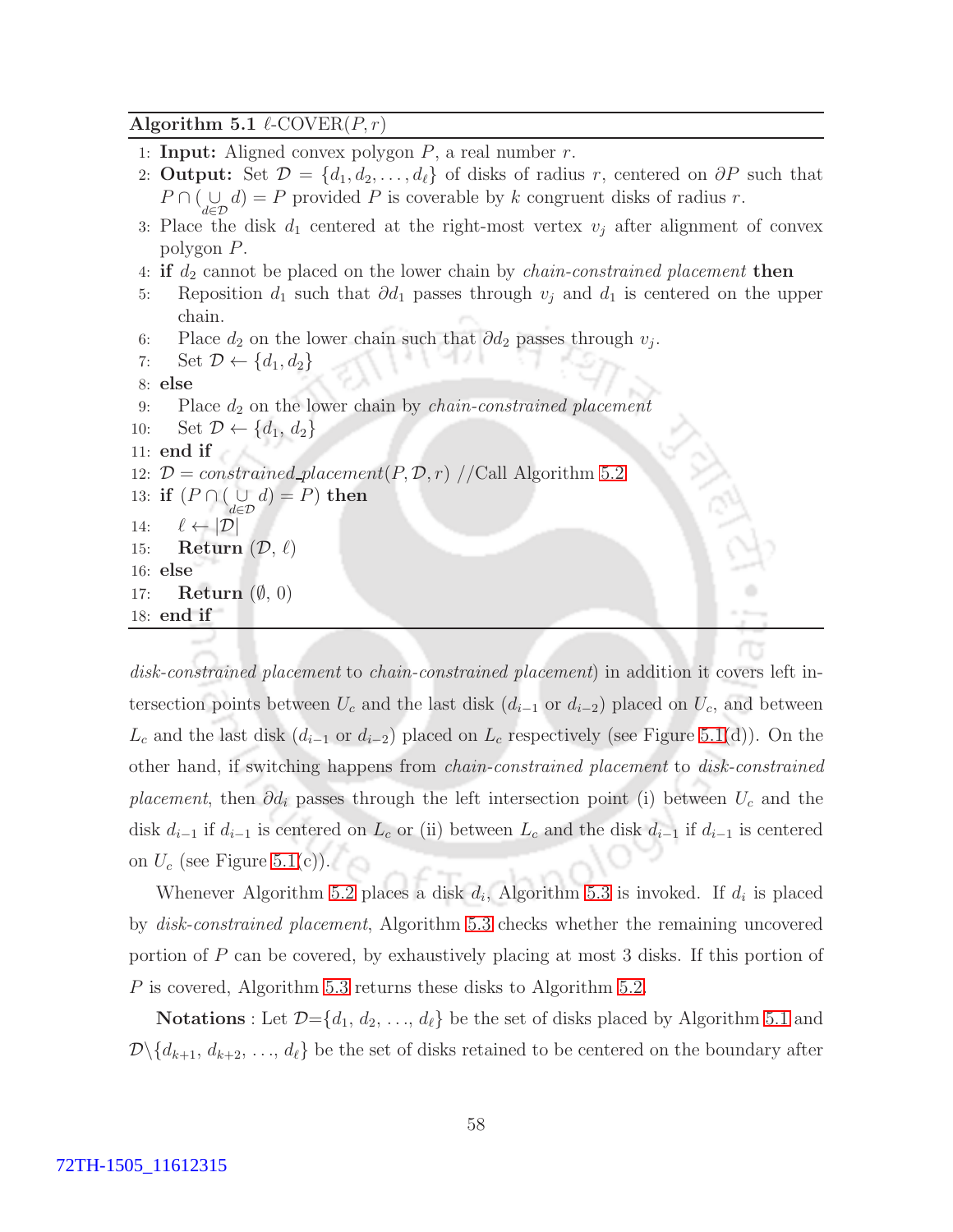### Algorithm 5.1  $\ell$ -COVER $(P, r)$

- 1: **Input:** Aligned convex polygon  $P$ , a real number  $r$ .
- 2: **Output:** Set  $\mathcal{D} = \{d_1, d_2, \ldots, d_\ell\}$  of disks of radius r, centered on  $\partial P$  such that  $P \cap (\bigcup_{d \in \mathcal{D}}$  $d) = P$  provided P is coverable by k congruent disks of radius r.
- 3: Place the disk  $d_1$  centered at the right-most vertex  $v_j$  after alignment of convex polygon P.
- 4: if  $d_2$  cannot be placed on the lower chain by *chain-constrained placement* then
- 5: Reposition  $d_1$  such that  $\partial d_1$  passes through  $v_j$  and  $d_1$  is centered on the upper chain.
- 6: Place  $d_2$  on the lower chain such that  $\partial d_2$  passes through  $v_j$ .

```
7: Set \mathcal{D} \leftarrow \{d_1, d_2\}
```
8: else

```
9: Place d_2 on the lower chain by chain-constrained placement
```
- 10: Set  $\mathcal{D} \leftarrow \{d_1, d_2\}$
- 11: end if

```
12: \mathcal{D} = constrained\_placement(P, \mathcal{D}, r) 5.2
```

```
13: if (P \cap (\bigcup_{d \in \mathcal{D}})d)=P) \ {\bf then}
```
14:  $\ell \leftarrow |\mathcal{D}|$ <br>15: **Return** Return  $(D, \ell)$ 

16: else

```
17: Return (\emptyset, 0)
```
18: end if

disk-constrained placement to chain-constrained placement) in addition it covers left intersection points between  $U_c$  and the last disk  $(d_{i-1}$  or  $d_{i-2})$  placed on  $U_c$ , and between  $L_c$  and the last disk  $(d_{i-1}$  or  $d_{i-2})$  placed on  $L_c$  respectively (see Figure [5.1\(](#page-69-0)d)). On the other hand, if switching happens from chain-constrained placement to disk-constrained *placement*, then  $\partial d_i$  passes through the left intersection point (i) between  $U_c$  and the disk  $d_{i-1}$  if  $d_{i-1}$  is centered on  $L_c$  or (ii) between  $L_c$  and the disk  $d_{i-1}$  if  $d_{i-1}$  is centered on  $U_c$  (see Figure [5.1\(](#page-69-0)c)).

Whenever Algorithm [5.2](#page-72-0) places a disk  $d_i$ , Algorithm [5.3](#page-73-0) is invoked. If  $d_i$  is placed by disk-constrained placement, Algorithm [5.3](#page-73-0) checks whether the remaining uncovered portion of P can be covered, by exhaustively placing at most 3 disks. If this portion of P is covered, Algorithm [5.3](#page-73-0) returns these disks to Algorithm [5.2.](#page-72-0)

**Notations** : Let  $\mathcal{D}=\{d_1, d_2, ..., d_\ell\}$  be the set of disks placed by Algorithm [5.1](#page-71-0) and  $\mathcal{D}\backslash\{d_{k+1}, d_{k+2}, \ldots, d_{\ell}\}\$ be the set of disks retained to be centered on the boundary after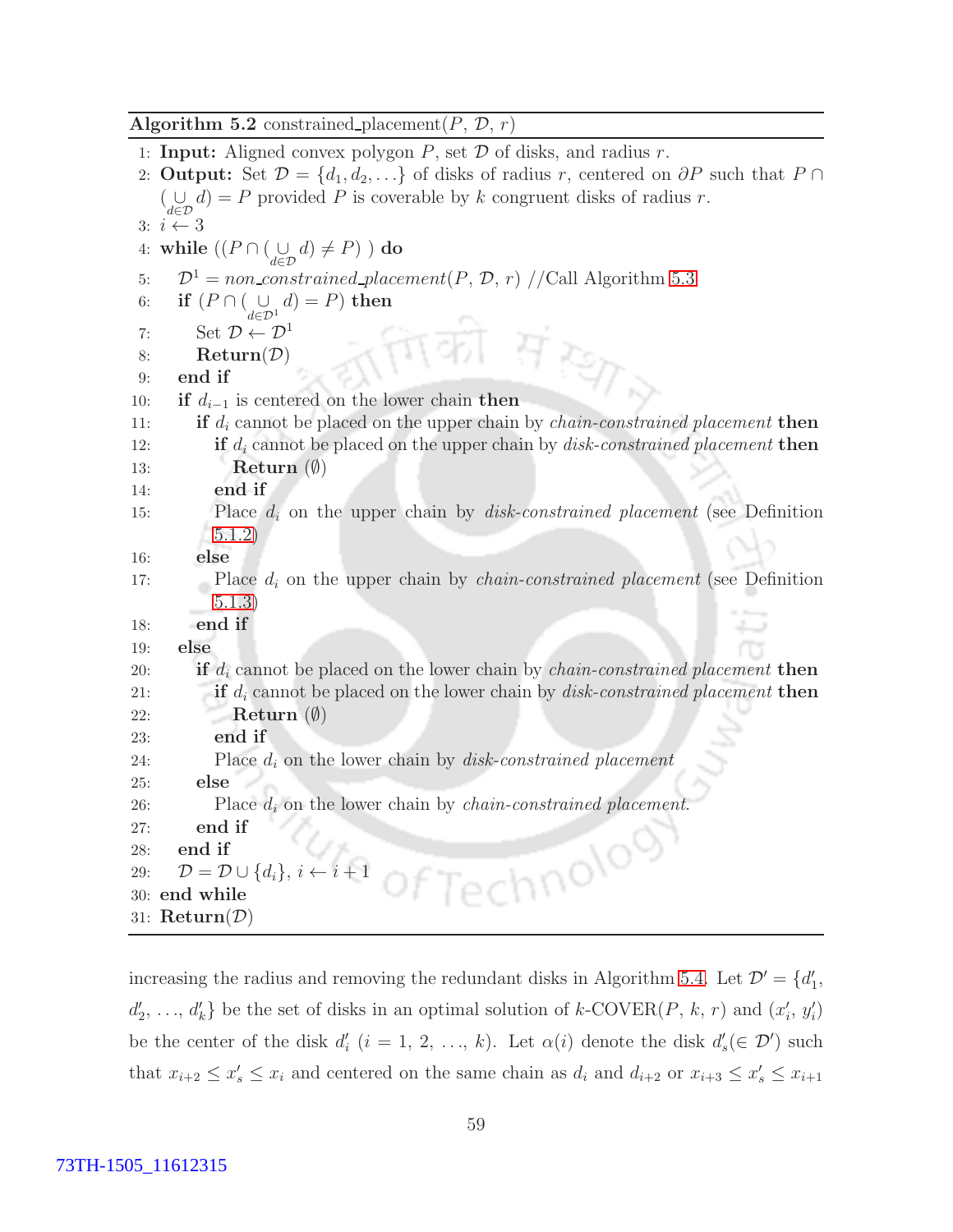Algorithm 5.2 constrained placement( $P, D, r$ )

|     | 1: <b>Input:</b> Aligned convex polygon $P$ , set $D$ of disks, and radius $r$ .                                       |
|-----|------------------------------------------------------------------------------------------------------------------------|
|     | 2: <b>Output:</b> Set $\mathcal{D} = \{d_1, d_2, \}$ of disks of radius r, centered on $\partial P$ such that $P \cap$ |
|     | $\left(\bigcup_{l\in\mathcal{D}}d\right)=P$ provided P is coverable by k congruent disks of radius r.                  |
|     | 3: $i \leftarrow 3$                                                                                                    |
|     | 4: while $((P \cap (\bigcup_{d \in \mathcal{D}} d) \neq P))$ do                                                        |
| 5:  | $\mathcal{D}^1$ = non_constrained_placement(P, D, r) //Call Algorithm 5.3                                              |
| 6:  | if $(P \cap (\cup d) = P)$ then                                                                                        |
| 7:  | Set $\mathcal{D} \leftarrow \mathcal{D}^1$                                                                             |
| 8:  | Return(D)                                                                                                              |
| 9:  | $H$ Re $\eta_{\tilde{K}}$<br>end if                                                                                    |
| 10: | if $d_{i-1}$ is centered on the lower chain then                                                                       |
| 11: | if $d_i$ cannot be placed on the upper chain by <i>chain-constrained placement</i> then                                |
| 12: | if $d_i$ cannot be placed on the upper chain by disk-constrained placement then                                        |
| 13: | Return $(\emptyset)$                                                                                                   |
| 14: | end if                                                                                                                 |
| 15: | Place $d_i$ on the upper chain by disk-constrained placement (see Definition                                           |
|     | 5.1.2)                                                                                                                 |
| 16: | else                                                                                                                   |
| 17: | Place $d_i$ on the upper chain by <i>chain-constrained placement</i> (see Definition                                   |
|     | (5.1.3)                                                                                                                |
| 18: | end if                                                                                                                 |
| 19: | else                                                                                                                   |
| 20: | if $d_i$ cannot be placed on the lower chain by <i>chain-constrained placement</i> then                                |
| 21: | if $d_i$ cannot be placed on the lower chain by disk-constrained placement then                                        |
| 22: | Return $(\emptyset)$                                                                                                   |
| 23: | end if                                                                                                                 |
| 24: | Place $d_i$ on the lower chain by <i>disk-constrained placement</i>                                                    |
| 25: | else                                                                                                                   |
| 26: | Place $d_i$ on the lower chain by <i>chain-constrained placement</i> .                                                 |
| 27: | end if                                                                                                                 |
| 28: | nnolo<br>end if<br>$\mathcal{D} = \mathcal{D} \cup \{d_i\}, i \leftarrow i + 1$                                        |
| 29: |                                                                                                                        |
|     | 30: end while                                                                                                          |
|     | 31: $Return(D)$                                                                                                        |

<span id="page-72-0"></span>increasing the radius and removing the redundant disks in Algorithm [5.4.](#page-79-0) Let  $\mathcal{D}' = \{d'_1,$  $d'_2, \ldots, d'_k$  be the set of disks in an optimal solution of k-COVER(P, k, r) and  $(x'_i, y'_i)$ be the center of the disk  $d_i$   $(i = 1, 2, ..., k)$ . Let  $\alpha(i)$  denote the disk  $d_s' \in \mathcal{D}'$  such that  $x_{i+2} \le x_s' \le x_i$  and centered on the same chain as  $d_i$  and  $d_{i+2}$  or  $x_{i+3} \le x_s' \le x_{i+1}$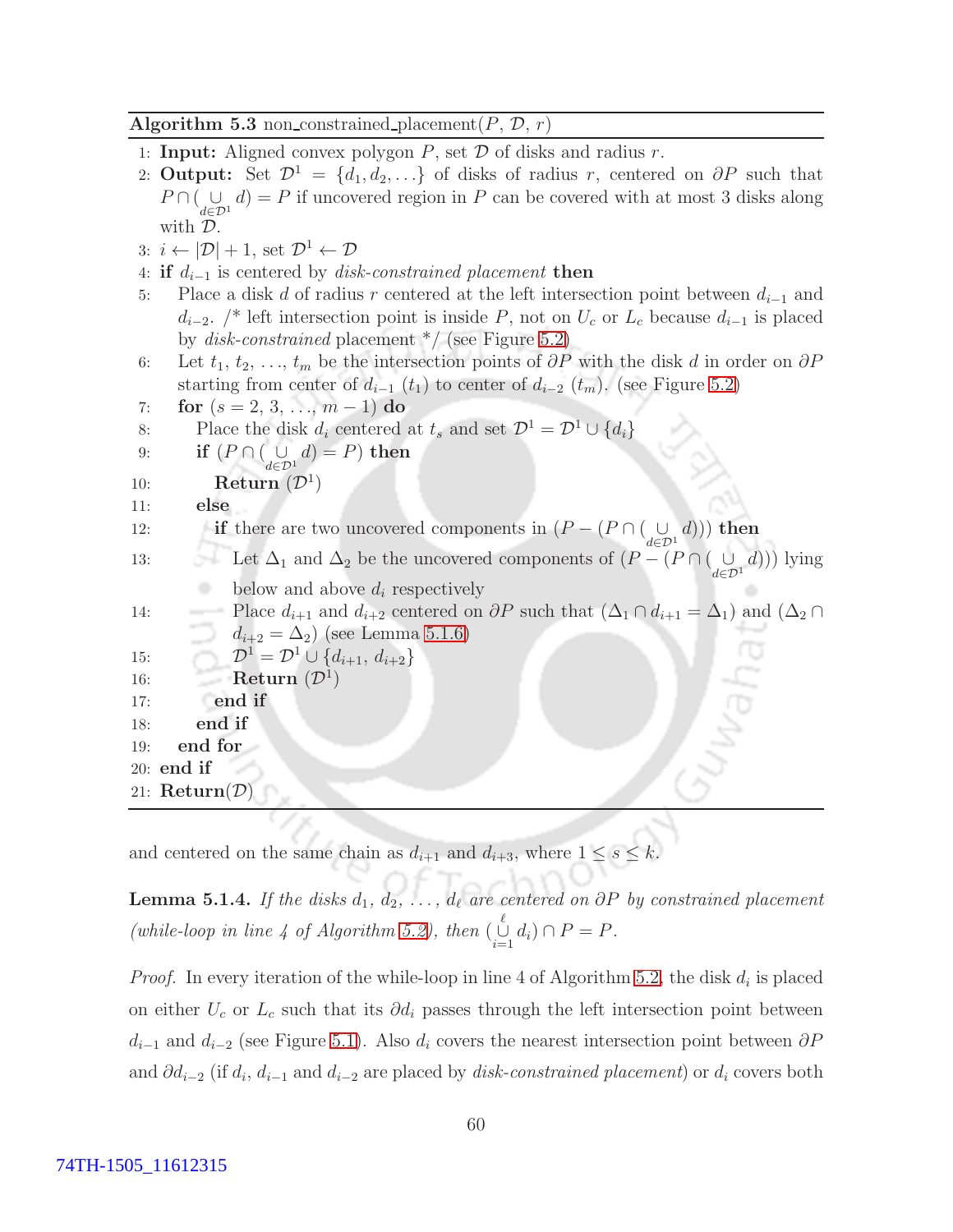Algorithm 5.3 non constrained placement  $(P, \mathcal{D}, r)$ 

- 1: Input: Aligned convex polygon  $P$ , set  $D$  of disks and radius  $r$ .
- 2: Output: Set  $\mathcal{D}^1 = \{d_1, d_2, ...\}$  of disks of radius r, centered on  $\partial P$  such that  $P \cap (\bigcup_{d \in \mathcal{D}^1}$  $d) = P$  if uncovered region in P can be covered with at most 3 disks along with  $\mathcal{D}$ .
- 3:  $i \leftarrow |\mathcal{D}| + 1$ , set  $\mathcal{D}^1 \leftarrow \mathcal{D}$
- 4: if  $d_{i-1}$  is centered by *disk-constrained placement* then
- Place a disk d of radius r centered at the left intersection point between  $d_{i-1}$  and  $d_{i-2}$ . /\* left intersection point is inside P, not on  $U_c$  or  $L_c$  because  $d_{i-1}$  is placed by disk-constrained placement \*/ (see Figure [5.2\)](#page-74-0)
- 6: Let  $t_1, t_2, \ldots, t_m$  be the intersection points of  $\partial P$  with the disk d in order on  $\partial P$ starting from center of  $d_{i-1}$  ( $t_1$ ) to center of  $d_{i-2}$  ( $t_m$ ). (see Figure [5.2\)](#page-74-0)
- 7: for  $(s = 2, 3, ..., m 1)$  do

8: Place the disk 
$$
d_i
$$
 centered at  $t_s$  and set  $\mathcal{D}^1 = \mathcal{D}^1 \cup \{d_i\}$ 

- 9: **if**  $(P \cap (\bigcup_{d \in \mathcal{D}^1}$  $d) = P) \textbf{ then}$
- 10: **Return**  $(\mathcal{D}^1)$

11: else

- 12: **if** there are two uncovered components in  $(P (P \cap (\bigcup_{d \in \mathcal{D}^1} \mathcal{L}_{d})^d))$  $d)))\ {\bf then}$
- 13: Let  $\Delta_1$  and  $\Delta_2$  be the uncovered components of  $(P (P \cap (\bigcup_{d \in \mathcal{D}^1} \mathcal{L}_d))$  $d))$ ) lying below and above  $d_i$  respectively 14: Place  $d_{i+1}$  and  $d_{i+2}$  centered on  $\partial P$  such that  $(\Delta_1 \cap d_{i+1} = \Delta_1)$  and  $(\Delta_2 \cap$  $d_{i+2} = \Delta_2$ ) (see Lemma [5.1.6\)](#page-74-1) 15:  $\mathcal{D}^1 = \mathcal{D}^1 \cup \{d_{i+1}, d_{i+2}\}\$
- 16: **Return**  $(\mathcal{D}^1)$
- 17: end if
- 18: end if
- 19: end for

<span id="page-73-0"></span>20: end if

21:  $Return(D)$ 

and centered on the same chain as  $d_{i+1}$  and  $d_{i+3}$ , where  $1 \leq s \leq k$ .

**Lemma 5.1.4.** If the disks  $d_1, d_2, \ldots, d_\ell$  are centered on  $\partial P$  by constrained placement (while-loop in line 4 of Algorithm [5.2\)](#page-72-0), then  $\begin{pmatrix} \ell \\ \end{pmatrix}$  $\bigcup_{i=1}^{\infty} d_i$   $\cap$   $P = P$ .

*Proof.* In every iteration of the while-loop in line 4 of Algorithm [5.2,](#page-72-0) the disk  $d_i$  is placed on either  $U_c$  or  $L_c$  such that its  $\partial d_i$  passes through the left intersection point between  $d_{i-1}$  and  $d_{i-2}$  (see Figure [5.1\)](#page-69-1). Also  $d_i$  covers the nearest intersection point between  $\partial P$ and  $\partial d_{i-2}$  (if  $d_i$ ,  $d_{i-1}$  and  $d_{i-2}$  are placed by *disk-constrained placement*) or  $d_i$  covers both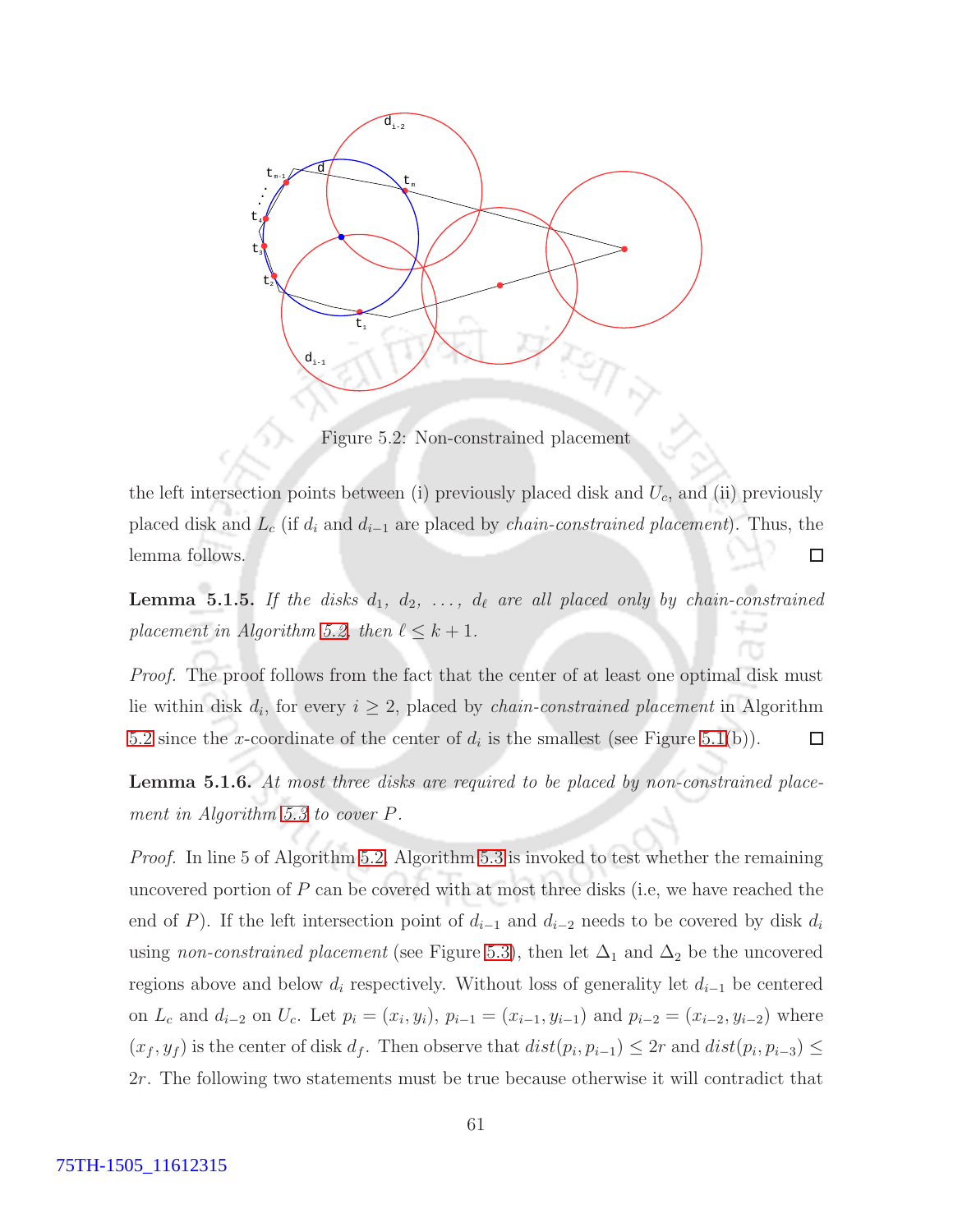<span id="page-74-0"></span>

Figure 5.2: Non-constrained placement

the left intersection points between (i) previously placed disk and  $U_c$ , and (ii) previously placed disk and  $L_c$  (if  $d_i$  and  $d_{i-1}$  are placed by *chain-constrained placement*). Thus, the lemma follows.  $\Box$ 

<span id="page-74-2"></span>**Lemma 5.1.5.** If the disks  $d_1, d_2, \ldots, d_\ell$  are all placed only by chain-constrained placement in Algorithm [5.2,](#page-72-0) then  $\ell \leq k+1$ .

Proof. The proof follows from the fact that the center of at least one optimal disk must lie within disk  $d_i$ , for every  $i \geq 2$ , placed by *chain-constrained placement* in Algorithm [5.2](#page-72-0) since the x-coordinate of the center of  $d_i$  is the smallest (see Figure [5.1\(](#page-69-1)b)). □

<span id="page-74-1"></span>Lemma 5.1.6. At most three disks are required to be placed by non-constrained placement in Algorithm [5.3](#page-73-0) to cover P.

Proof. In line 5 of Algorithm [5.2,](#page-72-0) Algorithm [5.3](#page-73-0) is invoked to test whether the remaining uncovered portion of  $P$  can be covered with at most three disks (i.e, we have reached the end of P). If the left intersection point of  $d_{i-1}$  and  $d_{i-2}$  needs to be covered by disk  $d_i$ using non-constrained placement (see Figure [5.3\)](#page-75-0), then let  $\Delta_1$  and  $\Delta_2$  be the uncovered regions above and below  $d_i$  respectively. Without loss of generality let  $d_{i-1}$  be centered on  $L_c$  and  $d_{i-2}$  on  $U_c$ . Let  $p_i = (x_i, y_i)$ ,  $p_{i-1} = (x_{i-1}, y_{i-1})$  and  $p_{i-2} = (x_{i-2}, y_{i-2})$  where  $(x_f, y_f)$  is the center of disk  $d_f$ . Then observe that  $dist(p_i, p_{i-1}) \leq 2r$  and  $dist(p_i, p_{i-3}) \leq$ 2r. The following two statements must be true because otherwise it will contradict that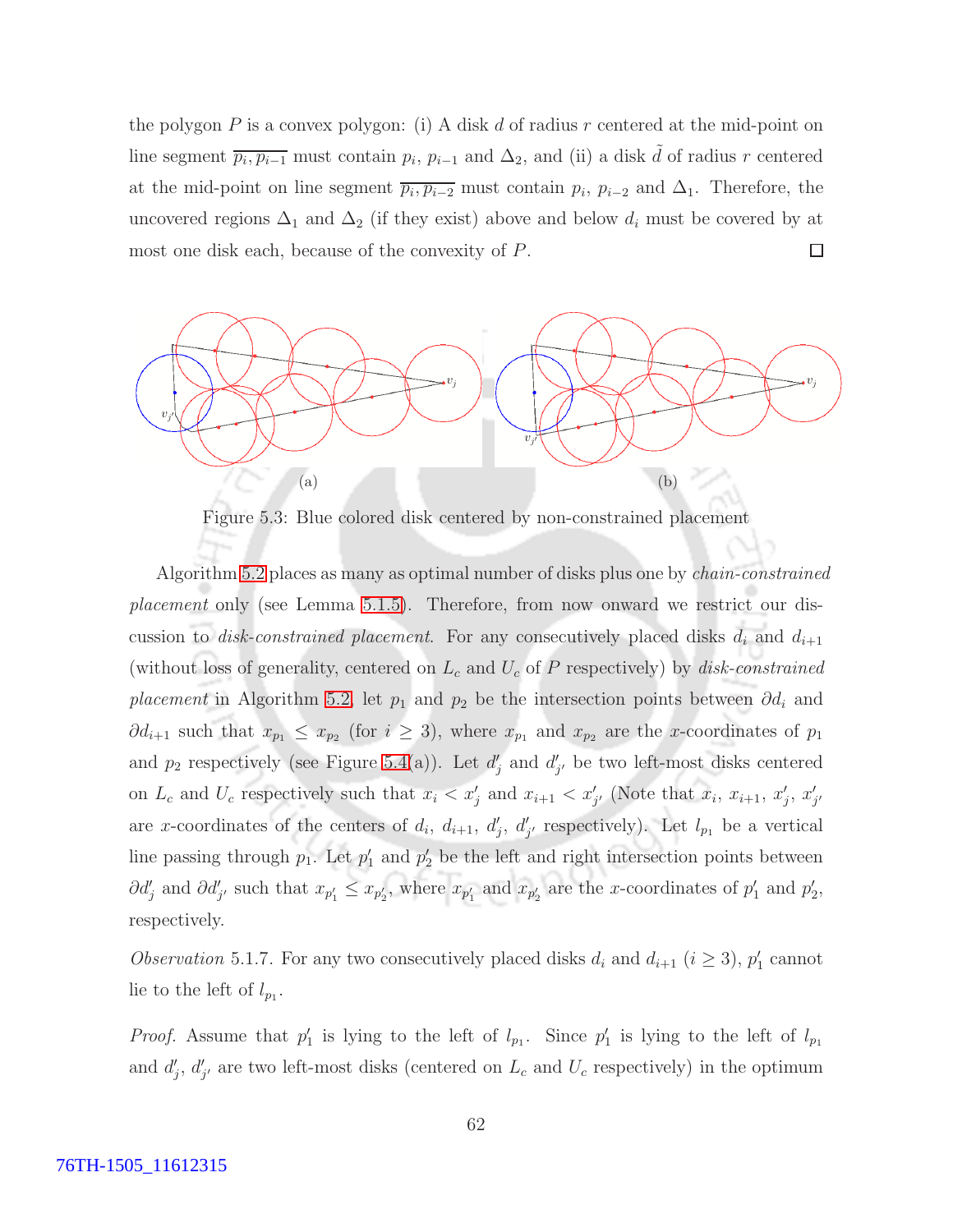the polygon P is a convex polygon: (i) A disk d of radius r centered at the mid-point on line segment  $\overline{p_i, p_{i-1}}$  must contain  $p_i, p_{i-1}$  and  $\Delta_2$ , and (ii) a disk  $\tilde{d}$  of radius r centered at the mid-point on line segment  $\overline{p_i, p_{i-2}}$  must contain  $p_i, p_{i-2}$  and  $\Delta_1$ . Therefore, the uncovered regions  $\Delta_1$  and  $\Delta_2$  (if they exist) above and below  $d_i$  must be covered by at most one disk each, because of the convexity of P. □

<span id="page-75-0"></span>

Figure 5.3: Blue colored disk centered by non-constrained placement

Algorithm [5.2](#page-72-0) places as many as optimal number of disks plus one by chain-constrained placement only (see Lemma [5.1.5\)](#page-74-2). Therefore, from now onward we restrict our discussion to *disk-constrained placement*. For any consecutively placed disks  $d_i$  and  $d_{i+1}$ (without loss of generality, centered on  $L_c$  and  $U_c$  of P respectively) by *disk-constrained placement* in Algorithm [5.2,](#page-72-0) let  $p_1$  and  $p_2$  be the intersection points between  $\partial d_i$  and  $\partial d_{i+1}$  such that  $x_{p_1} \leq x_{p_2}$  (for  $i \geq 3$ ), where  $x_{p_1}$  and  $x_{p_2}$  are the x-coordinates of  $p_1$ and  $p_2$  respectively (see Figure [5.4\(](#page-76-0)a)). Let  $d'_j$  and  $d'_{j'}$  be two left-most disks centered on  $L_c$  and  $U_c$  respectively such that  $x_i < x'_j$  and  $x_{i+1} < x'_{j'}$  (Note that  $x_i$ ,  $x_{i+1}$ ,  $x'_j$ ,  $x'_{j'}$ are x-coordinates of the centers of  $d_i$ ,  $d_{i+1}$ ,  $d'_j$ ,  $d'_{j'}$  respectively). Let  $l_{p_1}$  be a vertical line passing through  $p_1$ . Let  $p'_1$  and  $p'_2$  be the left and right intersection points between  $\partial d'_j$  and  $\partial d'_{j'}$  such that  $x_{p'_1} \leq x_{p'_2}$ , where  $x_{p'_1}$  and  $x_{p'_2}$  are the x-coordinates of  $p'_1$  and  $p'_2$ , respectively.

<span id="page-75-1"></span>Observation 5.1.7. For any two consecutively placed disks  $d_i$  and  $d_{i+1}$   $(i \geq 3)$ ,  $p'_1$  cannot lie to the left of  $l_{p_1}$ .

*Proof.* Assume that  $p'_1$  is lying to the left of  $l_{p_1}$ . Since  $p'_1$  is lying to the left of  $l_{p_1}$ and  $d'_{j}$ ,  $d'_{j'}$  are two left-most disks (centered on  $L_c$  and  $U_c$  respectively) in the optimum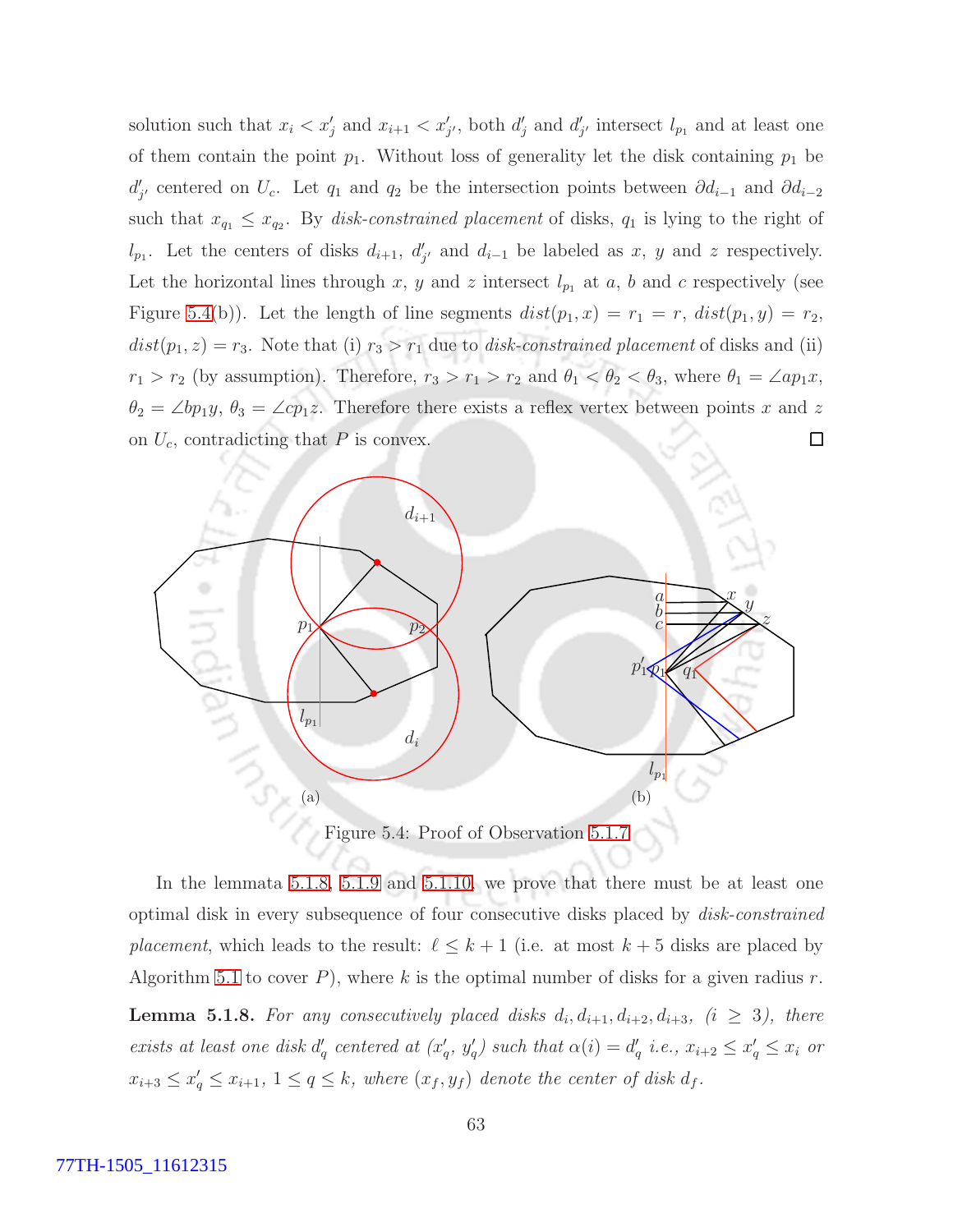solution such that  $x_i < x'_j$  and  $x_{i+1} < x'_{j'}$ , both  $d'_j$  and  $d'_{j'}$  intersect  $l_{p_1}$  and at least one of them contain the point  $p_1$ . Without loss of generality let the disk containing  $p_1$  be  $d'_{j'}$  centered on  $U_c$ . Let  $q_1$  and  $q_2$  be the intersection points between  $\partial d_{i-1}$  and  $\partial d_{i-2}$ such that  $x_{q_1} \leq x_{q_2}$ . By disk-constrained placement of disks,  $q_1$  is lying to the right of  $l_{p_1}$ . Let the centers of disks  $d_{i+1}$ ,  $d'_{j'}$  and  $d_{i-1}$  be labeled as x, y and z respectively. Let the horizontal lines through x, y and z intersect  $l_{p_1}$  at a, b and c respectively (see Figure [5.4\(](#page-76-0)b)). Let the length of line segments  $dist(p_1, x) = r_1 = r$ ,  $dist(p_1, y) = r_2$ ,  $dist(p_1, z) = r_3$ . Note that (i)  $r_3 > r_1$  due to disk-constrained placement of disks and (ii)  $r_1 > r_2$  (by assumption). Therefore,  $r_3 > r_1 > r_2$  and  $\theta_1 < \theta_2 < \theta_3$ , where  $\theta_1 = \angle ap_1x$ ,  $\theta_2 = \angle bp_1y, \theta_3 = \angle cp_1z$ . Therefore there exists a reflex vertex between points x and z on  $U_c$ , contradicting that P is convex.  $\Box$ 

<span id="page-76-0"></span>

Figure 5.4: Proof of Observation [5.1.7](#page-75-1)

In the lemmata [5.1.8,](#page-76-1) [5.1.9](#page-77-0) and [5.1.10,](#page-78-0) we prove that there must be at least one optimal disk in every subsequence of four consecutive disks placed by disk-constrained placement, which leads to the result:  $\ell \leq k+1$  (i.e. at most  $k+5$  disks are placed by Algorithm [5.1](#page-71-0) to cover P), where k is the optimal number of disks for a given radius r.

<span id="page-76-1"></span>**Lemma 5.1.8.** For any consecutively placed disks  $d_i, d_{i+1}, d_{i+2}, d_{i+3}, (i \geq 3)$ , there exists at least one disk  $d'_q$  centered at  $(x'_q, y'_q)$  such that  $\alpha(i) = d'_q$  i.e.,  $x_{i+2} \le x'_q \le x_i$  or  $x_{i+3} \leq x'_q \leq x_{i+1}, \ 1 \leq q \leq k, \ where \ (x_f, y_f) \ denote \ the \ center \ of \ disk \ d_f.$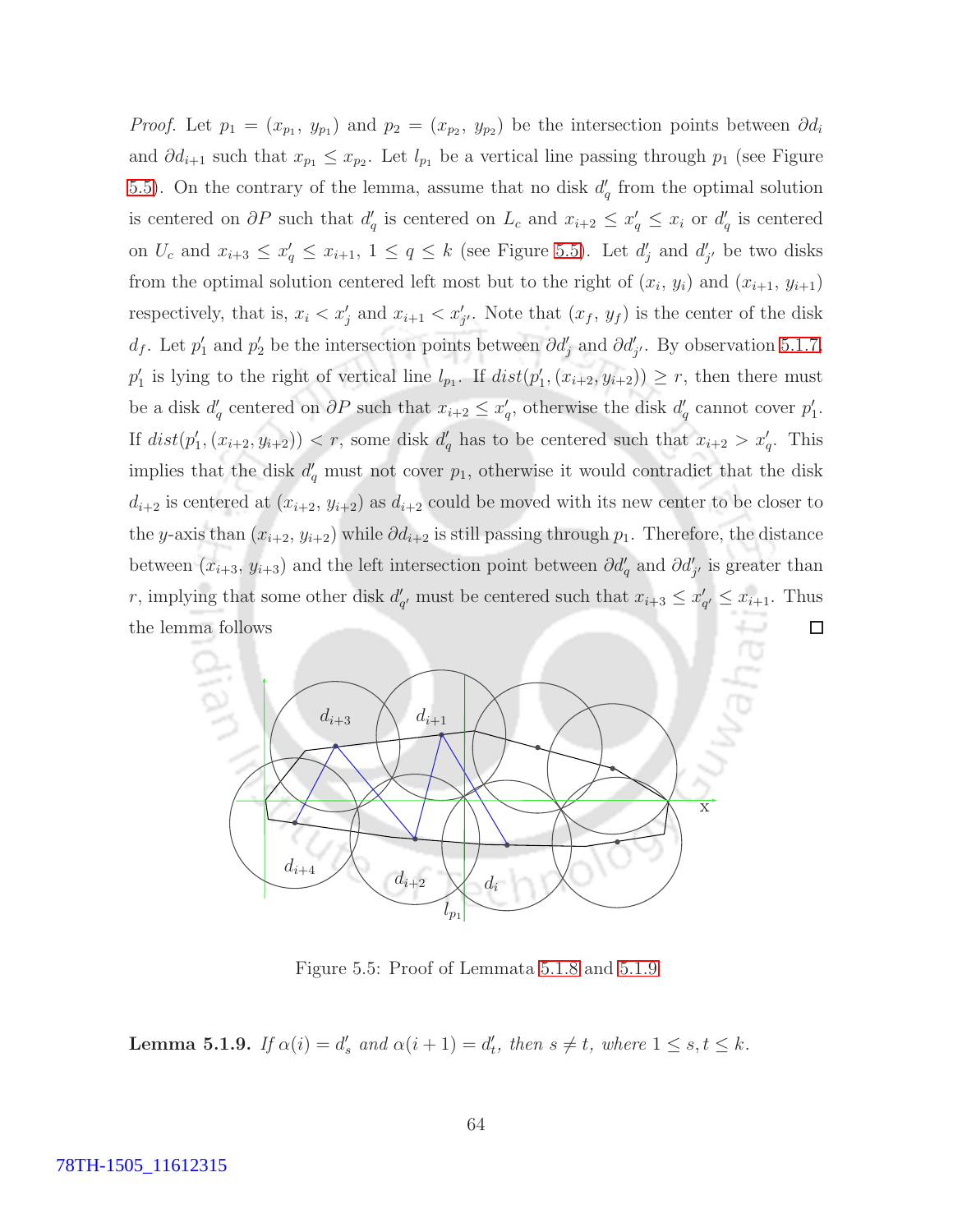*Proof.* Let  $p_1 = (x_{p_1}, y_{p_1})$  and  $p_2 = (x_{p_2}, y_{p_2})$  be the intersection points between  $\partial d_i$ and  $\partial d_{i+1}$  such that  $x_{p_1} \leq x_{p_2}$ . Let  $l_{p_1}$  be a vertical line passing through  $p_1$  (see Figure [5.5\)](#page-77-1). On the contrary of the lemma, assume that no disk  $d'_{q}$  from the optimal solution is centered on  $\partial P$  such that  $d'_q$  is centered on  $L_c$  and  $x_{i+2} \leq x'_q \leq x_i$  or  $d'_q$  is centered on  $U_c$  and  $x_{i+3} \le x'_q \le x_{i+1}$ ,  $1 \le q \le k$  (see Figure [5](#page-77-1).5). Let  $d'_j$  and  $d'_{j'}$  be two disks from the optimal solution centered left most but to the right of  $(x_i, y_i)$  and  $(x_{i+1}, y_{i+1})$ respectively, that is,  $x_i < x'_j$  and  $x_{i+1} < x'_{j'}$ . Note that  $(x_f, y_f)$  is the center of the disk  $d_f$ . Let  $p'_1$  and  $p'_2$  be the intersection points between  $\partial d'_j$  and  $\partial d'_{j'}$ . By observation [5.1.7,](#page-75-1)  $p'_1$  is lying to the right of vertical line  $l_{p_1}$ . If  $dist(p'_1, (x_{i+2}, y_{i+2})) \ge r$ , then there must be a disk  $d'_q$  centered on  $\partial P$  such that  $x_{i+2} \leq x'_q$ , otherwise the disk  $d'_q$  cannot cover  $p'_1$ . If  $dist(p'_1, (x_{i+2}, y_{i+2})) < r$ , some disk  $d'_q$  has to be centered such that  $x_{i+2} > x'_q$ . This implies that the disk  $d'_q$  must not cover  $p_1$ , otherwise it would contradict that the disk  $d_{i+2}$  is centered at  $(x_{i+2}, y_{i+2})$  as  $d_{i+2}$  could be moved with its new center to be closer to the y-axis than  $(x_{i+2}, y_{i+2})$  while  $\partial d_{i+2}$  is still passing through  $p_1$ . Therefore, the distance between  $(x_{i+3}, y_{i+3})$  and the left intersection point between  $\partial d'_{q}$  and  $\partial d'_{j'}$  is greater than r, implying that some other disk  $d'_{q'}$  must be centered such that  $x_{i+3} \leq x'_{q'} \leq x_{i+1}$ . Thus the lemma follows  $\Box$ 

<span id="page-77-1"></span>

Figure 5.5: Proof of Lemmata [5.1.8](#page-76-1) and [5.1.9](#page-77-0)

<span id="page-77-0"></span>**Lemma 5.1.9.** If  $\alpha(i) = d'_s$  and  $\alpha(i + 1) = d'_t$ , then  $s \neq t$ , where  $1 \leq s, t \leq k$ .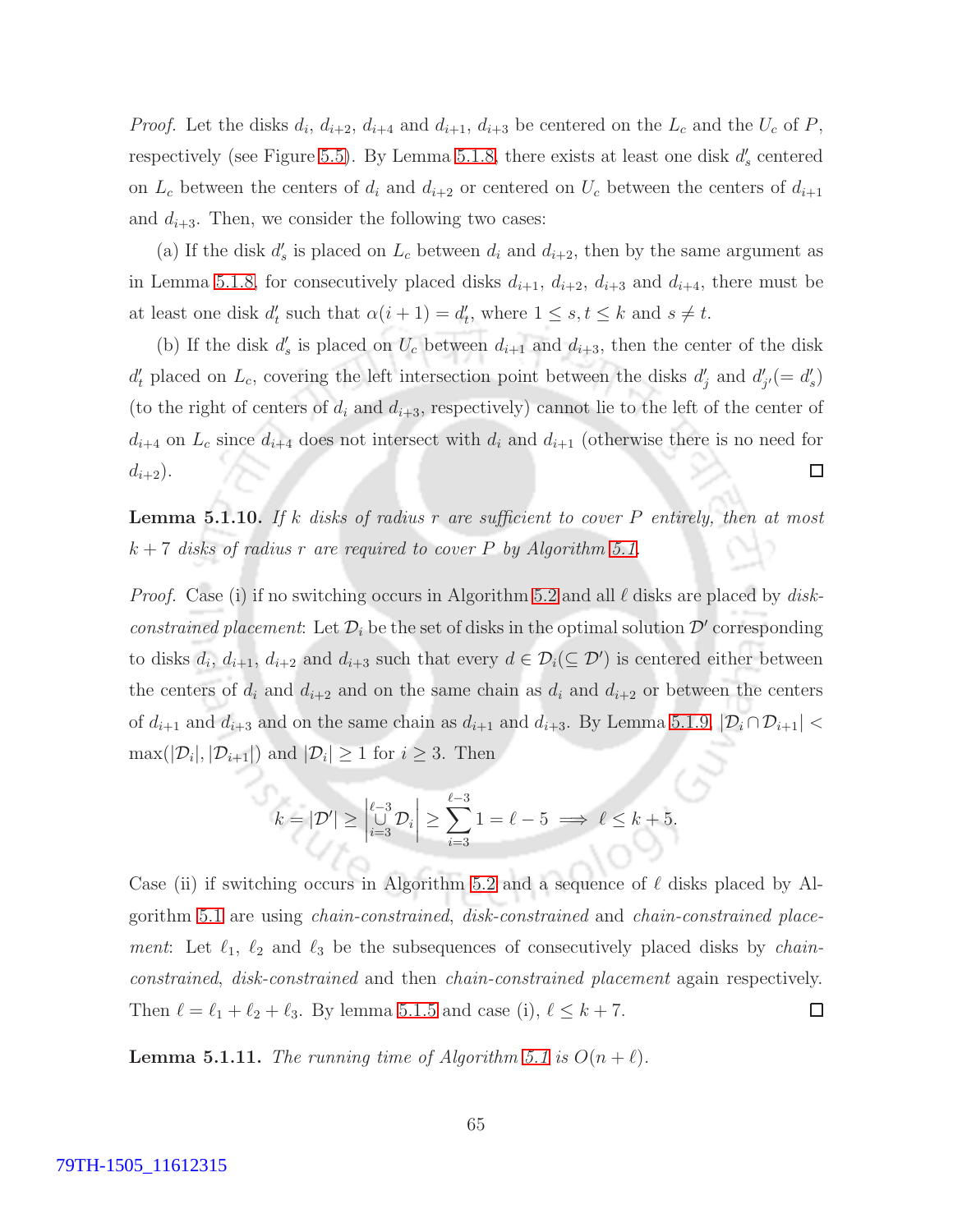*Proof.* Let the disks  $d_i$ ,  $d_{i+2}$ ,  $d_{i+4}$  and  $d_{i+1}$ ,  $d_{i+3}$  be centered on the  $L_c$  and the  $U_c$  of  $P$ , respectively (see Figure [5](#page-77-1).5). By Lemma [5.1.8,](#page-76-1) there exists at least one disk  $d'_{s}$  centered on  $L_c$  between the centers of  $d_i$  and  $d_{i+2}$  or centered on  $U_c$  between the centers of  $d_{i+1}$ and  $d_{i+3}$ . Then, we consider the following two cases:

(a) If the disk  $d'_{s}$  is placed on  $L_{c}$  between  $d_{i}$  and  $d_{i+2}$ , then by the same argument as in Lemma [5.1.8,](#page-76-1) for consecutively placed disks  $d_{i+1}$ ,  $d_{i+2}$ ,  $d_{i+3}$  and  $d_{i+4}$ , there must be at least one disk  $d'_t$  such that  $\alpha(i + 1) = d'_t$ , where  $1 \leq s, t \leq k$  and  $s \neq t$ .

(b) If the disk  $d'_{s}$  is placed on  $U_{c}$  between  $d_{i+1}$  and  $d_{i+3}$ , then the center of the disk  $d'_t$  placed on  $L_c$ , covering the left intersection point between the disks  $d'_j$  and  $d'_{j'}(= d'_s)$ (to the right of centers of  $d_i$  and  $d_{i+3}$ , respectively) cannot lie to the left of the center of  $d_{i+4}$  on  $L_c$  since  $d_{i+4}$  does not intersect with  $d_i$  and  $d_{i+1}$  (otherwise there is no need for  $d_{i+2}$ ).  $\Box$ 

<span id="page-78-0"></span>**Lemma 5.1.10.** If k disks of radius r are sufficient to cover P entirely, then at most  $k + 7$  disks of radius r are required to cover P by Algorithm [5.1.](#page-71-0)

*Proof.* Case (i) if no switching occurs in Algorithm [5.2](#page-72-0) and all  $\ell$  disks are placed by diskconstrained placement: Let  $\mathcal{D}_i$  be the set of disks in the optimal solution  $\mathcal{D}'$  corresponding to disks  $d_i$ ,  $d_{i+1}$ ,  $d_{i+2}$  and  $d_{i+3}$  such that every  $d \in \mathcal{D}_i(\subseteq \mathcal{D}')$  is centered either between the centers of  $d_i$  and  $d_{i+2}$  and on the same chain as  $d_i$  and  $d_{i+2}$  or between the centers of  $d_{i+1}$  and  $d_{i+3}$  and on the same chain as  $d_{i+1}$  and  $d_{i+3}$ . By Lemma [5.1.9,](#page-77-0)  $|\mathcal{D}_i \cap \mathcal{D}_{i+1}|$  <  $\max(|\mathcal{D}_i|, |\mathcal{D}_{i+1}|)$  and  $|\mathcal{D}_i| \ge 1$  for  $i \ge 3$ . Then

$$
k = |\mathcal{D}'| \ge \left| \bigcup_{i=3}^{\ell-3} \mathcal{D}_i \right| \ge \sum_{i=3}^{\ell-3} 1 = \ell - 5 \implies \ell \le k + 5.
$$

Case (ii) if switching occurs in Algorithm [5.2](#page-72-0) and a sequence of  $\ell$  disks placed by Algorithm [5.1](#page-71-0) are using chain-constrained, disk-constrained and chain-constrained placement: Let  $\ell_1$ ,  $\ell_2$  and  $\ell_3$  be the subsequences of consecutively placed disks by *chain*constrained, disk-constrained and then chain-constrained placement again respectively. Then  $\ell = \ell_1 + \ell_2 + \ell_3$ . By lemma [5.1.5](#page-74-2) and case (i),  $\ell \leq k + 7$ . □

<span id="page-78-1"></span>**Lemma [5.1](#page-71-0).11.** The running time of Algorithm 5.1 is  $O(n+\ell)$ .

#### 79TH-1505\_11612315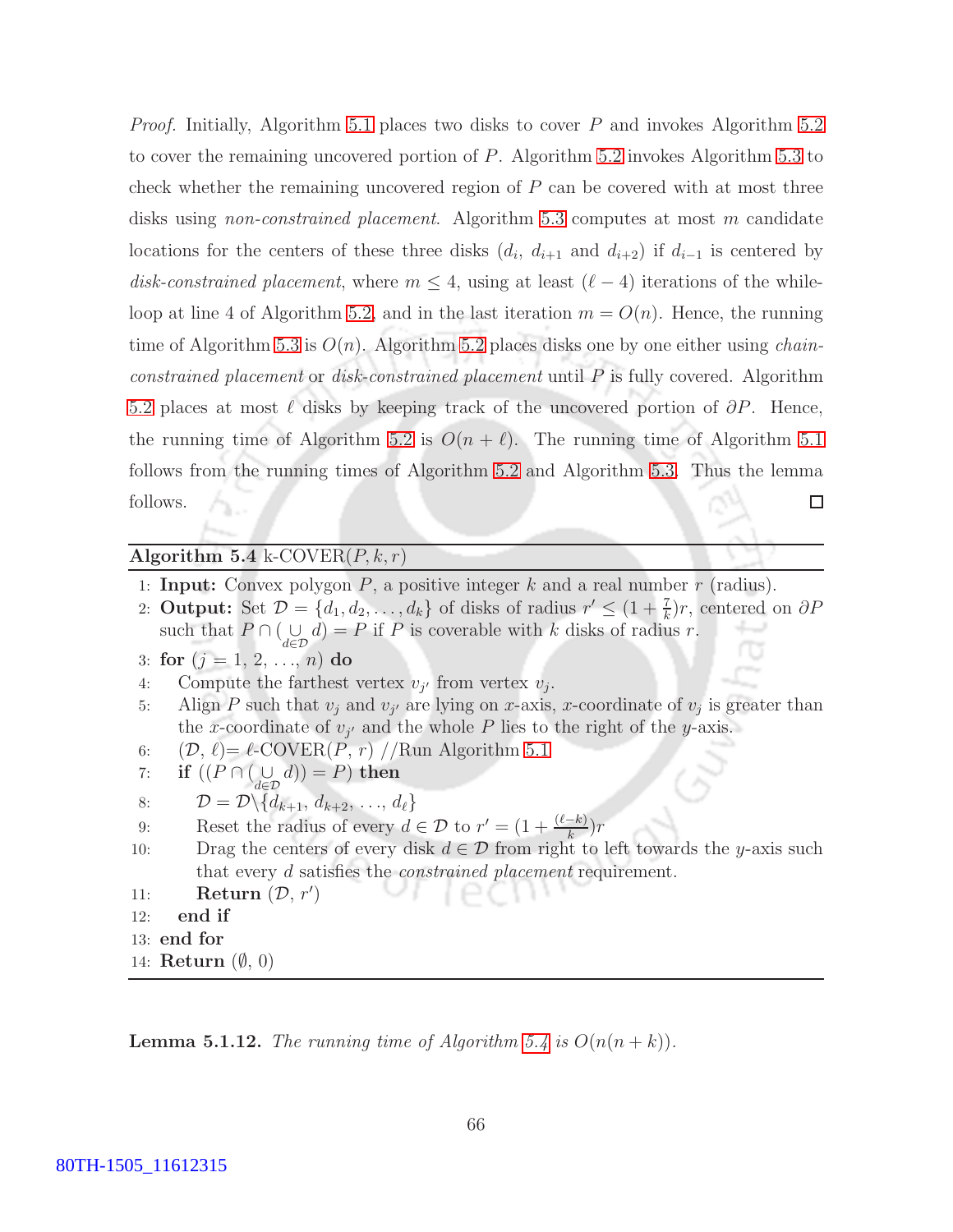*Proof.* Initially, Algorithm [5.1](#page-71-0) places two disks to cover P and invokes Algorithm [5.2](#page-72-0) to cover the remaining uncovered portion of P. Algorithm [5.2](#page-72-0) invokes Algorithm [5.3](#page-73-0) to check whether the remaining uncovered region of  $P$  can be covered with at most three disks using *non-constrained placement*. Algorithm [5.3](#page-73-0) computes at most  $m$  candidate locations for the centers of these three disks  $(d_i, d_{i+1} \text{ and } d_{i+2})$  if  $d_{i-1}$  is centered by disk-constrained placement, where  $m \leq 4$ , using at least  $(\ell - 4)$  iterations of the while-loop at line 4 of Algorithm [5.2,](#page-72-0) and in the last iteration  $m = O(n)$ . Hence, the running time of Algorithm [5.3](#page-73-0) is  $O(n)$ . Algorithm [5.2](#page-72-0) places disks one by one either using *chainconstrained placement* or *disk-constrained placement* until  $P$  is fully covered. Algorithm [5.2](#page-72-0) places at most  $\ell$  disks by keeping track of the uncovered portion of  $\partial P$ . Hence, the running time of Algorithm [5.2](#page-72-0) is  $O(n + \ell)$ . The running time of Algorithm [5.1](#page-71-0) follows from the running times of Algorithm [5.2](#page-72-0) and Algorithm [5.3.](#page-73-0) Thus the lemma follows. □

#### Algorithm 5.4 k-COVER $(P, k, r)$

- 1: **Input:** Convex polygon  $P$ , a positive integer  $k$  and a real number  $r$  (radius).
- 2: **Output:** Set  $\mathcal{D} = \{d_1, d_2, \ldots, d_k\}$  of disks of radius  $r' \leq (1 + \frac{7}{k})r$ , centered on  $\partial F$ such that  $P \cap (\bigcup_{d \in \mathcal{D}}$  $d) = P$  if P is coverable with k disks of radius r. 3: for  $(j = 1, 2, ..., n)$  do 4: Compute the farthest vertex  $v_{j'}$  from vertex  $v_j$ . 5: Align P such that  $v_j$  and  $v_{j'}$  are lying on x-axis, x-coordinate of  $v_j$  is greater than the x-coordinate of  $v_{j'}$  and the whole P lies to the right of the y-axis. 6:  $(D, \ell) = \ell$ -COVER $(P, r)$  //Run Algorithm [5.1](#page-71-0)<br>7: **if**  $((P \cap (U \ d))) = P$  **then** 7: if  $((P \cap (\bigcup_{d \in \mathcal{D}})_{d \in \mathcal{D}})$  $d))=P) \textbf{ then}$ 8:  $\mathcal{D} = \mathcal{D} \setminus \{d_{k+1}, d_{k+2}, \ldots, d_\ell\}$ 9: Reset the radius of every  $d \in \mathcal{D}$  to  $r' = (1 + \frac{(\ell - k)}{k})r$ 10: Drag the centers of every disk  $d \in \mathcal{D}$  from right to left towards the y-axis such that every *d* satisfies the *constrained placement* requirement. 11: **Return**  $(\mathcal{D}, r')$ 12: end if
- <span id="page-79-0"></span>13: end for
- 14: **Return**  $(\emptyset, 0)$

<span id="page-79-1"></span>**Lemma 5.1.12.** The running time of Algorithm [5.4](#page-79-0) is  $O(n(n+k))$ .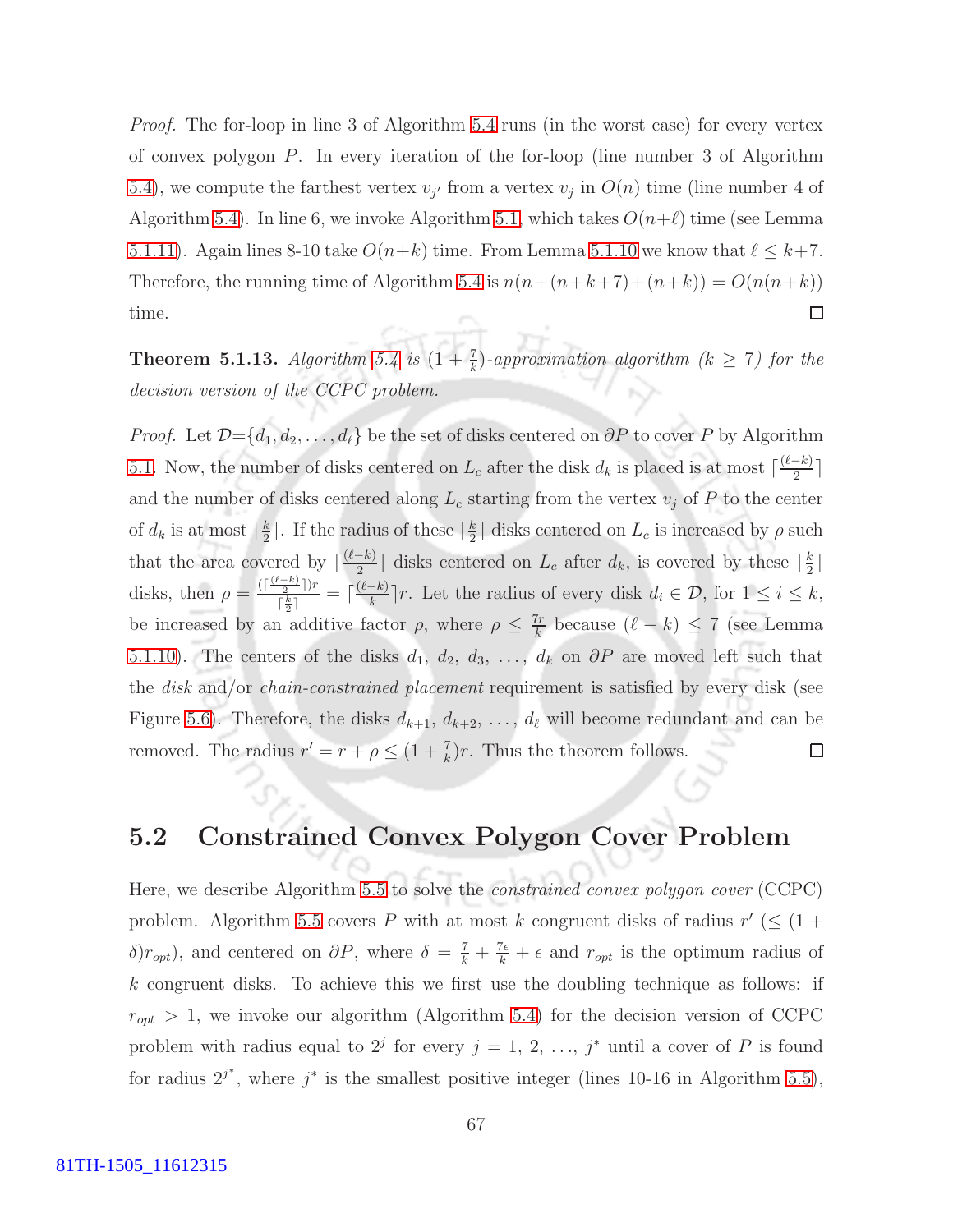*Proof.* The for-loop in line 3 of Algorithm [5.4](#page-79-0) runs (in the worst case) for every vertex of convex polygon P. In every iteration of the for-loop (line number 3 of Algorithm [5.4\)](#page-79-0), we compute the farthest vertex  $v_{j'}$  from a vertex  $v_j$  in  $O(n)$  time (line number 4 of Algorithm [5.4\)](#page-79-0). In line 6, we invoke Algorithm [5.1,](#page-71-0) which takes  $O(n+\ell)$  time (see Lemma [5.1.11\)](#page-78-1). Again lines 8-10 take  $O(n+k)$  time. From Lemma [5.1.10](#page-78-0) we know that  $\ell \leq k+7$ . Therefore, the running time of Algorithm [5.4](#page-79-0) is  $n(n+(n+k+7)+(n+k)) = O(n(n+k))$ time.  $\Box$ 

<span id="page-80-0"></span>**Theorem 5.1.13.** Algorithm [5.4](#page-79-0) is  $(1 + \frac{7}{k})$ -approximation algorithm  $(k \ge 7)$  for the decision version of the CCPC problem.

*Proof.* Let  $\mathcal{D}=\{d_1, d_2, \ldots, d_\ell\}$  be the set of disks centered on  $\partial P$  to cover P by Algorithm [5.1.](#page-71-0) Now, the number of disks centered on  $L_c$  after the disk  $d_k$  is placed is at most  $\lceil \frac{(\ell-k)}{2} \rceil$ and the number of disks centered along  $L_c$  starting from the vertex  $v_j$  of P to the center of  $d_k$  is at most  $\lceil \frac{k}{2} \rceil$  $\frac{k}{2}$ . If the radius of these  $\lceil \frac{k}{2} \rceil$ .  $\frac{k}{2}$  disks centered on  $L_c$  is increased by  $\rho$  such that the area covered by  $\lceil \frac{(\ell-k)}{2} \rceil$  disks centered on  $L_c$  after  $d_k$ , is covered by these  $\lceil \frac{k}{2} \rceil$  $\frac{1}{2}$ disks, then  $\rho = \frac{(\lceil \frac{(\ell-k)}{2} \rceil)r}{\lceil k \rceil}$  $\frac{\sum_{i=1}^{k} |r_i|}{\left|\frac{k}{2}\right|} = \left[\frac{(\ell-k)}{k}\right]r.$  Let the radius of every disk  $d_i \in \mathcal{D}$ , for  $1 \leq i \leq k$ , be increased by an additive factor  $\rho$ , where  $\rho \leq \frac{7r}{k}$  $\frac{dr}{k}$  because  $(\ell - k) \leq 7$  (see Lemma [5.1.10\)](#page-78-0). The centers of the disks  $d_1, d_2, d_3, \ldots, d_k$  on  $\partial P$  are moved left such that the *disk* and/or *chain-constrained placement* requirement is satisfied by every disk (see Figure [5.6\)](#page-81-0). Therefore, the disks  $d_{k+1}, d_{k+2}, \ldots, d_{\ell}$  will become redundant and can be removed. The radius  $r' = r + \rho \leq (1 + \frac{7}{k})r$ . Thus the theorem follows.  $\Box$ 

## 5.2 Constrained Convex Polygon Cover Problem

Here, we describe Algorithm [5.5](#page-82-0) to solve the constrained convex polygon cover (CCPC) problem. Algorithm [5.5](#page-82-0) covers P with at most k congruent disks of radius  $r' \leq (1 +$ δ) $r_{opt}$ , and centered on  $\partial P$ , where  $\delta = \frac{7}{k} + \frac{7\epsilon}{k} + \epsilon$  and  $r_{opt}$  is the optimum radius of  $k$  congruent disks. To achieve this we first use the doubling technique as follows: if  $r_{opt} > 1$ , we invoke our algorithm (Algorithm [5.4\)](#page-79-0) for the decision version of CCPC problem with radius equal to  $2^j$  for every  $j = 1, 2, ..., j^*$  until a cover of P is found for radius  $2^{j^*}$ , where  $j^*$  is the smallest positive integer (lines 10-16 in Algorithm [5.5\)](#page-82-0),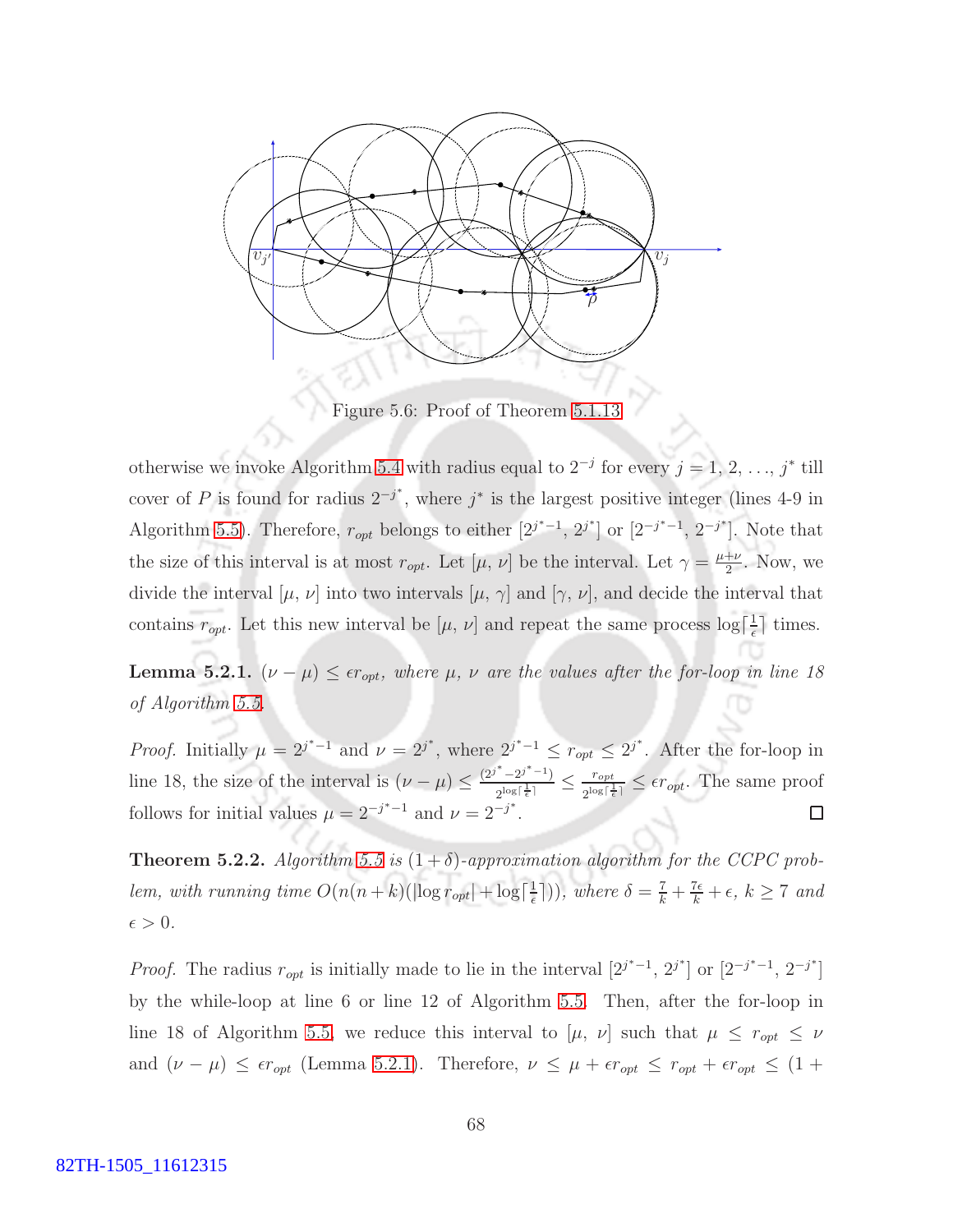<span id="page-81-0"></span>

Figure 5.6: Proof of Theorem [5.1.13](#page-80-0)

otherwise we invoke Algorithm [5.4](#page-79-0) with radius equal to  $2^{-j}$  for every  $j = 1, 2, ..., j^*$  till cover of P is found for radius  $2^{-j^*}$ , where  $j^*$  is the largest positive integer (lines 4-9 in Algorithm [5.5\)](#page-82-0). Therefore,  $r_{opt}$  belongs to either  $[2^{j^*-1}, 2^{j^*}]$  or  $[2^{-j^*-1}, 2^{-j^*}]$ . Note that the size of this interval is at most  $r_{opt}$ . Let  $[\mu, \nu]$  be the interval. Let  $\gamma = \frac{\mu + \nu}{2}$  $\frac{+\nu}{2}$ . Now, we divide the interval  $[\mu, \nu]$  into two intervals  $[\mu, \gamma]$  and  $[\gamma, \nu]$ , and decide the interval that contains  $r_{opt}$ . Let this new interval be  $[\mu, \nu]$  and repeat the same process  $\log\left[\frac{1}{\epsilon}\right]$  $\frac{1}{\epsilon}$  times.

<span id="page-81-1"></span>**Lemma 5.2.1.**  $(\nu - \mu) \leq \epsilon r_{opt}$ , where  $\mu$ ,  $\nu$  are the values after the for-loop in line 18 of Algorithm [5.5.](#page-82-0)

*Proof.* Initially  $\mu = 2^{j^* - 1}$  and  $\nu = 2^{j^*}$ , where  $2^{j^* - 1} \le r_{opt} \le 2^{j^*}$ . After the for-loop in line 18, the size of the interval is  $(\nu - \mu) \leq \frac{(2^{j^*} - 2^{j^*}-1)}{2^{\log\left(\frac{1}{\epsilon}\right)}}$  $\frac{(-2^{j^*-1})}{2^{\log\lceil\frac{1}{\epsilon}\rceil}} \leq \frac{r_{opt}}{2^{\log\lceil\frac{1}{\epsilon}\rceil}}$  $\frac{r_{opt}}{2^{\log\left(\frac{1}{\epsilon}\right)}} \leq \epsilon r_{opt}$ . The same proof follows for initial values  $\mu = 2^{-j^*-1}$  and  $\nu = 2^{-j^*}$ .  $\Box$ 

**Theorem 5.2.2.** Algorithm [5.5](#page-82-0) is  $(1 + \delta)$ -approximation algorithm for the CCPC problem, with running time  $O(n(n+k)(\log r_{opt}) + \log \lceil \frac{1}{\epsilon} \rceil)$  $(\frac{1}{\epsilon})$ ), where  $\delta = \frac{7}{k} + \frac{7\epsilon}{k} + \epsilon$ ,  $k \ge 7$  and  $\epsilon > 0$ .

*Proof.* The radius  $r_{opt}$  is initially made to lie in the interval  $[2^{j^*-1}, 2^{j^*}]$  or  $[2^{-j^*-1}, 2^{-j^*}]$ by the while-loop at line 6 or line 12 of Algorithm [5.5.](#page-82-0) Then, after the for-loop in line 18 of Algorithm [5.5,](#page-82-0) we reduce this interval to  $[\mu, \nu]$  such that  $\mu \leq r_{opt} \leq \nu$ and  $(\nu - \mu) \leq \epsilon r_{opt}$  (Lemma [5.2.1\)](#page-81-1). Therefore,  $\nu \leq \mu + \epsilon r_{opt} \leq r_{opt} + \epsilon r_{opt} \leq (1 +$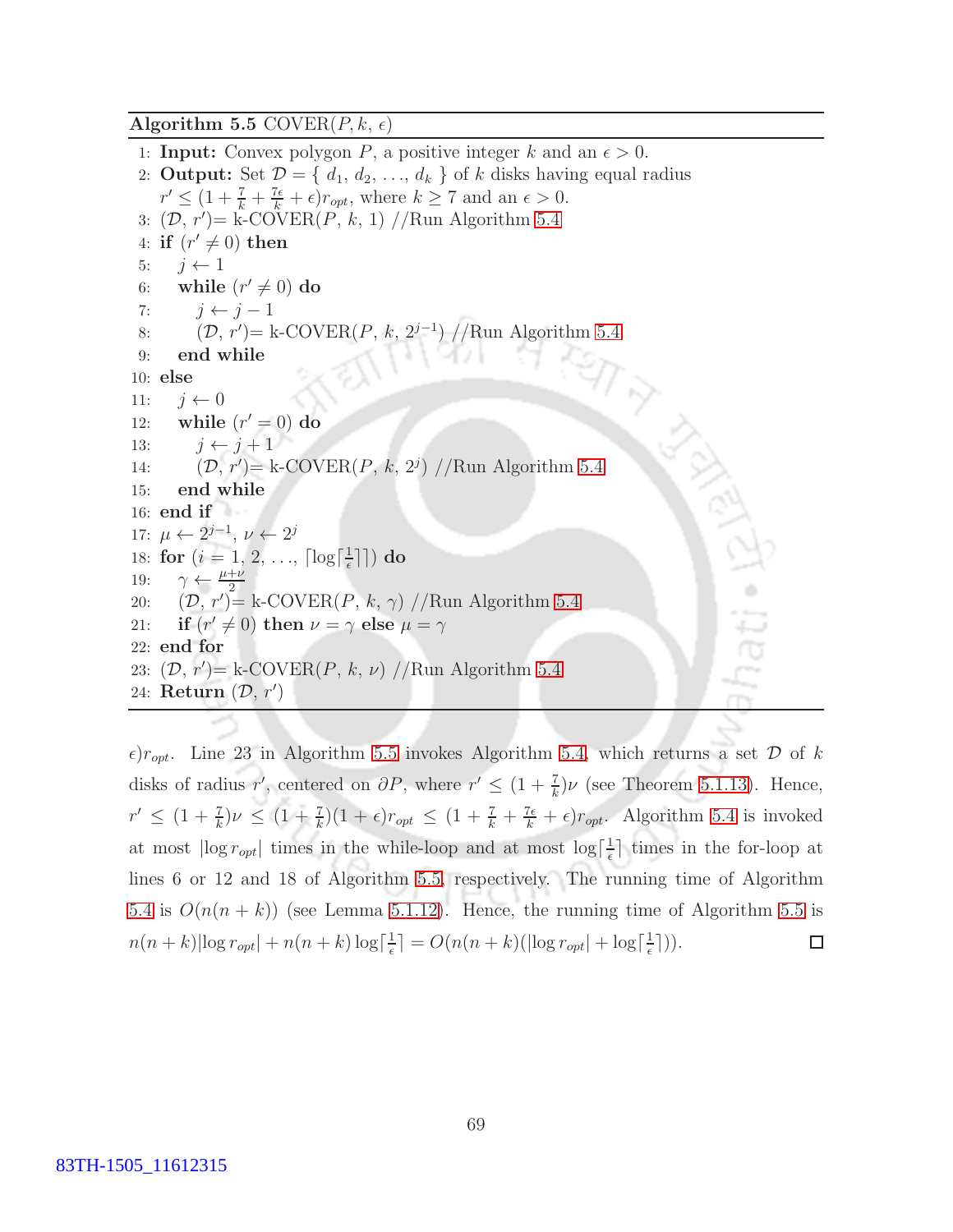Algorithm 5.5 COVER $(P, k, \epsilon)$ 

1: **Input:** Convex polygon P, a positive integer k and an  $\epsilon > 0$ . 2: **Output:** Set  $\mathcal{D} = \{d_1, d_2, ..., d_k\}$  of k disks having equal radius  $r' \leq (1 + \frac{7}{k} + \frac{7\epsilon}{k} + \epsilon)r_{opt}$ , where  $k \geq 7$  and an  $\epsilon > 0$ . 3:  $(\mathcal{D}, r')$  = k-COVER $(P, k, 1)$  //Run Algorithm [5.4](#page-79-0) 4: if  $(r' \neq 0)$  then 5:  $j \leftarrow 1$ 6: while  $(r' \neq 0)$  do 7:  $j \leftarrow j - 1$ <br>8:  $(D, r') = 1$ 8:  $(\mathcal{D}, r') = k\text{-COVER}(P, k, 2^{j-1}) / \text{Run Algorithm 5.4}$  $(\mathcal{D}, r') = k\text{-COVER}(P, k, 2^{j-1}) / \text{Run Algorithm 5.4}$  $(\mathcal{D}, r') = k\text{-COVER}(P, k, 2^{j-1}) / \text{Run Algorithm 5.4}$ 9: end while 10: else 11:  $j \leftarrow 0$ <br>12: while 12: while  $(r' = 0)$  do 13:  $j \leftarrow j + 1$ 14:  $(\mathcal{D}, r') = k\text{-COVER}(P, k, 2^j) // Run Algorithm 5.4$  $(\mathcal{D}, r') = k\text{-COVER}(P, k, 2^j) // Run Algorithm 5.4$ 15: end while 16: end if 17:  $\mu \leftarrow 2^{j-1}, \nu \leftarrow 2^j$ 18: **for**  $(i = 1, 2, ..., \lceil \log \lceil \frac{1}{\epsilon} \rceil)$  $\frac{1}{\epsilon}$ ]) do 19:  $\gamma \leftarrow \frac{\mu + \nu}{2}$ 20:  $(\mathcal{D}, r') = k\text{-COVER}(P, k, \gamma) // \text{Run Algorithm 5.4}$  $(\mathcal{D}, r') = k\text{-COVER}(P, k, \gamma) // \text{Run Algorithm 5.4}$  $(\mathcal{D}, r') = k\text{-COVER}(P, k, \gamma) // \text{Run Algorithm 5.4}$ 21: **if**  $(r' \neq 0)$  then  $\nu = \gamma$  else  $\mu = \gamma$ 22: end for 23:  $(D, r') = k$ -COVER $(P, k, \nu)$  //Run Algorithm [5.4](#page-79-0) 24:  $Return (\mathcal{D}, r')$ 

<span id="page-82-0"></span> $\epsilon$ ) $r_{opt}$ . Line 23 in Algorithm [5.5](#page-82-0) invokes Algorithm [5.4,](#page-79-0) which returns a set  $\mathcal D$  of k disks of radius r', centered on  $\partial P$ , where  $r' \leq (1 + \frac{7}{k})\nu$  (see Theorem [5.1.13\)](#page-80-0). Hence,  $r' \leq (1 + \frac{7}{k})\nu \leq (1 + \frac{7}{k})(1 + \epsilon)r_{opt} \leq (1 + \frac{7}{k} + \frac{7\epsilon}{k} + \epsilon)r_{opt}$ . Algorithm [5.4](#page-79-0) is invoked at most  $|\log r_{opt}|$  times in the while-loop and at most  $\log \lceil \frac{1}{\epsilon} \rceil$  $\frac{1}{\epsilon}$  times in the for-loop at lines 6 or 12 and 18 of Algorithm [5.5,](#page-82-0) respectively. The running time of Algorithm [5.4](#page-79-0) is  $O(n(n+k))$  (see Lemma [5.1.12\)](#page-79-1). Hence, the running time of Algorithm [5.5](#page-82-0) is  $n(n+k)|\log r_{opt}| + n(n+k)\log\lceil\frac{1}{\epsilon}\rceil$  $\frac{1}{\epsilon}$ ] =  $O(n(n+k)(\log r_{opt}) + \log \lceil \frac{1}{\epsilon} \rceil$  $\frac{1}{\epsilon}$ ])).  $\Box$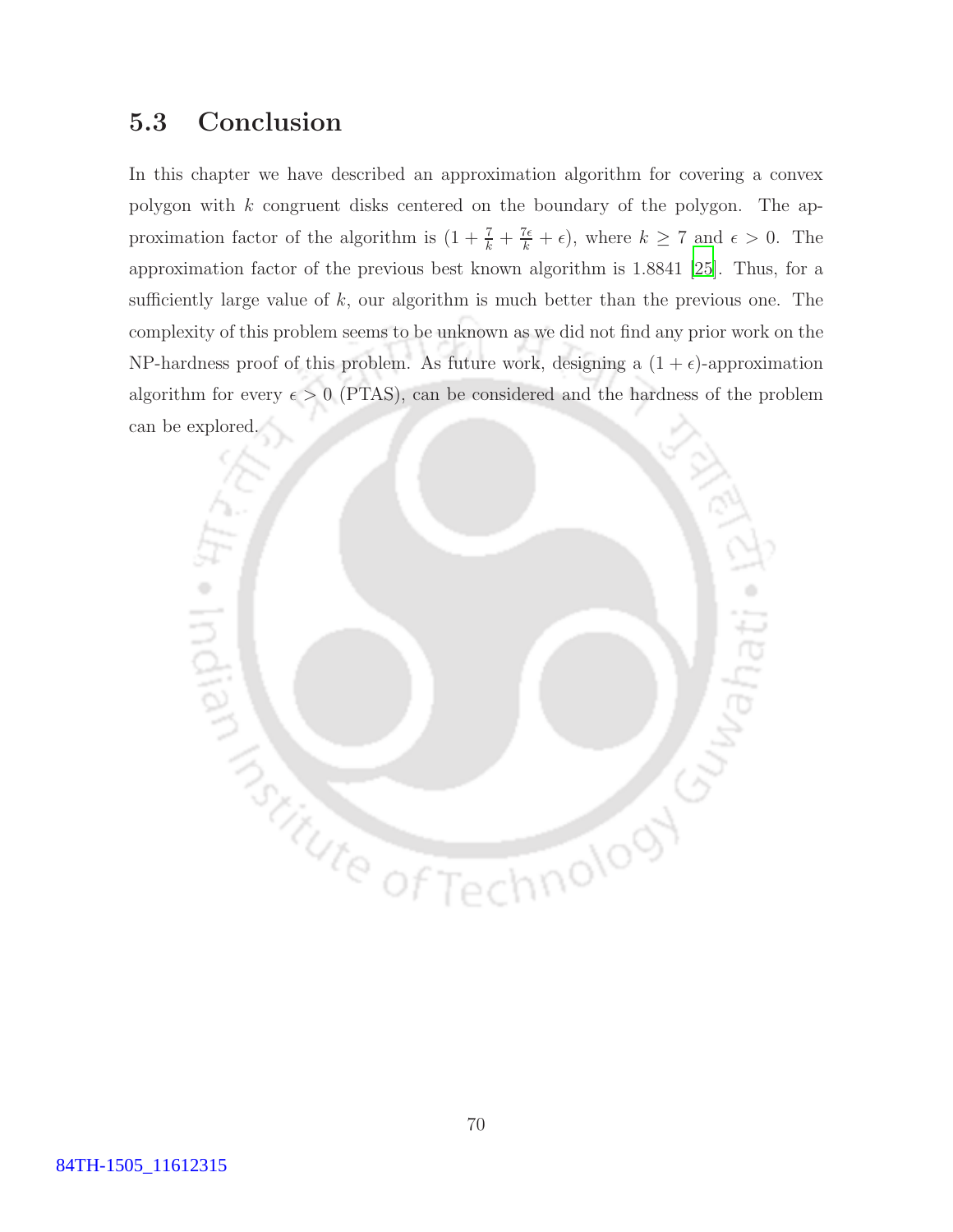## 5.3 Conclusion

In this chapter we have described an approximation algorithm for covering a convex polygon with k congruent disks centered on the boundary of the polygon. The approximation factor of the algorithm is  $(1 + \frac{7}{k} + \frac{7\epsilon}{k} + \epsilon)$ , where  $k \ge 7$  and  $\epsilon > 0$ . The approximation factor of the previous best known algorithm is 1.8841 [\[25](#page-103-0)]. Thus, for a sufficiently large value of  $k$ , our algorithm is much better than the previous one. The complexity of this problem seems to be unknown as we did not find any prior work on the NP-hardness proof of this problem. As future work, designing a  $(1 + \epsilon)$ -approximation algorithm for every  $\epsilon > 0$  (PTAS), can be considered and the hardness of the problem can be explored.

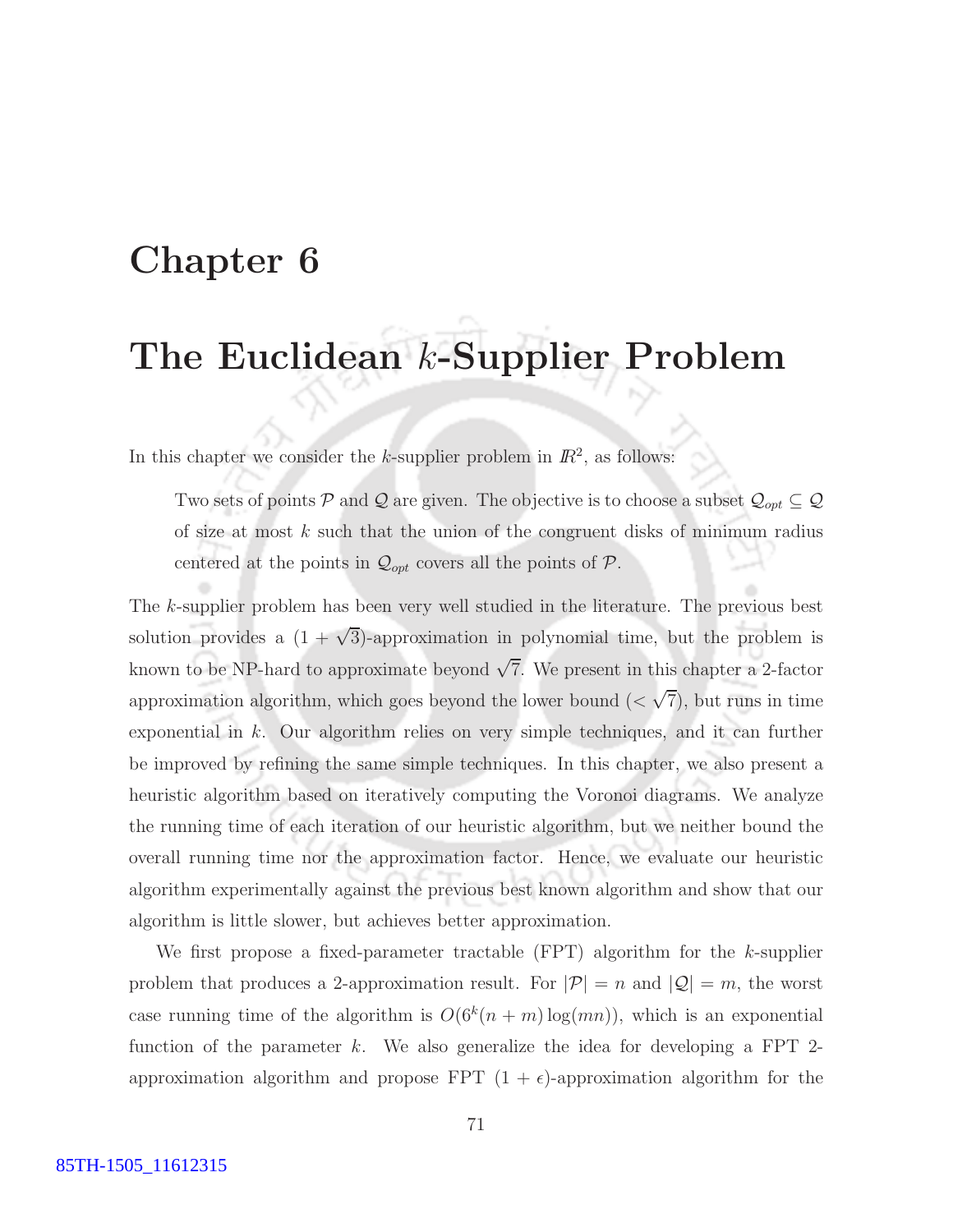## Chapter 6

# The Euclidean k-Supplier Problem

In this chapter we consider the k-supplier problem in  $\mathbb{R}^2$ , as follows:

Two sets of points P and Q are given. The objective is to choose a subset  $\mathcal{Q}_{opt} \subseteq \mathcal{Q}$ of size at most  $k$  such that the union of the congruent disks of minimum radius centered at the points in  $\mathcal{Q}_{opt}$  covers all the points of  $\mathcal{P}$ .

The k-supplier problem has been very well studied in the literature. The previous best solution provides a  $(1 + \sqrt{3})$ -approximation in polynomial time, but the problem is known to be NP-hard to approximate beyond  $\sqrt{7}$ . We present in this chapter a 2-factor approximation algorithm, which goes beyond the lower bound  $( $\sqrt{7}$ ), but runs in time$ exponential in k. Our algorithm relies on very simple techniques, and it can further be improved by refining the same simple techniques. In this chapter, we also present a heuristic algorithm based on iteratively computing the Voronoi diagrams. We analyze the running time of each iteration of our heuristic algorithm, but we neither bound the overall running time nor the approximation factor. Hence, we evaluate our heuristic algorithm experimentally against the previous best known algorithm and show that our algorithm is little slower, but achieves better approximation.

We first propose a fixed-parameter tractable  $(FPT)$  algorithm for the k-supplier problem that produces a 2-approximation result. For  $|\mathcal{P}| = n$  and  $|\mathcal{Q}| = m$ , the worst case running time of the algorithm is  $O(6^k(n+m) \log(mn))$ , which is an exponential function of the parameter k. We also generalize the idea for developing a FPT 2approximation algorithm and propose FPT  $(1 + \epsilon)$ -approximation algorithm for the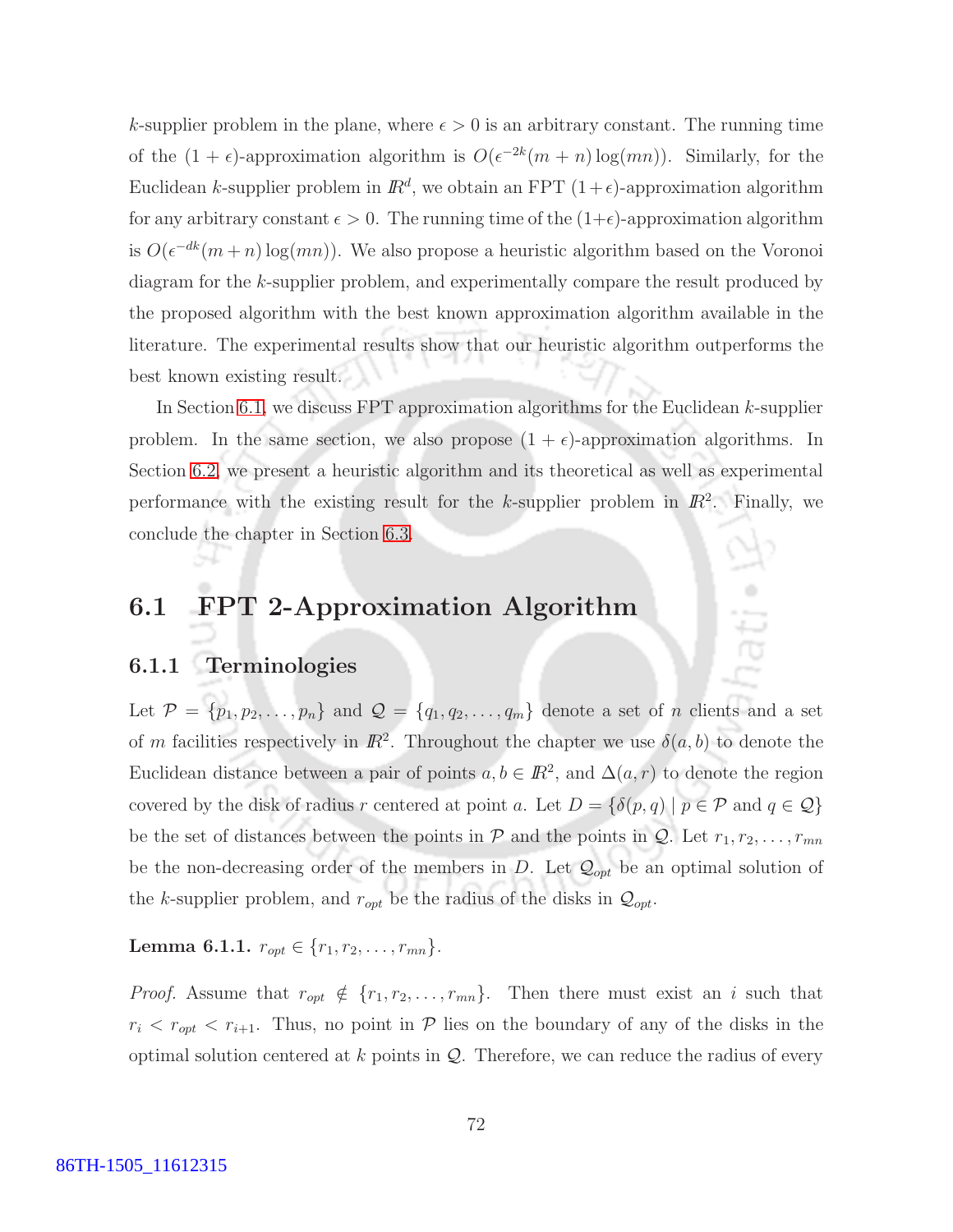k-supplier problem in the plane, where  $\epsilon > 0$  is an arbitrary constant. The running time of the  $(1 + \epsilon)$ -approximation algorithm is  $O(\epsilon^{-2k}(m+n) \log(mn))$ . Similarly, for the Euclidean k-supplier problem in  $\mathbb{R}^d$ , we obtain an FPT  $(1+\epsilon)$ -approximation algorithm for any arbitrary constant  $\epsilon > 0$ . The running time of the  $(1+\epsilon)$ -approximation algorithm is  $O(\epsilon^{-dk}(m+n) \log(mn))$ . We also propose a heuristic algorithm based on the Voronoi diagram for the k-supplier problem, and experimentally compare the result produced by the proposed algorithm with the best known approximation algorithm available in the literature. The experimental results show that our heuristic algorithm outperforms the best known existing result.

In Section [6.1,](#page-85-0) we discuss FPT approximation algorithms for the Euclidean k-supplier problem. In the same section, we also propose  $(1 + \epsilon)$ -approximation algorithms. In Section [6.2,](#page-91-0) we present a heuristic algorithm and its theoretical as well as experimental performance with the existing result for the k-supplier problem in  $\mathbb{R}^2$ . Finally, we conclude the chapter in Section [6.3.](#page-96-0)

## <span id="page-85-0"></span>6.1 FPT 2-Approximation Algorithm

### 6.1.1 Terminologies

Let  $\mathcal{P} = \{p_1, p_2, \ldots, p_n\}$  and  $\mathcal{Q} = \{q_1, q_2, \ldots, q_m\}$  denote a set of n clients and a set of m facilities respectively in  $\mathbb{R}^2$ . Throughout the chapter we use  $\delta(a, b)$  to denote the Euclidean distance between a pair of points  $a, b \in \mathbb{R}^2$ , and  $\Delta(a, r)$  to denote the region covered by the disk of radius r centered at point a. Let  $D = \{\delta(p, q) \mid p \in \mathcal{P} \text{ and } q \in \mathcal{Q}\}\$ be the set of distances between the points in  $P$  and the points in  $Q$ . Let  $r_1, r_2, \ldots, r_{mn}$ be the non-decreasing order of the members in  $D$ . Let  $\mathcal{Q}_{opt}$  be an optimal solution of the k-supplier problem, and  $r_{opt}$  be the radius of the disks in  $\mathcal{Q}_{opt}$ .

<span id="page-85-1"></span>Lemma 6.1.1.  $r_{opt} \in \{r_1, r_2, \ldots, r_{mn}\}.$ 

*Proof.* Assume that  $r_{opt} \notin \{r_1, r_2, \ldots, r_{mn}\}.$  Then there must exist an i such that  $r_i < r_{opt} < r_{i+1}$ . Thus, no point in  $P$  lies on the boundary of any of the disks in the optimal solution centered at  $k$  points in  $\mathcal{Q}$ . Therefore, we can reduce the radius of every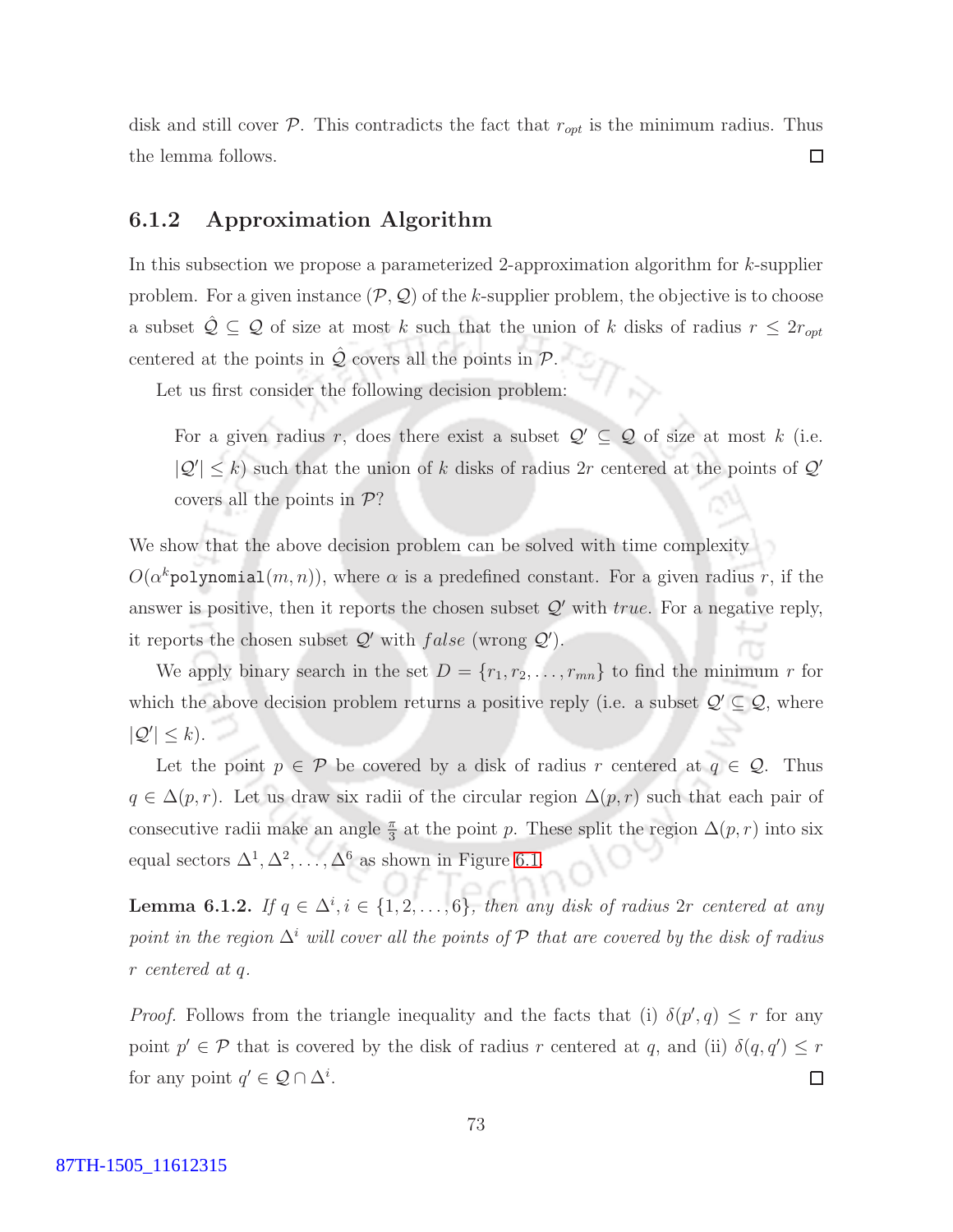disk and still cover  $P$ . This contradicts the fact that  $r_{opt}$  is the minimum radius. Thus □ the lemma follows.

### 6.1.2 Approximation Algorithm

In this subsection we propose a parameterized 2-approximation algorithm for  $k$ -supplier problem. For a given instance  $(\mathcal{P}, \mathcal{Q})$  of the k-supplier problem, the objective is to choose a subset  $\hat{Q} \subseteq Q$  of size at most k such that the union of k disks of radius  $r \leq 2r_{opt}$ centered at the points in  $\hat{Q}$  covers all the points in  $\hat{P}$ .

Let us first consider the following decision problem:

For a given radius r, does there exist a subset  $\mathcal{Q}' \subseteq \mathcal{Q}$  of size at most k (i.e.  $|Q'| \leq k$ ) such that the union of k disks of radius 2r centered at the points of  $Q'$ covers all the points in  $\mathcal{P}$ ?

We show that the above decision problem can be solved with time complexity  $O(\alpha^k$ polynomial $(m, n)$ , where  $\alpha$  is a predefined constant. For a given radius r, if the answer is positive, then it reports the chosen subset  $\mathcal{Q}'$  with *true*. For a negative reply, it reports the chosen subset  $Q'$  with  $false$  (wrong  $Q'$ ).

We apply binary search in the set  $D = \{r_1, r_2, \ldots, r_{mn}\}\)$  to find the minimum r for which the above decision problem returns a positive reply (i.e. a subset  $\mathcal{Q}' \subseteq \mathcal{Q}$ , where  $|Q'|\leq k$ .

Let the point  $p \in \mathcal{P}$  be covered by a disk of radius r centered at  $q \in \mathcal{Q}$ . Thus  $q \in \Delta(p,r)$ . Let us draw six radii of the circular region  $\Delta(p,r)$  such that each pair of consecutive radii make an angle  $\frac{\pi}{3}$  at the point p. These split the region  $\Delta(p,r)$  into six equal sectors  $\Delta^1, \Delta^2, \ldots, \Delta^6$  as shown in Figure [6.1.](#page-87-0)

<span id="page-86-0"></span>**Lemma 6.1.2.** If  $q \in \Delta^i, i \in \{1, 2, ..., 6\}$ , then any disk of radius  $2r$  centered at any point in the region  $\Delta^i$  will cover all the points of P that are covered by the disk of radius r centered at q.

*Proof.* Follows from the triangle inequality and the facts that (i)  $\delta(p', q) \leq r$  for any point  $p' \in \mathcal{P}$  that is covered by the disk of radius r centered at q, and (ii)  $\delta(q, q') \leq r$ for any point  $q' \in \mathcal{Q} \cap \Delta^i$ .  $\Box$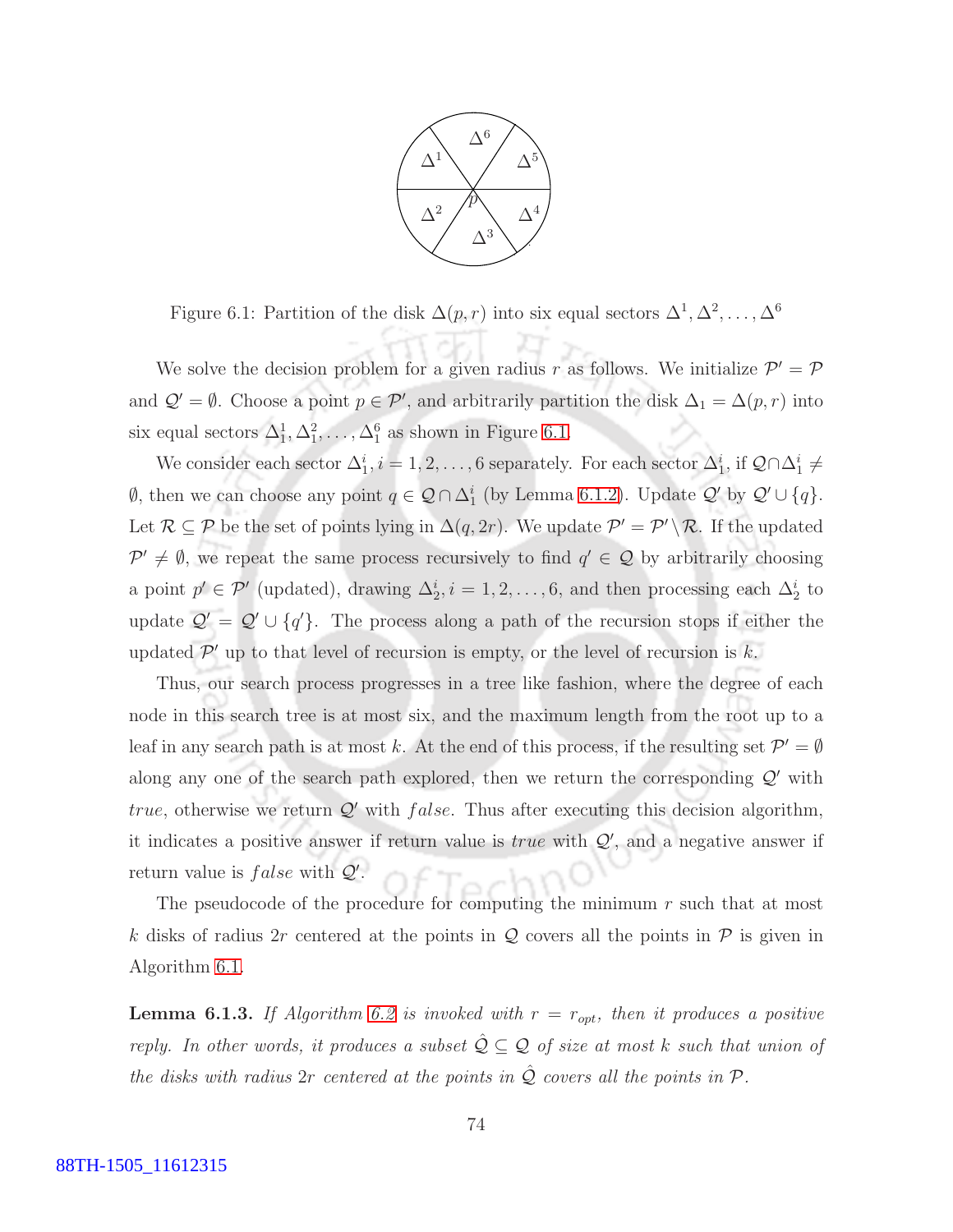

<span id="page-87-0"></span>Figure 6.1: Partition of the disk  $\Delta(p,r)$  into six equal sectors  $\Delta^1, \Delta^2, \ldots, \Delta^6$ 

We solve the decision problem for a given radius r as follows. We initialize  $\mathcal{P}' = \mathcal{P}$ and  $\mathcal{Q}' = \emptyset$ . Choose a point  $p \in \mathcal{P}'$ , and arbitrarily partition the disk  $\Delta_1 = \Delta(p, r)$  into six equal sectors  $\Delta_1^1, \Delta_1^2, \ldots, \Delta_1^6$  as shown in Figure [6.1.](#page-87-0)

We consider each sector  $\Delta_1^i$ ,  $i = 1, 2, ..., 6$  separately. For each sector  $\Delta_1^i$ , if  $\mathcal{Q} \cap \Delta_1^i \neq$  $\emptyset$ , then we can choose any point  $q \in \mathcal{Q} \cap \Delta_1^i$  (by Lemma [6.1.2\)](#page-86-0). Update  $\mathcal{Q}'$  by  $\mathcal{Q}' \cup \{q\}$ . Let  $\mathcal{R} \subseteq \mathcal{P}$  be the set of points lying in  $\Delta(q, 2r)$ . We update  $\mathcal{P}' = \mathcal{P}' \setminus \mathcal{R}$ . If the updated  $\mathcal{P}' \neq \emptyset$ , we repeat the same process recursively to find  $q' \in \mathcal{Q}$  by arbitrarily choosing a point  $p' \in \mathcal{P}'$  (updated), drawing  $\Delta_2^i$ ,  $i = 1, 2, ..., 6$ , and then processing each  $\Delta_2^i$  to update  $\mathcal{Q}' = \mathcal{Q}' \cup \{q'\}.$  The process along a path of the recursion stops if either the updated  $\mathcal{P}'$  up to that level of recursion is empty, or the level of recursion is k.

Thus, our search process progresses in a tree like fashion, where the degree of each node in this search tree is at most six, and the maximum length from the root up to a leaf in any search path is at most k. At the end of this process, if the resulting set  $\mathcal{P}' = \emptyset$ along any one of the search path explored, then we return the corresponding  $Q'$  with true, otherwise we return  $Q'$  with false. Thus after executing this decision algorithm, it indicates a positive answer if return value is *true* with  $Q'$ , and a negative answer if return value is  $false$  with  $Q'$ .

The pseudocode of the procedure for computing the minimum  $r$  such that at most k disks of radius 2r centered at the points in  $Q$  covers all the points in  $P$  is given in Algorithm [6.1.](#page-88-0)

<span id="page-87-1"></span>**Lemma 6.1.3.** If Algorithm [6.2](#page-89-0) is invoked with  $r = r_{opt}$ , then it produces a positive reply. In other words, it produces a subset  $\hat{Q} \subseteq Q$  of size at most k such that union of the disks with radius  $2r$  centered at the points in  $\hat{Q}$  covers all the points in  $P$ .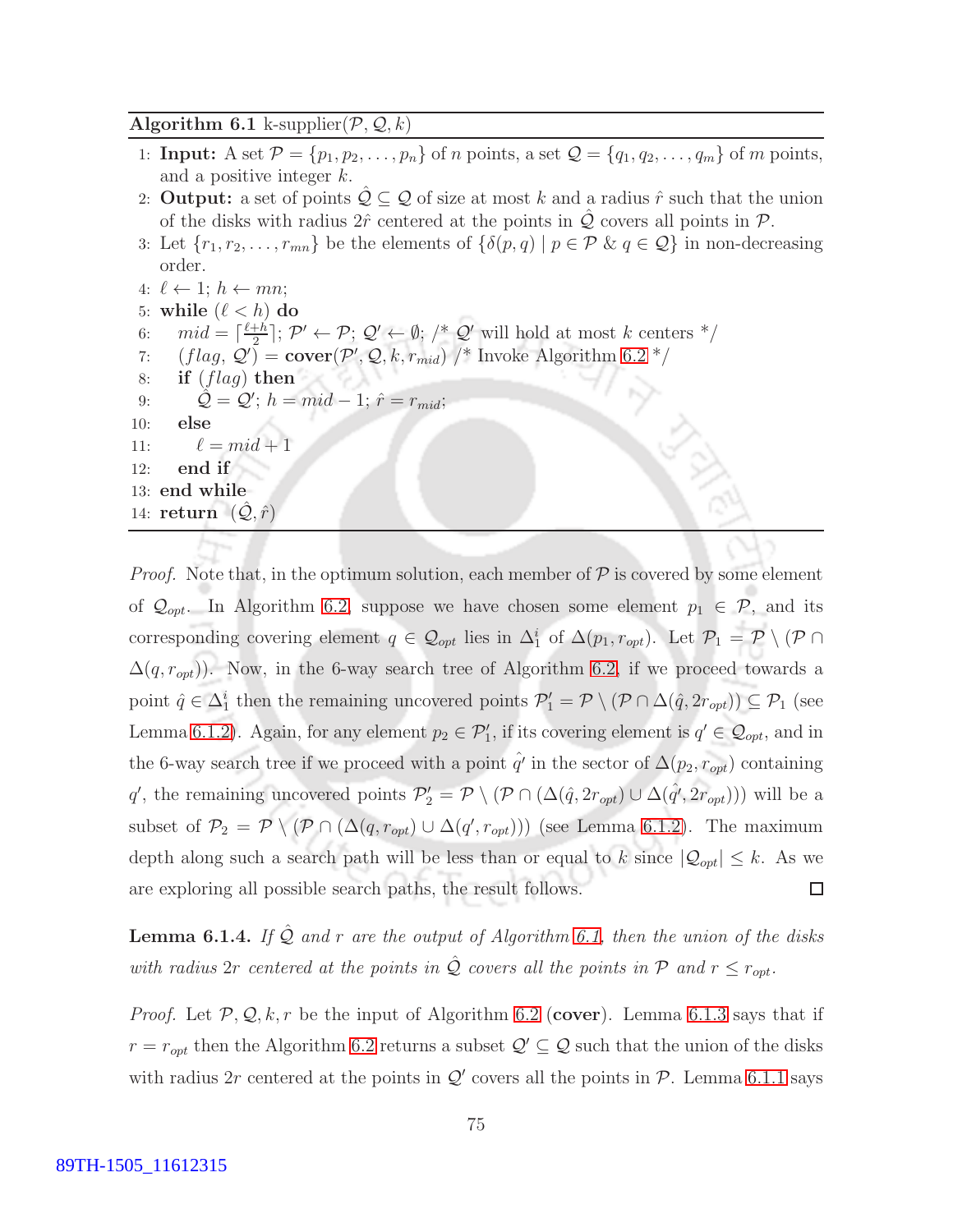#### Algorithm 6.1 k-supplier $(\mathcal{P}, \mathcal{Q}, k)$

- 1: **Input:** A set  $\mathcal{P} = \{p_1, p_2, \ldots, p_n\}$  of n points, a set  $\mathcal{Q} = \{q_1, q_2, \ldots, q_m\}$  of m points, and a positive integer k.
- 2: **Output:** a set of points  $Q \subseteq Q$  of size at most k and a radius  $\hat{r}$  such that the union of the disks with radius  $2\hat{r}$  centered at the points in  $\mathcal Q$  covers all points in  $\mathcal P$ .
- 3: Let  $\{r_1, r_2, \ldots, r_{mn}\}$  be the elements of  $\{\delta(p, q) | p \in \mathcal{P} \& q \in \mathcal{Q}\}\$  in non-decreasing order.
- 4:  $\ell \leftarrow 1$ ;  $h \leftarrow mn$ ; 5: while  $(\ell < h)$  do 6:  $mid = \lceil \frac{\ell+h}{2} \rceil$  $\frac{2+h}{2}$ ;  $\mathcal{P}' \leftarrow \mathcal{P}$ ;  $\mathcal{Q}' \leftarrow \emptyset$ ; /\*  $\mathcal{Q}'$  will hold at most k centers \*/ 7:  $(flag, Q') = \text{cover}(\mathcal{P}', Q, k, r_{mid})$  /\* Invoke Algorithm [6.2](#page-89-0) \*/ 8: if  $(flag)$  then 9:  $\hat{Q} = Q'$ ;  $h = mid - 1$ ;  $\hat{r} = r_{mid}$ ; 10: else 11:  $\ell = mid + 1$ 12: end if 13: end while 14: return  $(Q, \hat{r})$

<span id="page-88-0"></span>*Proof.* Note that, in the optimum solution, each member of  $P$  is covered by some element of  $\mathcal{Q}_{opt}$ . In Algorithm [6.2,](#page-89-0) suppose we have chosen some element  $p_1 \in \mathcal{P}$ , and its corresponding covering element  $q \in \mathcal{Q}_{opt}$  lies in  $\Delta_1^i$  of  $\Delta(p_1, r_{opt})$ . Let  $\mathcal{P}_1 = \mathcal{P} \setminus (\mathcal{P} \cap \mathcal{P})$  $\Delta(q, r_{opt})$ ). Now, in the 6-way search tree of Algorithm [6.2,](#page-89-0) if we proceed towards a point  $\hat{q} \in \Delta_1^i$  then the remaining uncovered points  $\mathcal{P}'_1 = \mathcal{P} \setminus (\mathcal{P} \cap \Delta(\hat{q}, 2r_{opt})) \subseteq \mathcal{P}_1$  (see Lemma [6.1.2\)](#page-86-0). Again, for any element  $p_2 \in \mathcal{P}'_1$ , if its covering element is  $q' \in \mathcal{Q}_{opt}$ , and in the 6-way search tree if we proceed with a point  $\hat{q}'$  in the sector of  $\Delta(p_2, r_{opt})$  containing q', the remaining uncovered points  $P'_2 = \mathcal{P} \setminus (\mathcal{P} \cap (\Delta(\hat{q}, 2r_{opt})) \cup \Delta(\hat{q'}, 2r_{opt}))$  will be a subset of  $P_2 = \mathcal{P} \setminus (\mathcal{P} \cap (\Delta(q, r_{opt})) \cup \Delta(q', r_{opt}))$  (see Lemma [6.1.2\)](#page-86-0). The maximum depth along such a search path will be less than or equal to k since  $|Q_{opt}| \leq k$ . As we are exploring all possible search paths, the result follows.  $\Box$ 

<span id="page-88-1"></span>**Lemma 6.1.4.** If  $\hat{Q}$  and r are the output of Algorithm [6.1,](#page-88-0) then the union of the disks with radius 2r centered at the points in  $\hat{Q}$  covers all the points in  $P$  and  $r \leq r_{opt}$ .

*Proof.* Let  $P$ ,  $Q$ ,  $k$ ,  $r$  be the input of Algorithm [6.2](#page-89-0) (cover). Lemma [6.1.3](#page-87-1) says that if  $r = r_{opt}$  then the Algorithm [6.2](#page-89-0) returns a subset  $\mathcal{Q}' \subseteq \mathcal{Q}$  such that the union of the disks with radius 2r centered at the points in  $\mathcal{Q}'$  covers all the points in  $\mathcal{P}$ . Lemma [6.1.1](#page-85-1) says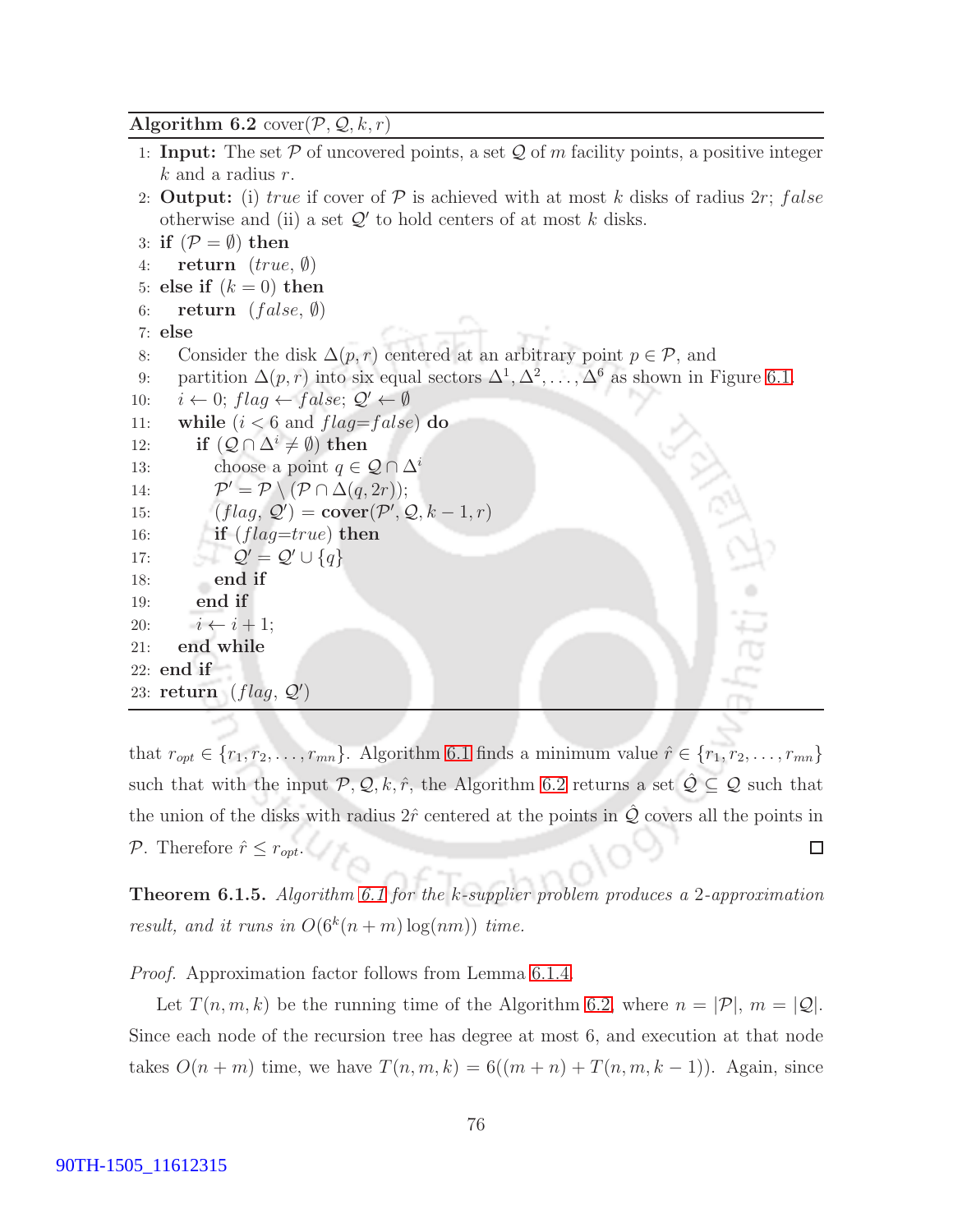Algorithm 6.2 cover $(\mathcal{P}, \mathcal{Q}, k, r)$ 

1: **Input:** The set  $P$  of uncovered points, a set  $Q$  of m facility points, a positive integer  $k$  and a radius  $r$ . 2: **Output:** (i) true if cover of  $P$  is achieved with at most k disks of radius  $2r$ ; false otherwise and (ii) a set  $\mathcal{Q}'$  to hold centers of at most k disks. 3: if  $(\mathcal{P} = \emptyset)$  then 4: return  $(true, \emptyset)$ 5: else if  $(k = 0)$  then 6: return  $(false, \emptyset)$ 7: else 8: Consider the disk  $\Delta(p,r)$  centered at an arbitrary point  $p \in \mathcal{P}$ , and 9: partition  $\Delta(p,r)$  into six equal sectors  $\Delta^1, \Delta^2, \ldots, \Delta^6$  as shown in Figure [6.1.](#page-87-0) 10:  $i \leftarrow 0$ ;  $flag \leftarrow false$ ;  $Q' \leftarrow \emptyset$ 11: while  $(i < 6$  and  $flag = false$  do 12: if  $(Q \cap \Delta^i \neq \emptyset)$  then 13: choose a point  $q \in \mathcal{Q} \cap \Delta^i$  $\frac{14}{15}$  $\mathcal{P}' = \mathcal{P} \setminus (\mathcal{P} \cap \Delta(q, 2r));$ 15:  $(flag, \mathcal{Q}') = \text{cover}(\mathcal{P}', \mathcal{Q}, k-1, r)$ 16: if  $(flag=true)$  then 17:  $Q' = Q' \cup \{q\}$ <br>18: end if end if 19: end if 20:  $i \leftarrow i + 1;$ <br>21: end while end while 22: end if 23: return  $(flag, \mathcal{Q}')$ 

<span id="page-89-0"></span>that  $r_{opt} \in \{r_1, r_2, \ldots, r_{mn}\}$ . Algorithm [6.1](#page-88-0) finds a minimum value  $\hat{r} \in \{r_1, r_2, \ldots, r_{mn}\}$ such that with the input  $\mathcal{P}, \mathcal{Q}, k, \hat{r}$ , the Algorithm [6.2](#page-89-0) returns a set  $\mathcal{Q} \subseteq \mathcal{Q}$  such that the union of the disks with radius  $2\hat{r}$  centered at the points in  $\hat{Q}$  covers all the points in P. Therefore  $\hat{r} \leq r_{opt}$ . □

**Theorem [6.1](#page-88-0).5.** Algorithm 6.1 for the k-supplier problem produces a 2-approximation result, and it runs in  $O(6^k(n+m) \log(nm))$  time.

Proof. Approximation factor follows from Lemma [6.1.4.](#page-88-1)

Let  $T(n, m, k)$  be the running time of the Algorithm [6.2,](#page-89-0) where  $n = |\mathcal{P}|$ ,  $m = |\mathcal{Q}|$ . Since each node of the recursion tree has degree at most 6, and execution at that node takes  $O(n+m)$  time, we have  $T(n, m, k) = 6((m+n) + T(n, m, k-1))$ . Again, since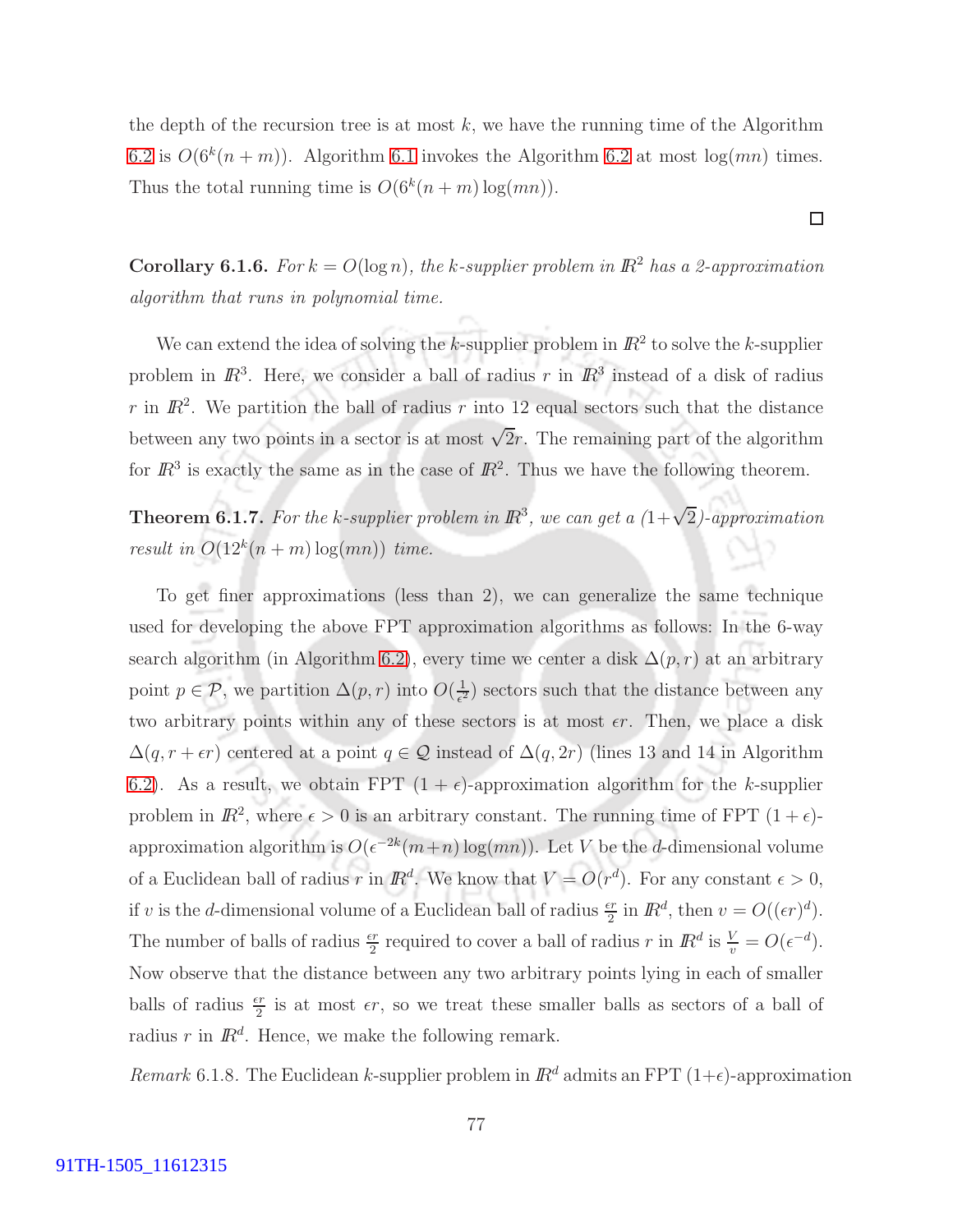the depth of the recursion tree is at most  $k$ , we have the running time of the Algorithm [6.2](#page-89-0) is  $O(6^k(n+m))$ . Algorithm [6.1](#page-88-0) invokes the Algorithm [6.2](#page-89-0) at most  $log(mn)$  times. Thus the total running time is  $O(6^k(n+m) \log(mn))$ .

 $\Box$ 

**Corollary 6.1.6.** For  $k = O(\log n)$ , the k-supplier problem in  $\mathbb{R}^2$  has a 2-approximation algorithm that runs in polynomial time.

We can extend the idea of solving the k-supplier problem in  $\mathbb{R}^2$  to solve the k-supplier problem in  $\mathbb{R}^3$ . Here, we consider a ball of radius r in  $\mathbb{R}^3$  instead of a disk of radius r in  $\mathbb{R}^2$ . We partition the ball of radius r into 12 equal sectors such that the distance between any two points in a sector is at most  $\sqrt{2}r$ . The remaining part of the algorithm for  $\mathbb{R}^3$  is exactly the same as in the case of  $\mathbb{R}^2$ . Thus we have the following theorem.

**Theorem 6.1.7.** For the k-supplier problem in  $\mathbb{R}^3$ , we can get a  $(1+\sqrt{2})$ -approximation result in  $O(12^k(n+m) \log(mn))$  time.

To get finer approximations (less than 2), we can generalize the same technique used for developing the above FPT approximation algorithms as follows: In the 6-way search algorithm (in Algorithm [6.2\)](#page-89-0), every time we center a disk  $\Delta(p,r)$  at an arbitrary point  $p \in \mathcal{P}$ , we partition  $\Delta(p,r)$  into  $O(\frac{1}{\epsilon^2})$  $\frac{1}{\epsilon^2}$ ) sectors such that the distance between any two arbitrary points within any of these sectors is at most  $\epsilon r$ . Then, we place a disk  $\Delta(q, r + \epsilon r)$  centered at a point  $q \in \mathcal{Q}$  instead of  $\Delta(q, 2r)$  (lines 13 and 14 in Algorithm [6.2\)](#page-89-0). As a result, we obtain FPT  $(1 + \epsilon)$ -approximation algorithm for the k-supplier problem in  $\mathbb{R}^2$ , where  $\epsilon > 0$  is an arbitrary constant. The running time of FPT  $(1 + \epsilon)$ approximation algorithm is  $O(\epsilon^{-2k}(m+n) \log(mn))$ . Let V be the d-dimensional volume of a Euclidean ball of radius r in  $\mathbb{R}^d$ . We know that  $V = O(r^d)$ . For any constant  $\epsilon > 0$ , if v is the d-dimensional volume of a Euclidean ball of radius  $\frac{\epsilon r}{2}$  in  $\mathbb{R}^d$ , then  $v = O((\epsilon r)^d)$ . The number of balls of radius  $\frac{\epsilon r}{2}$  required to cover a ball of radius r in  $\mathbb{R}^d$  is  $\frac{V}{v} = O(\epsilon^{-d})$ . Now observe that the distance between any two arbitrary points lying in each of smaller balls of radius  $\frac{er}{2}$  is at most  $\epsilon r$ , so we treat these smaller balls as sectors of a ball of radius r in  $\mathbb{R}^d$ . Hence, we make the following remark.

Remark 6.1.8. The Euclidean k-supplier problem in  $\mathbb{R}^d$  admits an FPT (1+ $\epsilon$ )-approximation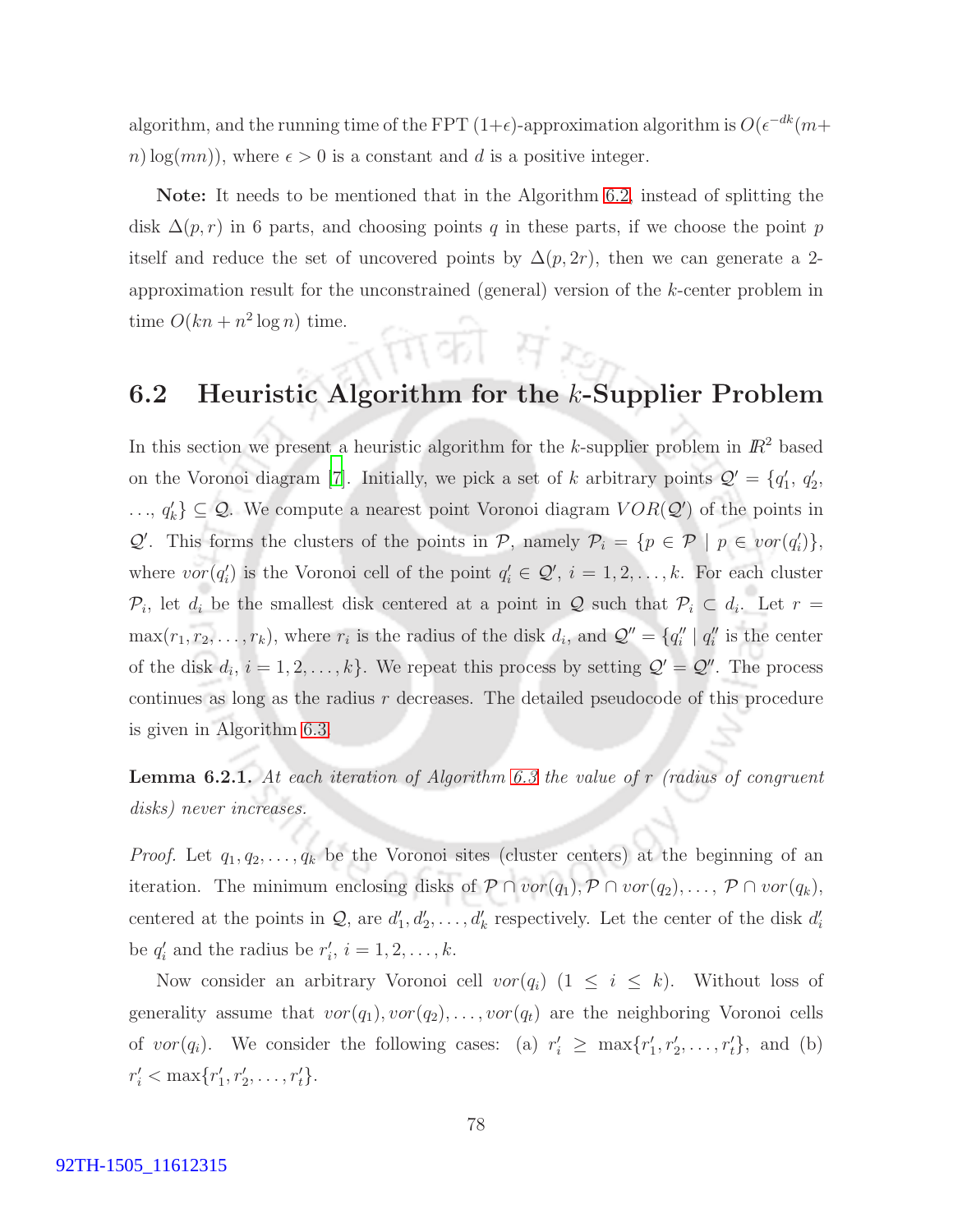algorithm, and the running time of the FPT (1+ $\epsilon$ )-approximation algorithm is  $O(\epsilon^{-dk}(m+\epsilon))$  $n) \log(mn)$ , where  $\epsilon > 0$  is a constant and d is a positive integer.

Note: It needs to be mentioned that in the Algorithm [6.2,](#page-89-0) instead of splitting the disk  $\Delta(p,r)$  in 6 parts, and choosing points q in these parts, if we choose the point p itself and reduce the set of uncovered points by  $\Delta(p, 2r)$ , then we can generate a 2approximation result for the unconstrained (general) version of the k-center problem in time  $O(kn + n^2 \log n)$  time.

## <span id="page-91-0"></span>6.2 Heuristic Algorithm for the  $k$ -Supplier Problem

त्तिका स $\, \infty$ 

In this section we present a heuristic algorithm for the k-supplier problem in  $\mathbb{R}^2$  based on the Voronoi diagram [\[7](#page-101-0)]. Initially, we pick a set of k arbitrary points  $\mathcal{Q}' = \{q'_1, q'_2,$  $\ldots, q'_k$   $\subseteq \mathcal{Q}$ . We compute a nearest point Voronoi diagram  $VOR(\mathcal{Q}')$  of the points in  $Q'$ . This forms the clusters of the points in  $P$ , namely  $P_i = \{p \in P \mid p \in vor(q'_i)\}\,$ , where  $vor(q'_{i})$  is the Voronoi cell of the point  $q'_{i} \in \mathcal{Q}'$ ,  $i = 1, 2, ..., k$ . For each cluster  $\mathcal{P}_i$ , let  $d_i$  be the smallest disk centered at a point in  $\mathcal{Q}$  such that  $\mathcal{P}_i \subset d_i$ . Let  $r =$  $\max(r_1, r_2, \ldots, r_k)$ , where  $r_i$  is the radius of the disk  $d_i$ , and  $\mathcal{Q}'' = \{q''_i \mid q''_i$  is the center of the disk  $d_i$ ,  $i = 1, 2, ..., k$ . We repeat this process by setting  $\mathcal{Q}' = \mathcal{Q}''$ . The process continues as long as the radius r decreases. The detailed pseudocode of this procedure is given in Algorithm [6.3.](#page-94-0)

**Lemma 6.2.1.** At each iteration of Algorithm [6.3](#page-94-0) the value of  $r$  (radius of congruent disks) never increases.

*Proof.* Let  $q_1, q_2, \ldots, q_k$  be the Voronoi sites (cluster centers) at the beginning of an iteration. The minimum enclosing disks of  $P \cap vor(q_1), P \cap vor(q_2), \ldots, P \cap vor(q_k),$ centered at the points in  $Q$ , are  $d'_1, d'_2, \ldots, d'_k$  respectively. Let the center of the disk  $d'_i$ be  $q'_i$  and the radius be  $r'_i$ ,  $i = 1, 2, \ldots, k$ .

Now consider an arbitrary Voronoi cell  $vor(q_i)$   $(1 \leq i \leq k)$ . Without loss of generality assume that  $vor(q_1), vor(q_2), \ldots, vor(q_t)$  are the neighboring Voronoi cells of  $vor(q_i)$ . We consider the following cases: (a)  $r'_i \ge \max\{r'_1, r'_2, \ldots, r'_t\}$ , and (b)  $r'_i < \max\{r'_1, r'_2, \ldots, r'_t\}.$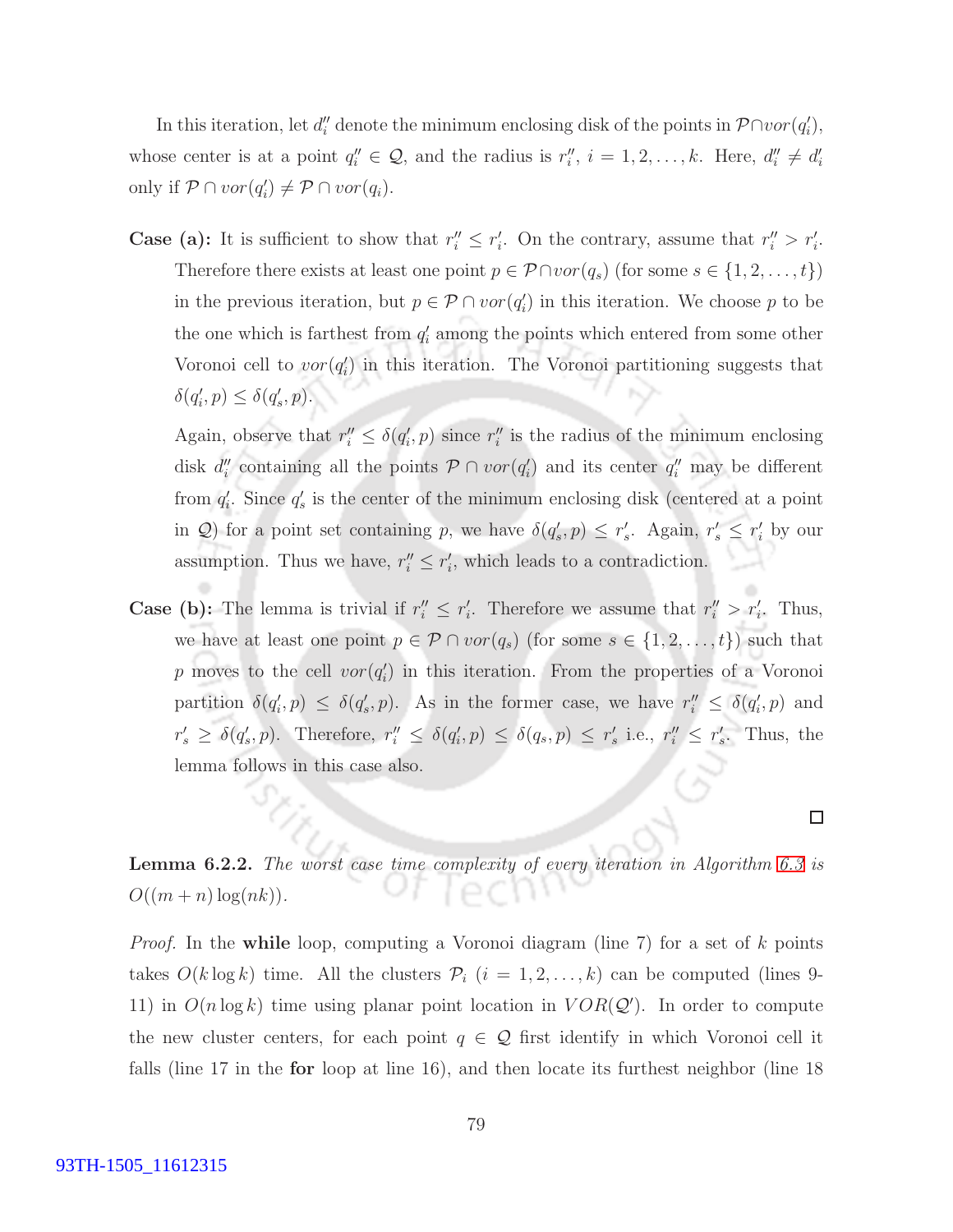In this iteration, let  $d_i''$  denote the minimum enclosing disk of the points in  $\mathcal{P} \cap vor(q_i'),$ whose center is at a point  $q''_i \in \mathcal{Q}$ , and the radius is  $r''_i$ ,  $i = 1, 2, ..., k$ . Here,  $d''_i \neq d'_i$ only if  $P \cap vor(q'_i) \neq P \cap vor(q_i)$ .

**Case (a):** It is sufficient to show that  $r''_i \leq r'_i$ . On the contrary, assume that  $r''_i > r'_i$ . Therefore there exists at least one point  $p \in \mathcal{P} \cap vor(q_s)$  (for some  $s \in \{1, 2, ..., t\}$ ) in the previous iteration, but  $p \in \mathcal{P} \cap vor(q'_i)$  in this iteration. We choose p to be the one which is farthest from  $q'_i$  among the points which entered from some other Voronoi cell to  $vor(q'_i)$  in this iteration. The Voronoi partitioning suggests that  $\delta(q'_i, p) \leq \delta(q'_s, p).$ 

Again, observe that  $r''_i \leq \delta(q'_i, p)$  since  $r''_i$  is the radius of the minimum enclosing disk  $d''_i$  containing all the points  $P \cap vor(q'_i)$  and its center  $q''_i$  may be different from  $q_i'$ . Since  $q_s'$  is the center of the minimum enclosing disk (centered at a point in  $\mathcal{Q}$ ) for a point set containing p, we have  $\delta(q'_s, p) \leq r'_s$ . Again,  $r'_s \leq r'_i$  by our assumption. Thus we have,  $r''_i \leq r'_i$ , which leads to a contradiction.

**Case (b):** The lemma is trivial if  $r''_i \leq r'_i$ . Therefore we assume that  $r''_i > r'_i$ . Thus, we have at least one point  $p \in \mathcal{P} \cap vor(q_s)$  (for some  $s \in \{1, 2, ..., t\}$ ) such that p moves to the cell  $vor(q'_i)$  in this iteration. From the properties of a Voronoi partition  $\delta(q'_i, p) \leq \delta(q'_s, p)$ . As in the former case, we have  $r''_i \leq \delta(q'_i, p)$  and  $r'_s \geq \delta(q'_s, p)$ . Therefore,  $r''_i \leq \delta(q'_i, p) \leq \delta(q_s, p) \leq r'_s$  i.e.,  $r''_i \leq r'_s$ . Thus, the lemma follows in this case also.

 $\Box$ 

Lemma 6.2.2. The worst case time complexity of every iteration in Algorithm [6.3](#page-94-0) is  $O((m+n)\log(nk)).$ 

*Proof.* In the while loop, computing a Voronoi diagram (line  $7$ ) for a set of k points takes  $O(k \log k)$  time. All the clusters  $P_i$   $(i = 1, 2, ..., k)$  can be computed (lines 9-11) in  $O(n \log k)$  time using planar point location in  $VOR(\mathcal{Q}')$ . In order to compute the new cluster centers, for each point  $q \in \mathcal{Q}$  first identify in which Voronoi cell it falls (line 17 in the for loop at line 16), and then locate its furthest neighbor (line 18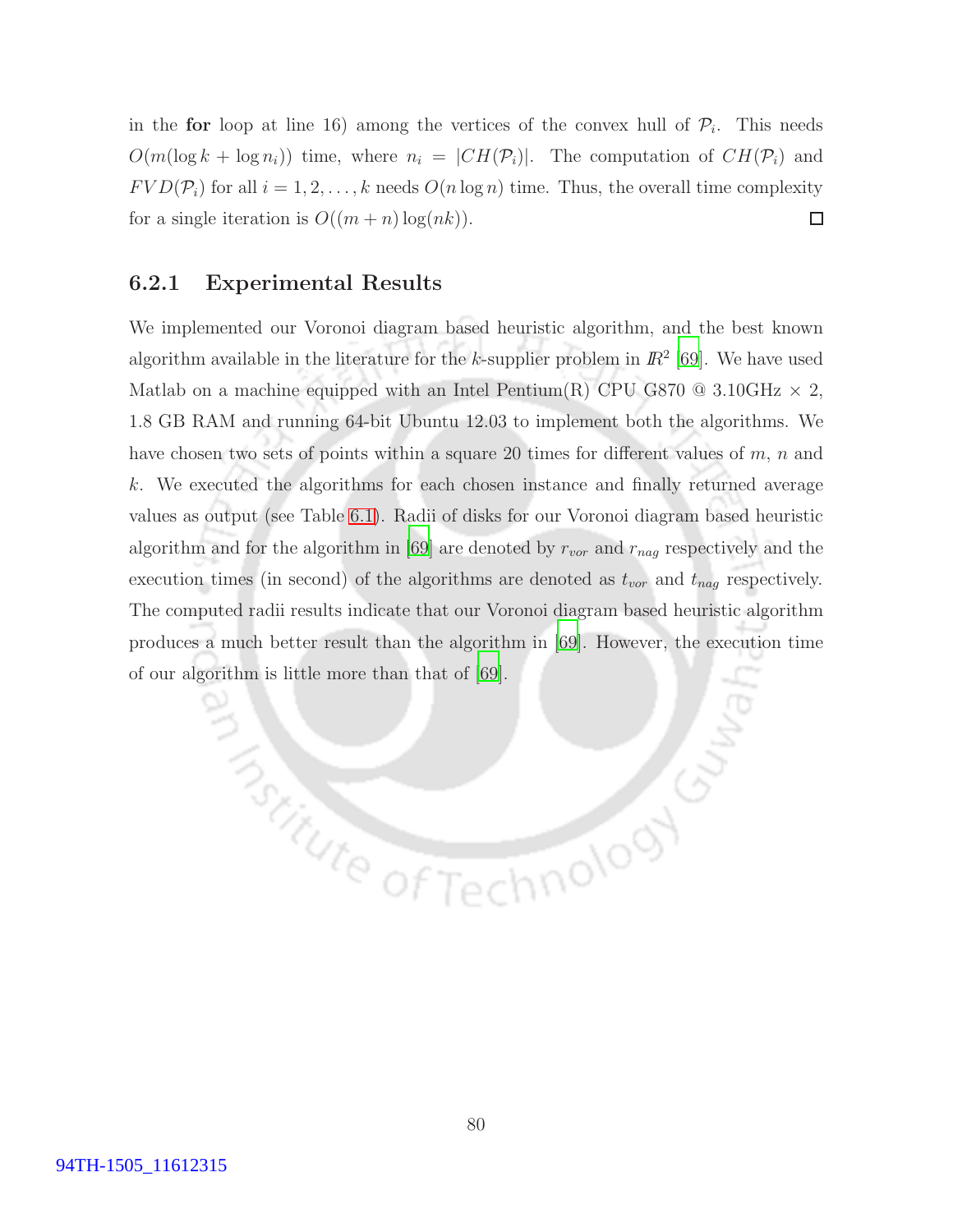in the **for** loop at line 16) among the vertices of the convex hull of  $\mathcal{P}_i$ . This needs  $O(m(\log k + \log n_i))$  time, where  $n_i = |CH(\mathcal{P}_i)|$ . The computation of  $CH(\mathcal{P}_i)$  and  $FVD(\mathcal{P}_i)$  for all  $i = 1, 2, ..., k$  needs  $O(n \log n)$  time. Thus, the overall time complexity for a single iteration is  $O((m+n) \log(n k)).$  $\Box$ 

### 6.2.1 Experimental Results

We implemented our Voronoi diagram based heuristic algorithm, and the best known algorithm available in the literature for the k-supplier problem in  $\mathbb{R}^2$  [\[69](#page-107-0)]. We have used Matlab on a machine equipped with an Intel Pentium(R) CPU G870  $@$  3.10GHz  $\times$  2, 1.8 GB RAM and running 64-bit Ubuntu 12.03 to implement both the algorithms. We have chosen two sets of points within a square 20 times for different values of  $m$ ,  $n$  and k. We executed the algorithms for each chosen instance and finally returned average values as output (see Table [6.1\)](#page-95-0). Radii of disks for our Voronoi diagram based heuristic algorithm and for the algorithm in [\[69\]](#page-107-0) are denoted by  $r_{vor}$  and  $r_{nag}$  respectively and the execution times (in second) of the algorithms are denoted as  $t_{vor}$  and  $t_{nag}$  respectively. The computed radii results indicate that our Voronoi diagram based heuristic algorithm produces a much better result than the algorithm in [\[69\]](#page-107-0). However, the execution time of our algorithm is little more than that of [\[69](#page-107-0)].

**Soldier Contract**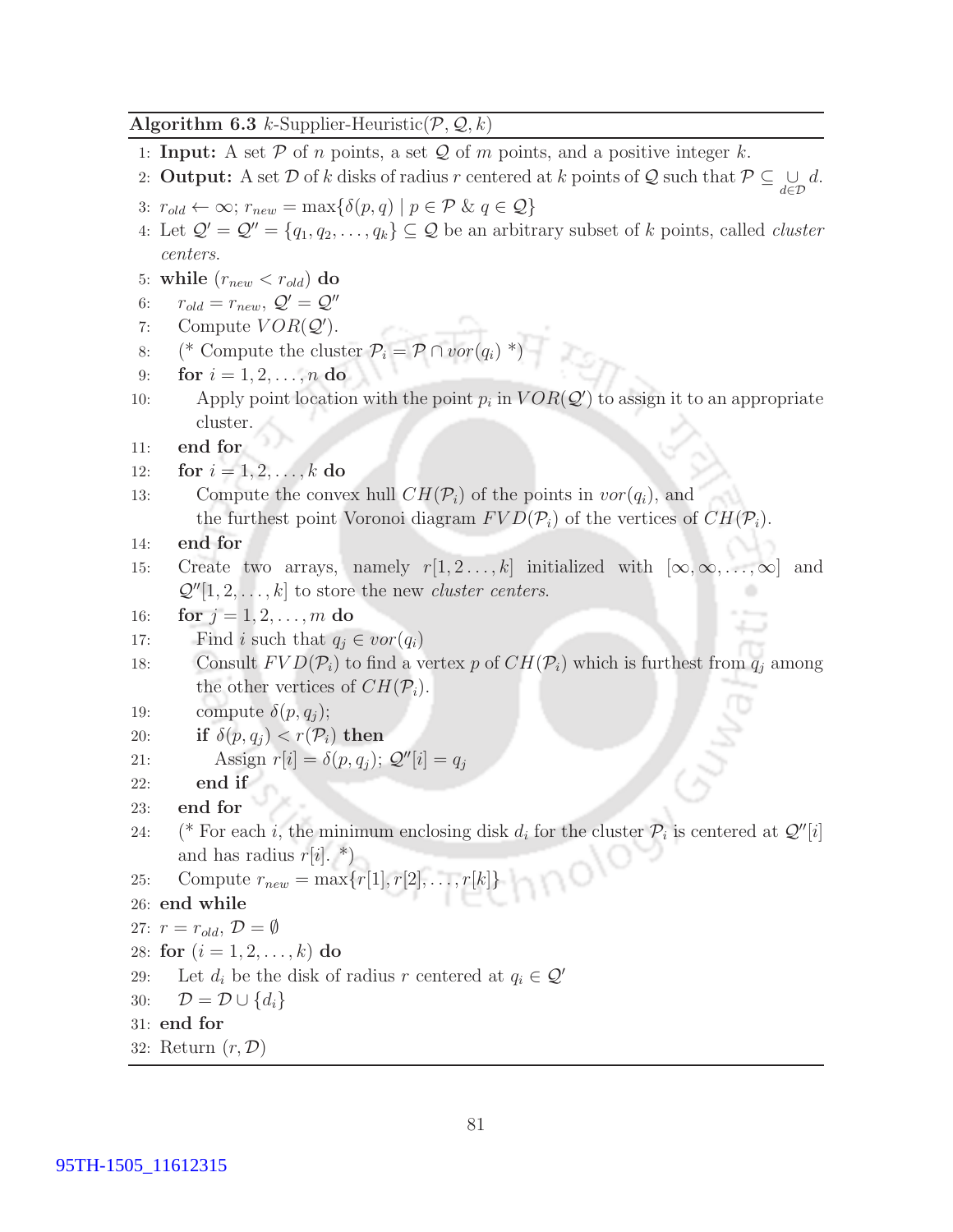Algorithm 6.3 k-Supplier-Heuristic( $P, Q, k$ )

- 1: **Input:** A set  $P$  of n points, a set  $Q$  of m points, and a positive integer k.
- 2: **Output:** A set  $D$  of k disks of radius r centered at k points of  $Q$  such that  $P \subseteq \bigcup_{d \in \mathcal{D}}$ d.
- 3:  $r_{old} \leftarrow \infty$ ;  $r_{new} = \max\{\delta(p,q) \mid p \in \mathcal{P} \& q \in \mathcal{Q}\}\$
- 4: Let  $\mathcal{Q}' = \mathcal{Q}'' = \{q_1, q_2, \ldots, q_k\} \subseteq \mathcal{Q}$  be an arbitrary subset of k points, called *cluster* centers.
- 5: while  $(r_{new} < r_{old})$  do
- 6:  $r_{old} = r_{new}, \mathcal{Q}' = \mathcal{Q}''$
- 7: Compute  $VOR(\mathcal{Q}')$ .
- 8:  $(\text{``Compute the cluster } \mathcal{P}_i = \mathcal{P} \cap vor(q_i) \text{''})$
- 9: **for**  $i = 1, 2, ..., n$  do
- 10: Apply point location with the point  $p_i$  in  $VOR(\mathcal{Q}')$  to assign it to an appropriate cluster.
- 11: end for
- 12: for  $i = 1, 2, ..., k$  do
- 13: Compute the convex hull  $CH(\mathcal{P}_i)$  of the points in  $vor(q_i)$ , and the furthest point Voronoi diagram  $FVD(\mathcal{P}_i)$  of the vertices of  $CH(\mathcal{P}_i)$ .
- 14: end for
- 15: Create two arrays, namely  $r[1, 2, ..., k]$  initialized with  $[\infty, \infty, ..., \infty]$  and  $\mathcal{Q}''[1, 2, \ldots, k]$  to store the new *cluster centers*.

```
16: for j = 1, 2, ..., m do
```
- 17: Find i such that  $q_i \in vor(q_i)$
- 18: Consult  $FVD(\mathcal{P}_i)$  to find a vertex p of  $CH(\mathcal{P}_i)$  which is furthest from  $q_i$  among the other vertices of  $CH(\mathcal{P}_i)$ .
- 19: compute  $\delta(p, q_i)$ ;
- 20: if  $\delta(p, q_i) < r(\mathcal{P}_i)$  then
- 21: Assign  $r[i] = \delta(p, q_i);$   $\mathcal{Q}''[i] = q_i$
- 22: end if
- 23: end for
- 24:  $(*$  For each *i*, the minimum enclosing disk  $d_i$  for the cluster  $\mathcal{P}_i$  is centered at  $\mathcal{Q}''[i]$ and has radius  $r[i]$ . \*)
- 25: Compute  $r_{new} = \max\{r[1], r[2], \ldots, r[k]\}$

```
26: end while
```

```
27: r = r_{old}, \mathcal{D} = \emptyset
```
- 28: for  $(i = 1, 2, ..., k)$  do
- 29: Let  $d_i$  be the disk of radius r centered at  $q_i \in \mathcal{Q}'$
- 30:  $\mathcal{D} = \mathcal{D} \cup \{d_i\}$
- <span id="page-94-0"></span>31: end for
- 32: Return  $(r, \mathcal{D})$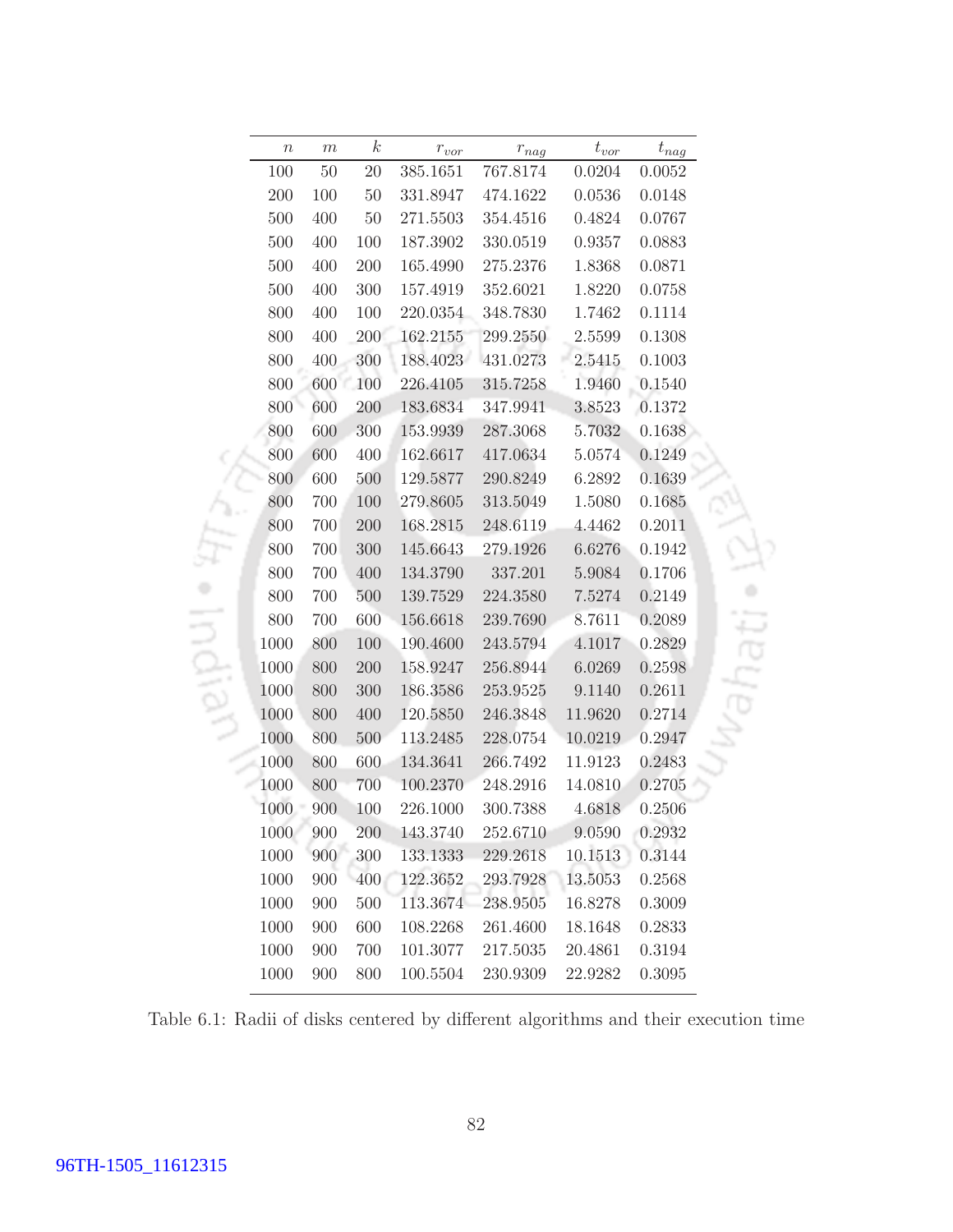<span id="page-95-0"></span>

| $\, n$  | m   | $\boldsymbol{k}$ | $r_{vor}$ | $r_{nag}$ | $t_{vor}$ | $t_{nag}$ |
|---------|-----|------------------|-----------|-----------|-----------|-----------|
| 100     | 50  | $20\,$           | 385.1651  | 767.8174  | 0.0204    | 0.0052    |
| $200\,$ | 100 | $50\,$           | 331.8947  | 474.1622  | 0.0536    | 0.0148    |
| 500     | 400 | $50\,$           | 271.5503  | 354.4516  | 0.4824    | 0.0767    |
| 500     | 400 | 100              | 187.3902  | 330.0519  | 0.9357    | 0.0883    |
| 500     | 400 | 200              | 165.4990  | 275.2376  | 1.8368    | 0.0871    |
| 500     | 400 | 300              | 157.4919  | 352.6021  | 1.8220    | 0.0758    |
| 800     | 400 | 100              | 220.0354  | 348.7830  | 1.7462    | 0.1114    |
| 800     | 400 | 200              | 162.2155  | 299.2550  | 2.5599    | 0.1308    |
| 800     | 400 | 300              | 188.4023  | 431.0273  | 2.5415    | 0.1003    |
| 800     | 600 | 100              | 226.4105  | 315.7258  | 1.9460    | 0.1540    |
| 800     | 600 | 200              | 183.6834  | 347.9941  | 3.8523    | 0.1372    |
| 800     | 600 | 300              | 153.9939  | 287.3068  | 5.7032    | 0.1638    |
| 800     | 600 | 400              | 162.6617  | 417.0634  | 5.0574    | 0.1249    |
| 800     | 600 | 500              | 129.5877  | 290.8249  | 6.2892    | 0.1639    |
| 800     | 700 | 100              | 279.8605  | 313.5049  | 1.5080    | 0.1685    |
| 800     | 700 | 200              | 168.2815  | 248.6119  | 4.4462    | 0.2011    |
| 800     | 700 | 300              | 145.6643  | 279.1926  | 6.6276    | 0.1942    |
| 800     | 700 | 400              | 134.3790  | 337.201   | 5.9084    | 0.1706    |
| 800     | 700 | 500              | 139.7529  | 224.3580  | 7.5274    | 0.2149    |
| 800     | 700 | 600              | 156.6618  | 239.7690  | 8.7611    | 0.2089    |
| 1000    | 800 | 100              | 190.4600  | 243.5794  | 4.1017    | 0.2829    |
| 1000    | 800 | $200\,$          | 158.9247  | 256.8944  | 6.0269    | 0.2598    |
| 1000    | 800 | 300              | 186.3586  | 253.9525  | 9.1140    | 0.2611    |
| 1000    | 800 | 400              | 120.5850  | 246.3848  | 11.9620   | 0.2714    |
| 1000    | 800 | 500              | 113.2485  | 228.0754  | 10.0219   | 0.2947    |
| 1000    | 800 | 600              | 134.3641  | 266.7492  | 11.9123   | 0.2483    |
| 1000    | 800 | 700              | 100.2370  | 248.2916  | 14.0810   | 0.2705    |
| 1000    | 900 | 100              | 226.1000  | 300.7388  | 4.6818    | 0.2506    |
| 1000    | 900 | 200              | 143.3740  | 252.6710  | 9.0590    | 0.2932    |
| 1000    | 900 | 300              | 133.1333  | 229.2618  | 10.1513   | 0.3144    |
| 1000    | 900 | 400              | 122.3652  | 293.7928  | 13.5053   | 0.2568    |
| 1000    | 900 | 500              | 113.3674  | 238.9505  | 16.8278   | 0.3009    |
| 1000    | 900 | 600              | 108.2268  | 261.4600  | 18.1648   | 0.2833    |
| 1000    | 900 | 700              | 101.3077  | 217.5035  | 20.4861   | 0.3194    |
| 1000    | 900 | 800              | 100.5504  | 230.9309  | 22.9282   | 0.3095    |
|         |     |                  |           |           |           |           |

Table 6.1: Radii of disks centered by different algorithms and their execution time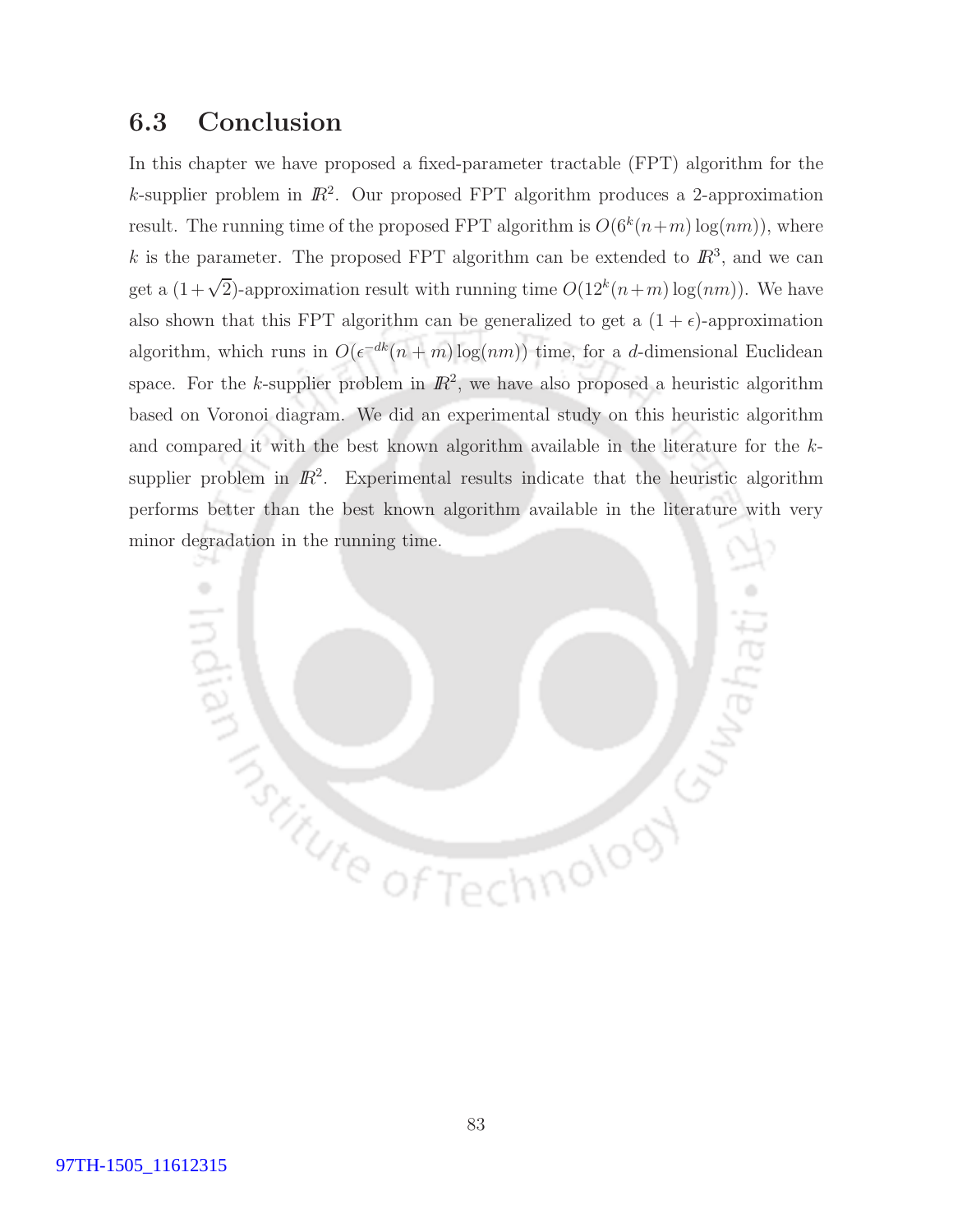## <span id="page-96-0"></span>6.3 Conclusion

In this chapter we have proposed a fixed-parameter tractable (FPT) algorithm for the k-supplier problem in  $\mathbb{R}^2$ . Our proposed FPT algorithm produces a 2-approximation result. The running time of the proposed FPT algorithm is  $O(6^k(n+m) \log(nm))$ , where k is the parameter. The proposed FPT algorithm can be extended to  $\mathbb{R}^3$ , and we can get a  $(1+\sqrt{2})$ -approximation result with running time  $O(12^k(n+m) \log(nm))$ . We have also shown that this FPT algorithm can be generalized to get a  $(1 + \epsilon)$ -approximation algorithm, which runs in  $O(\epsilon^{-dk}(n+m)\log(nm))$  time, for a d-dimensional Euclidean space. For the k-supplier problem in  $\mathbb{R}^2$ , we have also proposed a heuristic algorithm based on Voronoi diagram. We did an experimental study on this heuristic algorithm and compared it with the best known algorithm available in the literature for the ksupplier problem in  $\mathbb{R}^2$ . Experimental results indicate that the heuristic algorithm performs better than the best known algorithm available in the literature with very minor degradation in the running time.

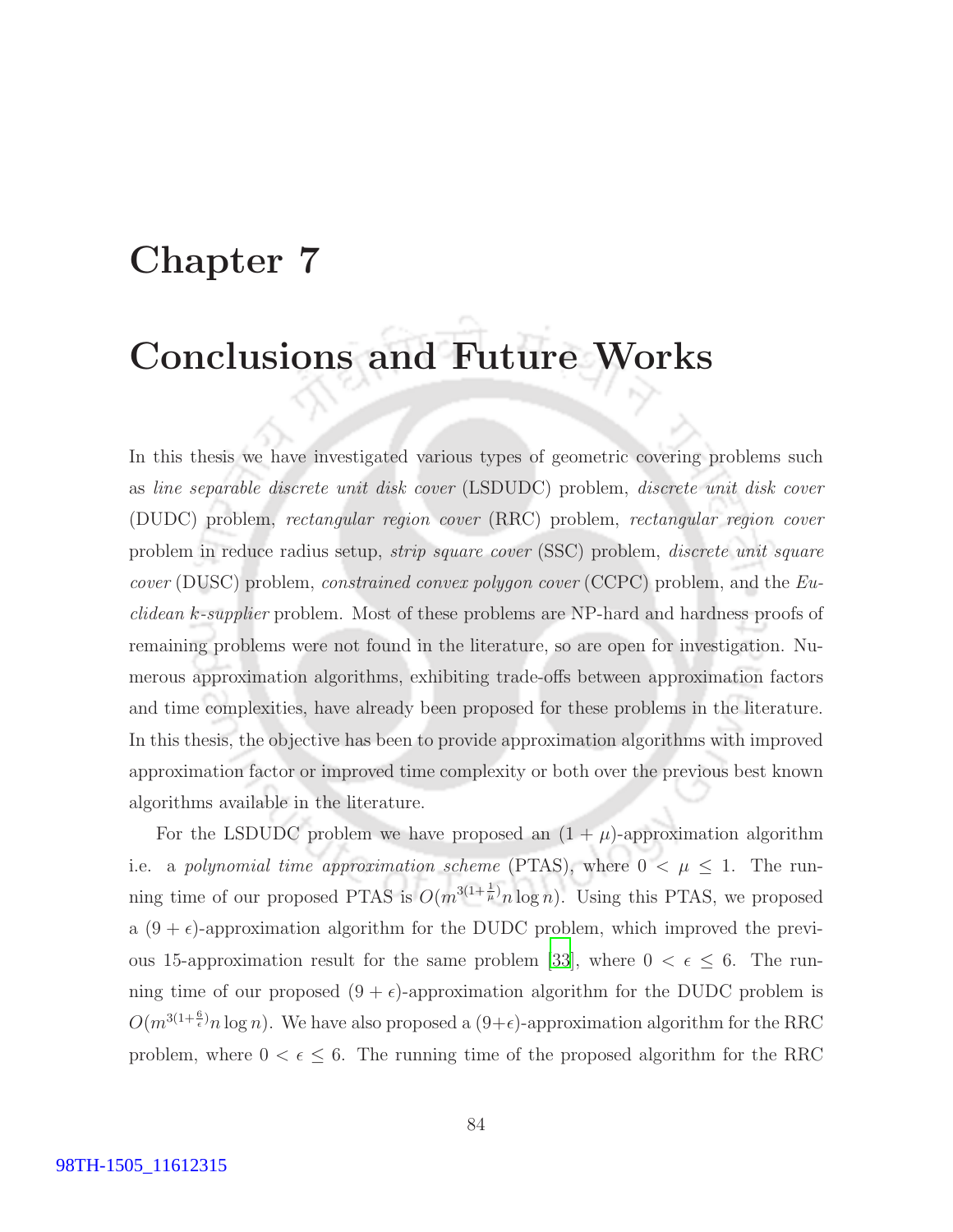## Chapter 7

# Conclusions and Future Works

In this thesis we have investigated various types of geometric covering problems such as line separable discrete unit disk cover (LSDUDC) problem, discrete unit disk cover (DUDC) problem, rectangular region cover (RRC) problem, rectangular region cover problem in reduce radius setup, strip square cover (SSC) problem, discrete unit square *cover* (DUSC) problem, *constrained convex polygon cover* (CCPC) problem, and the  $Eu$ clidean k-supplier problem. Most of these problems are NP-hard and hardness proofs of remaining problems were not found in the literature, so are open for investigation. Numerous approximation algorithms, exhibiting trade-offs between approximation factors and time complexities, have already been proposed for these problems in the literature. In this thesis, the objective has been to provide approximation algorithms with improved approximation factor or improved time complexity or both over the previous best known algorithms available in the literature.

For the LSDUDC problem we have proposed an  $(1 + \mu)$ -approximation algorithm i.e. a polynomial time approximation scheme (PTAS), where  $0 < \mu \leq 1$ . The running time of our proposed PTAS is  $O(m^{3(1+\frac{1}{\mu})}n \log n)$ . Using this PTAS, we proposed a  $(9 + \epsilon)$ -approximation algorithm for the DUDC problem, which improved the previ-ous 15-approximation result for the same problem [\[33\]](#page-103-1), where  $0 < \epsilon \leq 6$ . The running time of our proposed  $(9 + \epsilon)$ -approximation algorithm for the DUDC problem is  $O(m^{3(1+\frac{6}{\epsilon})}n \log n)$ . We have also proposed a  $(9+\epsilon)$ -approximation algorithm for the RRC problem, where  $0 < \epsilon \leq 6$ . The running time of the proposed algorithm for the RRC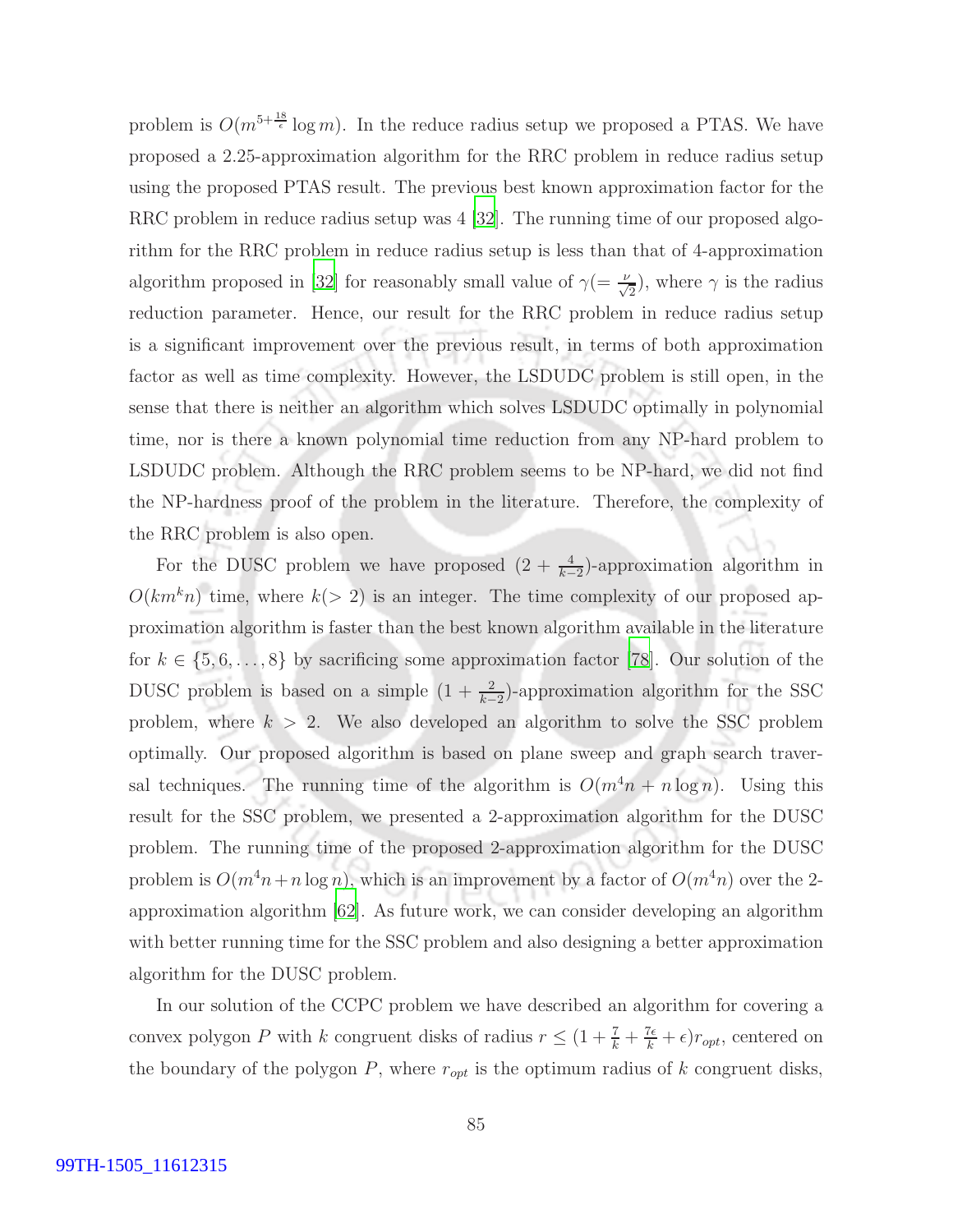problem is  $O(m^{5+\frac{18}{\epsilon}}\log m)$ . In the reduce radius setup we proposed a PTAS. We have proposed a 2.25-approximation algorithm for the RRC problem in reduce radius setup using the proposed PTAS result. The previous best known approximation factor for the RRC problem in reduce radius setup was 4 [\[32\]](#page-103-2). The running time of our proposed algorithm for the RRC problem in reduce radius setup is less than that of 4-approximation algorithm proposed in [\[32\]](#page-103-2) for reasonably small value of  $\gamma(=\frac{\nu}{\sqrt{2}})$ , where  $\gamma$  is the radius reduction parameter. Hence, our result for the RRC problem in reduce radius setup is a significant improvement over the previous result, in terms of both approximation factor as well as time complexity. However, the LSDUDC problem is still open, in the sense that there is neither an algorithm which solves LSDUDC optimally in polynomial time, nor is there a known polynomial time reduction from any NP-hard problem to LSDUDC problem. Although the RRC problem seems to be NP-hard, we did not find the NP-hardness proof of the problem in the literature. Therefore, the complexity of the RRC problem is also open.

For the DUSC problem we have proposed  $(2 + \frac{4}{k-2})$ -approximation algorithm in  $O(km^k n)$  time, where  $k(> 2)$  is an integer. The time complexity of our proposed approximation algorithm is faster than the best known algorithm available in the literature for  $k \in \{5, 6, \ldots, 8\}$  by sacrificing some approximation factor [\[78](#page-108-0)]. Our solution of the DUSC problem is based on a simple  $(1 + \frac{2}{k-2})$ -approximation algorithm for the SSC problem, where  $k > 2$ . We also developed an algorithm to solve the SSC problem optimally. Our proposed algorithm is based on plane sweep and graph search traversal techniques. The running time of the algorithm is  $O(m^4n + n \log n)$ . Using this result for the SSC problem, we presented a 2-approximation algorithm for the DUSC problem. The running time of the proposed 2-approximation algorithm for the DUSC problem is  $O(m^4n+n \log n)$ , which is an improvement by a factor of  $O(m^4n)$  over the 2approximation algorithm [\[62](#page-106-0)]. As future work, we can consider developing an algorithm with better running time for the SSC problem and also designing a better approximation algorithm for the DUSC problem.

In our solution of the CCPC problem we have described an algorithm for covering a convex polygon P with k congruent disks of radius  $r \leq (1 + \frac{7}{k} + \frac{7\epsilon}{k} + \epsilon)r_{opt}$ , centered on the boundary of the polygon  $P$ , where  $r_{opt}$  is the optimum radius of k congruent disks,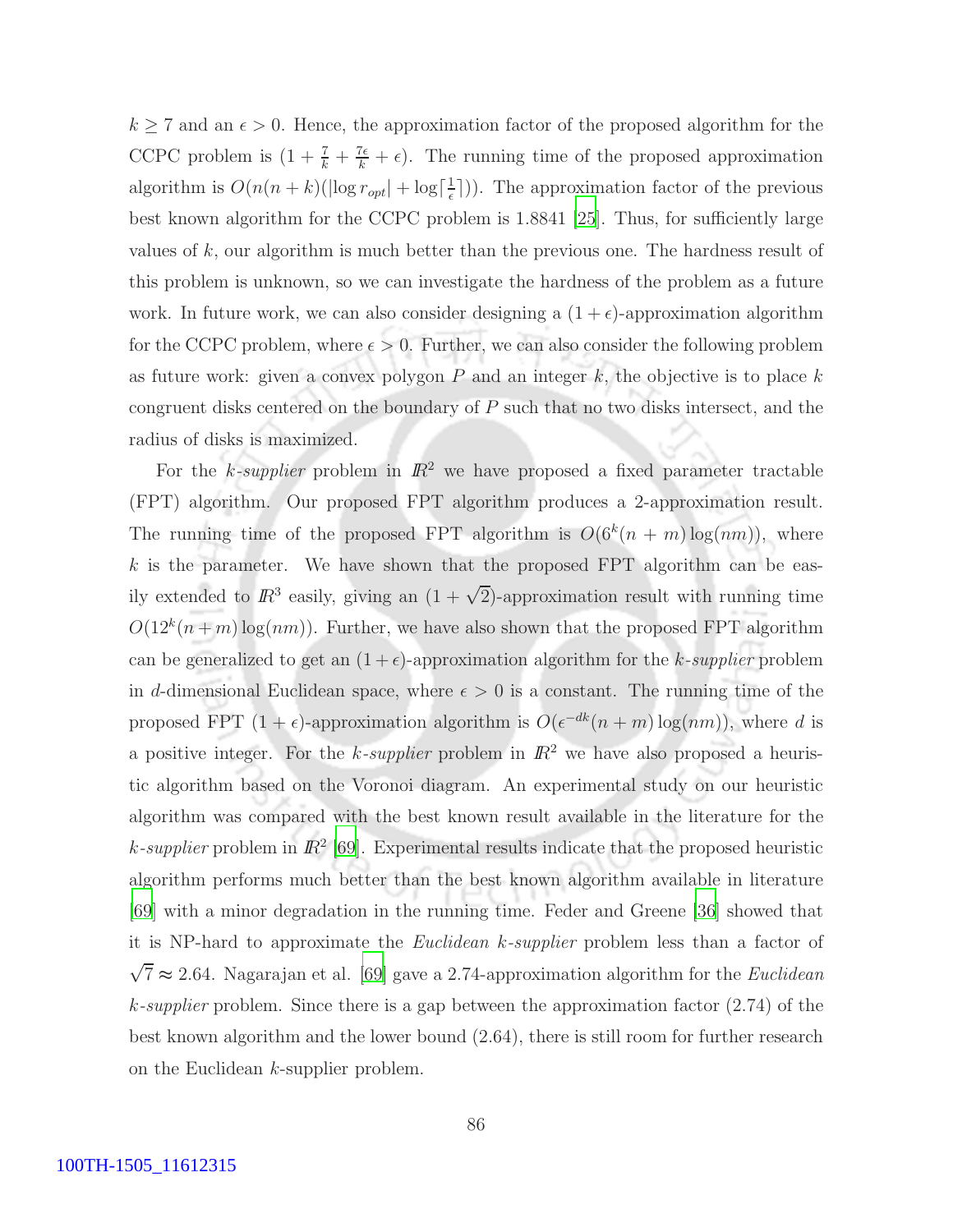$k \geq 7$  and an  $\epsilon > 0$ . Hence, the approximation factor of the proposed algorithm for the CCPC problem is  $(1 + \frac{7}{k} + \frac{7\epsilon}{k} + \epsilon)$ . The running time of the proposed approximation algorithm is  $O(n(n+k)(\log r_{opt}) + \log \lceil \frac{1}{\epsilon} \rceil)$  $\frac{1}{\epsilon}$ ]). The approximation factor of the previous best known algorithm for the CCPC problem is 1.8841 [\[25\]](#page-103-0). Thus, for sufficiently large values of  $k$ , our algorithm is much better than the previous one. The hardness result of this problem is unknown, so we can investigate the hardness of the problem as a future work. In future work, we can also consider designing a  $(1 + \epsilon)$ -approximation algorithm for the CCPC problem, where  $\epsilon > 0$ . Further, we can also consider the following problem as future work: given a convex polygon  $P$  and an integer  $k$ , the objective is to place  $k$ congruent disks centered on the boundary of  $P$  such that no two disks intersect, and the radius of disks is maximized.

For the k-supplier problem in  $\mathbb{R}^2$  we have proposed a fixed parameter tractable (FPT) algorithm. Our proposed FPT algorithm produces a 2-approximation result. The running time of the proposed FPT algorithm is  $O(6^k(n + m) \log(nm))$ , where  $k$  is the parameter. We have shown that the proposed FPT algorithm can be easily extended to  $\mathbb{R}^3$  easily, giving an  $(1 + \sqrt{2})$ -approximation result with running time  $O(12^k(n+m)\log(nm))$ . Further, we have also shown that the proposed FPT algorithm can be generalized to get an  $(1+\epsilon)$ -approximation algorithm for the k-supplier problem in d-dimensional Euclidean space, where  $\epsilon > 0$  is a constant. The running time of the proposed FPT  $(1 + \epsilon)$ -approximation algorithm is  $O(\epsilon^{-dk}(n+m) \log(nm))$ , where d is a positive integer. For the k-supplier problem in  $\mathbb{R}^2$  we have also proposed a heuristic algorithm based on the Voronoi diagram. An experimental study on our heuristic algorithm was compared with the best known result available in the literature for the k-supplier problem in  $\mathbb{R}^2$  [\[69\]](#page-107-0). Experimental results indicate that the proposed heuristic algorithm performs much better than the best known algorithm available in literature [\[69\]](#page-107-0) with a minor degradation in the running time. Feder and Greene [\[36\]](#page-104-0) showed that it is NP-hard to approximate the Euclidean k-supplier problem less than a factor of  $\sqrt{7} \approx 2.64$ . Nagarajan et al. [\[69\]](#page-107-0) gave a 2.74-approximation algorithm for the *Euclidean* k-supplier problem. Since there is a gap between the approximation factor  $(2.74)$  of the best known algorithm and the lower bound (2.64), there is still room for further research on the Euclidean k-supplier problem.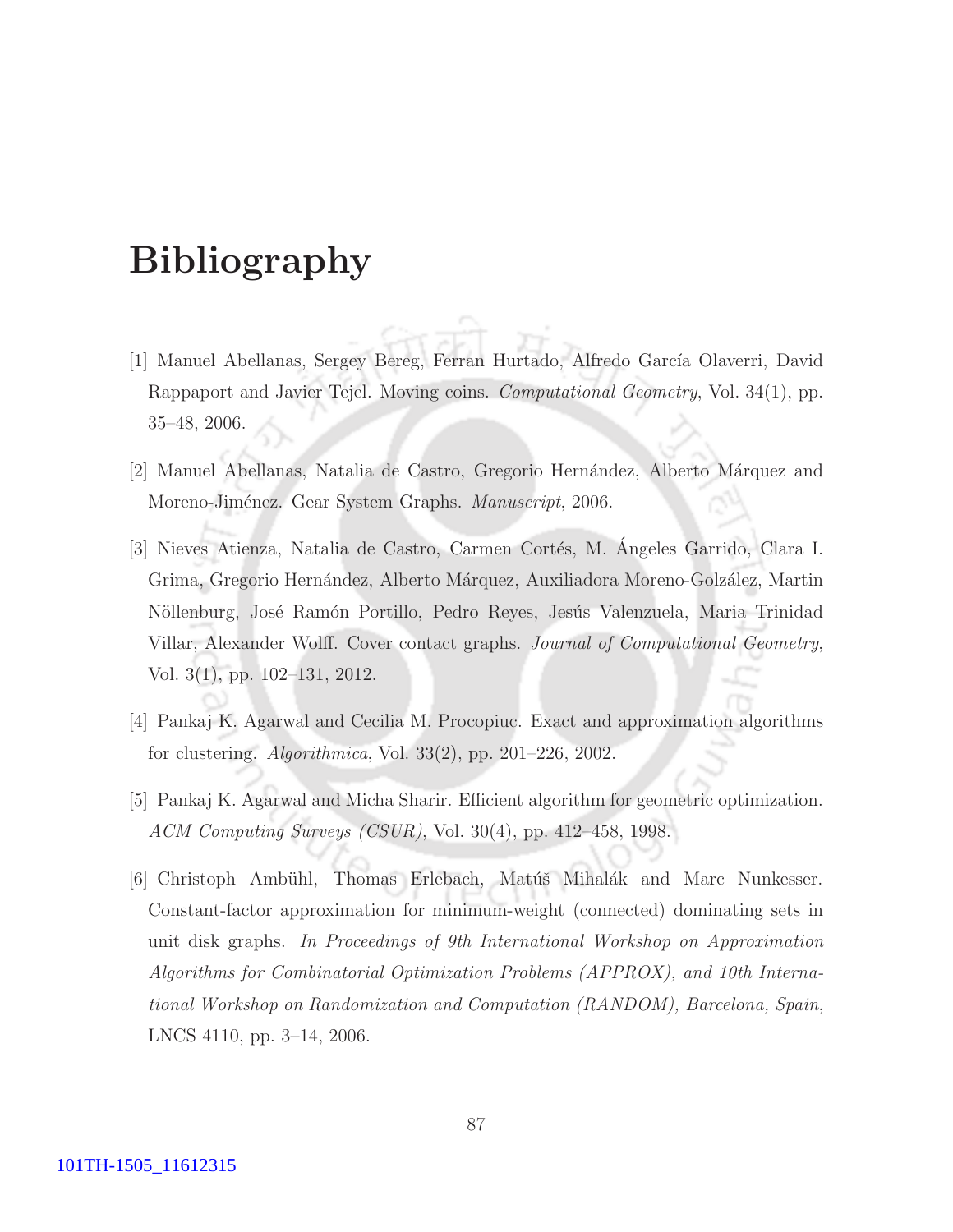# Bibliography

- [1] Manuel Abellanas, Sergey Bereg, Ferran Hurtado, Alfredo Garc´ıa Olaverri, David Rappaport and Javier Tejel. Moving coins. Computational Geometry, Vol. 34(1), pp. 35–48, 2006.
- [2] Manuel Abellanas, Natalia de Castro, Gregorio Hernández, Alberto Márquez and Moreno-Jiménez. Gear System Graphs. Manuscript, 2006.
- [3] Nieves Atienza, Natalia de Castro, Carmen Cortés, M. Angeles Garrido, Clara I. Grima, Gregorio Hernández, Alberto Márquez, Auxiliadora Moreno-Golzález, Martin Nöllenburg, José Ramón Portillo, Pedro Reyes, Jesús Valenzuela, Maria Trinidad Villar, Alexander Wolff. Cover contact graphs. Journal of Computational Geometry, Vol. 3(1), pp. 102–131, 2012.
- [4] Pankaj K. Agarwal and Cecilia M. Procopiuc. Exact and approximation algorithms for clustering. Algorithmica, Vol. 33(2), pp. 201–226, 2002.
- [5] Pankaj K. Agarwal and Micha Sharir. Efficient algorithm for geometric optimization. ACM Computing Surveys (CSUR), Vol. 30(4), pp. 412–458, 1998.
- [6] Christoph Ambühl, Thomas Erlebach, Matúš Mihalák and Marc Nunkesser. Constant-factor approximation for minimum-weight (connected) dominating sets in unit disk graphs. In Proceedings of 9th International Workshop on Approximation Algorithms for Combinatorial Optimization Problems (APPROX), and 10th International Workshop on Randomization and Computation (RANDOM), Barcelona, Spain, LNCS 4110, pp. 3–14, 2006.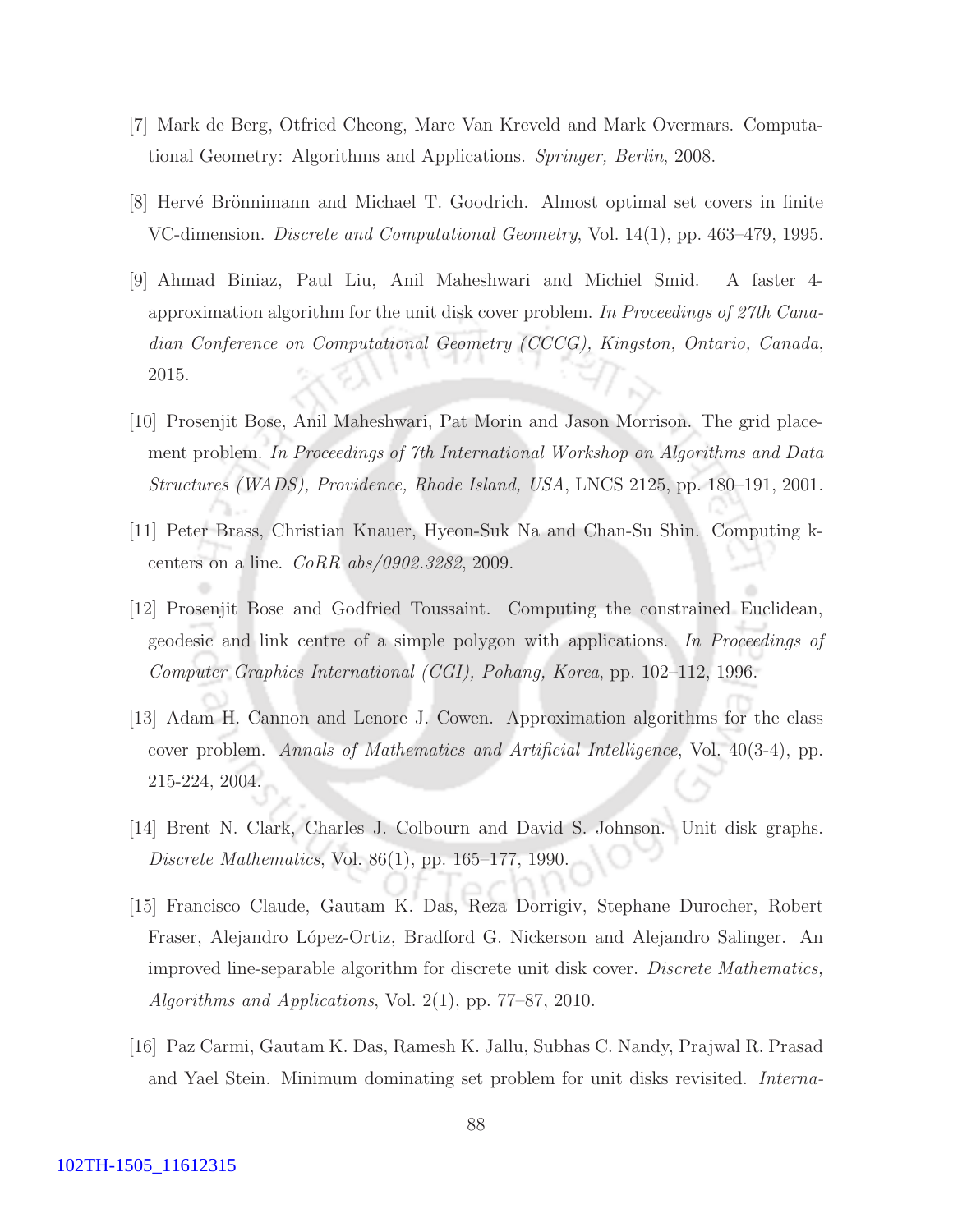- <span id="page-101-0"></span>[7] Mark de Berg, Otfried Cheong, Marc Van Kreveld and Mark Overmars. Computational Geometry: Algorithms and Applications. Springer, Berlin, 2008.
- [8] Hervé Brönnimann and Michael T. Goodrich. Almost optimal set covers in finite VC-dimension. Discrete and Computational Geometry, Vol. 14(1), pp. 463–479, 1995.
- [9] Ahmad Biniaz, Paul Liu, Anil Maheshwari and Michiel Smid. A faster 4 approximation algorithm for the unit disk cover problem. In Proceedings of 27th Canadian Conference on Computational Geometry (CCCG), Kingston, Ontario, Canada, 2015.
- [10] Prosenjit Bose, Anil Maheshwari, Pat Morin and Jason Morrison. The grid placement problem. In Proceedings of 7th International Workshop on Algorithms and Data Structures (WADS), Providence, Rhode Island, USA, LNCS 2125, pp. 180–191, 2001.
- [11] Peter Brass, Christian Knauer, Hyeon-Suk Na and Chan-Su Shin. Computing kcenters on a line. CoRR abs/0902.3282, 2009.
- [12] Prosenjit Bose and Godfried Toussaint. Computing the constrained Euclidean, geodesic and link centre of a simple polygon with applications. In Proceedings of Computer Graphics International (CGI), Pohang, Korea, pp. 102–112, 1996.
- [13] Adam H. Cannon and Lenore J. Cowen. Approximation algorithms for the class cover problem. Annals of Mathematics and Artificial Intelligence, Vol. 40(3-4), pp. 215-224, 2004.
- [14] Brent N. Clark, Charles J. Colbourn and David S. Johnson. Unit disk graphs. Discrete Mathematics, Vol. 86(1), pp. 165–177, 1990.
- [15] Francisco Claude, Gautam K. Das, Reza Dorrigiv, Stephane Durocher, Robert Fraser, Alejandro López-Ortiz, Bradford G. Nickerson and Alejandro Salinger. An improved line-separable algorithm for discrete unit disk cover. Discrete Mathematics, Algorithms and Applications, Vol. 2(1), pp. 77–87, 2010.
- [16] Paz Carmi, Gautam K. Das, Ramesh K. Jallu, Subhas C. Nandy, Prajwal R. Prasad and Yael Stein. Minimum dominating set problem for unit disks revisited. Interna-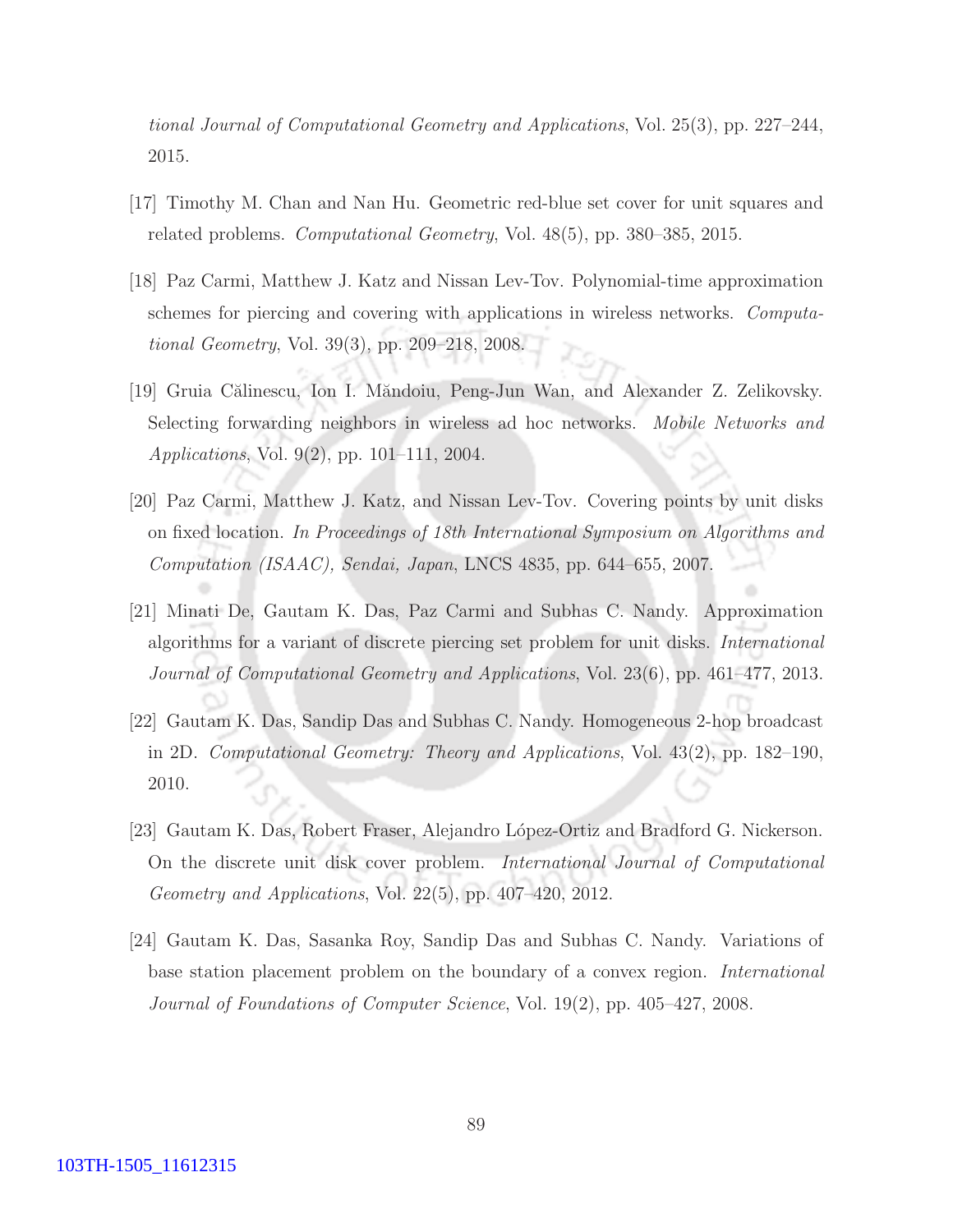tional Journal of Computational Geometry and Applications, Vol. 25(3), pp. 227–244, 2015.

- [17] Timothy M. Chan and Nan Hu. Geometric red-blue set cover for unit squares and related problems. Computational Geometry, Vol. 48(5), pp. 380–385, 2015.
- [18] Paz Carmi, Matthew J. Katz and Nissan Lev-Tov. Polynomial-time approximation schemes for piercing and covering with applications in wireless networks. Computational Geometry, Vol. 39(3), pp. 209–218, 2008.
- [19] Gruia Călinescu, Ion I. Măndoiu, Peng-Jun Wan, and Alexander Z. Zelikovsky. Selecting forwarding neighbors in wireless ad hoc networks. Mobile Networks and Applications, Vol. 9(2), pp. 101–111, 2004.
- [20] Paz Carmi, Matthew J. Katz, and Nissan Lev-Tov. Covering points by unit disks on fixed location. In Proceedings of 18th International Symposium on Algorithms and Computation (ISAAC), Sendai, Japan, LNCS 4835, pp. 644–655, 2007.
- [21] Minati De, Gautam K. Das, Paz Carmi and Subhas C. Nandy. Approximation algorithms for a variant of discrete piercing set problem for unit disks. International Journal of Computational Geometry and Applications, Vol. 23(6), pp. 461–477, 2013.
- [22] Gautam K. Das, Sandip Das and Subhas C. Nandy. Homogeneous 2-hop broadcast in 2D. Computational Geometry: Theory and Applications, Vol. 43(2), pp. 182–190, 2010.
- [23] Gautam K. Das, Robert Fraser, Alejandro L´opez-Ortiz and Bradford G. Nickerson. On the discrete unit disk cover problem. International Journal of Computational Geometry and Applications, Vol. 22(5), pp. 407–420, 2012.
- [24] Gautam K. Das, Sasanka Roy, Sandip Das and Subhas C. Nandy. Variations of base station placement problem on the boundary of a convex region. International Journal of Foundations of Computer Science, Vol. 19(2), pp. 405–427, 2008.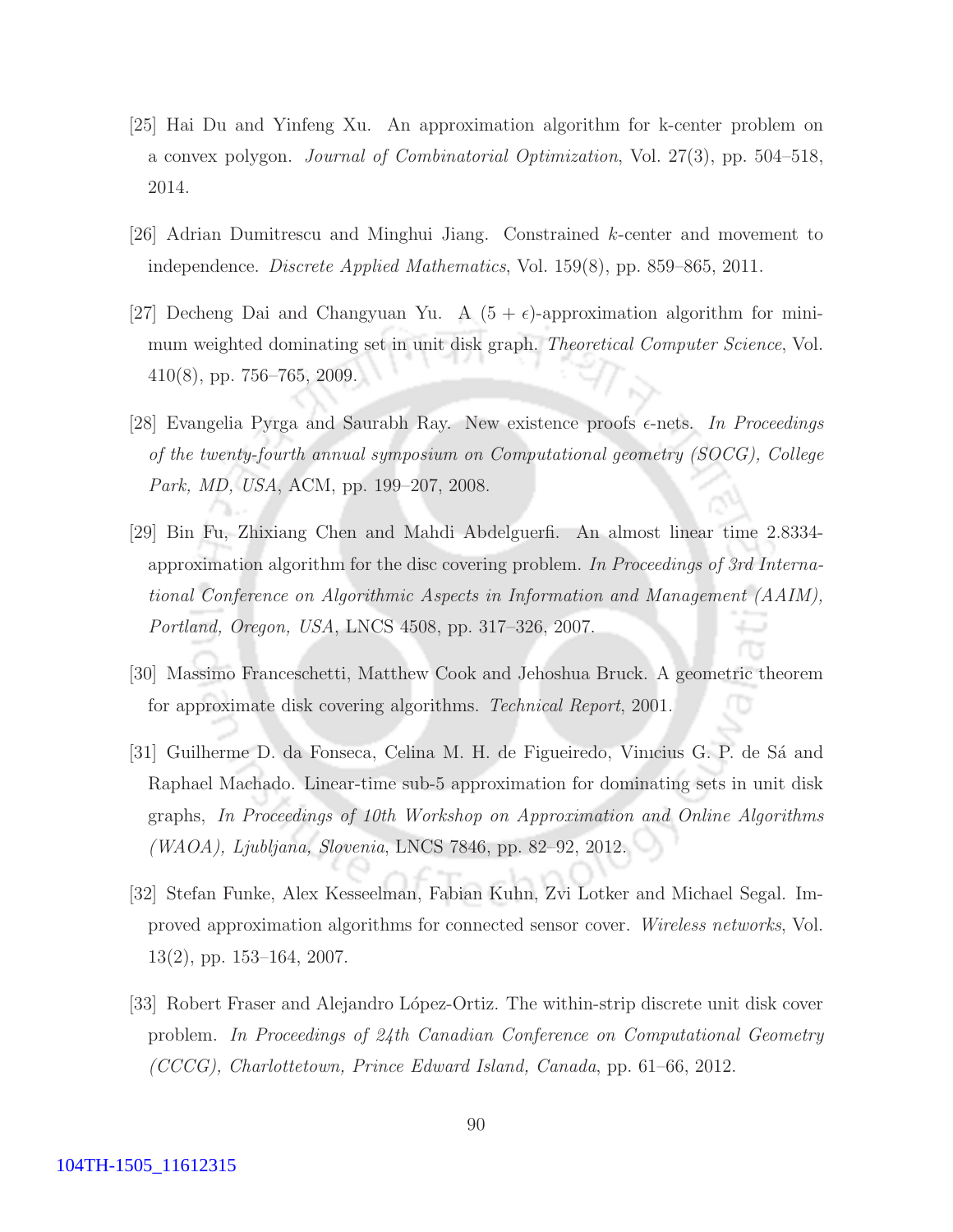- <span id="page-103-0"></span>[25] Hai Du and Yinfeng Xu. An approximation algorithm for k-center problem on a convex polygon. Journal of Combinatorial Optimization, Vol. 27(3), pp. 504–518, 2014.
- [26] Adrian Dumitrescu and Minghui Jiang. Constrained k-center and movement to independence. Discrete Applied Mathematics, Vol. 159(8), pp. 859–865, 2011.
- [27] Decheng Dai and Changyuan Yu. A  $(5 + \epsilon)$ -approximation algorithm for minimum weighted dominating set in unit disk graph. *Theoretical Computer Science*, Vol. 410(8), pp. 756–765, 2009.
- [28] Evangelia Pyrga and Saurabh Ray. New existence proofs  $\epsilon$ -nets. In Proceedings of the twenty-fourth annual symposium on Computational geometry (SOCG), College Park, MD, USA, ACM, pp. 199–207, 2008.
- [29] Bin Fu, Zhixiang Chen and Mahdi Abdelguerfi. An almost linear time 2.8334 approximation algorithm for the disc covering problem. In Proceedings of 3rd International Conference on Algorithmic Aspects in Information and Management (AAIM), Portland, Oregon, USA, LNCS 4508, pp. 317–326, 2007.
- [30] Massimo Franceschetti, Matthew Cook and Jehoshua Bruck. A geometric theorem for approximate disk covering algorithms. Technical Report, 2001.
- [31] Guilherme D. da Fonseca, Celina M. H. de Figueiredo, Vinicius G. P. de Sá and Raphael Machado. Linear-time sub-5 approximation for dominating sets in unit disk graphs, In Proceedings of 10th Workshop on Approximation and Online Algorithms (WAOA), Ljubljana, Slovenia, LNCS 7846, pp. 82–92, 2012.
- <span id="page-103-2"></span>[32] Stefan Funke, Alex Kesseelman, Fabian Kuhn, Zvi Lotker and Michael Segal. Improved approximation algorithms for connected sensor cover. Wireless networks, Vol. 13(2), pp. 153–164, 2007.
- <span id="page-103-1"></span>[33] Robert Fraser and Alejandro López-Ortiz. The within-strip discrete unit disk cover problem. In Proceedings of 24th Canadian Conference on Computational Geometry (CCCG), Charlottetown, Prince Edward Island, Canada, pp. 61–66, 2012.

#### 104TH-1505\_11612315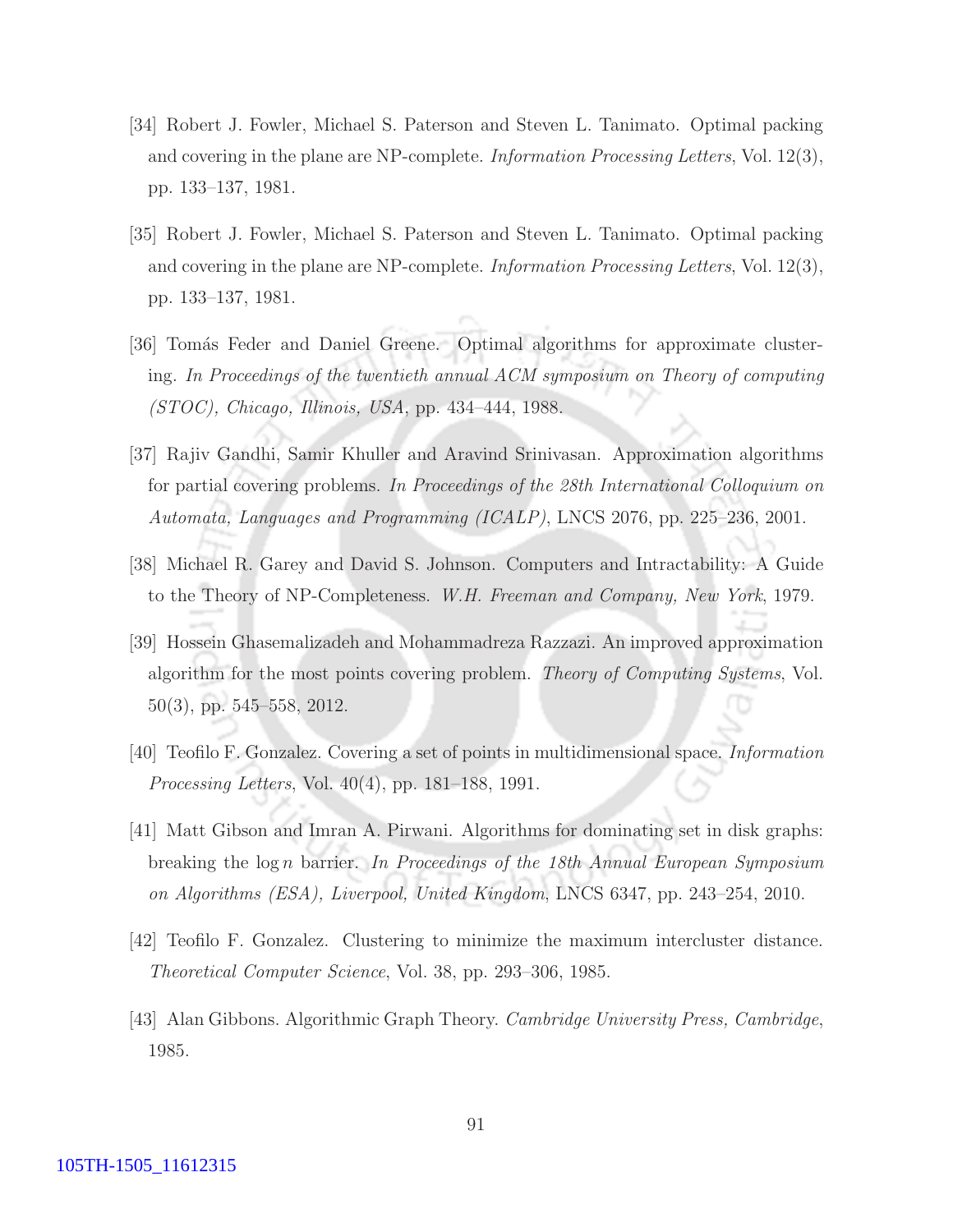- [34] Robert J. Fowler, Michael S. Paterson and Steven L. Tanimato. Optimal packing and covering in the plane are NP-complete. Information Processing Letters, Vol. 12(3), pp. 133–137, 1981.
- [35] Robert J. Fowler, Michael S. Paterson and Steven L. Tanimato. Optimal packing and covering in the plane are NP-complete. Information Processing Letters, Vol. 12(3), pp. 133–137, 1981.
- <span id="page-104-0"></span>[36] Tomás Feder and Daniel Greene. Optimal algorithms for approximate clustering. In Proceedings of the twentieth annual ACM symposium on Theory of computing (STOC), Chicago, Illinois, USA, pp. 434–444, 1988.
- [37] Rajiv Gandhi, Samir Khuller and Aravind Srinivasan. Approximation algorithms for partial covering problems. In Proceedings of the 28th International Colloquium on Automata, Languages and Programming (ICALP), LNCS 2076, pp. 225–236, 2001.
- [38] Michael R. Garey and David S. Johnson. Computers and Intractability: A Guide to the Theory of NP-Completeness. W.H. Freeman and Company, New York, 1979.
- [39] Hossein Ghasemalizadeh and Mohammadreza Razzazi. An improved approximation algorithm for the most points covering problem. Theory of Computing Systems, Vol. 50(3), pp. 545–558, 2012.
- [40] Teofilo F. Gonzalez. Covering a set of points in multidimensional space. Information Processing Letters, Vol. 40(4), pp. 181–188, 1991.
- [41] Matt Gibson and Imran A. Pirwani. Algorithms for dominating set in disk graphs: breaking the log n barrier. In Proceedings of the 18th Annual European Symposium on Algorithms (ESA), Liverpool, United Kingdom, LNCS 6347, pp. 243–254, 2010.
- [42] Teofilo F. Gonzalez. Clustering to minimize the maximum intercluster distance. Theoretical Computer Science, Vol. 38, pp. 293–306, 1985.
- [43] Alan Gibbons. Algorithmic Graph Theory. Cambridge University Press, Cambridge, 1985.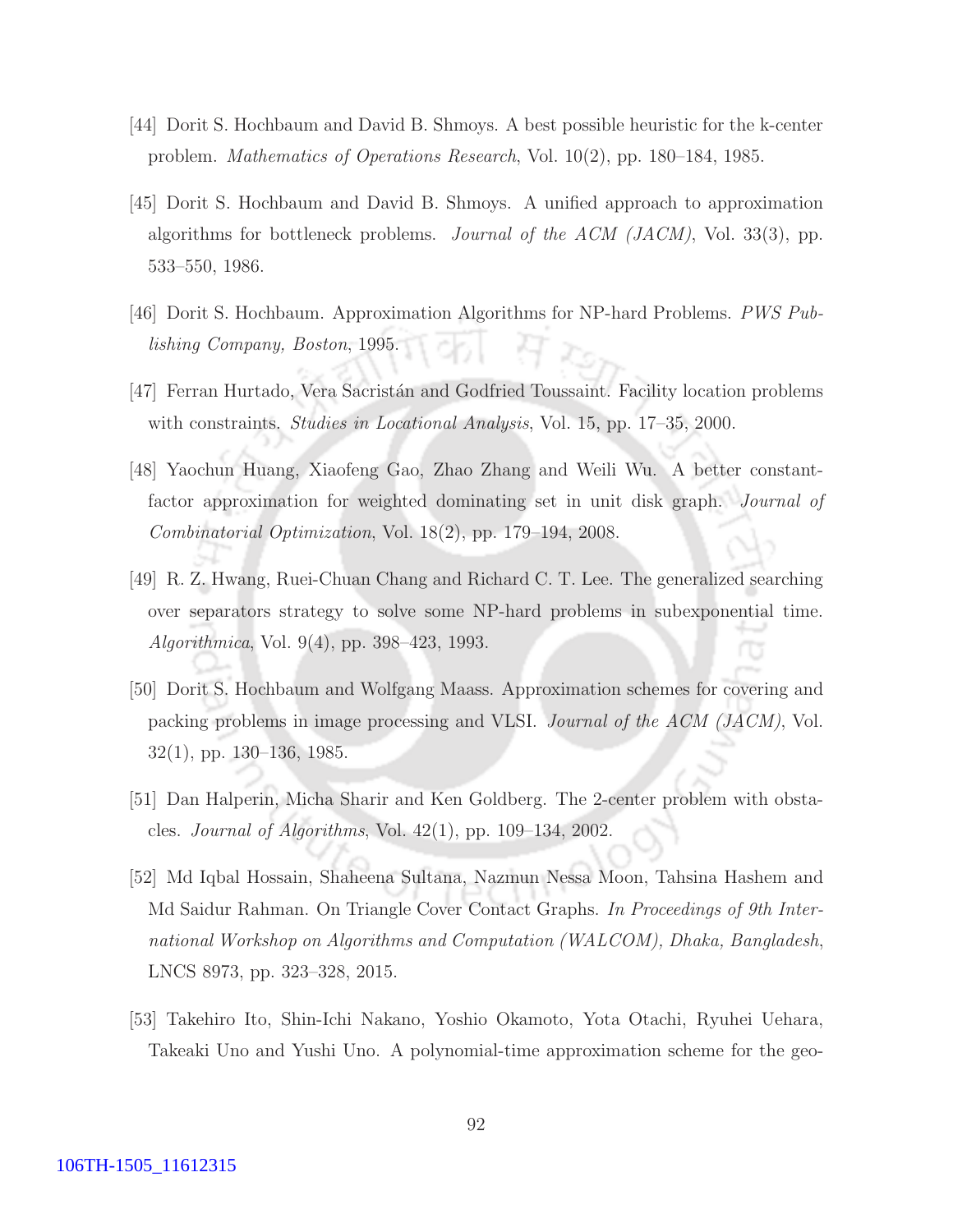- [44] Dorit S. Hochbaum and David B. Shmoys. A best possible heuristic for the k-center problem. Mathematics of Operations Research, Vol. 10(2), pp. 180–184, 1985.
- [45] Dorit S. Hochbaum and David B. Shmoys. A unified approach to approximation algorithms for bottleneck problems. Journal of the ACM (JACM), Vol. 33(3), pp. 533–550, 1986.
- [46] Dorit S. Hochbaum. Approximation Algorithms for NP-hard Problems. PWS Publishing Company, Boston, 1995.
- [47] Ferran Hurtado, Vera Sacristán and Godfried Toussaint. Facility location problems with constraints. Studies in Locational Analysis, Vol. 15, pp. 17–35, 2000.
- [48] Yaochun Huang, Xiaofeng Gao, Zhao Zhang and Weili Wu. A better constantfactor approximation for weighted dominating set in unit disk graph. Journal of Combinatorial Optimization, Vol. 18(2), pp. 179–194, 2008.
- [49] R. Z. Hwang, Ruei-Chuan Chang and Richard C. T. Lee. The generalized searching over separators strategy to solve some NP-hard problems in subexponential time. Algorithmica, Vol. 9(4), pp. 398–423, 1993.
- [50] Dorit S. Hochbaum and Wolfgang Maass. Approximation schemes for covering and packing problems in image processing and VLSI. Journal of the ACM (JACM), Vol. 32(1), pp. 130–136, 1985.
- [51] Dan Halperin, Micha Sharir and Ken Goldberg. The 2-center problem with obstacles. Journal of Algorithms, Vol. 42(1), pp. 109–134, 2002.
- [52] Md Iqbal Hossain, Shaheena Sultana, Nazmun Nessa Moon, Tahsina Hashem and Md Saidur Rahman. On Triangle Cover Contact Graphs. In Proceedings of 9th International Workshop on Algorithms and Computation (WALCOM), Dhaka, Bangladesh, LNCS 8973, pp. 323–328, 2015.
- [53] Takehiro Ito, Shin-Ichi Nakano, Yoshio Okamoto, Yota Otachi, Ryuhei Uehara, Takeaki Uno and Yushi Uno. A polynomial-time approximation scheme for the geo-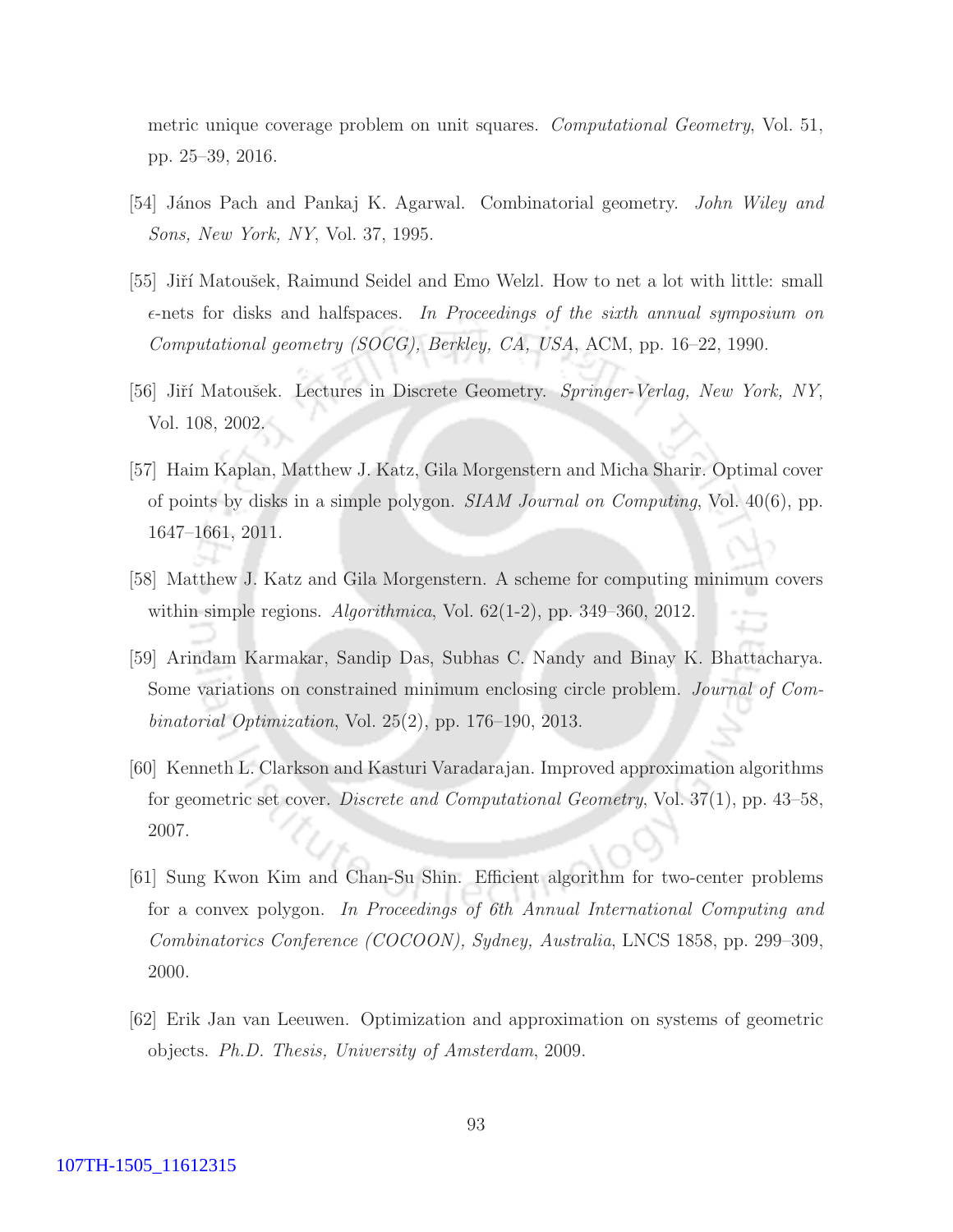metric unique coverage problem on unit squares. Computational Geometry, Vol. 51, pp. 25–39, 2016.

- [54] János Pach and Pankaj K. Agarwal. Combinatorial geometry. John Wiley and Sons, New York, NY, Vol. 37, 1995.
- [55] Jiří Matoušek, Raimund Seidel and Emo Welzl. How to net a lot with little: small  $\epsilon$ -nets for disks and halfspaces. In Proceedings of the sixth annual symposium on Computational geometry (SOCG), Berkley, CA, USA, ACM, pp. 16–22, 1990.
- [56] Jiří Matoušek. Lectures in Discrete Geometry. Springer-Verlag, New York, NY, Vol. 108, 2002.
- [57] Haim Kaplan, Matthew J. Katz, Gila Morgenstern and Micha Sharir. Optimal cover of points by disks in a simple polygon. SIAM Journal on Computing, Vol. 40(6), pp. 1647–1661, 2011.
- [58] Matthew J. Katz and Gila Morgenstern. A scheme for computing minimum covers within simple regions.  $Algorithmica$ , Vol. 62(1-2), pp. 349–360, 2012.
- [59] Arindam Karmakar, Sandip Das, Subhas C. Nandy and Binay K. Bhattacharya. Some variations on constrained minimum enclosing circle problem. Journal of Combinatorial Optimization, Vol. 25(2), pp. 176–190, 2013.
- [60] Kenneth L. Clarkson and Kasturi Varadarajan. Improved approximation algorithms for geometric set cover. *Discrete and Computational Geometry*, Vol. 37(1), pp. 43–58, 2007.
- [61] Sung Kwon Kim and Chan-Su Shin. Efficient algorithm for two-center problems for a convex polygon. In Proceedings of 6th Annual International Computing and Combinatorics Conference (COCOON), Sydney, Australia, LNCS 1858, pp. 299–309, 2000.
- <span id="page-106-0"></span>[62] Erik Jan van Leeuwen. Optimization and approximation on systems of geometric objects. Ph.D. Thesis, University of Amsterdam, 2009.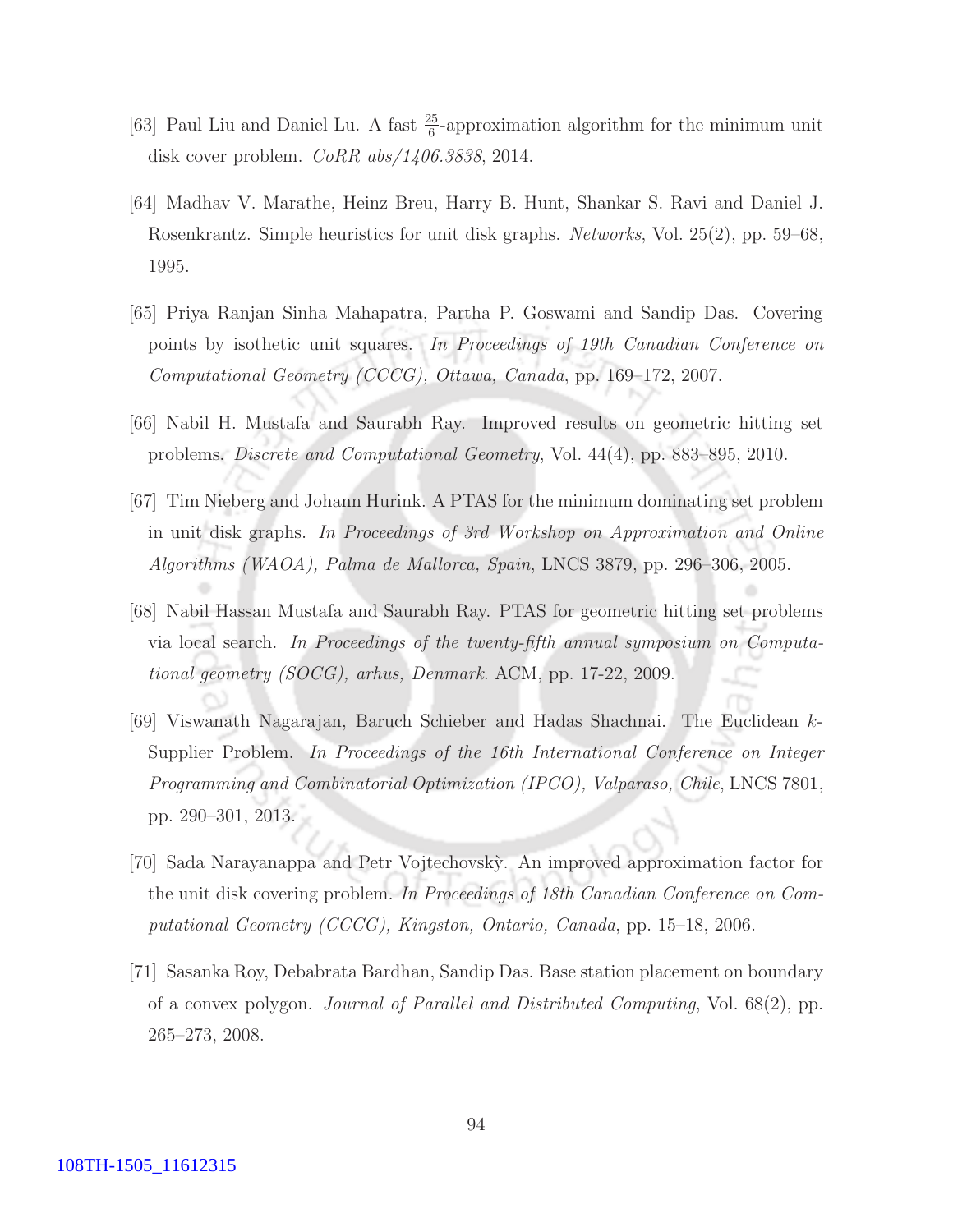- [63] Paul Liu and Daniel Lu. A fast  $\frac{25}{6}$ -approximation algorithm for the minimum unit disk cover problem. CoRR abs/1406.3838, 2014.
- [64] Madhav V. Marathe, Heinz Breu, Harry B. Hunt, Shankar S. Ravi and Daniel J. Rosenkrantz. Simple heuristics for unit disk graphs. Networks, Vol. 25(2), pp. 59–68, 1995.
- [65] Priya Ranjan Sinha Mahapatra, Partha P. Goswami and Sandip Das. Covering points by isothetic unit squares. In Proceedings of 19th Canadian Conference on Computational Geometry (CCCG), Ottawa, Canada, pp. 169–172, 2007.
- [66] Nabil H. Mustafa and Saurabh Ray. Improved results on geometric hitting set problems. Discrete and Computational Geometry, Vol. 44(4), pp. 883–895, 2010.
- [67] Tim Nieberg and Johann Hurink. A PTAS for the minimum dominating set problem in unit disk graphs. In Proceedings of 3rd Workshop on Approximation and Online Algorithms (WAOA), Palma de Mallorca, Spain, LNCS 3879, pp. 296–306, 2005.
- [68] Nabil Hassan Mustafa and Saurabh Ray. PTAS for geometric hitting set problems via local search. In Proceedings of the twenty-fifth annual symposium on Computational geometry (SOCG), arhus, Denmark. ACM, pp. 17-22, 2009.
- <span id="page-107-0"></span>[69] Viswanath Nagarajan, Baruch Schieber and Hadas Shachnai. The Euclidean k-Supplier Problem. In Proceedings of the 16th International Conference on Integer Programming and Combinatorial Optimization (IPCO), Valparaso, Chile, LNCS 7801, pp. 290–301, 2013.
- [70] Sada Narayanappa and Petr Vojtechovsk`y. An improved approximation factor for the unit disk covering problem. In Proceedings of 18th Canadian Conference on Computational Geometry (CCCG), Kingston, Ontario, Canada, pp. 15–18, 2006.
- [71] Sasanka Roy, Debabrata Bardhan, Sandip Das. Base station placement on boundary of a convex polygon. Journal of Parallel and Distributed Computing, Vol. 68(2), pp. 265–273, 2008.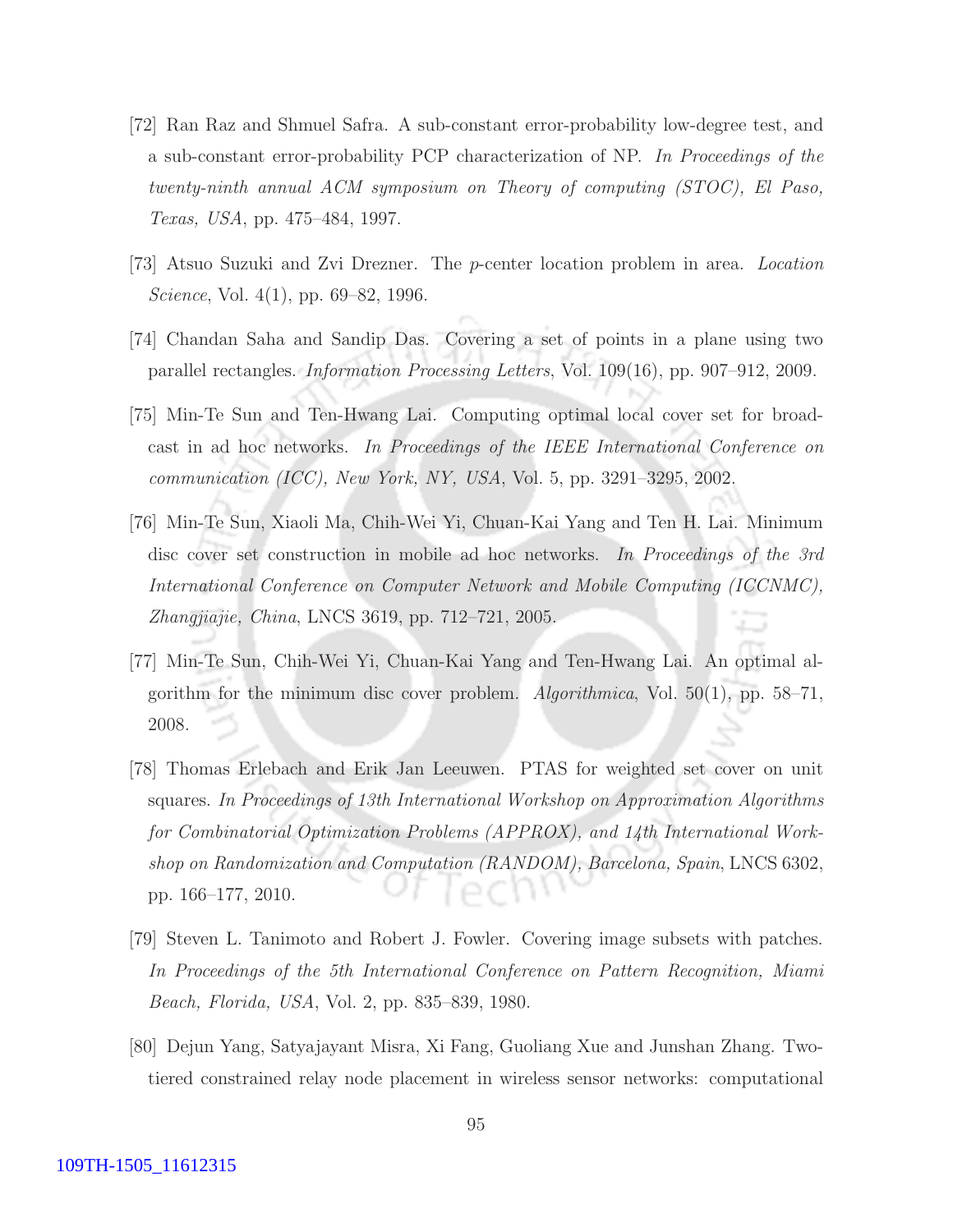- [72] Ran Raz and Shmuel Safra. A sub-constant error-probability low-degree test, and a sub-constant error-probability PCP characterization of NP. In Proceedings of the twenty-ninth annual ACM symposium on Theory of computing (STOC), El Paso, Texas, USA, pp. 475–484, 1997.
- [73] Atsuo Suzuki and Zvi Drezner. The p-center location problem in area. Location Science, Vol. 4(1), pp. 69–82, 1996.
- [74] Chandan Saha and Sandip Das. Covering a set of points in a plane using two parallel rectangles. Information Processing Letters, Vol. 109(16), pp. 907–912, 2009.
- [75] Min-Te Sun and Ten-Hwang Lai. Computing optimal local cover set for broadcast in ad hoc networks. In Proceedings of the IEEE International Conference on communication (ICC), New York, NY, USA, Vol. 5, pp. 3291–3295, 2002.
- [76] Min-Te Sun, Xiaoli Ma, Chih-Wei Yi, Chuan-Kai Yang and Ten H. Lai. Minimum disc cover set construction in mobile ad hoc networks. In Proceedings of the 3rd International Conference on Computer Network and Mobile Computing (ICCNMC), Zhangjiajie, China, LNCS 3619, pp. 712–721, 2005.
- [77] Min-Te Sun, Chih-Wei Yi, Chuan-Kai Yang and Ten-Hwang Lai. An optimal algorithm for the minimum disc cover problem. Algorithmica, Vol.  $50(1)$ , pp.  $58-71$ , 2008.
- [78] Thomas Erlebach and Erik Jan Leeuwen. PTAS for weighted set cover on unit squares. In Proceedings of 13th International Workshop on Approximation Algorithms for Combinatorial Optimization Problems (APPROX), and 14th International Workshop on Randomization and Computation (RANDOM), Barcelona, Spain, LNCS 6302, pp. 166–177, 2010.
- [79] Steven L. Tanimoto and Robert J. Fowler. Covering image subsets with patches. In Proceedings of the 5th International Conference on Pattern Recognition, Miami Beach, Florida, USA, Vol. 2, pp. 835–839, 1980.
- [80] Dejun Yang, Satyajayant Misra, Xi Fang, Guoliang Xue and Junshan Zhang. Twotiered constrained relay node placement in wireless sensor networks: computational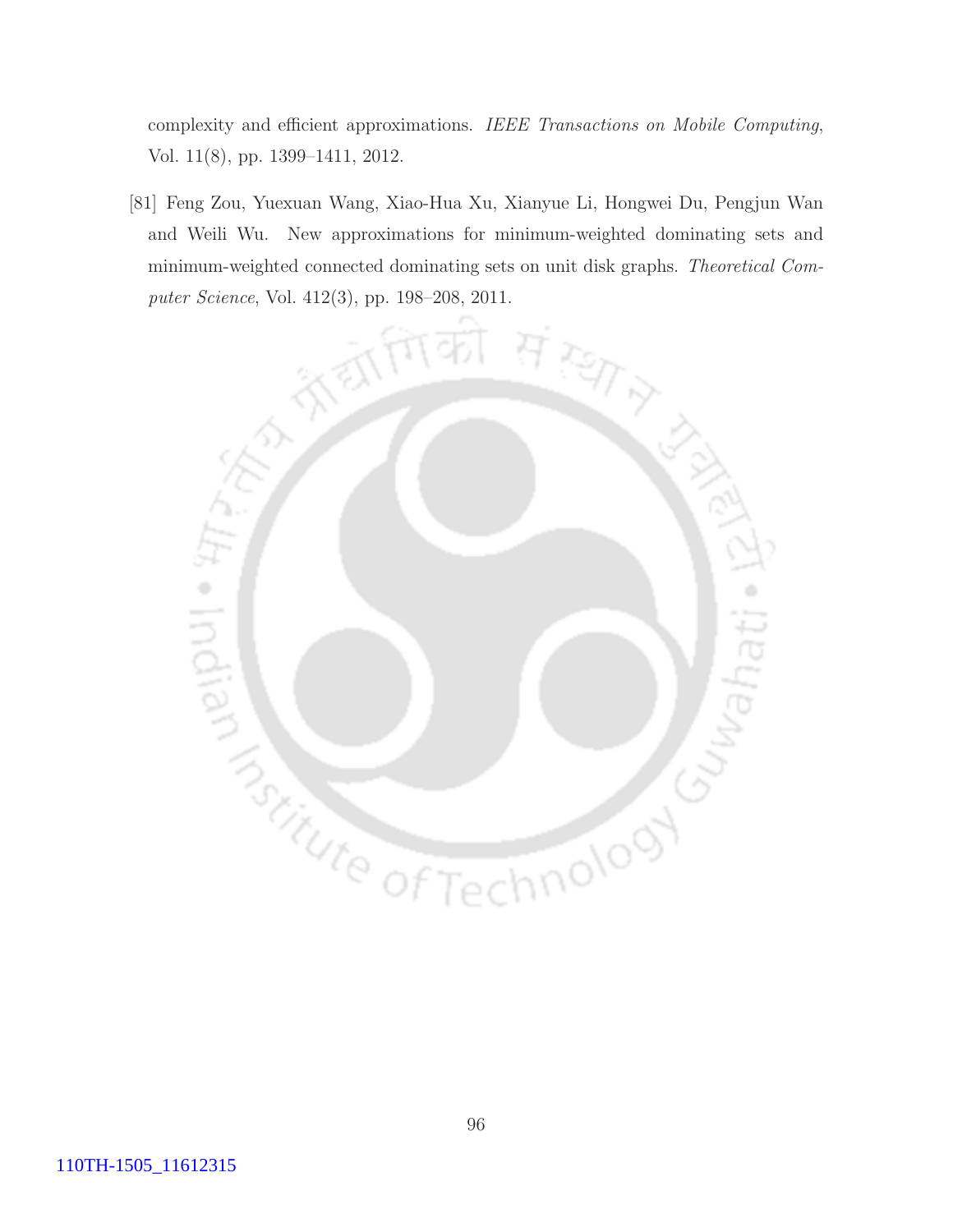complexity and efficient approximations. IEEE Transactions on Mobile Computing, Vol. 11(8), pp. 1399–1411, 2012.

[81] Feng Zou, Yuexuan Wang, Xiao-Hua Xu, Xianyue Li, Hongwei Du, Pengjun Wan and Weili Wu. New approximations for minimum-weighted dominating sets and minimum-weighted connected dominating sets on unit disk graphs. Theoretical Computer Science, Vol. 412(3), pp. 198–208, 2011.